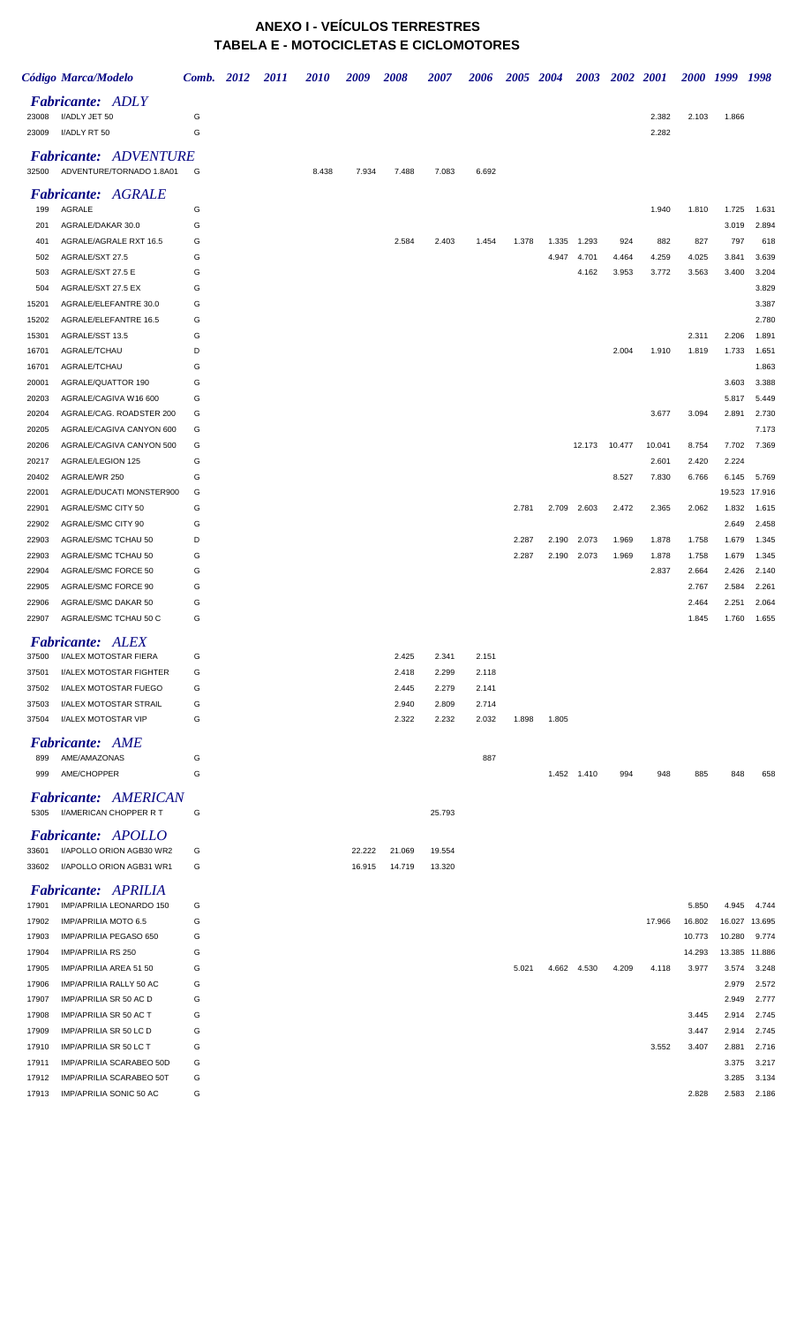## **ANEXO I - VEÍCULOS TERRESTRES TABELA E - MOTOCICLETAS E CICLOMOTORES**

|                | Código Marca/Modelo                                      | Comb. 2012 | <i>2011</i> | <i>2010</i> | 2009   | <b>2008</b> | 2007   | <b>2006</b> | <b>2005</b> | 2004  |             | 2003 2002 2001 |        |        | 2000 1999 1998 |                |
|----------------|----------------------------------------------------------|------------|-------------|-------------|--------|-------------|--------|-------------|-------------|-------|-------------|----------------|--------|--------|----------------|----------------|
| 23008          | <b>Fabricante: ADLY</b><br>I/ADLY JET 50                 | G          |             |             |        |             |        |             |             |       |             |                | 2.382  | 2.103  | 1.866          |                |
| 23009          | I/ADLY RT 50                                             | G          |             |             |        |             |        |             |             |       |             |                | 2.282  |        |                |                |
| 32500          | <b>Fabricante: ADVENTURE</b><br>ADVENTURE/TORNADO 1.8A01 | G          |             | 8.438       | 7.934  | 7.488       | 7.083  | 6.692       |             |       |             |                |        |        |                |                |
|                | <b>Fabricante: AGRALE</b>                                |            |             |             |        |             |        |             |             |       |             |                |        |        |                |                |
| 199            | AGRALE                                                   | G          |             |             |        |             |        |             |             |       |             |                | 1.940  | 1.810  | 1.725          | 1.631          |
| 201<br>401     | AGRALE/DAKAR 30.0<br>AGRALE/AGRALE RXT 16.5              | G<br>G     |             |             |        | 2.584       | 2.403  | 1.454       | 1.378       | 1.335 | 1.293       | 924            | 882    | 827    | 3.019<br>797   | 2.894<br>618   |
| 502            | AGRALE/SXT 27.5                                          | G          |             |             |        |             |        |             |             | 4.947 | 4.701       | 4.464          | 4.259  | 4.025  | 3.841          | 3.639          |
| 503            | AGRALE/SXT 27.5 E                                        | G          |             |             |        |             |        |             |             |       | 4.162       | 3.953          | 3.772  | 3.563  | 3.400          | 3.204          |
| 504            | AGRALE/SXT 27.5 EX                                       | G          |             |             |        |             |        |             |             |       |             |                |        |        |                | 3.829          |
| 15201          | AGRALE/ELEFANTRE 30.0                                    | G          |             |             |        |             |        |             |             |       |             |                |        |        |                | 3.387          |
| 15202          | AGRALE/ELEFANTRE 16.5                                    | G          |             |             |        |             |        |             |             |       |             |                |        |        |                | 2.780          |
| 15301          | AGRALE/SST 13.5                                          | G          |             |             |        |             |        |             |             |       |             |                |        | 2.311  | 2.206          | 1.891          |
| 16701          | AGRALE/TCHAU                                             | D          |             |             |        |             |        |             |             |       |             | 2.004          | 1.910  | 1.819  | 1.733          | 1.651          |
| 16701          | AGRALE/TCHAU                                             | G          |             |             |        |             |        |             |             |       |             |                |        |        |                | 1.863          |
| 20001          | AGRALE/QUATTOR 190                                       | G          |             |             |        |             |        |             |             |       |             |                |        |        | 3.603          | 3.388          |
| 20203          | AGRALE/CAGIVA W16 600                                    | G          |             |             |        |             |        |             |             |       |             |                |        |        | 5.817          | 5.449          |
| 20204          | AGRALE/CAG. ROADSTER 200                                 | G          |             |             |        |             |        |             |             |       |             |                | 3.677  | 3.094  | 2.891          | 2.730          |
| 20205          | AGRALE/CAGIVA CANYON 600<br>AGRALE/CAGIVA CANYON 500     | G<br>G     |             |             |        |             |        |             |             |       | 12.173      | 10.477         | 10.041 | 8.754  | 7.702          | 7.173<br>7.369 |
| 20206<br>20217 | AGRALE/LEGION 125                                        | G          |             |             |        |             |        |             |             |       |             |                | 2.601  | 2.420  | 2.224          |                |
| 20402          | AGRALE/WR 250                                            | G          |             |             |        |             |        |             |             |       |             | 8.527          | 7.830  | 6.766  | 6.145          | 5.769          |
| 22001          | AGRALE/DUCATI MONSTER900                                 | G          |             |             |        |             |        |             |             |       |             |                |        |        | 19.523         | 17.916         |
| 22901          | AGRALE/SMC CITY 50                                       | G          |             |             |        |             |        |             | 2.781       | 2.709 | 2.603       | 2.472          | 2.365  | 2.062  | 1.832          | 1.615          |
| 22902          | AGRALE/SMC CITY 90                                       | G          |             |             |        |             |        |             |             |       |             |                |        |        | 2.649          | 2.458          |
| 22903          | AGRALE/SMC TCHAU 50                                      | D          |             |             |        |             |        |             | 2.287       | 2.190 | 2.073       | 1.969          | 1.878  | 1.758  | 1.679          | 1.345          |
| 22903          | AGRALE/SMC TCHAU 50                                      | G          |             |             |        |             |        |             | 2.287       |       | 2.190 2.073 | 1.969          | 1.878  | 1.758  | 1.679          | 1.345          |
| 22904          | AGRALE/SMC FORCE 50                                      | G          |             |             |        |             |        |             |             |       |             |                | 2.837  | 2.664  | 2.426          | 2.140          |
| 22905          | AGRALE/SMC FORCE 90                                      | G          |             |             |        |             |        |             |             |       |             |                |        | 2.767  | 2.584          | 2.261          |
| 22906          | AGRALE/SMC DAKAR 50                                      | G          |             |             |        |             |        |             |             |       |             |                |        | 2.464  | 2.251          | 2.064          |
| 22907          | AGRALE/SMC TCHAU 50 C                                    | G          |             |             |        |             |        |             |             |       |             |                |        | 1.845  | 1.760          | 1.655          |
|                | <b>Fabricante: ALEX</b>                                  |            |             |             |        |             |        |             |             |       |             |                |        |        |                |                |
| 37500          | I/ALEX MOTOSTAR FIERA                                    | G          |             |             |        | 2.425       | 2.341  | 2.151       |             |       |             |                |        |        |                |                |
| 37501          | <b>I/ALEX MOTOSTAR FIGHTER</b>                           | G          |             |             |        | 2.418       | 2.299  | 2.118       |             |       |             |                |        |        |                |                |
| 37502          | I/ALEX MOTOSTAR FUEGO                                    | G          |             |             |        | 2.445       | 2.279  | 2.141       |             |       |             |                |        |        |                |                |
| 37503          | I/ALEX MOTOSTAR STRAIL                                   | G          |             |             |        | 2.940       | 2.809  | 2.714       |             |       |             |                |        |        |                |                |
| 37504          | I/ALEX MOTOSTAR VIP                                      | G          |             |             |        | 2.322       | 2.232  | 2.032       | 1.898       | 1.805 |             |                |        |        |                |                |
| 899            | <b>Fabricante: AME</b><br>AME/AMAZONAS                   | G          |             |             |        |             |        | 887         |             |       |             |                |        |        |                |                |
| 999            | AME/CHOPPER                                              | G          |             |             |        |             |        |             |             |       | 1.452 1.410 | 994            | 948    | 885    | 848            | 658            |
|                |                                                          |            |             |             |        |             |        |             |             |       |             |                |        |        |                |                |
| 5305           | <b>Fabricante: AMERICAN</b><br>I/AMERICAN CHOPPER R T    | G          |             |             |        |             | 25.793 |             |             |       |             |                |        |        |                |                |
|                | <b>Fabricante:</b> APOLLO                                |            |             |             |        |             |        |             |             |       |             |                |        |        |                |                |
| 33601          | I/APOLLO ORION AGB30 WR2                                 | G          |             |             | 22.222 | 21.069      | 19.554 |             |             |       |             |                |        |        |                |                |
| 33602          | I/APOLLO ORION AGB31 WR1                                 | G          |             |             | 16.915 | 14.719      | 13.320 |             |             |       |             |                |        |        |                |                |
|                | Fabricante: APRILIA                                      |            |             |             |        |             |        |             |             |       |             |                |        |        |                |                |
| 17901          | IMP/APRILIA LEONARDO 150                                 | G          |             |             |        |             |        |             |             |       |             |                |        | 5.850  | 4.945          | 4.744          |
| 17902          | IMP/APRILIA MOTO 6.5                                     | G          |             |             |        |             |        |             |             |       |             |                | 17.966 | 16.802 | 16.027         | 13.695         |
| 17903          | IMP/APRILIA PEGASO 650                                   | G          |             |             |        |             |        |             |             |       |             |                |        | 10.773 | 10.280         | 9.774          |
| 17904          | IMP/APRILIA RS 250                                       | G          |             |             |        |             |        |             |             |       |             |                |        | 14.293 | 13.385         | 11.886         |
| 17905<br>17906 | IMP/APRILIA AREA 51 50<br>IMP/APRILIA RALLY 50 AC        | G<br>G     |             |             |        |             |        |             | 5.021       |       | 4.662 4.530 | 4.209          | 4.118  | 3.977  | 3.574<br>2.979 | 3.248<br>2.572 |
| 17907          | IMP/APRILIA SR 50 AC D                                   | G          |             |             |        |             |        |             |             |       |             |                |        |        | 2.949          | 2.777          |
| 17908          | IMP/APRILIA SR 50 AC T                                   | G          |             |             |        |             |        |             |             |       |             |                |        | 3.445  | 2.914          | 2.745          |
| 17909          | IMP/APRILIA SR 50 LC D                                   | G          |             |             |        |             |        |             |             |       |             |                |        | 3.447  | 2.914          | 2.745          |
| 17910          | IMP/APRILIA SR 50 LC T                                   | G          |             |             |        |             |        |             |             |       |             |                | 3.552  | 3.407  | 2.881          | 2.716          |
| 17911          | IMP/APRILIA SCARABEO 50D                                 | G          |             |             |        |             |        |             |             |       |             |                |        |        | 3.375          | 3.217          |
| 17912          | IMP/APRILIA SCARABEO 50T                                 | G          |             |             |        |             |        |             |             |       |             |                |        |        | 3.285          | 3.134          |
| 17913          | IMP/APRILIA SONIC 50 AC                                  | G          |             |             |        |             |        |             |             |       |             |                |        | 2.828  | 2.583          | 2.186          |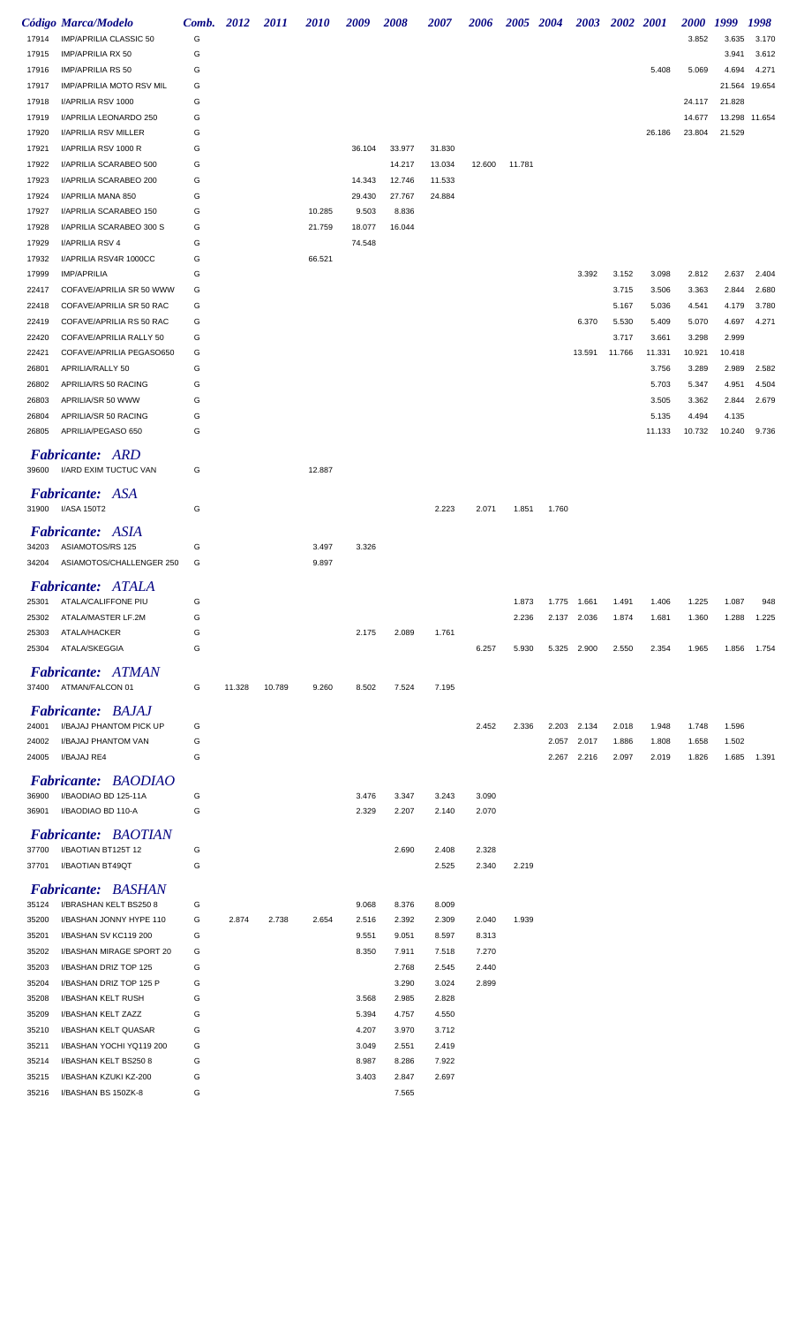|                | Código Marca/Modelo                                | Comb. 2012 |        | <i>2011</i> | <i>2010</i>      | 2009            | 2008            | <i><b>2007</b></i> | 2006   |        | 2005 2004 | <b>2003</b> | 2002 2001 |        | <i>2000</i> | 1999   | 1998          |
|----------------|----------------------------------------------------|------------|--------|-------------|------------------|-----------------|-----------------|--------------------|--------|--------|-----------|-------------|-----------|--------|-------------|--------|---------------|
| 17914          | IMP/APRILIA CLASSIC 50                             | G          |        |             |                  |                 |                 |                    |        |        |           |             |           |        | 3.852       | 3.635  | 3.170         |
| 17915          | <b>IMP/APRILIA RX 50</b>                           | G          |        |             |                  |                 |                 |                    |        |        |           |             |           |        |             | 3.941  | 3.612         |
| 17916          | <b>IMP/APRILIA RS 50</b>                           | G          |        |             |                  |                 |                 |                    |        |        |           |             |           | 5.408  | 5.069       | 4.694  | 4.271         |
| 17917          | <b>IMP/APRILIA MOTO RSV MIL</b>                    | G          |        |             |                  |                 |                 |                    |        |        |           |             |           |        |             | 21.564 | 19.654        |
| 17918          | I/APRILIA RSV 1000                                 | G          |        |             |                  |                 |                 |                    |        |        |           |             |           |        | 24.117      | 21.828 |               |
| 17919          | I/APRILIA LEONARDO 250                             | G          |        |             |                  |                 |                 |                    |        |        |           |             |           |        | 14.677      |        | 13.298 11.654 |
| 17920          | I/APRILIA RSV MILLER                               | G          |        |             |                  |                 |                 |                    |        |        |           |             |           | 26.186 | 23.804      | 21.529 |               |
| 17921          | I/APRILIA RSV 1000 R                               | G          |        |             |                  | 36.104          | 33.977          | 31.830             |        |        |           |             |           |        |             |        |               |
| 17922          | I/APRILIA SCARABEO 500                             | G          |        |             |                  |                 | 14.217          | 13.034             | 12.600 | 11.781 |           |             |           |        |             |        |               |
| 17923          | I/APRILIA SCARABEO 200                             | G          |        |             |                  | 14.343          | 12.746          | 11.533             |        |        |           |             |           |        |             |        |               |
| 17924          | I/APRILIA MANA 850                                 | G          |        |             |                  | 29.430          | 27.767          | 24.884             |        |        |           |             |           |        |             |        |               |
| 17927          | I/APRILIA SCARABEO 150<br>I/APRILIA SCARABEO 300 S | G<br>G     |        |             | 10.285<br>21.759 | 9.503<br>18.077 | 8.836<br>16.044 |                    |        |        |           |             |           |        |             |        |               |
| 17928<br>17929 | I/APRILIA RSV 4                                    | G          |        |             |                  | 74.548          |                 |                    |        |        |           |             |           |        |             |        |               |
| 17932          | I/APRILIA RSV4R 1000CC                             | G          |        |             | 66.521           |                 |                 |                    |        |        |           |             |           |        |             |        |               |
| 17999          | <b>IMP/APRILIA</b>                                 | G          |        |             |                  |                 |                 |                    |        |        |           | 3.392       | 3.152     | 3.098  | 2.812       | 2.637  | 2.404         |
| 22417          | COFAVE/APRILIA SR 50 WWW                           | G          |        |             |                  |                 |                 |                    |        |        |           |             | 3.715     | 3.506  | 3.363       | 2.844  | 2.680         |
| 22418          | COFAVE/APRILIA SR 50 RAC                           | G          |        |             |                  |                 |                 |                    |        |        |           |             | 5.167     | 5.036  | 4.541       | 4.179  | 3.780         |
| 22419          | COFAVE/APRILIA RS 50 RAC                           | G          |        |             |                  |                 |                 |                    |        |        |           | 6.370       | 5.530     | 5.409  | 5.070       | 4.697  | 4.271         |
| 22420          | COFAVE/APRILIA RALLY 50                            | G          |        |             |                  |                 |                 |                    |        |        |           |             | 3.717     | 3.661  | 3.298       | 2.999  |               |
| 22421          | COFAVE/APRILIA PEGASO650                           | G          |        |             |                  |                 |                 |                    |        |        |           | 13.591      | 11.766    | 11.331 | 10.921      | 10.418 |               |
| 26801          | APRILIA/RALLY 50                                   | G          |        |             |                  |                 |                 |                    |        |        |           |             |           | 3.756  | 3.289       | 2.989  | 2.582         |
| 26802          | APRILIA/RS 50 RACING                               | G          |        |             |                  |                 |                 |                    |        |        |           |             |           | 5.703  | 5.347       | 4.951  | 4.504         |
| 26803          | APRILIA/SR 50 WWW                                  | G          |        |             |                  |                 |                 |                    |        |        |           |             |           | 3.505  | 3.362       | 2.844  | 2.679         |
| 26804          | APRILIA/SR 50 RACING                               | G          |        |             |                  |                 |                 |                    |        |        |           |             |           | 5.135  | 4.494       | 4.135  |               |
| 26805          | APRILIA/PEGASO 650                                 | G          |        |             |                  |                 |                 |                    |        |        |           |             |           | 11.133 | 10.732      | 10.240 | 9.736         |
|                |                                                    |            |        |             |                  |                 |                 |                    |        |        |           |             |           |        |             |        |               |
|                | <b>Fabricante: ARD</b>                             |            |        |             |                  |                 |                 |                    |        |        |           |             |           |        |             |        |               |
|                | 39600 I/ARD EXIM TUCTUC VAN                        | G          |        |             | 12.887           |                 |                 |                    |        |        |           |             |           |        |             |        |               |
|                | Fabricante: ASA                                    |            |        |             |                  |                 |                 |                    |        |        |           |             |           |        |             |        |               |
| 31900          | I/ASA 150T2                                        | G          |        |             |                  |                 |                 | 2.223              | 2.071  | 1.851  | 1.760     |             |           |        |             |        |               |
|                |                                                    |            |        |             |                  |                 |                 |                    |        |        |           |             |           |        |             |        |               |
| 34203          | <b>Fabricante: ASIA</b><br>ASIAMOTOS/RS 125        | G          |        |             | 3.497            | 3.326           |                 |                    |        |        |           |             |           |        |             |        |               |
| 34204          | ASIAMOTOS/CHALLENGER 250                           | G          |        |             | 9.897            |                 |                 |                    |        |        |           |             |           |        |             |        |               |
|                |                                                    |            |        |             |                  |                 |                 |                    |        |        |           |             |           |        |             |        |               |
|                | <b>Fabricante: ATALA</b>                           |            |        |             |                  |                 |                 |                    |        |        |           |             |           |        |             |        |               |
| 25301          | ATALA/CALIFFONE PIU                                | G          |        |             |                  |                 |                 |                    |        | 1.873  |           | 1.775 1.661 | 1.491     | 1.406  | 1.225       | 1.087  | 948           |
| 25302          | ATALA/MASTER LF.2M                                 | G          |        |             |                  |                 |                 |                    |        | 2.236  |           | 2.137 2.036 | 1.874     | 1.681  | 1.360       | 1.288  | 1.225         |
| 25303          | ATALA/HACKER                                       | G          |        |             |                  | 2.175           | 2.089           | 1.761              |        |        |           |             |           |        |             |        |               |
| 25304          | ATALA/SKEGGIA                                      | G          |        |             |                  |                 |                 |                    | 6.257  | 5.930  |           | 5.325 2.900 | 2.550     | 2.354  | 1.965       | 1.856  | 1.754         |
|                | Fabricante: ATMAN                                  |            |        |             |                  |                 |                 |                    |        |        |           |             |           |        |             |        |               |
|                | 37400 ATMAN/FALCON 01                              | G          | 11.328 | 10.789      | 9.260            | 8.502           | 7.524           | 7.195              |        |        |           |             |           |        |             |        |               |
|                |                                                    |            |        |             |                  |                 |                 |                    |        |        |           |             |           |        |             |        |               |
|                | <b>Fabricante: BAJAJ</b>                           |            |        |             |                  |                 |                 |                    |        |        |           |             |           |        |             |        |               |
| 24001          | I/BAJAJ PHANTOM PICK UP                            | G          |        |             |                  |                 |                 |                    | 2.452  | 2.336  |           | 2.203 2.134 | 2.018     | 1.948  | 1.748       | 1.596  |               |
| 24002          | I/BAJAJ PHANTOM VAN                                | G          |        |             |                  |                 |                 |                    |        |        |           | 2.057 2.017 | 1.886     | 1.808  | 1.658       | 1.502  |               |
| 24005          | I/BAJAJ RE4                                        | G          |        |             |                  |                 |                 |                    |        |        |           | 2.267 2.216 | 2.097     | 2.019  | 1.826       | 1.685  | 1.391         |
|                | <b>Fabricante: BAODIAO</b>                         |            |        |             |                  |                 |                 |                    |        |        |           |             |           |        |             |        |               |
| 36900          | I/BAODIAO BD 125-11A                               | G          |        |             |                  | 3.476           | 3.347           | 3.243              | 3.090  |        |           |             |           |        |             |        |               |
| 36901          | I/BAODIAO BD 110-A                                 | G          |        |             |                  | 2.329           | 2.207           | 2.140              | 2.070  |        |           |             |           |        |             |        |               |
|                | Fabricante: BAOTIAN                                |            |        |             |                  |                 |                 |                    |        |        |           |             |           |        |             |        |               |
| 37700          | I/BAOTIAN BT125T 12                                | G          |        |             |                  |                 | 2.690           | 2.408              | 2.328  |        |           |             |           |        |             |        |               |
| 37701          | I/BAOTIAN BT49QT                                   | G          |        |             |                  |                 |                 | 2.525              | 2.340  | 2.219  |           |             |           |        |             |        |               |
|                |                                                    |            |        |             |                  |                 |                 |                    |        |        |           |             |           |        |             |        |               |
|                | <b>Fabricante: BASHAN</b>                          |            |        |             |                  |                 |                 |                    |        |        |           |             |           |        |             |        |               |
| 35124          | I/BRASHAN KELT BS2508                              | G          |        |             |                  | 9.068           | 8.376           | 8.009              |        |        |           |             |           |        |             |        |               |
| 35200          | I/BASHAN JONNY HYPE 110                            | G          | 2.874  | 2.738       | 2.654            | 2.516           | 2.392           | 2.309              | 2.040  | 1.939  |           |             |           |        |             |        |               |
| 35201          | I/BASHAN SV KC119 200                              | G          |        |             |                  | 9.551           | 9.051           | 8.597              | 8.313  |        |           |             |           |        |             |        |               |
| 35202          | I/BASHAN MIRAGE SPORT 20                           | G          |        |             |                  | 8.350           | 7.911           | 7.518              | 7.270  |        |           |             |           |        |             |        |               |
| 35203          | I/BASHAN DRIZ TOP 125                              | G          |        |             |                  |                 | 2.768           | 2.545              | 2.440  |        |           |             |           |        |             |        |               |
| 35204          | I/BASHAN DRIZ TOP 125 P                            | G          |        |             |                  |                 | 3.290           | 3.024              | 2.899  |        |           |             |           |        |             |        |               |
| 35208          | I/BASHAN KELT RUSH                                 | G          |        |             |                  | 3.568           | 2.985           | 2.828              |        |        |           |             |           |        |             |        |               |
| 35209          | I/BASHAN KELT ZAZZ                                 | G          |        |             |                  | 5.394           | 4.757           | 4.550              |        |        |           |             |           |        |             |        |               |
| 35210          | I/BASHAN KELT QUASAR                               | G          |        |             |                  | 4.207           | 3.970           | 3.712              |        |        |           |             |           |        |             |        |               |
| 35211          | I/BASHAN YOCHI YQ119 200                           | G          |        |             |                  | 3.049           | 2.551           | 2.419              |        |        |           |             |           |        |             |        |               |
| 35214          | I/BASHAN KELT BS250 8                              | G          |        |             |                  | 8.987           | 8.286           | 7.922              |        |        |           |             |           |        |             |        |               |
| 35215          | I/BASHAN KZUKI KZ-200                              | G          |        |             |                  | 3.403           | 2.847           | 2.697              |        |        |           |             |           |        |             |        |               |
| 35216          | I/BASHAN BS 150ZK-8                                | G          |        |             |                  |                 | 7.565           |                    |        |        |           |             |           |        |             |        |               |
|                |                                                    |            |        |             |                  |                 |                 |                    |        |        |           |             |           |        |             |        |               |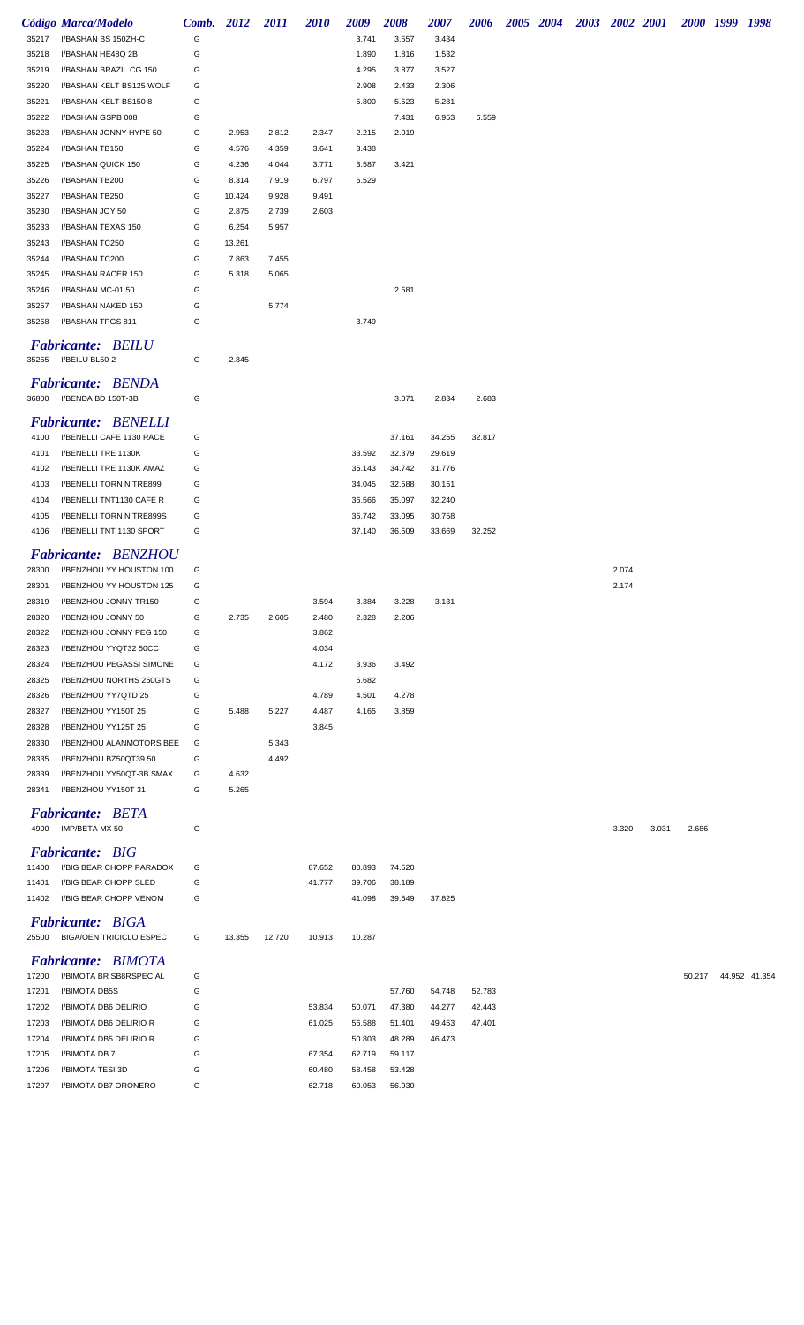|                | Código Marca/Modelo                                 | Comb. 2012 |                 | 2011           | <b>2010</b>    | 2009             | <b>2008</b>      | 2007             | 2006   |  | 2005 2004 2003 2002 2001 |       |       |        | 2000 1999 1998 |               |
|----------------|-----------------------------------------------------|------------|-----------------|----------------|----------------|------------------|------------------|------------------|--------|--|--------------------------|-------|-------|--------|----------------|---------------|
| 35217          | I/BASHAN BS 150ZH-C                                 | G          |                 |                |                | 3.741            | 3.557            | 3.434            |        |  |                          |       |       |        |                |               |
| 35218          | I/BASHAN HE48Q 2B                                   | G          |                 |                |                | 1.890            | 1.816            | 1.532            |        |  |                          |       |       |        |                |               |
| 35219          | I/BASHAN BRAZIL CG 150                              | G          |                 |                |                | 4.295            | 3.877            | 3.527            |        |  |                          |       |       |        |                |               |
| 35220          | I/BASHAN KELT BS125 WOLF                            | G          |                 |                |                | 2.908            | 2.433            | 2.306            |        |  |                          |       |       |        |                |               |
| 35221          | I/BASHAN KELT BS150 8                               | G          |                 |                |                | 5.800            | 5.523            | 5.281            |        |  |                          |       |       |        |                |               |
| 35222          | I/BASHAN GSPB 008                                   | G          |                 |                |                |                  | 7.431            | 6.953            | 6.559  |  |                          |       |       |        |                |               |
| 35223          | I/BASHAN JONNY HYPE 50                              | G          | 2.953           | 2.812          | 2.347          | 2.215            | 2.019            |                  |        |  |                          |       |       |        |                |               |
| 35224          | I/BASHAN TB150                                      | G          | 4.576           | 4.359          | 3.641          | 3.438            |                  |                  |        |  |                          |       |       |        |                |               |
| 35225          | I/BASHAN QUICK 150                                  | G          | 4.236           | 4.044          | 3.771          | 3.587            | 3.421            |                  |        |  |                          |       |       |        |                |               |
| 35226          | I/BASHAN TB200<br>I/BASHAN TB250                    | G<br>G     | 8.314<br>10.424 | 7.919<br>9.928 | 6.797<br>9.491 | 6.529            |                  |                  |        |  |                          |       |       |        |                |               |
| 35227<br>35230 | I/BASHAN JOY 50                                     | G          | 2.875           | 2.739          | 2.603          |                  |                  |                  |        |  |                          |       |       |        |                |               |
| 35233          | I/BASHAN TEXAS 150                                  | G          | 6.254           | 5.957          |                |                  |                  |                  |        |  |                          |       |       |        |                |               |
| 35243          | I/BASHAN TC250                                      | G          | 13.261          |                |                |                  |                  |                  |        |  |                          |       |       |        |                |               |
| 35244          | I/BASHAN TC200                                      | G          | 7.863           | 7.455          |                |                  |                  |                  |        |  |                          |       |       |        |                |               |
| 35245          | I/BASHAN RACER 150                                  | G          | 5.318           | 5.065          |                |                  |                  |                  |        |  |                          |       |       |        |                |               |
| 35246          | I/BASHAN MC-01 50                                   | G          |                 |                |                |                  | 2.581            |                  |        |  |                          |       |       |        |                |               |
| 35257          | I/BASHAN NAKED 150                                  | G          |                 | 5.774          |                |                  |                  |                  |        |  |                          |       |       |        |                |               |
| 35258          | I/BASHAN TPGS 811                                   | G          |                 |                |                | 3.749            |                  |                  |        |  |                          |       |       |        |                |               |
|                |                                                     |            |                 |                |                |                  |                  |                  |        |  |                          |       |       |        |                |               |
|                | <b>Fabricante: BEILU</b>                            |            |                 |                |                |                  |                  |                  |        |  |                          |       |       |        |                |               |
| 35255          | I/BEILU BL50-2                                      | G          | 2.845           |                |                |                  |                  |                  |        |  |                          |       |       |        |                |               |
|                | <b>Fabricante: BENDA</b>                            |            |                 |                |                |                  |                  |                  |        |  |                          |       |       |        |                |               |
| 36800          | I/BENDA BD 150T-3B                                  | G          |                 |                |                |                  | 3.071            | 2.834            | 2.683  |  |                          |       |       |        |                |               |
|                |                                                     |            |                 |                |                |                  |                  |                  |        |  |                          |       |       |        |                |               |
|                | <b>Fabricante: BENELLI</b>                          |            |                 |                |                |                  |                  |                  |        |  |                          |       |       |        |                |               |
| 4100           | I/BENELLI CAFE 1130 RACE                            | G          |                 |                |                |                  | 37.161           | 34.255           | 32.817 |  |                          |       |       |        |                |               |
| 4101<br>4102   | I/BENELLI TRE 1130K                                 | G<br>G     |                 |                |                | 33.592           | 32.379           | 29.619<br>31.776 |        |  |                          |       |       |        |                |               |
| 4103           | I/BENELLI TRE 1130K AMAZ                            | G          |                 |                |                | 35.143           | 34.742           |                  |        |  |                          |       |       |        |                |               |
| 4104           | I/BENELLI TORN N TRE899<br>I/BENELLI TNT1130 CAFE R | G          |                 |                |                | 34.045<br>36.566 | 32.588<br>35.097 | 30.151<br>32.240 |        |  |                          |       |       |        |                |               |
| 4105           | I/BENELLI TORN N TRE899S                            | G          |                 |                |                | 35.742           | 33.095           | 30.758           |        |  |                          |       |       |        |                |               |
| 4106           | I/BENELLI TNT 1130 SPORT                            | G          |                 |                |                | 37.140           | 36.509           | 33.669           | 32.252 |  |                          |       |       |        |                |               |
|                |                                                     |            |                 |                |                |                  |                  |                  |        |  |                          |       |       |        |                |               |
|                | <b>Fabricante: BENZHOU</b>                          |            |                 |                |                |                  |                  |                  |        |  |                          |       |       |        |                |               |
| 28300          | I/BENZHOU YY HOUSTON 100                            | G          |                 |                |                |                  |                  |                  |        |  |                          | 2.074 |       |        |                |               |
| 28301          | I/BENZHOU YY HOUSTON 125                            | G          |                 |                |                |                  |                  |                  |        |  |                          | 2.174 |       |        |                |               |
| 28319          | I/BENZHOU JONNY TR150                               | G          |                 |                | 3.594          | 3.384            | 3.228            | 3.131            |        |  |                          |       |       |        |                |               |
| 28320          | I/BENZHOU JONNY 50                                  | G          | 2.735           | 2.605          | 2.480          | 2.328            | 2.206            |                  |        |  |                          |       |       |        |                |               |
| 28322          | I/BENZHOU JONNY PEG 150                             | G          |                 |                | 3.862          |                  |                  |                  |        |  |                          |       |       |        |                |               |
| 28323          | I/BENZHOU YYQT32 50CC                               | G          |                 |                | 4.034          |                  |                  |                  |        |  |                          |       |       |        |                |               |
| 28324          | I/BENZHOU PEGASSI SIMONE                            | G          |                 |                | 4.172          | 3.936            | 3.492            |                  |        |  |                          |       |       |        |                |               |
| 28325          | I/BENZHOU NORTHS 250GTS                             | G          |                 |                |                | 5.682            |                  |                  |        |  |                          |       |       |        |                |               |
| 28326          | I/BENZHOU YY7QTD 25                                 | G          |                 |                | 4.789          | 4.501            | 4.278            |                  |        |  |                          |       |       |        |                |               |
| 28327          | I/BENZHOU YY150T 25                                 | G          | 5.488           | 5.227          | 4.487          | 4.165            | 3.859            |                  |        |  |                          |       |       |        |                |               |
| 28328          | I/BENZHOU YY125T 25                                 | G          |                 |                | 3.845          |                  |                  |                  |        |  |                          |       |       |        |                |               |
| 28330          | I/BENZHOU ALANMOTORS BEE                            | G          |                 | 5.343          |                |                  |                  |                  |        |  |                          |       |       |        |                |               |
| 28335          | I/BENZHOU BZ50QT39 50                               | G          |                 | 4.492          |                |                  |                  |                  |        |  |                          |       |       |        |                |               |
| 28339          | I/BENZHOU YY50QT-3B SMAX                            | G          | 4.632           |                |                |                  |                  |                  |        |  |                          |       |       |        |                |               |
| 28341          | I/BENZHOU YY150T 31                                 | G          | 5.265           |                |                |                  |                  |                  |        |  |                          |       |       |        |                |               |
|                | <b>Fabricante: BETA</b>                             |            |                 |                |                |                  |                  |                  |        |  |                          |       |       |        |                |               |
| 4900           | IMP/BETA MX 50                                      | G          |                 |                |                |                  |                  |                  |        |  |                          | 3.320 | 3.031 | 2.686  |                |               |
|                | <b>Fabricante: BIG</b>                              |            |                 |                |                |                  |                  |                  |        |  |                          |       |       |        |                |               |
| 11400          | I/BIG BEAR CHOPP PARADOX                            | G          |                 |                | 87.652         | 80.893           | 74.520           |                  |        |  |                          |       |       |        |                |               |
| 11401          | I/BIG BEAR CHOPP SLED                               | G          |                 |                | 41.777         | 39.706           | 38.189           |                  |        |  |                          |       |       |        |                |               |
| 11402          | I/BIG BEAR CHOPP VENOM                              | G          |                 |                |                | 41.098           | 39.549           | 37.825           |        |  |                          |       |       |        |                |               |
|                |                                                     |            |                 |                |                |                  |                  |                  |        |  |                          |       |       |        |                |               |
|                | <b>Fabricante: BIGA</b>                             |            |                 |                |                |                  |                  |                  |        |  |                          |       |       |        |                |               |
| 25500          | <b>BIGA/OEN TRICICLO ESPEC</b>                      | G          | 13.355          | 12.720         | 10.913         | 10.287           |                  |                  |        |  |                          |       |       |        |                |               |
|                | <b>Fabricante: BIMOTA</b>                           |            |                 |                |                |                  |                  |                  |        |  |                          |       |       |        |                |               |
| 17200          | I/BIMOTA BR SB8RSPECIAL                             | G          |                 |                |                |                  |                  |                  |        |  |                          |       |       | 50.217 |                | 44.952 41.354 |
| 17201          | I/BIMOTA DB5S                                       | G          |                 |                |                |                  | 57.760           | 54.748           | 52.783 |  |                          |       |       |        |                |               |
| 17202          | I/BIMOTA DB6 DELIRIO                                | G          |                 |                | 53.834         | 50.071           | 47.380           | 44.277           | 42.443 |  |                          |       |       |        |                |               |
| 17203          | I/BIMOTA DB6 DELIRIO R                              | G          |                 |                | 61.025         | 56.588           | 51.401           | 49.453           | 47.401 |  |                          |       |       |        |                |               |
| 17204          | I/BIMOTA DB5 DELIRIO R                              | G          |                 |                |                | 50.803           | 48.289           | 46.473           |        |  |                          |       |       |        |                |               |
| 17205          | I/BIMOTA DB 7                                       | G          |                 |                | 67.354         | 62.719           | 59.117           |                  |        |  |                          |       |       |        |                |               |
| 17206          | I/BIMOTA TESI 3D                                    | G          |                 |                | 60.480         | 58.458           | 53.428           |                  |        |  |                          |       |       |        |                |               |
| 17207          | I/BIMOTA DB7 ORONERO                                | G          |                 |                | 62.718         | 60.053           | 56.930           |                  |        |  |                          |       |       |        |                |               |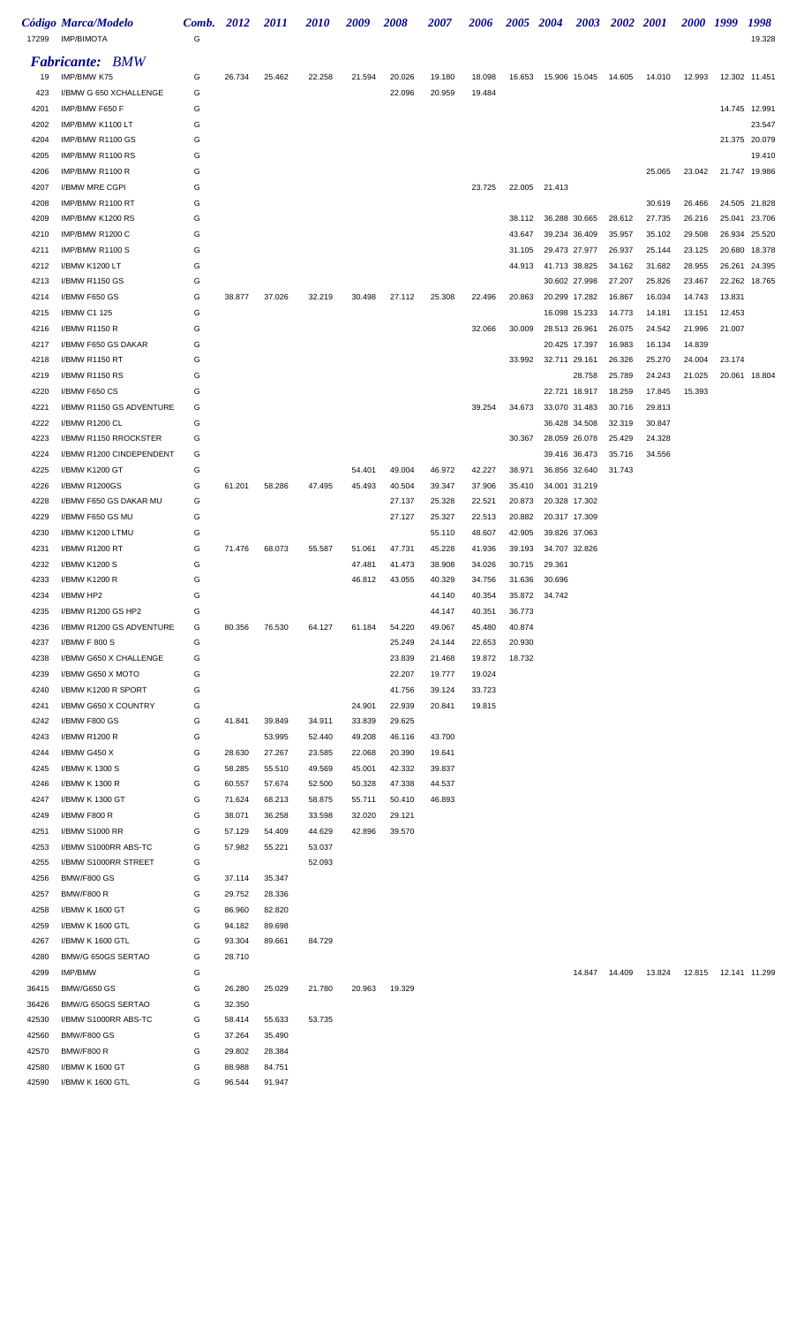| 17299        | Código Marca/Modelo<br><b>IMP/BIMOTA</b> | Comb. 2012<br>G |        | <i>2011</i> | <i>2010</i> | 2009   | 2008   | <i><b>2007</b></i> | 2006             |                  | 2005 2004                   | <b>2003</b>   | 2002 2001 |        | 2000 1999 |               | 1998<br>19.328 |
|--------------|------------------------------------------|-----------------|--------|-------------|-------------|--------|--------|--------------------|------------------|------------------|-----------------------------|---------------|-----------|--------|-----------|---------------|----------------|
|              | <b>Fabricante: BMW</b>                   |                 |        |             |             |        |        |                    |                  |                  |                             |               |           |        |           |               |                |
| 19           | IMP/BMW K75                              | G               | 26.734 | 25.462      | 22.258      | 21.594 | 20.026 | 19.180             | 18.098           |                  | 16.653 15.906 15.045 14.605 |               |           | 14.010 | 12.993    |               | 12.302 11.451  |
| 423          | I/BMW G 650 XCHALLENGE                   | G               |        |             |             |        | 22.096 | 20.959             | 19.484           |                  |                             |               |           |        |           |               |                |
| 4201         | IMP/BMW F650 F                           | G               |        |             |             |        |        |                    |                  |                  |                             |               |           |        |           |               | 14.745 12.991  |
| 4202         | IMP/BMW K1100 LT                         | G               |        |             |             |        |        |                    |                  |                  |                             |               |           |        |           |               | 23.547         |
| 4204         | IMP/BMW R1100 GS                         | G               |        |             |             |        |        |                    |                  |                  |                             |               |           |        |           |               | 21.375 20.079  |
| 4205         | IMP/BMW R1100 RS                         | G               |        |             |             |        |        |                    |                  |                  |                             |               |           |        |           |               | 19.410         |
| 4206         | IMP/BMW R1100 R                          | G               |        |             |             |        |        |                    |                  |                  |                             |               |           | 25.065 | 23.042    |               | 21.747 19.986  |
| 4207         | I/BMW MRE CGPI                           | G               |        |             |             |        |        |                    | 23.725           |                  | 22.005 21.413               |               |           |        |           |               |                |
| 4208         | IMP/BMW R1100 RT                         | G               |        |             |             |        |        |                    |                  |                  |                             |               |           | 30.619 | 26.466    |               | 24.505 21.828  |
| 4209         | IMP/BMW K1200 RS                         | G               |        |             |             |        |        |                    |                  | 38.112           |                             | 36.288 30.665 | 28.612    | 27.735 | 26.216    |               | 25.041 23.706  |
| 4210         | IMP/BMW R1200 C                          | G               |        |             |             |        |        |                    |                  | 43.647           |                             | 39.234 36.409 | 35.957    | 35.102 | 29.508    | 26.934        | 25.520         |
| 4211         | IMP/BMW R1100 S                          | G               |        |             |             |        |        |                    |                  | 31.105           | 29.473 27.977               |               | 26.937    | 25.144 | 23.125    | 20.680        | 18.378         |
| 4212         | I/BMW K1200 LT                           | G               |        |             |             |        |        |                    |                  | 44.913           |                             | 41.713 38.825 | 34.162    | 31.682 | 28.955    | 26.261        | 24.395         |
| 4213         | I/BMW R1150 GS                           | G               |        |             |             |        |        |                    |                  |                  |                             | 30.602 27.998 | 27.207    | 25.826 | 23.467    |               | 22.262 18.765  |
| 4214         | I/BMW F650 GS                            | G               | 38.877 | 37.026      | 32.219      | 30.498 | 27.112 | 25.308             | 22.496           | 20.863           |                             | 20.299 17.282 | 16.867    | 16.034 | 14.743    | 13.831        |                |
| 4215         | I/BMW C1 125                             | G               |        |             |             |        |        |                    |                  |                  |                             | 16.098 15.233 | 14.773    | 14.181 | 13.151    | 12.453        |                |
| 4216         | I/BMW R1150 R                            | G               |        |             |             |        |        |                    | 32.066           | 30.009           | 28.513 26.961               |               | 26.075    | 24.542 | 21.996    | 21.007        |                |
| 4217         | I/BMW F650 GS DAKAR                      | G               |        |             |             |        |        |                    |                  |                  |                             | 20.425 17.397 | 16.983    | 16.134 | 14.839    |               |                |
| 4218         | I/BMW R1150 RT                           | G               |        |             |             |        |        |                    |                  | 33.992           | 32.711 29.161               |               | 26.326    | 25.270 | 24.004    | 23.174        |                |
| 4219         | <b>I/BMW R1150 RS</b>                    | G               |        |             |             |        |        |                    |                  |                  |                             | 28.758        | 25.789    | 24.243 | 21.025    |               | 20.061 18.804  |
| 4220         | I/BMW F650 CS                            | G               |        |             |             |        |        |                    |                  |                  |                             | 22.721 18.917 | 18.259    | 17.845 | 15.393    |               |                |
| 4221         | I/BMW R1150 GS ADVENTURE                 | G               |        |             |             |        |        |                    | 39.254           | 34.673           |                             | 33.070 31.483 | 30.716    | 29.813 |           |               |                |
| 4222         | I/BMW R1200 CL                           | G               |        |             |             |        |        |                    |                  |                  |                             | 36.428 34.508 | 32.319    | 30.847 |           |               |                |
| 4223         | I/BMW R1150 RROCKSTER                    | G               |        |             |             |        |        |                    |                  | 30.367           |                             | 28.059 26.078 | 25.429    | 24.328 |           |               |                |
| 4224         | I/BMW R1200 CINDEPENDENT                 | G               |        |             |             |        |        |                    |                  |                  |                             | 39.416 36.473 | 35.716    | 34.556 |           |               |                |
| 4225         | I/BMW K1200 GT                           | G               |        |             |             | 54.401 | 49.004 | 46.972             | 42.227           | 38.971           |                             | 36.856 32.640 | 31.743    |        |           |               |                |
| 4226         | I/BMW R1200GS                            | G               | 61.201 | 58.286      | 47.495      | 45.493 | 40.504 | 39.347             | 37.906           | 35.410           |                             | 34.001 31.219 |           |        |           |               |                |
| 4228         | I/BMW F650 GS DAKAR MU                   | G               |        |             |             |        | 27.137 | 25.328             | 22.521           | 20.873           | 20.328 17.302               |               |           |        |           |               |                |
| 4229         | I/BMW F650 GS MU                         | G               |        |             |             |        | 27.127 | 25.327             | 22.513           | 20.882           | 20.317 17.309               |               |           |        |           |               |                |
| 4230         | I/BMW K1200 LTMU                         | G               |        |             |             |        |        | 55.110             | 48.607           | 42.905           |                             | 39.826 37.063 |           |        |           |               |                |
| 4231         | I/BMW R1200 RT<br>I/BMW K1200 S          | G               | 71.476 | 68.073      | 55.587      | 51.061 | 47.731 | 45.228             | 41.936           | 39.193           |                             | 34.707 32.826 |           |        |           |               |                |
| 4232<br>4233 |                                          | G               |        |             |             | 47.481 | 41.473 | 38.908             | 34.026           | 30.715           | 29.361                      |               |           |        |           |               |                |
| 4234         | I/BMW K1200 R<br>I/BMW HP2               | G<br>G          |        |             |             | 46.812 | 43.055 | 40.329<br>44.140   | 34.756<br>40.354 | 31.636<br>35.872 | 30.696<br>34.742            |               |           |        |           |               |                |
| 4235         | I/BMW R1200 GS HP2                       | G               |        |             |             |        |        | 44.147             | 40.351           | 36.773           |                             |               |           |        |           |               |                |
| 4236         | I/BMW R1200 GS ADVENTURE                 | G               | 80.356 | 76.530      | 64.127      | 61.184 | 54.220 | 49.067             | 45.480           | 40.874           |                             |               |           |        |           |               |                |
| 4237         | I/BMW F 800 S                            | G               |        |             |             |        | 25.249 | 24.144             | 22.653           | 20.930           |                             |               |           |        |           |               |                |
| 4238         | I/BMW G650 X CHALLENGE                   | G               |        |             |             |        | 23.839 | 21.468             | 19.872           | 18.732           |                             |               |           |        |           |               |                |
| 4239         | I/BMW G650 X MOTO                        | G               |        |             |             |        | 22.207 | 19.777             | 19.024           |                  |                             |               |           |        |           |               |                |
| 4240         | I/BMW K1200 R SPORT                      | G               |        |             |             |        | 41.756 | 39.124             | 33.723           |                  |                             |               |           |        |           |               |                |
| 4241         | I/BMW G650 X COUNTRY                     | G               |        |             |             | 24.901 | 22.939 | 20.841             | 19.815           |                  |                             |               |           |        |           |               |                |
| 4242         | I/BMW F800 GS                            | G               | 41.841 | 39.849      | 34.911      | 33.839 | 29.625 |                    |                  |                  |                             |               |           |        |           |               |                |
| 4243         | I/BMW R1200 R                            | G               |        | 53.995      | 52.440      | 49.208 | 46.116 | 43.700             |                  |                  |                             |               |           |        |           |               |                |
| 4244         | I/BMW G450 X                             | G               | 28.630 | 27.267      | 23.585      | 22.068 | 20.390 | 19.641             |                  |                  |                             |               |           |        |           |               |                |
| 4245         | I/BMW K 1300 S                           | G               | 58.285 | 55.510      | 49.569      | 45.001 | 42.332 | 39.837             |                  |                  |                             |               |           |        |           |               |                |
| 4246         | I/BMW K 1300 R                           | G               | 60.557 | 57.674      | 52.500      | 50.328 | 47.338 | 44.537             |                  |                  |                             |               |           |        |           |               |                |
| 4247         | I/BMW K 1300 GT                          | G               | 71.624 | 68.213      | 58.875      | 55.711 | 50.410 | 46.893             |                  |                  |                             |               |           |        |           |               |                |
| 4249         | I/BMW F800 R                             | G               | 38.071 | 36.258      | 33.598      | 32.020 | 29.121 |                    |                  |                  |                             |               |           |        |           |               |                |
| 4251         | I/BMW S1000 RR                           | G               | 57.129 | 54.409      | 44.629      | 42.896 | 39.570 |                    |                  |                  |                             |               |           |        |           |               |                |
| 4253         | I/BMW S1000RR ABS-TC                     | G               | 57.982 | 55.221      | 53.037      |        |        |                    |                  |                  |                             |               |           |        |           |               |                |
| 4255         | I/BMW S1000RR STREET                     | G               |        |             | 52.093      |        |        |                    |                  |                  |                             |               |           |        |           |               |                |
| 4256         | <b>BMW/F800 GS</b>                       | G               | 37.114 | 35.347      |             |        |        |                    |                  |                  |                             |               |           |        |           |               |                |
| 4257         | <b>BMW/F800 R</b>                        | G               | 29.752 | 28.336      |             |        |        |                    |                  |                  |                             |               |           |        |           |               |                |
| 4258         | I/BMW K 1600 GT                          | G               | 86.960 | 82.820      |             |        |        |                    |                  |                  |                             |               |           |        |           |               |                |
| 4259         | I/BMW K 1600 GTL                         | G               | 94.182 | 89.698      |             |        |        |                    |                  |                  |                             |               |           |        |           |               |                |
| 4267         | I/BMW K 1600 GTL                         | G               | 93.304 | 89.661      | 84.729      |        |        |                    |                  |                  |                             |               |           |        |           |               |                |
| 4280         | BMW/G 650GS SERTAO                       | G               | 28.710 |             |             |        |        |                    |                  |                  |                             |               |           |        |           |               |                |
| 4299         | IMP/BMW                                  | G               |        |             |             |        |        |                    |                  |                  |                             | 14.847        | 14.409    | 13.824 | 12.815    | 12.141 11.299 |                |
| 36415        | <b>BMW/G650 GS</b>                       | G               | 26.280 | 25.029      | 21.780      | 20.963 | 19.329 |                    |                  |                  |                             |               |           |        |           |               |                |
| 36426        | BMW/G 650GS SERTAO                       | G               | 32.350 |             |             |        |        |                    |                  |                  |                             |               |           |        |           |               |                |
| 42530        | I/BMW S1000RR ABS-TC                     | G               | 58.414 | 55.633      | 53.735      |        |        |                    |                  |                  |                             |               |           |        |           |               |                |
| 42560        | <b>BMW/F800 GS</b>                       | G               | 37.264 | 35.490      |             |        |        |                    |                  |                  |                             |               |           |        |           |               |                |
| 42570        | <b>BMW/F800 R</b>                        | G               | 29.802 | 28.384      |             |        |        |                    |                  |                  |                             |               |           |        |           |               |                |
| 42580        | I/BMW K 1600 GT                          | G               | 88.988 | 84.751      |             |        |        |                    |                  |                  |                             |               |           |        |           |               |                |
| 42590        | I/BMW K 1600 GTL                         | G               | 96.544 | 91.947      |             |        |        |                    |                  |                  |                             |               |           |        |           |               |                |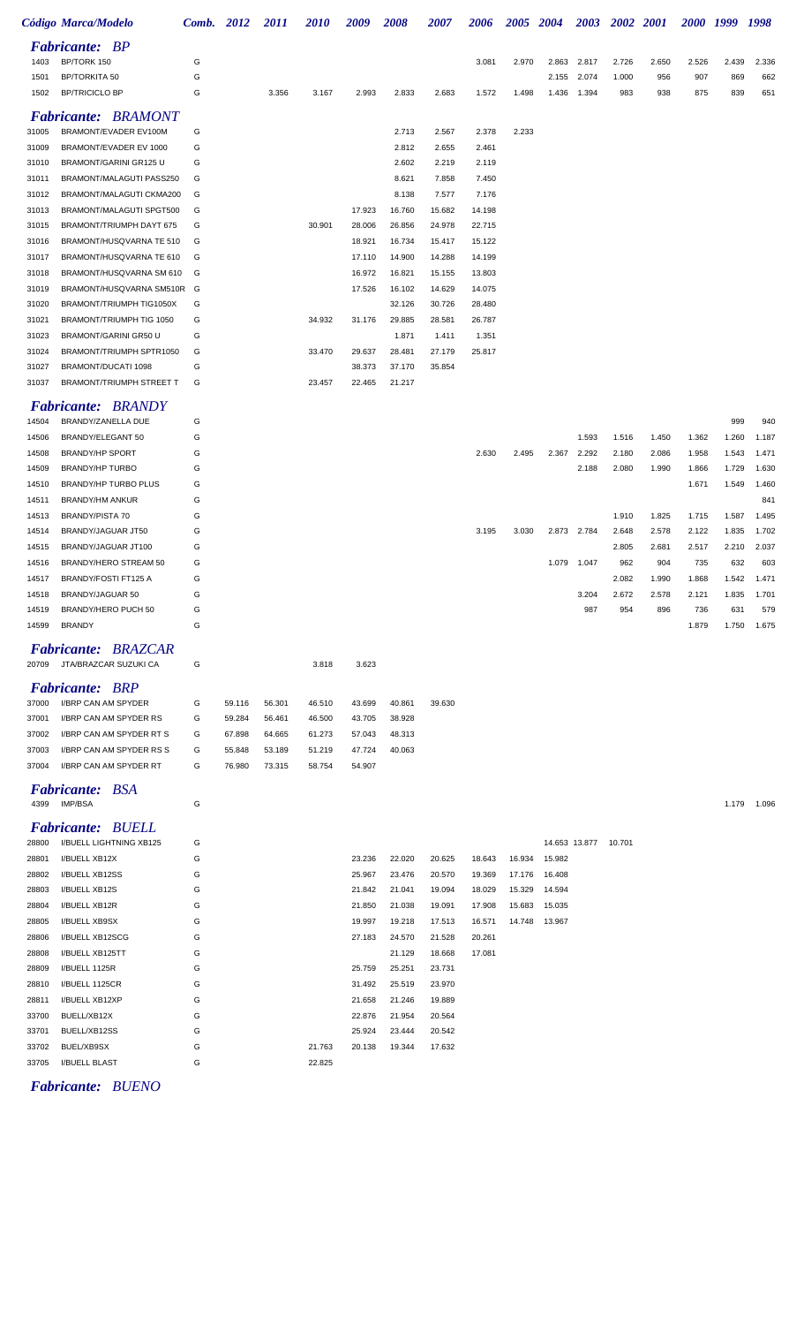|                | Código Marca/Modelo                                  | <b>Comb.</b> 2012 |        | 2011   | 2010   | 2009             | 2008             | 2007             | 2006             | 2005 2004 |        |                      | 2003 2002 2001 |              | 2000 1999    |              | 1998         |
|----------------|------------------------------------------------------|-------------------|--------|--------|--------|------------------|------------------|------------------|------------------|-----------|--------|----------------------|----------------|--------------|--------------|--------------|--------------|
|                | <b>Fabricante: BP</b>                                |                   |        |        |        |                  |                  |                  |                  |           |        |                      |                |              |              |              |              |
| 1403           | BP/TORK 150                                          | G                 |        |        |        |                  |                  |                  | 3.081            | 2.970     | 2.863  | 2.817                | 2.726          | 2.650        | 2.526        | 2.439        | 2.336        |
| 1501           | <b>BP/TORKITA 50</b>                                 | G                 |        |        |        |                  |                  |                  |                  |           | 2.155  | 2.074                | 1.000          | 956          | 907          | 869          | 662          |
| 1502           | <b>BP/TRICICLO BP</b>                                | G                 |        | 3.356  | 3.167  | 2.993            | 2.833            | 2.683            | 1.572            | 1.498     | 1.436  | 1.394                | 983            | 938          | 875          | 839          | 651          |
|                | <b>Fabricante: BRAMONT</b>                           |                   |        |        |        |                  |                  |                  |                  |           |        |                      |                |              |              |              |              |
| 31005          | BRAMONT/EVADER EV100M                                | G                 |        |        |        |                  | 2.713            | 2.567            | 2.378            | 2.233     |        |                      |                |              |              |              |              |
| 31009          | BRAMONT/EVADER EV 1000                               | G                 |        |        |        |                  | 2.812            | 2.655            | 2.461            |           |        |                      |                |              |              |              |              |
| 31010          | BRAMONT/GARINI GR125 U                               | G                 |        |        |        |                  | 2.602            | 2.219            | 2.119            |           |        |                      |                |              |              |              |              |
| 31011          | BRAMONT/MALAGUTI PASS250                             | G                 |        |        |        |                  | 8.621            | 7.858            | 7.450            |           |        |                      |                |              |              |              |              |
| 31012          | BRAMONT/MALAGUTI CKMA200                             | G                 |        |        |        |                  | 8.138            | 7.577            | 7.176            |           |        |                      |                |              |              |              |              |
| 31013          | BRAMONT/MALAGUTI SPGT500                             | G                 |        |        |        | 17.923           | 16.760           | 15.682           | 14.198           |           |        |                      |                |              |              |              |              |
| 31015          | BRAMONT/TRIUMPH DAYT 675                             | G                 |        |        | 30.901 | 28.006           | 26.856           | 24.978           | 22.715           |           |        |                      |                |              |              |              |              |
| 31016          | BRAMONT/HUSQVARNA TE 510                             | G                 |        |        |        | 18.921           | 16.734           | 15.417           | 15.122           |           |        |                      |                |              |              |              |              |
| 31017          | BRAMONT/HUSQVARNA TE 610                             | G                 |        |        |        | 17.110           | 14.900           | 14.288           | 14.199           |           |        |                      |                |              |              |              |              |
| 31018<br>31019 | BRAMONT/HUSQVARNA SM 610<br>BRAMONT/HUSQVARNA SM510R | G<br>G            |        |        |        | 16.972<br>17.526 | 16.821<br>16.102 | 15.155<br>14.629 | 13.803<br>14.075 |           |        |                      |                |              |              |              |              |
| 31020          | BRAMONT/TRIUMPH TIG1050X                             | G                 |        |        |        |                  | 32.126           | 30.726           | 28.480           |           |        |                      |                |              |              |              |              |
| 31021          | BRAMONT/TRIUMPH TIG 1050                             | G                 |        |        | 34.932 | 31.176           | 29.885           | 28.581           | 26.787           |           |        |                      |                |              |              |              |              |
| 31023          | BRAMONT/GARINI GR50 U                                | G                 |        |        |        |                  | 1.871            | 1.411            | 1.351            |           |        |                      |                |              |              |              |              |
| 31024          | BRAMONT/TRIUMPH SPTR1050                             | G                 |        |        | 33.470 | 29.637           | 28.481           | 27.179           | 25.817           |           |        |                      |                |              |              |              |              |
| 31027          | BRAMONT/DUCATI 1098                                  | G                 |        |        |        | 38.373           | 37.170           | 35.854           |                  |           |        |                      |                |              |              |              |              |
| 31037          | BRAMONT/TRIUMPH STREET T                             | G                 |        |        | 23.457 | 22.465           | 21.217           |                  |                  |           |        |                      |                |              |              |              |              |
|                | <b>Fabricante: BRANDY</b>                            |                   |        |        |        |                  |                  |                  |                  |           |        |                      |                |              |              |              |              |
| 14504          | BRANDY/ZANELLA DUE                                   | G                 |        |        |        |                  |                  |                  |                  |           |        |                      |                |              |              | 999          | 940          |
| 14506          | BRANDY/ELEGANT 50                                    | G                 |        |        |        |                  |                  |                  |                  |           |        | 1.593                | 1.516          | 1.450        | 1.362        | 1.260        | 1.187        |
| 14508          | <b>BRANDY/HP SPORT</b>                               | G                 |        |        |        |                  |                  |                  | 2.630            | 2.495     | 2.367  | 2.292                | 2.180          | 2.086        | 1.958        | 1.543        | 1.471        |
| 14509          | <b>BRANDY/HP TURBO</b>                               | G                 |        |        |        |                  |                  |                  |                  |           |        | 2.188                | 2.080          | 1.990        | 1.866        | 1.729        | 1.630        |
| 14510          | BRANDY/HP TURBO PLUS                                 | G                 |        |        |        |                  |                  |                  |                  |           |        |                      |                |              | 1.671        | 1.549        | 1.460        |
| 14511          | BRANDY/HM ANKUR                                      | G                 |        |        |        |                  |                  |                  |                  |           |        |                      |                |              |              |              | 841          |
| 14513          | BRANDY/PISTA 70                                      | G                 |        |        |        |                  |                  |                  |                  |           |        |                      | 1.910          | 1.825        | 1.715        | 1.587        | 1.495        |
| 14514          | BRANDY/JAGUAR JT50                                   | G                 |        |        |        |                  |                  |                  | 3.195            | 3.030     |        | 2.873 2.784          | 2.648          | 2.578        | 2.122        | 1.835        | 1.702        |
| 14515          | BRANDY/JAGUAR JT100                                  | G                 |        |        |        |                  |                  |                  |                  |           |        |                      | 2.805          | 2.681        | 2.517        | 2.210        | 2.037        |
| 14516          | BRANDY/HERO STREAM 50                                | G                 |        |        |        |                  |                  |                  |                  |           | 1.079  | 1.047                | 962            | 904          | 735          | 632          | 603          |
| 14517          | BRANDY/FOSTI FT125 A                                 | G                 |        |        |        |                  |                  |                  |                  |           |        |                      | 2.082          | 1.990        | 1.868        | 1.542        | 1.471        |
| 14518<br>14519 | BRANDY/JAGUAR 50<br>BRANDY/HERO PUCH 50              | G<br>G            |        |        |        |                  |                  |                  |                  |           |        | 3.204<br>987         | 2.672<br>954   | 2.578<br>896 | 2.121<br>736 | 1.835<br>631 | 1.701<br>579 |
| 14599          | <b>BRANDY</b>                                        | G                 |        |        |        |                  |                  |                  |                  |           |        |                      |                |              | 1.879        | 1.750        | 1.675        |
|                |                                                      |                   |        |        |        |                  |                  |                  |                  |           |        |                      |                |              |              |              |              |
| 20709          | <b>Fabricante: BRAZCAR</b><br>JTA/BRAZCAR SUZUKI CA  | G                 |        |        | 3.818  | 3.623            |                  |                  |                  |           |        |                      |                |              |              |              |              |
|                | <b>Fabricante: BRP</b>                               |                   |        |        |        |                  |                  |                  |                  |           |        |                      |                |              |              |              |              |
| 37000          | I/BRP CAN AM SPYDER                                  | G                 | 59.116 | 56.301 | 46.510 | 43.699           | 40.861           | 39.630           |                  |           |        |                      |                |              |              |              |              |
| 37001          | I/BRP CAN AM SPYDER RS                               | G                 | 59.284 | 56.461 | 46.500 | 43.705           | 38.928           |                  |                  |           |        |                      |                |              |              |              |              |
| 37002          | I/BRP CAN AM SPYDER RT S                             | G                 | 67.898 | 64.665 | 61.273 | 57.043           | 48.313           |                  |                  |           |        |                      |                |              |              |              |              |
| 37003          | I/BRP CAN AM SPYDER RS S                             | G                 | 55.848 | 53.189 | 51.219 | 47.724           | 40.063           |                  |                  |           |        |                      |                |              |              |              |              |
| 37004          | I/BRP CAN AM SPYDER RT                               | G                 | 76.980 | 73.315 | 58.754 | 54.907           |                  |                  |                  |           |        |                      |                |              |              |              |              |
| 4399           | <b>Fabricante: BSA</b><br><b>IMP/BSA</b>             | G                 |        |        |        |                  |                  |                  |                  |           |        |                      |                |              |              | 1.179        | 1.096        |
|                | <b>Fabricante: BUELL</b>                             |                   |        |        |        |                  |                  |                  |                  |           |        |                      |                |              |              |              |              |
| 28800          | I/BUELL LIGHTNING XB125                              | G                 |        |        |        |                  |                  |                  |                  |           |        | 14.653 13.877 10.701 |                |              |              |              |              |
| 28801          | I/BUELL XB12X                                        | G                 |        |        |        | 23.236           | 22.020           | 20.625           | 18.643           | 16.934    | 15.982 |                      |                |              |              |              |              |
| 28802          | I/BUELL XB12SS                                       | G                 |        |        |        | 25.967           | 23.476           | 20.570           | 19.369           | 17.176    | 16.408 |                      |                |              |              |              |              |
| 28803          | I/BUELL XB12S                                        | G                 |        |        |        | 21.842           | 21.041           | 19.094           | 18.029           | 15.329    | 14.594 |                      |                |              |              |              |              |
| 28804          | I/BUELL XB12R                                        | G                 |        |        |        | 21.850           | 21.038           | 19.091           | 17.908           | 15.683    | 15.035 |                      |                |              |              |              |              |
| 28805          | I/BUELL XB9SX                                        | G                 |        |        |        | 19.997           | 19.218           | 17.513           | 16.571           | 14.748    | 13.967 |                      |                |              |              |              |              |
| 28806          | I/BUELL XB12SCG                                      | G                 |        |        |        | 27.183           | 24.570           | 21.528           | 20.261           |           |        |                      |                |              |              |              |              |

 I/BUELL XB12XP G 21.658 21.246 19.889 BUELL/XB12X G 22.876 21.954 20.564 BUELL/XB12SS G 25.924 23.444 20.542 BUEL/XB9SX G 21.763 20.138 19.344 17.632 I/BUELL BLAST G 22.825 *Fabricante: BUENO*

 I/BUELL XB125TT G 21.129 18.668 17.081 I/BUELL 1125R G 25.759 25.251 23.731 I/BUELL 1125CR G 31.492 25.519 23.970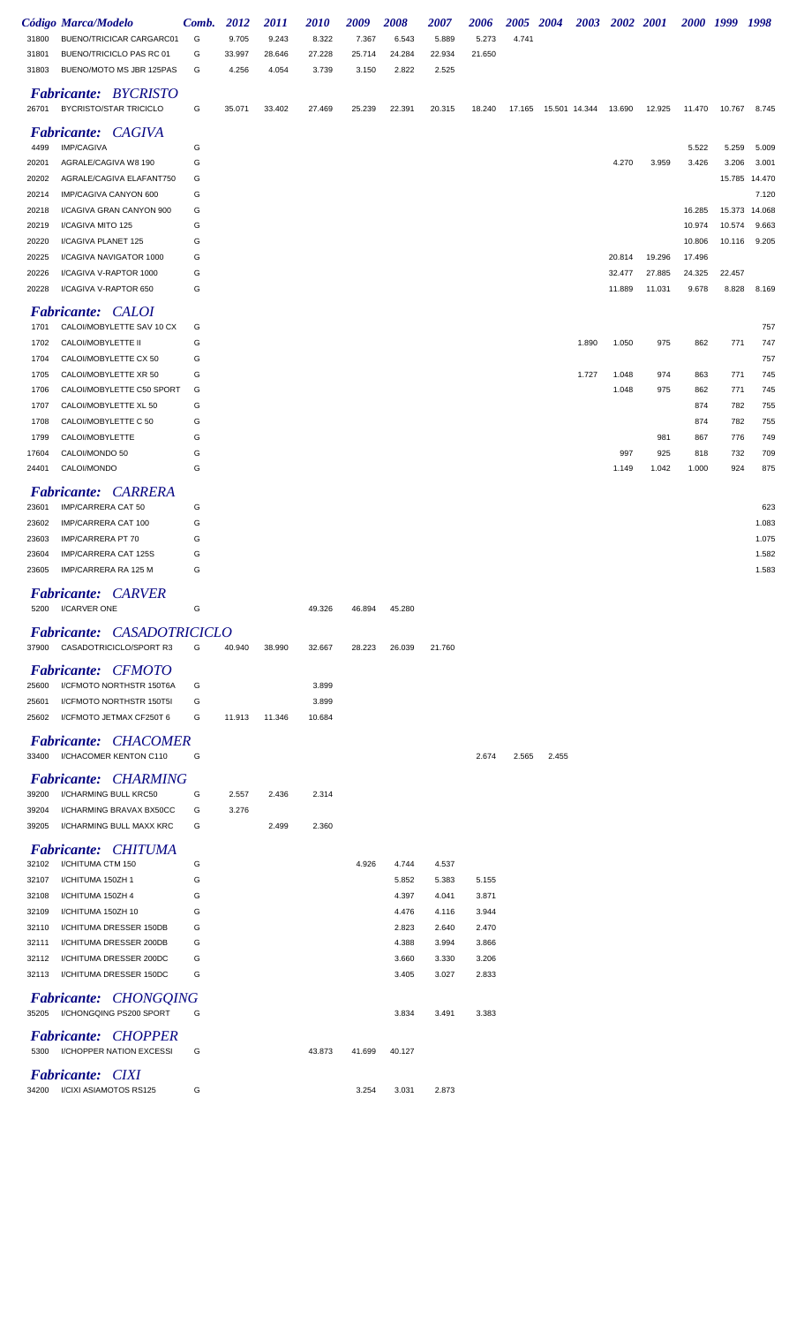|                | Código Marca/Modelo                                           | Comb.  | <b>2012</b> | <i>2011</i> | <i><b>2010</b></i> | 2009   | 2008   | <i><b>2007</b></i> | 2006   | 2005 2004 |               |       | 2003 2002 2001 |        |        | 2000 1999 | 1998          |
|----------------|---------------------------------------------------------------|--------|-------------|-------------|--------------------|--------|--------|--------------------|--------|-----------|---------------|-------|----------------|--------|--------|-----------|---------------|
| 31800          | BUENO/TRICICAR CARGARC01                                      | G      | 9.705       | 9.243       | 8.322              | 7.367  | 6.543  | 5.889              | 5.273  | 4.741     |               |       |                |        |        |           |               |
| 31801          | BUENO/TRICICLO PAS RC 01                                      | G      | 33.997      | 28.646      | 27.228             | 25.714 | 24.284 | 22.934             | 21.650 |           |               |       |                |        |        |           |               |
| 31803          | BUENO/MOTO MS JBR 125PAS                                      | G      | 4.256       | 4.054       | 3.739              | 3.150  | 2.822  | 2.525              |        |           |               |       |                |        |        |           |               |
|                |                                                               |        |             |             |                    |        |        |                    |        |           |               |       |                |        |        |           |               |
| 26701          | <b>Fabricante: BYCRISTO</b><br><b>BYCRISTO/STAR TRICICLO</b>  | G      | 35.071      | 33.402      | 27.469             | 25.239 | 22.391 | 20.315             | 18.240 | 17.165    | 15.501 14.344 |       | 13.690         | 12.925 | 11.470 | 10.767    | 8.745         |
|                | <b>Fabricante: CAGIVA</b>                                     |        |             |             |                    |        |        |                    |        |           |               |       |                |        |        |           |               |
| 4499           | <b>IMP/CAGIVA</b>                                             | G      |             |             |                    |        |        |                    |        |           |               |       |                |        | 5.522  | 5.259     | 5.009         |
| 20201          | AGRALE/CAGIVA W8 190                                          | G      |             |             |                    |        |        |                    |        |           |               |       | 4.270          | 3.959  | 3.426  | 3.206     | 3.001         |
| 20202          | AGRALE/CAGIVA ELAFANT750                                      | G      |             |             |                    |        |        |                    |        |           |               |       |                |        |        |           | 15.785 14.470 |
| 20214          | IMP/CAGIVA CANYON 600                                         | G      |             |             |                    |        |        |                    |        |           |               |       |                |        |        |           | 7.120         |
| 20218          | I/CAGIVA GRAN CANYON 900                                      | G      |             |             |                    |        |        |                    |        |           |               |       |                |        | 16.285 |           | 15.373 14.068 |
| 20219          | I/CAGIVA MITO 125                                             | G      |             |             |                    |        |        |                    |        |           |               |       |                |        | 10.974 | 10.574    | 9.663         |
| 20220          | I/CAGIVA PLANET 125                                           | G      |             |             |                    |        |        |                    |        |           |               |       |                |        | 10.806 | 10.116    | 9.205         |
| 20225          | I/CAGIVA NAVIGATOR 1000                                       | G      |             |             |                    |        |        |                    |        |           |               |       | 20.814         | 19.296 | 17.496 |           |               |
| 20226          | I/CAGIVA V-RAPTOR 1000                                        | G      |             |             |                    |        |        |                    |        |           |               |       | 32.477         | 27.885 | 24.325 | 22.457    |               |
| 20228          | I/CAGIVA V-RAPTOR 650                                         | G      |             |             |                    |        |        |                    |        |           |               |       | 11.889         | 11.031 | 9.678  | 8.828     | 8.169         |
|                | <b>Fabricante: CALOI</b>                                      |        |             |             |                    |        |        |                    |        |           |               |       |                |        |        |           |               |
| 1701           | CALOI/MOBYLETTE SAV 10 CX                                     | G      |             |             |                    |        |        |                    |        |           |               |       |                |        |        |           | 757           |
| 1702           | CALOI/MOBYLETTE II                                            | G      |             |             |                    |        |        |                    |        |           |               | 1.890 | 1.050          | 975    | 862    | 771       | 747           |
| 1704           | CALOI/MOBYLETTE CX 50                                         | G      |             |             |                    |        |        |                    |        |           |               |       |                |        |        |           | 757           |
| 1705           | CALOI/MOBYLETTE XR 50                                         | G      |             |             |                    |        |        |                    |        |           |               | 1.727 | 1.048          | 974    | 863    | 771       | 745           |
| 1706           | CALOI/MOBYLETTE C50 SPORT                                     | G      |             |             |                    |        |        |                    |        |           |               |       | 1.048          | 975    | 862    | 771       | 745           |
| 1707           | CALOI/MOBYLETTE XL 50                                         | G      |             |             |                    |        |        |                    |        |           |               |       |                |        | 874    | 782       | 755           |
| 1708           | CALOI/MOBYLETTE C 50                                          | G      |             |             |                    |        |        |                    |        |           |               |       |                |        | 874    | 782       | 755           |
| 1799           | CALOI/MOBYLETTE                                               | G      |             |             |                    |        |        |                    |        |           |               |       |                | 981    | 867    | 776       | 749           |
| 17604          | CALOI/MONDO 50                                                | G      |             |             |                    |        |        |                    |        |           |               |       | 997            | 925    | 818    | 732       | 709           |
| 24401          | CALOI/MONDO                                                   | G      |             |             |                    |        |        |                    |        |           |               |       | 1.149          | 1.042  | 1.000  | 924       | 875           |
|                | <b>CARRERA</b><br><i>Fabricante:</i>                          |        |             |             |                    |        |        |                    |        |           |               |       |                |        |        |           |               |
| 23601          | IMP/CARRERA CAT 50                                            | G      |             |             |                    |        |        |                    |        |           |               |       |                |        |        |           | 623           |
| 23602          | IMP/CARRERA CAT 100                                           | G      |             |             |                    |        |        |                    |        |           |               |       |                |        |        |           | 1.083         |
| 23603          | IMP/CARRERA PT 70                                             | G      |             |             |                    |        |        |                    |        |           |               |       |                |        |        |           | 1.075         |
| 23604          | IMP/CARRERA CAT 125S                                          | G      |             |             |                    |        |        |                    |        |           |               |       |                |        |        |           | 1.582         |
| 23605          | IMP/CARRERA RA 125 M                                          | G      |             |             |                    |        |        |                    |        |           |               |       |                |        |        |           | 1.583         |
|                |                                                               |        |             |             |                    |        |        |                    |        |           |               |       |                |        |        |           |               |
| 5200           | <b>Fabricante: CARVER</b><br>I/CARVER ONE                     | G      |             |             | 49.326             | 46.894 | 45.280 |                    |        |           |               |       |                |        |        |           |               |
|                | <b>Fabricante: CASADOTRICICLO</b>                             |        |             |             |                    |        |        |                    |        |           |               |       |                |        |        |           |               |
|                | 37900 CASADOTRICICLO/SPORT R3                                 | G      | 40.940      | 38.990      | 32.667             | 28.223 | 26.039 | 21.760             |        |           |               |       |                |        |        |           |               |
|                | <b>Fabricante: CFMOTO</b>                                     |        |             |             |                    |        |        |                    |        |           |               |       |                |        |        |           |               |
| 25600          | I/CFMOTO NORTHSTR 150T6A                                      | G      |             |             | 3.899              |        |        |                    |        |           |               |       |                |        |        |           |               |
|                | I/CFMOTO NORTHSTR 150T5I                                      | G      |             |             | 3.899              |        |        |                    |        |           |               |       |                |        |        |           |               |
| 25601          | I/CFMOTO JETMAX CF250T 6                                      |        |             |             |                    |        |        |                    |        |           |               |       |                |        |        |           |               |
| 25602          |                                                               | G      | 11.913      | 11.346      | 10.684             |        |        |                    |        |           |               |       |                |        |        |           |               |
|                | <b>Fabricante: CHACOMER</b><br>33400 I/CHACOMER KENTON C110   | G      |             |             |                    |        |        |                    | 2.674  | 2.565     | 2.455         |       |                |        |        |           |               |
|                |                                                               |        |             |             |                    |        |        |                    |        |           |               |       |                |        |        |           |               |
|                | <b>Fabricante: CHARMING</b><br>I/CHARMING BULL KRC50          | G      |             |             |                    |        |        |                    |        |           |               |       |                |        |        |           |               |
| 39200          |                                                               |        | 2.557       | 2.436       | 2.314              |        |        |                    |        |           |               |       |                |        |        |           |               |
| 39204<br>39205 | I/CHARMING BRAVAX BX50CC<br>I/CHARMING BULL MAXX KRC          | G<br>G | 3.276       | 2.499       | 2.360              |        |        |                    |        |           |               |       |                |        |        |           |               |
|                |                                                               |        |             |             |                    |        |        |                    |        |           |               |       |                |        |        |           |               |
|                | <b>Fabricante: CHITUMA</b>                                    |        |             |             |                    |        |        |                    |        |           |               |       |                |        |        |           |               |
| 32102          | I/CHITUMA CTM 150                                             | G      |             |             |                    | 4.926  | 4.744  | 4.537              |        |           |               |       |                |        |        |           |               |
| 32107          | I/CHITUMA 150ZH 1                                             | G      |             |             |                    |        | 5.852  | 5.383              | 5.155  |           |               |       |                |        |        |           |               |
| 32108          | I/CHITUMA 150ZH 4                                             | G      |             |             |                    |        | 4.397  | 4.041              | 3.871  |           |               |       |                |        |        |           |               |
| 32109          | I/CHITUMA 150ZH 10                                            | G      |             |             |                    |        | 4.476  | 4.116              | 3.944  |           |               |       |                |        |        |           |               |
| 32110          | I/CHITUMA DRESSER 150DB                                       | G      |             |             |                    |        | 2.823  | 2.640              | 2.470  |           |               |       |                |        |        |           |               |
| 32111          | I/CHITUMA DRESSER 200DB                                       | G      |             |             |                    |        | 4.388  | 3.994              | 3.866  |           |               |       |                |        |        |           |               |
| 32112          | I/CHITUMA DRESSER 200DC                                       | G      |             |             |                    |        | 3.660  | 3.330              | 3.206  |           |               |       |                |        |        |           |               |
| 32113          | I/CHITUMA DRESSER 150DC                                       | G      |             |             |                    |        | 3.405  | 3.027              | 2.833  |           |               |       |                |        |        |           |               |
|                | <b>Fabricante: CHONGQING</b>                                  |        |             |             |                    |        |        |                    |        |           |               |       |                |        |        |           |               |
|                | 35205 I/CHONGQING PS200 SPORT                                 | G      |             |             |                    |        | 3.834  | 3.491              | 3.383  |           |               |       |                |        |        |           |               |
| 5300           | <b>Fabricante: CHOPPER</b><br><b>I/CHOPPER NATION EXCESSI</b> | G      |             |             | 43.873             | 41.699 | 40.127 |                    |        |           |               |       |                |        |        |           |               |
|                | <b>Fabricante: CIXI</b>                                       |        |             |             |                    |        |        |                    |        |           |               |       |                |        |        |           |               |
| 34200          | I/CIXI ASIAMOTOS RS125                                        | G      |             |             |                    | 3.254  | 3.031  | 2.873              |        |           |               |       |                |        |        |           |               |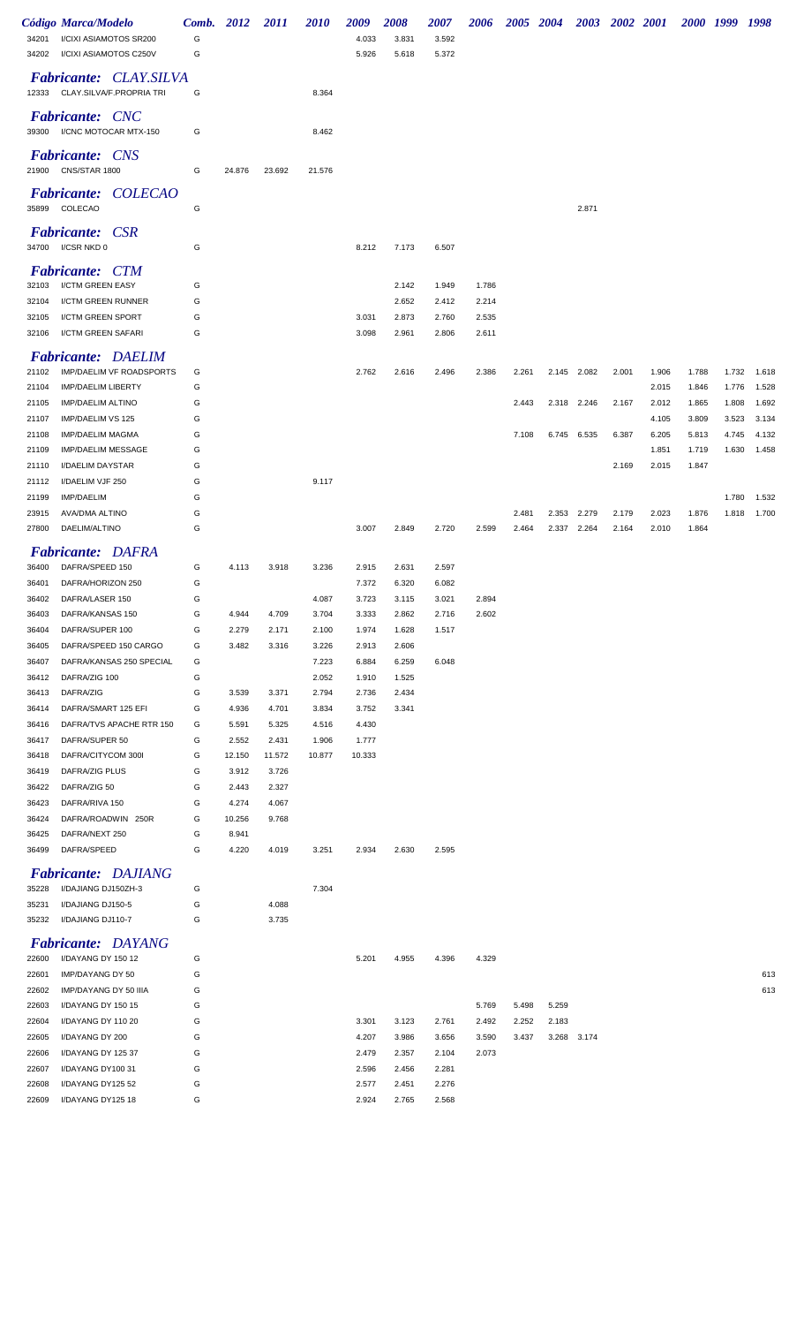|                | <b>Código Marca/Modelo</b>                                      | Comb.  | 2012           | 2011           | 2010           | 2009           | 2008  | 2007  | 2006  | 2005 2004 |       |             | 2003 2002 2001 |       | 2000 1999 |       | 1998  |
|----------------|-----------------------------------------------------------------|--------|----------------|----------------|----------------|----------------|-------|-------|-------|-----------|-------|-------------|----------------|-------|-----------|-------|-------|
| 34201          | I/CIXI ASIAMOTOS SR200                                          | G      |                |                |                | 4.033          | 3.831 | 3.592 |       |           |       |             |                |       |           |       |       |
| 34202          | I/CIXI ASIAMOTOS C250V                                          | G      |                |                |                | 5.926          | 5.618 | 5.372 |       |           |       |             |                |       |           |       |       |
|                | <b>Fabricante: CLAY.SILVA</b><br>12333 CLAY.SILVA/F.PROPRIA TRI | G      |                |                | 8.364          |                |       |       |       |           |       |             |                |       |           |       |       |
| 39300          | <b>Fabricante: CNC</b><br>I/CNC MOTOCAR MTX-150                 | G      |                |                | 8.462          |                |       |       |       |           |       |             |                |       |           |       |       |
| 21900          | <b>Fabricante:</b> CNS<br>CNS/STAR 1800                         | G      | 24.876         | 23.692         | 21.576         |                |       |       |       |           |       |             |                |       |           |       |       |
| 35899          | Fabricante: COLECAO<br>COLECAO                                  | G      |                |                |                |                |       |       |       |           |       | 2.871       |                |       |           |       |       |
|                | <i>Fabricante:</i><br><b>CSR</b><br>34700 I/CSR NKD 0           | G      |                |                |                | 8.212          | 7.173 | 6.507 |       |           |       |             |                |       |           |       |       |
| 32103          | <b>Fabricante: CTM</b><br>I/CTM GREEN EASY                      | G      |                |                |                |                | 2.142 | 1.949 | 1.786 |           |       |             |                |       |           |       |       |
| 32104          | <b>I/CTM GREEN RUNNER</b>                                       | G      |                |                |                |                | 2.652 | 2.412 | 2.214 |           |       |             |                |       |           |       |       |
| 32105          | I/CTM GREEN SPORT                                               | G      |                |                |                | 3.031          | 2.873 | 2.760 | 2.535 |           |       |             |                |       |           |       |       |
| 32106          | I/CTM GREEN SAFARI                                              | G      |                |                |                | 3.098          | 2.961 | 2.806 | 2.611 |           |       |             |                |       |           |       |       |
| 21102          | <b>Fabricante: DAELIM</b><br>IMP/DAELIM VF ROADSPORTS           | G      |                |                |                | 2.762          | 2.616 | 2.496 | 2.386 | 2.261     |       | 2.145 2.082 | 2.001          | 1.906 | 1.788     | 1.732 | 1.618 |
| 21104          | <b>IMP/DAELIM LIBERTY</b>                                       | G      |                |                |                |                |       |       |       |           |       |             |                | 2.015 | 1.846     | 1.776 | 1.528 |
| 21105          | <b>IMP/DAELIM ALTINO</b>                                        | G      |                |                |                |                |       |       |       | 2.443     |       | 2.318 2.246 | 2.167          | 2.012 | 1.865     | 1.808 | 1.692 |
| 21107          | IMP/DAELIM VS 125                                               | G      |                |                |                |                |       |       |       |           |       |             |                | 4.105 | 3.809     | 3.523 | 3.134 |
| 21108          | <b>IMP/DAELIM MAGMA</b>                                         | G      |                |                |                |                |       |       |       | 7.108     |       | 6.745 6.535 | 6.387          | 6.205 | 5.813     | 4.745 | 4.132 |
| 21109          | <b>IMP/DAELIM MESSAGE</b>                                       | G      |                |                |                |                |       |       |       |           |       |             |                | 1.851 | 1.719     | 1.630 | 1.458 |
| 21110          | I/DAELIM DAYSTAR                                                | G      |                |                |                |                |       |       |       |           |       |             | 2.169          | 2.015 | 1.847     |       |       |
| 21112          | I/DAELIM VJF 250                                                | G      |                |                | 9.117          |                |       |       |       |           |       |             |                |       |           |       |       |
| 21199          | <b>IMP/DAELIM</b>                                               | G      |                |                |                |                |       |       |       |           |       |             |                |       |           | 1.780 | 1.532 |
| 23915          | AVA/DMA ALTINO                                                  | G      |                |                |                |                |       |       |       | 2.481     | 2.353 | 2.279       | 2.179          | 2.023 | 1.876     | 1.818 | 1.700 |
| 27800          | DAELIM/ALTINO                                                   | G      |                |                |                | 3.007          | 2.849 | 2.720 | 2.599 | 2.464     | 2.337 | 2.264       | 2.164          | 2.010 | 1.864     |       |       |
|                | <b>Fabricante: DAFRA</b>                                        |        |                |                |                |                |       |       |       |           |       |             |                |       |           |       |       |
| 36400          | DAFRA/SPEED 150                                                 | G      | 4.113          | 3.918          | 3.236          | 2.915          | 2.631 | 2.597 |       |           |       |             |                |       |           |       |       |
| 36401          | DAFRA/HORIZON 250                                               | G      |                |                |                | 7.372          | 6.320 | 6.082 |       |           |       |             |                |       |           |       |       |
| 36402          | DAFRA/LASER 150                                                 | G      |                |                | 4.087          | 3.723          | 3.115 | 3.021 | 2.894 |           |       |             |                |       |           |       |       |
| 36403          | DAFRA/KANSAS 150                                                | G      | 4.944          | 4.709          | 3.704          | 3.333          | 2.862 | 2.716 | 2.602 |           |       |             |                |       |           |       |       |
| 36404          | DAFRA/SUPER 100                                                 | G      | 2.279          | 2.171          | 2.100          | 1.974          | 1.628 | 1.517 |       |           |       |             |                |       |           |       |       |
| 36405          | DAFRA/SPEED 150 CARGO                                           | G      | 3.482          | 3.316          | 3.226          | 2.913          | 2.606 |       |       |           |       |             |                |       |           |       |       |
| 36407          | DAFRA/KANSAS 250 SPECIAL                                        | G      |                |                | 7.223          | 6.884          | 6.259 | 6.048 |       |           |       |             |                |       |           |       |       |
| 36412          | DAFRA/ZIG 100                                                   | G      |                |                | 2.052          | 1.910          | 1.525 |       |       |           |       |             |                |       |           |       |       |
| 36413          | DAFRA/ZIG                                                       | G      | 3.539          | 3.371          | 2.794          | 2.736          | 2.434 |       |       |           |       |             |                |       |           |       |       |
| 36414<br>36416 | DAFRA/SMART 125 EFI<br>DAFRA/TVS APACHE RTR 150                 | G<br>G | 4.936<br>5.591 | 4.701<br>5.325 | 3.834<br>4.516 | 3.752<br>4.430 | 3.341 |       |       |           |       |             |                |       |           |       |       |
| 36417          | DAFRA/SUPER 50                                                  | G      | 2.552          | 2.431          | 1.906          | 1.777          |       |       |       |           |       |             |                |       |           |       |       |
| 36418          | DAFRA/CITYCOM 300I                                              | G      | 12.150         | 11.572         | 10.877         | 10.333         |       |       |       |           |       |             |                |       |           |       |       |
| 36419          | DAFRA/ZIG PLUS                                                  | G      | 3.912          | 3.726          |                |                |       |       |       |           |       |             |                |       |           |       |       |
| 36422          | DAFRA/ZIG 50                                                    | G      | 2.443          | 2.327          |                |                |       |       |       |           |       |             |                |       |           |       |       |
| 36423          | DAFRA/RIVA 150                                                  | G      | 4.274          | 4.067          |                |                |       |       |       |           |       |             |                |       |           |       |       |
| 36424          | DAFRA/ROADWIN 250R                                              | G      | 10.256         | 9.768          |                |                |       |       |       |           |       |             |                |       |           |       |       |
| 36425          | DAFRA/NEXT 250                                                  | G      | 8.941          |                |                |                |       |       |       |           |       |             |                |       |           |       |       |
| 36499          | DAFRA/SPEED<br><b>Fabricante: DAJIANG</b>                       | G      | 4.220          | 4.019          | 3.251          | 2.934          | 2.630 | 2.595 |       |           |       |             |                |       |           |       |       |
| 35228          | I/DAJIANG DJ150ZH-3                                             | G      |                |                | 7.304          |                |       |       |       |           |       |             |                |       |           |       |       |
| 35231          | I/DAJIANG DJ150-5                                               | G      |                | 4.088          |                |                |       |       |       |           |       |             |                |       |           |       |       |
| 35232          | I/DAJIANG DJ110-7                                               | G      |                | 3.735          |                |                |       |       |       |           |       |             |                |       |           |       |       |
|                | <b>Fabricante: DAYANG</b>                                       |        |                |                |                |                |       |       |       |           |       |             |                |       |           |       |       |
| 22600          | I/DAYANG DY 150 12                                              | G      |                |                |                | 5.201          | 4.955 | 4.396 | 4.329 |           |       |             |                |       |           |       |       |
| 22601          | IMP/DAYANG DY 50                                                | G      |                |                |                |                |       |       |       |           |       |             |                |       |           |       | 613   |
| 22602          | IMP/DAYANG DY 50 IIIA                                           | G      |                |                |                |                |       |       |       |           |       |             |                |       |           |       | 613   |
| 22603          | I/DAYANG DY 150 15                                              | G      |                |                |                |                |       |       | 5.769 | 5.498     | 5.259 |             |                |       |           |       |       |
| 22604          | I/DAYANG DY 110 20                                              | G      |                |                |                | 3.301          | 3.123 | 2.761 | 2.492 | 2.252     | 2.183 |             |                |       |           |       |       |
| 22605          | I/DAYANG DY 200                                                 | G      |                |                |                | 4.207          | 3.986 | 3.656 | 3.590 | 3.437     | 3.268 | 3.174       |                |       |           |       |       |
| 22606          | I/DAYANG DY 125 37                                              | G      |                |                |                | 2.479          | 2.357 | 2.104 | 2.073 |           |       |             |                |       |           |       |       |
| 22607          | I/DAYANG DY100 31                                               | G      |                |                |                | 2.596          | 2.456 | 2.281 |       |           |       |             |                |       |           |       |       |
| 22608          | I/DAYANG DY125 52                                               | G      |                |                |                | 2.577          | 2.451 | 2.276 |       |           |       |             |                |       |           |       |       |
| 22609          | I/DAYANG DY125 18                                               | G      |                |                |                | 2.924          | 2.765 | 2.568 |       |           |       |             |                |       |           |       |       |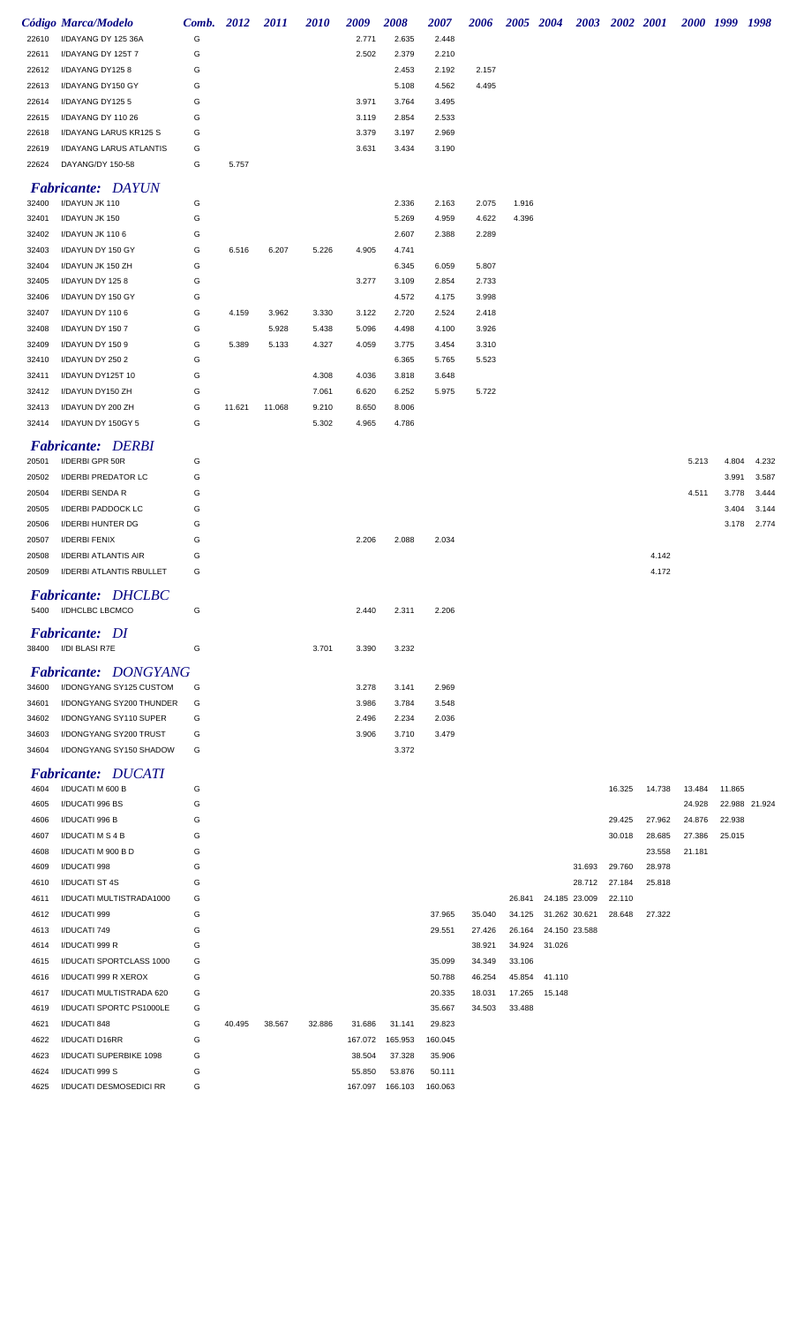|                | <b>Código Marca/Modelo</b>                  | Comb. 2012 |        | 2011   | <b>2010</b> | 2009    | 2008    | 2007    | 2006   | 2005 2004 |               |        | 2003 2002 2001 |        |        | 2000 1999 1998 |                |
|----------------|---------------------------------------------|------------|--------|--------|-------------|---------|---------|---------|--------|-----------|---------------|--------|----------------|--------|--------|----------------|----------------|
| 22610          | I/DAYANG DY 125 36A                         | G          |        |        |             | 2.771   | 2.635   | 2.448   |        |           |               |        |                |        |        |                |                |
| 22611          | I/DAYANG DY 125T 7                          | G          |        |        |             | 2.502   | 2.379   | 2.210   |        |           |               |        |                |        |        |                |                |
| 22612          | I/DAYANG DY1258                             | G          |        |        |             |         | 2.453   | 2.192   | 2.157  |           |               |        |                |        |        |                |                |
| 22613          | I/DAYANG DY150 GY                           | G          |        |        |             |         | 5.108   | 4.562   | 4.495  |           |               |        |                |        |        |                |                |
| 22614          | I/DAYANG DY1255                             | G          |        |        |             | 3.971   | 3.764   | 3.495   |        |           |               |        |                |        |        |                |                |
| 22615          | I/DAYANG DY 110 26                          | G          |        |        |             | 3.119   | 2.854   | 2.533   |        |           |               |        |                |        |        |                |                |
| 22618          | I/DAYANG LARUS KR125 S                      | G          |        |        |             | 3.379   | 3.197   | 2.969   |        |           |               |        |                |        |        |                |                |
| 22619          | I/DAYANG LARUS ATLANTIS                     | G          |        |        |             | 3.631   | 3.434   | 3.190   |        |           |               |        |                |        |        |                |                |
| 22624          | DAYANG/DY 150-58                            | G          | 5.757  |        |             |         |         |         |        |           |               |        |                |        |        |                |                |
|                | <b>Fabricante: DAYUN</b>                    |            |        |        |             |         |         |         |        |           |               |        |                |        |        |                |                |
| 32400          | I/DAYUN JK 110                              | G          |        |        |             |         | 2.336   | 2.163   | 2.075  | 1.916     |               |        |                |        |        |                |                |
| 32401          | I/DAYUN JK 150                              | G          |        |        |             |         | 5.269   | 4.959   | 4.622  | 4.396     |               |        |                |        |        |                |                |
| 32402          | I/DAYUN JK 1106                             | G          |        |        |             |         | 2.607   | 2.388   | 2.289  |           |               |        |                |        |        |                |                |
| 32403          | I/DAYUN DY 150 GY                           | G          | 6.516  | 6.207  | 5.226       | 4.905   | 4.741   |         |        |           |               |        |                |        |        |                |                |
| 32404          | I/DAYUN JK 150 ZH                           | G          |        |        |             |         | 6.345   | 6.059   | 5.807  |           |               |        |                |        |        |                |                |
| 32405          | I/DAYUN DY 1258                             | G          |        |        |             | 3.277   | 3.109   | 2.854   | 2.733  |           |               |        |                |        |        |                |                |
| 32406          | I/DAYUN DY 150 GY                           | G          |        |        |             |         | 4.572   | 4.175   | 3.998  |           |               |        |                |        |        |                |                |
| 32407          | I/DAYUN DY 1106                             | G          | 4.159  | 3.962  | 3.330       | 3.122   | 2.720   | 2.524   | 2.418  |           |               |        |                |        |        |                |                |
| 32408          | I/DAYUN DY 1507                             | G          |        | 5.928  | 5.438       | 5.096   | 4.498   | 4.100   | 3.926  |           |               |        |                |        |        |                |                |
| 32409          | I/DAYUN DY 1509                             | G          | 5.389  | 5.133  | 4.327       | 4.059   | 3.775   | 3.454   | 3.310  |           |               |        |                |        |        |                |                |
| 32410          | I/DAYUN DY 250 2                            | G          |        |        |             |         | 6.365   | 5.765   | 5.523  |           |               |        |                |        |        |                |                |
| 32411          | I/DAYUN DY125T 10                           | G          |        |        | 4.308       | 4.036   | 3.818   | 3.648   |        |           |               |        |                |        |        |                |                |
| 32412          | I/DAYUN DY150 ZH                            | G          |        |        | 7.061       | 6.620   | 6.252   | 5.975   | 5.722  |           |               |        |                |        |        |                |                |
| 32413          | I/DAYUN DY 200 ZH                           | G          | 11.621 | 11.068 | 9.210       | 8.650   | 8.006   |         |        |           |               |        |                |        |        |                |                |
| 32414          | I/DAYUN DY 150GY 5                          | G          |        |        | 5.302       | 4.965   | 4.786   |         |        |           |               |        |                |        |        |                |                |
|                |                                             |            |        |        |             |         |         |         |        |           |               |        |                |        |        |                |                |
| 20501          | <b>Fabricante: DERBI</b><br>I/DERBI GPR 50R | G          |        |        |             |         |         |         |        |           |               |        |                |        | 5.213  | 4.804          | 4.232          |
|                | <b>I/DERBI PREDATOR LC</b>                  | G          |        |        |             |         |         |         |        |           |               |        |                |        |        | 3.991          |                |
| 20502          |                                             | G          |        |        |             |         |         |         |        |           |               |        |                |        | 4.511  |                | 3.587          |
| 20504<br>20505 | I/DERBI SENDA R<br>I/DERBI PADDOCK LC       | G          |        |        |             |         |         |         |        |           |               |        |                |        |        | 3.778<br>3.404 | 3.444<br>3.144 |
| 20506          | I/DERBI HUNTER DG                           | G          |        |        |             |         |         |         |        |           |               |        |                |        |        | 3.178          | 2.774          |
| 20507          | <b>I/DERBI FENIX</b>                        | G          |        |        |             | 2.206   | 2.088   | 2.034   |        |           |               |        |                |        |        |                |                |
| 20508          | I/DERBI ATLANTIS AIR                        | G          |        |        |             |         |         |         |        |           |               |        |                | 4.142  |        |                |                |
| 20509          | I/DERBI ATLANTIS RBULLET                    | G          |        |        |             |         |         |         |        |           |               |        |                | 4.172  |        |                |                |
|                |                                             |            |        |        |             |         |         |         |        |           |               |        |                |        |        |                |                |
|                | <b>Fabricante: DHCLBC</b>                   |            |        |        |             |         |         |         |        |           |               |        |                |        |        |                |                |
| 5400           | I/DHCLBC LBCMCO                             | G          |        |        |             | 2.440   | 2.311   | 2.206   |        |           |               |        |                |        |        |                |                |
|                | <b>Fabricante: DI</b>                       |            |        |        |             |         |         |         |        |           |               |        |                |        |        |                |                |
|                | 38400 I/DI BLASI R7E                        | G          |        |        | 3.701       | 3.390   | 3.232   |         |        |           |               |        |                |        |        |                |                |
|                |                                             |            |        |        |             |         |         |         |        |           |               |        |                |        |        |                |                |
|                | <b>Fabricante: DONGYANG</b>                 |            |        |        |             |         |         |         |        |           |               |        |                |        |        |                |                |
| 34600          | I/DONGYANG SY125 CUSTOM                     | G          |        |        |             | 3.278   | 3.141   | 2.969   |        |           |               |        |                |        |        |                |                |
| 34601          | I/DONGYANG SY200 THUNDER                    | G          |        |        |             | 3.986   | 3.784   | 3.548   |        |           |               |        |                |        |        |                |                |
| 34602          | I/DONGYANG SY110 SUPER                      | G          |        |        |             | 2.496   | 2.234   | 2.036   |        |           |               |        |                |        |        |                |                |
| 34603          | I/DONGYANG SY200 TRUST                      | G          |        |        |             | 3.906   | 3.710   | 3.479   |        |           |               |        |                |        |        |                |                |
| 34604          | I/DONGYANG SY150 SHADOW                     | G          |        |        |             |         | 3.372   |         |        |           |               |        |                |        |        |                |                |
|                | <b>Fabricante: DUCATI</b>                   |            |        |        |             |         |         |         |        |           |               |        |                |        |        |                |                |
| 4604           | I/DUCATI M 600 B                            | G          |        |        |             |         |         |         |        |           |               |        | 16.325         | 14.738 | 13.484 | 11.865         |                |
| 4605           | I/DUCATI 996 BS                             | G          |        |        |             |         |         |         |        |           |               |        |                |        | 24.928 |                | 22.988 21.924  |
| 4606           | I/DUCATI 996 B                              | G          |        |        |             |         |         |         |        |           |               |        | 29.425         | 27.962 | 24.876 | 22.938         |                |
| 4607           | I/DUCATI M S 4 B                            | G          |        |        |             |         |         |         |        |           |               |        | 30.018         | 28.685 | 27.386 | 25.015         |                |
| 4608           | I/DUCATI M 900 B D                          | G          |        |        |             |         |         |         |        |           |               |        |                | 23.558 | 21.181 |                |                |
| 4609           | I/DUCATI 998                                | G          |        |        |             |         |         |         |        |           |               | 31.693 | 29.760         | 28.978 |        |                |                |
| 4610           | I/DUCATI ST 4S                              | G          |        |        |             |         |         |         |        |           |               | 28.712 | 27.184         | 25.818 |        |                |                |
| 4611           | I/DUCATI MULTISTRADA1000                    | G          |        |        |             |         |         |         |        | 26.841    | 24.185 23.009 |        | 22.110         |        |        |                |                |
| 4612           | I/DUCATI 999                                | G          |        |        |             |         |         | 37.965  | 35.040 | 34.125    | 31.262 30.621 |        | 28.648         | 27.322 |        |                |                |
| 4613           | I/DUCATI 749                                | G          |        |        |             |         |         | 29.551  | 27.426 | 26.164    | 24.150 23.588 |        |                |        |        |                |                |
| 4614           | I/DUCATI 999 R                              | G          |        |        |             |         |         |         | 38.921 | 34.924    | 31.026        |        |                |        |        |                |                |
| 4615           | I/DUCATI SPORTCLASS 1000                    | G          |        |        |             |         |         | 35.099  | 34.349 | 33.106    |               |        |                |        |        |                |                |
| 4616           | I/DUCATI 999 R XEROX                        | G          |        |        |             |         |         | 50.788  | 46.254 | 45.854    | 41.110        |        |                |        |        |                |                |
| 4617           | I/DUCATI MULTISTRADA 620                    | G          |        |        |             |         |         | 20.335  | 18.031 | 17.265    | 15.148        |        |                |        |        |                |                |
| 4619           | I/DUCATI SPORTC PS1000LE                    | G          |        |        |             |         |         | 35.667  | 34.503 | 33.488    |               |        |                |        |        |                |                |
| 4621           | I/DUCATI 848                                | G          | 40.495 | 38.567 | 32.886      | 31.686  | 31.141  | 29.823  |        |           |               |        |                |        |        |                |                |
| 4622           | <b>I/DUCATI D16RR</b>                       | G          |        |        |             | 167.072 | 165.953 | 160.045 |        |           |               |        |                |        |        |                |                |
| 4623           | I/DUCATI SUPERBIKE 1098                     | G          |        |        |             | 38.504  | 37.328  | 35.906  |        |           |               |        |                |        |        |                |                |
| 4624           | I/DUCATI 999 S                              | G          |        |        |             | 55.850  | 53.876  | 50.111  |        |           |               |        |                |        |        |                |                |
| 4625           | I/DUCATI DESMOSEDICI RR                     | G          |        |        |             | 167.097 | 166.103 | 160.063 |        |           |               |        |                |        |        |                |                |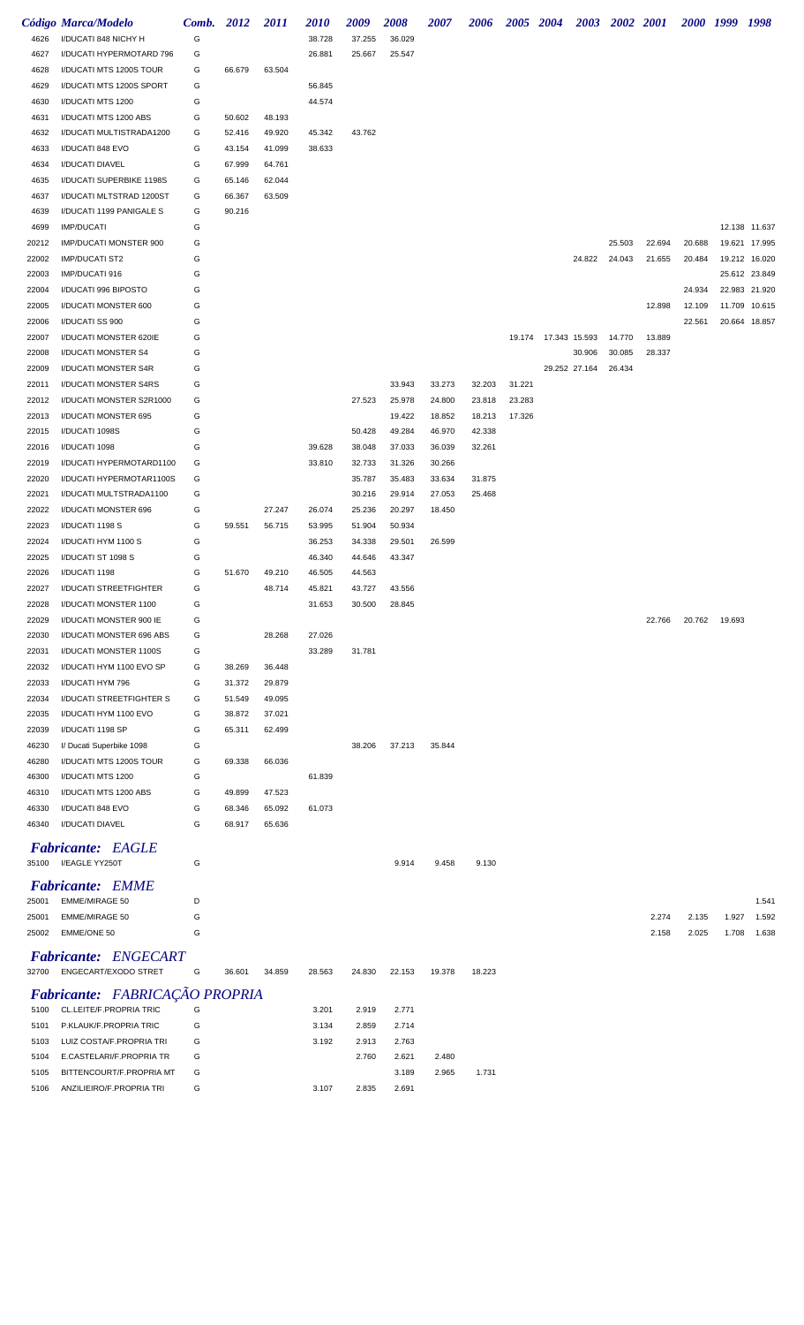|       | Código Marca/Modelo            | Comb. 2012 |        | <i>2011</i> | <i>2010</i> | 2009   | 2008   | <i><b>2007</b></i> | 2006   |        |                      | 2005 2004 2003 2002 2001 |        |        |        | 2000 1999 | 1998          |
|-------|--------------------------------|------------|--------|-------------|-------------|--------|--------|--------------------|--------|--------|----------------------|--------------------------|--------|--------|--------|-----------|---------------|
|       |                                |            |        |             |             |        |        |                    |        |        |                      |                          |        |        |        |           |               |
| 4626  | I/DUCATI 848 NICHY H           | G          |        |             | 38.728      | 37.255 | 36.029 |                    |        |        |                      |                          |        |        |        |           |               |
| 4627  | I/DUCATI HYPERMOTARD 796       | G          |        |             | 26.881      | 25.667 | 25.547 |                    |        |        |                      |                          |        |        |        |           |               |
| 4628  | I/DUCATI MTS 1200S TOUR        | G          | 66.679 | 63.504      |             |        |        |                    |        |        |                      |                          |        |        |        |           |               |
| 4629  | I/DUCATI MTS 1200S SPORT       | G          |        |             | 56.845      |        |        |                    |        |        |                      |                          |        |        |        |           |               |
| 4630  | I/DUCATI MTS 1200              | G          |        |             | 44.574      |        |        |                    |        |        |                      |                          |        |        |        |           |               |
| 4631  | I/DUCATI MTS 1200 ABS          | G          | 50.602 | 48.193      |             |        |        |                    |        |        |                      |                          |        |        |        |           |               |
| 4632  | I/DUCATI MULTISTRADA1200       | G          | 52.416 | 49.920      | 45.342      | 43.762 |        |                    |        |        |                      |                          |        |        |        |           |               |
| 4633  | I/DUCATI 848 EVO               | G          | 43.154 | 41.099      | 38.633      |        |        |                    |        |        |                      |                          |        |        |        |           |               |
| 4634  | I/DUCATI DIAVEL                | G          | 67.999 | 64.761      |             |        |        |                    |        |        |                      |                          |        |        |        |           |               |
| 4635  | I/DUCATI SUPERBIKE 1198S       | G          | 65.146 | 62.044      |             |        |        |                    |        |        |                      |                          |        |        |        |           |               |
| 4637  | I/DUCATI MLTSTRAD 1200ST       | G          | 66.367 | 63.509      |             |        |        |                    |        |        |                      |                          |        |        |        |           |               |
|       |                                |            |        |             |             |        |        |                    |        |        |                      |                          |        |        |        |           |               |
| 4639  | I/DUCATI 1199 PANIGALE S       | G          | 90.216 |             |             |        |        |                    |        |        |                      |                          |        |        |        |           |               |
| 4699  | <b>IMP/DUCATI</b>              | G          |        |             |             |        |        |                    |        |        |                      |                          |        |        |        |           | 12.138 11.637 |
| 20212 | IMP/DUCATI MONSTER 900         | G          |        |             |             |        |        |                    |        |        |                      |                          | 25.503 | 22.694 | 20.688 |           | 19.621 17.995 |
| 22002 | <b>IMP/DUCATI ST2</b>          | G          |        |             |             |        |        |                    |        |        |                      | 24.822                   | 24.043 | 21.655 | 20.484 |           | 19.212 16.020 |
| 22003 | IMP/DUCATI 916                 | G          |        |             |             |        |        |                    |        |        |                      |                          |        |        |        |           | 25.612 23.849 |
| 22004 | I/DUCATI 996 BIPOSTO           | G          |        |             |             |        |        |                    |        |        |                      |                          |        |        | 24.934 |           | 22.983 21.920 |
| 22005 | I/DUCATI MONSTER 600           | G          |        |             |             |        |        |                    |        |        |                      |                          |        | 12.898 | 12.109 |           | 11.709 10.615 |
| 22006 | I/DUCATI SS 900                | G          |        |             |             |        |        |                    |        |        |                      |                          |        |        | 22.561 |           | 20.664 18.857 |
| 22007 | I/DUCATI MONSTER 620IE         | G          |        |             |             |        |        |                    |        |        | 19.174 17.343 15.593 |                          | 14.770 | 13.889 |        |           |               |
| 22008 | I/DUCATI MONSTER S4            | G          |        |             |             |        |        |                    |        |        |                      | 30.906                   | 30.085 | 28.337 |        |           |               |
| 22009 | I/DUCATI MONSTER S4R           | G          |        |             |             |        |        |                    |        |        |                      | 29.252 27.164            | 26.434 |        |        |           |               |
| 22011 | I/DUCATI MONSTER S4RS          | G          |        |             |             |        | 33.943 | 33.273             | 32.203 | 31.221 |                      |                          |        |        |        |           |               |
| 22012 | I/DUCATI MONSTER S2R1000       | G          |        |             |             | 27.523 | 25.978 | 24.800             | 23.818 | 23.283 |                      |                          |        |        |        |           |               |
| 22013 | I/DUCATI MONSTER 695           | G          |        |             |             |        | 19.422 | 18.852             | 18.213 | 17.326 |                      |                          |        |        |        |           |               |
|       |                                |            |        |             |             |        |        |                    |        |        |                      |                          |        |        |        |           |               |
| 22015 | I/DUCATI 1098S                 | G          |        |             |             | 50.428 | 49.284 | 46.970             | 42.338 |        |                      |                          |        |        |        |           |               |
| 22016 | I/DUCATI 1098                  | G          |        |             | 39.628      | 38.048 | 37.033 | 36.039             | 32.261 |        |                      |                          |        |        |        |           |               |
| 22019 | I/DUCATI HYPERMOTARD1100       | G          |        |             | 33.810      | 32.733 | 31.326 | 30.266             |        |        |                      |                          |        |        |        |           |               |
| 22020 | I/DUCATI HYPERMOTAR1100S       | G          |        |             |             | 35.787 | 35.483 | 33.634             | 31.875 |        |                      |                          |        |        |        |           |               |
| 22021 | I/DUCATI MULTSTRADA1100        | G          |        |             |             | 30.216 | 29.914 | 27.053             | 25.468 |        |                      |                          |        |        |        |           |               |
| 22022 | I/DUCATI MONSTER 696           | G          |        | 27.247      | 26.074      | 25.236 | 20.297 | 18.450             |        |        |                      |                          |        |        |        |           |               |
| 22023 | I/DUCATI 1198 S                | G          | 59.551 | 56.715      | 53.995      | 51.904 | 50.934 |                    |        |        |                      |                          |        |        |        |           |               |
| 22024 | I/DUCATI HYM 1100 S            | G          |        |             | 36.253      | 34.338 | 29.501 | 26.599             |        |        |                      |                          |        |        |        |           |               |
| 22025 | I/DUCATI ST 1098 S             | G          |        |             | 46.340      | 44.646 | 43.347 |                    |        |        |                      |                          |        |        |        |           |               |
| 22026 | I/DUCATI 1198                  | G          | 51.670 | 49.210      | 46.505      | 44.563 |        |                    |        |        |                      |                          |        |        |        |           |               |
| 22027 | I/DUCATI STREETFIGHTER         | G          |        | 48.714      | 45.821      | 43.727 | 43.556 |                    |        |        |                      |                          |        |        |        |           |               |
| 22028 | I/DUCATI MONSTER 1100          | G          |        |             | 31.653      | 30.500 | 28.845 |                    |        |        |                      |                          |        |        |        |           |               |
| 22029 | I/DUCATI MONSTER 900 IE        | G          |        |             |             |        |        |                    |        |        |                      |                          |        | 22.766 | 20.762 | 19.693    |               |
| 22030 | I/DUCATI MONSTER 696 ABS       | G          |        | 28.268      | 27.026      |        |        |                    |        |        |                      |                          |        |        |        |           |               |
|       |                                |            |        |             |             |        |        |                    |        |        |                      |                          |        |        |        |           |               |
| 22031 | I/DUCATI MONSTER 1100S         | G          |        |             | 33.289      | 31.781 |        |                    |        |        |                      |                          |        |        |        |           |               |
| 22032 | I/DUCATI HYM 1100 EVO SP       | G          | 38.269 | 36.448      |             |        |        |                    |        |        |                      |                          |        |        |        |           |               |
| 22033 | I/DUCATI HYM 796               | G          | 31.372 | 29.879      |             |        |        |                    |        |        |                      |                          |        |        |        |           |               |
| 22034 | I/DUCATI STREETFIGHTER S       | G          | 51.549 | 49.095      |             |        |        |                    |        |        |                      |                          |        |        |        |           |               |
| 22035 | I/DUCATI HYM 1100 EVO          | G          | 38.872 | 37.021      |             |        |        |                    |        |        |                      |                          |        |        |        |           |               |
| 22039 | I/DUCATI 1198 SP               | G          | 65.311 | 62.499      |             |        |        |                    |        |        |                      |                          |        |        |        |           |               |
| 46230 | I/ Ducati Superbike 1098       | G          |        |             |             | 38.206 | 37.213 | 35.844             |        |        |                      |                          |        |        |        |           |               |
| 46280 | I/DUCATI MTS 1200S TOUR        | G          | 69.338 | 66.036      |             |        |        |                    |        |        |                      |                          |        |        |        |           |               |
| 46300 | I/DUCATI MTS 1200              | G          |        |             | 61.839      |        |        |                    |        |        |                      |                          |        |        |        |           |               |
| 46310 | I/DUCATI MTS 1200 ABS          | G          | 49.899 | 47.523      |             |        |        |                    |        |        |                      |                          |        |        |        |           |               |
| 46330 | I/DUCATI 848 EVO               | G          | 68.346 | 65.092      | 61.073      |        |        |                    |        |        |                      |                          |        |        |        |           |               |
| 46340 | I/DUCATI DIAVEL                | G          | 68.917 | 65.636      |             |        |        |                    |        |        |                      |                          |        |        |        |           |               |
|       |                                |            |        |             |             |        |        |                    |        |        |                      |                          |        |        |        |           |               |
|       | <b>Fabricante: EAGLE</b>       |            |        |             |             |        |        |                    |        |        |                      |                          |        |        |        |           |               |
|       | 35100 I/EAGLE YY250T           | G          |        |             |             |        | 9.914  | 9.458              | 9.130  |        |                      |                          |        |        |        |           |               |
|       | <b>Fabricante: EMME</b>        |            |        |             |             |        |        |                    |        |        |                      |                          |        |        |        |           |               |
| 25001 | <b>EMME/MIRAGE 50</b>          | D          |        |             |             |        |        |                    |        |        |                      |                          |        |        |        |           | 1.541         |
|       |                                | G          |        |             |             |        |        |                    |        |        |                      |                          |        |        |        |           |               |
| 25001 | <b>EMME/MIRAGE 50</b>          |            |        |             |             |        |        |                    |        |        |                      |                          |        | 2.274  | 2.135  | 1.927     | 1.592         |
| 25002 | EMME/ONE 50                    | G          |        |             |             |        |        |                    |        |        |                      |                          |        | 2.158  | 2.025  | 1.708     | 1.638         |
|       | <b>Fabricante: ENGECART</b>    |            |        |             |             |        |        |                    |        |        |                      |                          |        |        |        |           |               |
| 32700 | ENGECART/EXODO STRET           | G          | 36.601 | 34.859      | 28.563      | 24.830 | 22.153 | 19.378             | 18.223 |        |                      |                          |        |        |        |           |               |
|       |                                |            |        |             |             |        |        |                    |        |        |                      |                          |        |        |        |           |               |
|       | Fabricante: FABRICAÇÃO PROPRIA |            |        |             |             |        |        |                    |        |        |                      |                          |        |        |        |           |               |
| 5100  | CL.LEITE/F.PROPRIA TRIC        | G          |        |             | 3.201       | 2.919  | 2.771  |                    |        |        |                      |                          |        |        |        |           |               |
| 5101  | P.KLAUK/F.PROPRIA TRIC         | G          |        |             | 3.134       | 2.859  | 2.714  |                    |        |        |                      |                          |        |        |        |           |               |
| 5103  | LUIZ COSTA/F.PROPRIA TRI       | G          |        |             | 3.192       | 2.913  | 2.763  |                    |        |        |                      |                          |        |        |        |           |               |
| 5104  | E.CASTELARI/F.PROPRIA TR       | G          |        |             |             | 2.760  | 2.621  | 2.480              |        |        |                      |                          |        |        |        |           |               |
| 5105  | BITTENCOURT/F.PROPRIA MT       | G          |        |             |             |        | 3.189  | 2.965              | 1.731  |        |                      |                          |        |        |        |           |               |
| 5106  | ANZILIEIRO/F.PROPRIA TRI       | G          |        |             | 3.107       | 2.835  | 2.691  |                    |        |        |                      |                          |        |        |        |           |               |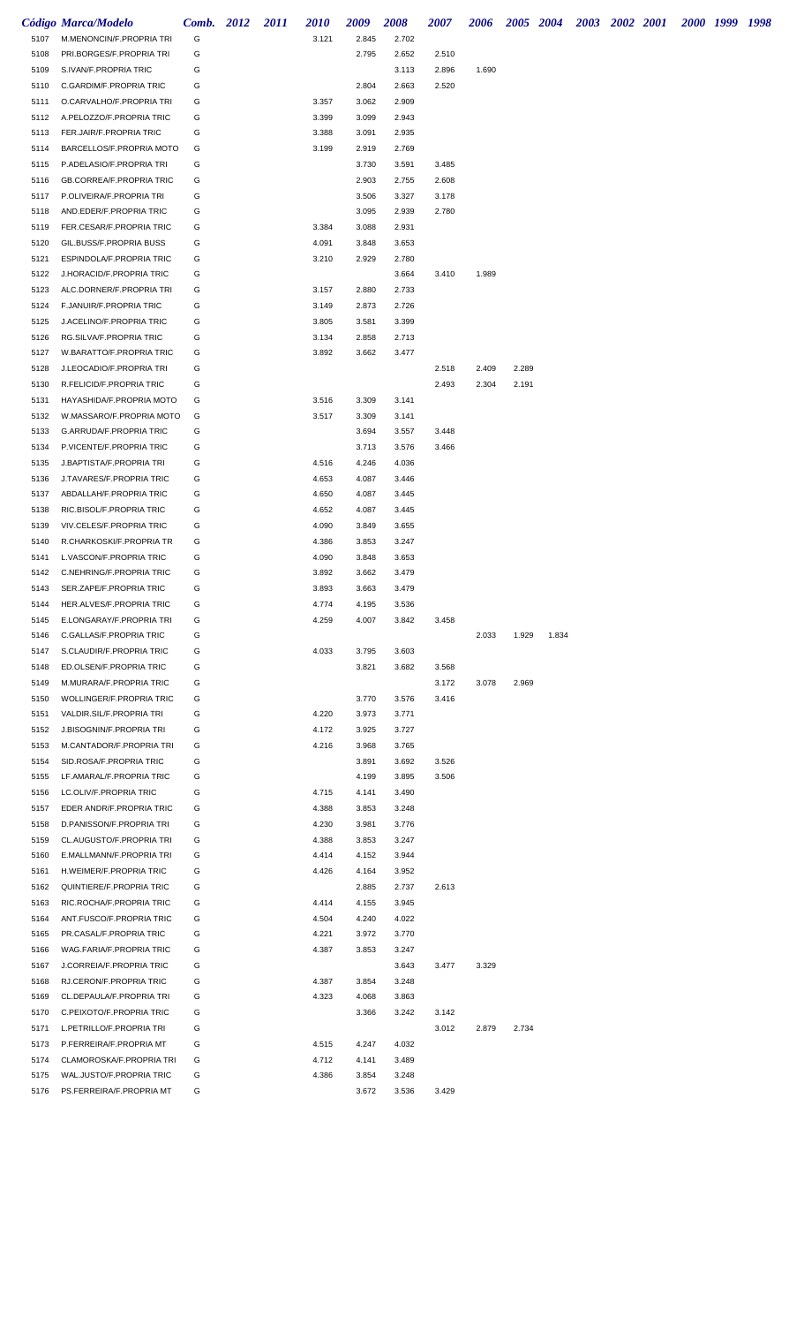|              | <b>Código Marca/Modelo</b>                           | Comb. 2012 | 2011 | <i>2010</i>    | 2009           | <b>2008</b>    | <b>2007</b>    | <b>2006</b> |       | 2005 2004 | 2003 2002 2001 |  | 2000 1999 1998 |  |
|--------------|------------------------------------------------------|------------|------|----------------|----------------|----------------|----------------|-------------|-------|-----------|----------------|--|----------------|--|
| 5107         | M.MENONCIN/F.PROPRIA TRI                             | G          |      | 3.121          | 2.845          | 2.702          |                |             |       |           |                |  |                |  |
| 5108         | PRI.BORGES/F.PROPRIA TRI                             | G          |      |                | 2.795          | 2.652          | 2.510          |             |       |           |                |  |                |  |
| 5109         | S.IVAN/F.PROPRIA TRIC                                | G          |      |                |                | 3.113          | 2.896          | 1.690       |       |           |                |  |                |  |
| 5110         | C.GARDIM/F.PROPRIA TRIC                              | G          |      |                | 2.804          | 2.663          | 2.520          |             |       |           |                |  |                |  |
| 5111         | O.CARVALHO/F.PROPRIA TRI                             | G          |      | 3.357          | 3.062          | 2.909          |                |             |       |           |                |  |                |  |
| 5112         | A.PELOZZO/F.PROPRIA TRIC                             | G          |      | 3.399          | 3.099          | 2.943          |                |             |       |           |                |  |                |  |
| 5113         | FER.JAIR/F.PROPRIA TRIC                              | G          |      | 3.388          | 3.091          | 2.935          |                |             |       |           |                |  |                |  |
| 5114         | BARCELLOS/F.PROPRIA MOTO                             | G          |      | 3.199          | 2.919          | 2.769          |                |             |       |           |                |  |                |  |
| 5115<br>5116 | P.ADELASIO/F.PROPRIA TRI                             | G<br>G     |      |                | 3.730<br>2.903 | 3.591<br>2.755 | 3.485<br>2.608 |             |       |           |                |  |                |  |
| 5117         | GB.CORREA/F.PROPRIA TRIC<br>P.OLIVEIRA/F.PROPRIA TRI | G          |      |                | 3.506          | 3.327          | 3.178          |             |       |           |                |  |                |  |
| 5118         | AND.EDER/F.PROPRIA TRIC                              | G          |      |                | 3.095          | 2.939          | 2.780          |             |       |           |                |  |                |  |
| 5119         | FER.CESAR/F.PROPRIA TRIC                             | G          |      | 3.384          | 3.088          | 2.931          |                |             |       |           |                |  |                |  |
| 5120         | GIL.BUSS/F.PROPRIA BUSS                              | G          |      | 4.091          | 3.848          | 3.653          |                |             |       |           |                |  |                |  |
| 5121         | ESPINDOLA/F.PROPRIA TRIC                             | G          |      | 3.210          | 2.929          | 2.780          |                |             |       |           |                |  |                |  |
| 5122         | J.HORACID/F.PROPRIA TRIC                             | G          |      |                |                | 3.664          | 3.410          | 1.989       |       |           |                |  |                |  |
| 5123         | ALC.DORNER/F.PROPRIA TRI                             | G          |      | 3.157          | 2.880          | 2.733          |                |             |       |           |                |  |                |  |
| 5124         | F.JANUIR/F.PROPRIA TRIC                              | G          |      | 3.149          | 2.873          | 2.726          |                |             |       |           |                |  |                |  |
| 5125         | J.ACELINO/F.PROPRIA TRIC                             | G          |      | 3.805          | 3.581          | 3.399          |                |             |       |           |                |  |                |  |
| 5126         | RG.SILVA/F.PROPRIA TRIC                              | G          |      | 3.134          | 2.858          | 2.713          |                |             |       |           |                |  |                |  |
| 5127         | W.BARATTO/F.PROPRIA TRIC                             | G          |      | 3.892          | 3.662          | 3.477          |                |             |       |           |                |  |                |  |
| 5128         | J.LEOCADIO/F.PROPRIA TRI                             | G          |      |                |                |                | 2.518          | 2.409       | 2.289 |           |                |  |                |  |
| 5130         | R.FELICID/F.PROPRIA TRIC                             | G          |      |                |                |                | 2.493          | 2.304       | 2.191 |           |                |  |                |  |
| 5131         | HAYASHIDA/F.PROPRIA MOTO                             | G          |      | 3.516          | 3.309          | 3.141          |                |             |       |           |                |  |                |  |
| 5132         | W.MASSARO/F.PROPRIA MOTO                             | G          |      | 3.517          | 3.309          | 3.141          |                |             |       |           |                |  |                |  |
| 5133         | G.ARRUDA/F.PROPRIA TRIC                              | G          |      |                | 3.694          | 3.557          | 3.448          |             |       |           |                |  |                |  |
| 5134         | P.VICENTE/F.PROPRIA TRIC                             | G          |      |                | 3.713          | 3.576          | 3.466          |             |       |           |                |  |                |  |
| 5135         | J.BAPTISTA/F.PROPRIA TRI                             | G          |      | 4.516          | 4.246          | 4.036          |                |             |       |           |                |  |                |  |
| 5136         | J.TAVARES/F.PROPRIA TRIC                             | G          |      | 4.653          | 4.087          | 3.446          |                |             |       |           |                |  |                |  |
| 5137         | ABDALLAH/F.PROPRIA TRIC                              | G          |      | 4.650          | 4.087          | 3.445          |                |             |       |           |                |  |                |  |
| 5138         | RIC.BISOL/F.PROPRIA TRIC                             | G          |      | 4.652          | 4.087          | 3.445          |                |             |       |           |                |  |                |  |
| 5139         | VIV.CELES/F.PROPRIA TRIC                             | G          |      | 4.090          | 3.849          | 3.655          |                |             |       |           |                |  |                |  |
| 5140<br>5141 | R.CHARKOSKI/F.PROPRIA TR<br>L.VASCON/F.PROPRIA TRIC  | G<br>G     |      | 4.386<br>4.090 | 3.853<br>3.848 | 3.247<br>3.653 |                |             |       |           |                |  |                |  |
| 5142         | C.NEHRING/F.PROPRIA TRIC                             | G          |      | 3.892          | 3.662          | 3.479          |                |             |       |           |                |  |                |  |
| 5143         | SER.ZAPE/F.PROPRIA TRIC                              | G          |      | 3.893          | 3.663          | 3.479          |                |             |       |           |                |  |                |  |
| 5144         | HER.ALVES/F.PROPRIA TRIC                             | G          |      | 4.774          | 4.195          | 3.536          |                |             |       |           |                |  |                |  |
| 5145         | E.LONGARAY/F.PROPRIA TRI                             | G          |      | 4.259          | 4.007          | 3.842          | 3.458          |             |       |           |                |  |                |  |
| 5146         | C.GALLAS/F.PROPRIA TRIC                              | G          |      |                |                |                |                | 2.033       | 1.929 | 1.834     |                |  |                |  |
| 5147         | S.CLAUDIR/F.PROPRIA TRIC                             | G          |      | 4.033          | 3.795          | 3.603          |                |             |       |           |                |  |                |  |
| 5148         | ED.OLSEN/F.PROPRIA TRIC                              | G          |      |                | 3.821          | 3.682          | 3.568          |             |       |           |                |  |                |  |
| 5149         | M.MURARA/F.PROPRIA TRIC                              | G          |      |                |                |                | 3.172          | 3.078       | 2.969 |           |                |  |                |  |
| 5150         | WOLLINGER/F.PROPRIA TRIC                             | G          |      |                | 3.770          | 3.576          | 3.416          |             |       |           |                |  |                |  |
| 5151         | VALDIR.SIL/F.PROPRIA TRI                             | G          |      | 4.220          | 3.973          | 3.771          |                |             |       |           |                |  |                |  |
| 5152         | J.BISOGNIN/F.PROPRIA TRI                             | G          |      | 4.172          | 3.925          | 3.727          |                |             |       |           |                |  |                |  |
| 5153         | M.CANTADOR/F.PROPRIA TRI                             | G          |      | 4.216          | 3.968          | 3.765          |                |             |       |           |                |  |                |  |
| 5154         | SID.ROSA/F.PROPRIA TRIC                              | G          |      |                | 3.891          | 3.692          | 3.526          |             |       |           |                |  |                |  |
| 5155         | LF.AMARAL/F.PROPRIA TRIC                             | G          |      |                | 4.199          | 3.895          | 3.506          |             |       |           |                |  |                |  |
| 5156         | LC.OLIV/F.PROPRIA TRIC                               | G          |      | 4.715          | 4.141          | 3.490          |                |             |       |           |                |  |                |  |
| 5157         | EDER ANDR/F.PROPRIA TRIC                             | G          |      | 4.388          | 3.853          | 3.248          |                |             |       |           |                |  |                |  |
| 5158         | D.PANISSON/F.PROPRIA TRI                             | G          |      | 4.230          | 3.981          | 3.776          |                |             |       |           |                |  |                |  |
| 5159         | CL.AUGUSTO/F.PROPRIA TRI                             | G          |      | 4.388          | 3.853          | 3.247          |                |             |       |           |                |  |                |  |
| 5160         | E.MALLMANN/F.PROPRIA TRI                             | G          |      | 4.414          | 4.152          | 3.944          |                |             |       |           |                |  |                |  |
| 5161<br>5162 | H.WEIMER/F.PROPRIA TRIC<br>QUINTIERE/F.PROPRIA TRIC  | G<br>G     |      | 4.426          | 4.164<br>2.885 | 3.952<br>2.737 | 2.613          |             |       |           |                |  |                |  |
| 5163         | RIC.ROCHA/F.PROPRIA TRIC                             | G          |      | 4.414          | 4.155          | 3.945          |                |             |       |           |                |  |                |  |
| 5164         | ANT.FUSCO/F.PROPRIA TRIC                             | G          |      | 4.504          | 4.240          | 4.022          |                |             |       |           |                |  |                |  |
| 5165         | PR.CASAL/F.PROPRIA TRIC                              | G          |      | 4.221          | 3.972          | 3.770          |                |             |       |           |                |  |                |  |
| 5166         | WAG.FARIA/F.PROPRIA TRIC                             | G          |      | 4.387          | 3.853          | 3.247          |                |             |       |           |                |  |                |  |
| 5167         | J.CORREIA/F.PROPRIA TRIC                             | G          |      |                |                | 3.643          | 3.477          | 3.329       |       |           |                |  |                |  |
| 5168         | RJ.CERON/F.PROPRIA TRIC                              | G          |      | 4.387          | 3.854          | 3.248          |                |             |       |           |                |  |                |  |
| 5169         | CL.DEPAULA/F.PROPRIA TRI                             | G          |      | 4.323          | 4.068          | 3.863          |                |             |       |           |                |  |                |  |
| 5170         | C.PEIXOTO/F.PROPRIA TRIC                             | G          |      |                | 3.366          | 3.242          | 3.142          |             |       |           |                |  |                |  |
| 5171         | L.PETRILLO/F.PROPRIA TRI                             | G          |      |                |                |                | 3.012          | 2.879       | 2.734 |           |                |  |                |  |
| 5173         | P.FERREIRA/F.PROPRIA MT                              | G          |      | 4.515          | 4.247          | 4.032          |                |             |       |           |                |  |                |  |
| 5174         | CLAMOROSKA/F.PROPRIA TRI                             | G          |      | 4.712          | 4.141          | 3.489          |                |             |       |           |                |  |                |  |
| 5175         | WAL.JUSTO/F.PROPRIA TRIC                             | G          |      | 4.386          | 3.854          | 3.248          |                |             |       |           |                |  |                |  |
| 5176         | PS.FERREIRA/F.PROPRIA MT                             | G          |      |                | 3.672          | 3.536          | 3.429          |             |       |           |                |  |                |  |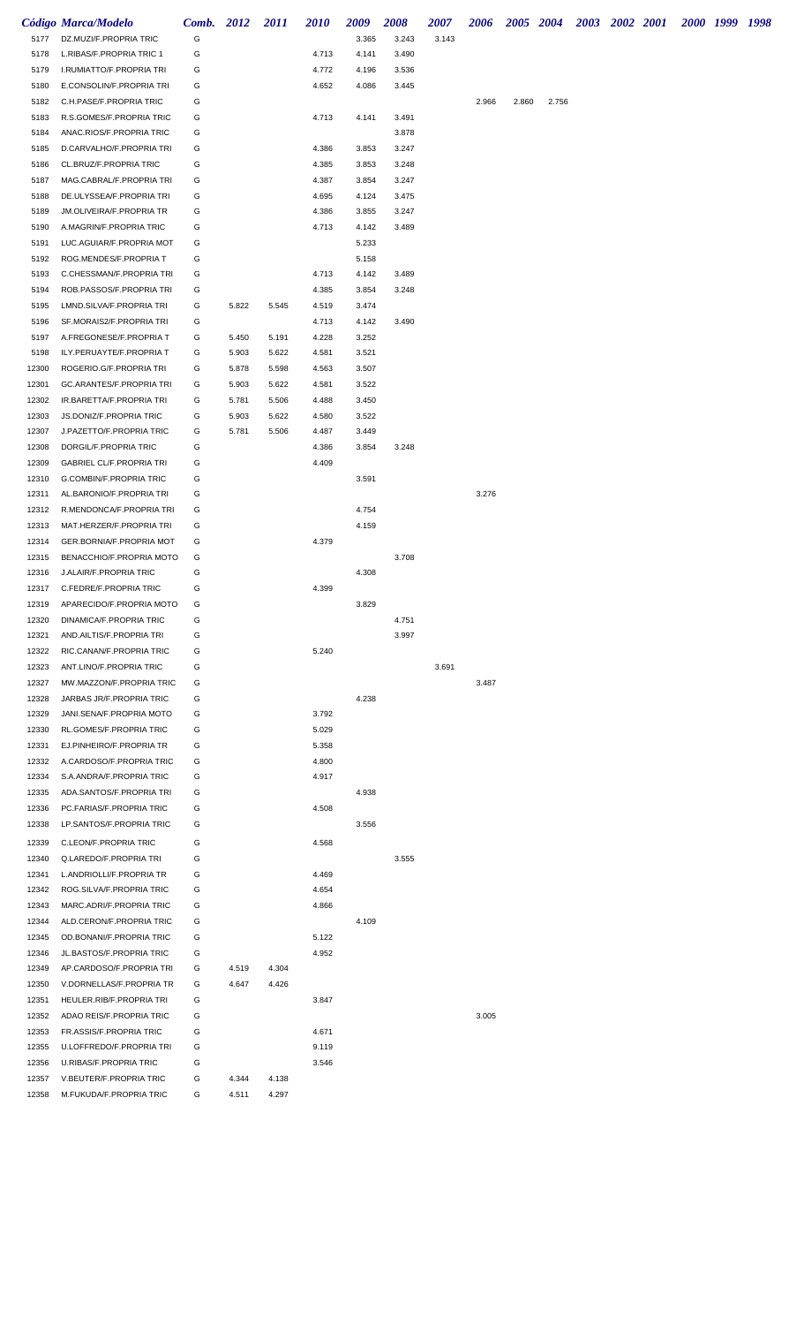|                | <b>Código Marca/Modelo</b>                           | Comb. 2012 |                | 2011  | <b>2010</b>    | 2009           | <b>2008</b>    | <b>2007</b> | 2006  |       | 2005 2004 | 2003 2002 2001 |  | 2000 1999 1998 |  |
|----------------|------------------------------------------------------|------------|----------------|-------|----------------|----------------|----------------|-------------|-------|-------|-----------|----------------|--|----------------|--|
| 5177           | DZ.MUZI/F.PROPRIA TRIC                               | G          |                |       |                | 3.365          | 3.243          | 3.143       |       |       |           |                |  |                |  |
| 5178           | L.RIBAS/F.PROPRIA TRIC 1                             | G          |                |       | 4.713          | 4.141          | 3.490          |             |       |       |           |                |  |                |  |
| 5179           | I.RUMIATTO/F.PROPRIA TRI                             | G          |                |       | 4.772          | 4.196          | 3.536          |             |       |       |           |                |  |                |  |
| 5180           | E.CONSOLIN/F.PROPRIA TRI                             | G          |                |       | 4.652          | 4.086          | 3.445          |             |       |       |           |                |  |                |  |
| 5182           | C.H.PASE/F.PROPRIA TRIC                              | G          |                |       |                |                |                |             | 2.966 | 2.860 | 2.756     |                |  |                |  |
| 5183           | R.S.GOMES/F.PROPRIA TRIC                             | G          |                |       | 4.713          | 4.141          | 3.491          |             |       |       |           |                |  |                |  |
| 5184           | ANAC.RIOS/F.PROPRIA TRIC                             | G          |                |       |                |                | 3.878          |             |       |       |           |                |  |                |  |
| 5185           | D.CARVALHO/F.PROPRIA TRI                             | G          |                |       | 4.386          | 3.853          | 3.247          |             |       |       |           |                |  |                |  |
| 5186           | CL.BRUZ/F.PROPRIA TRIC                               | G          |                |       | 4.385          | 3.853          | 3.248          |             |       |       |           |                |  |                |  |
| 5187           | MAG.CABRAL/F.PROPRIA TRI                             | G          |                |       | 4.387          | 3.854          | 3.247          |             |       |       |           |                |  |                |  |
| 5188<br>5189   | DE.ULYSSEA/F.PROPRIA TRI                             | G<br>G     |                |       | 4.695<br>4.386 | 4.124<br>3.855 | 3.475<br>3.247 |             |       |       |           |                |  |                |  |
| 5190           | JM.OLIVEIRA/F.PROPRIA TR<br>A.MAGRIN/F.PROPRIA TRIC  | G          |                |       | 4.713          | 4.142          | 3.489          |             |       |       |           |                |  |                |  |
| 5191           | LUC.AGUIAR/F.PROPRIA MOT                             | G          |                |       |                | 5.233          |                |             |       |       |           |                |  |                |  |
| 5192           | ROG.MENDES/F.PROPRIA T                               | G          |                |       |                | 5.158          |                |             |       |       |           |                |  |                |  |
| 5193           | C.CHESSMAN/F.PROPRIA TRI                             | G          |                |       | 4.713          | 4.142          | 3.489          |             |       |       |           |                |  |                |  |
| 5194           | ROB.PASSOS/F.PROPRIA TRI                             | G          |                |       | 4.385          | 3.854          | 3.248          |             |       |       |           |                |  |                |  |
| 5195           | LMND.SILVA/F.PROPRIA TRI                             | G          | 5.822          | 5.545 | 4.519          | 3.474          |                |             |       |       |           |                |  |                |  |
| 5196           | SF.MORAIS2/F.PROPRIA TRI                             | G          |                |       | 4.713          | 4.142          | 3.490          |             |       |       |           |                |  |                |  |
| 5197           | A.FREGONESE/F.PROPRIA T                              | G          | 5.450          | 5.191 | 4.228          | 3.252          |                |             |       |       |           |                |  |                |  |
| 5198           | ILY.PERUAYTE/F.PROPRIA T                             | G          | 5.903          | 5.622 | 4.581          | 3.521          |                |             |       |       |           |                |  |                |  |
| 12300          | ROGERIO.G/F.PROPRIA TRI                              | G          | 5.878          | 5.598 | 4.563          | 3.507          |                |             |       |       |           |                |  |                |  |
| 12301          | GC.ARANTES/F.PROPRIA TRI                             | G          | 5.903          | 5.622 | 4.581          | 3.522          |                |             |       |       |           |                |  |                |  |
| 12302          | IR.BARETTA/F.PROPRIA TRI                             | G          | 5.781          | 5.506 | 4.488          | 3.450          |                |             |       |       |           |                |  |                |  |
| 12303          | JS.DONIZ/F.PROPRIA TRIC                              | G          | 5.903          | 5.622 | 4.580          | 3.522          |                |             |       |       |           |                |  |                |  |
| 12307          | J.PAZETTO/F.PROPRIA TRIC                             | G          | 5.781          | 5.506 | 4.487          | 3.449          |                |             |       |       |           |                |  |                |  |
| 12308          | DORGIL/F.PROPRIA TRIC                                | G          |                |       | 4.386          | 3.854          | 3.248          |             |       |       |           |                |  |                |  |
| 12309          | <b>GABRIEL CL/F.PROPRIA TRI</b>                      | G          |                |       | 4.409          |                |                |             |       |       |           |                |  |                |  |
| 12310          | G.COMBIN/F.PROPRIA TRIC                              | G          |                |       |                | 3.591          |                |             |       |       |           |                |  |                |  |
| 12311          | AL.BARONIO/F.PROPRIA TRI                             | G          |                |       |                |                |                |             | 3.276 |       |           |                |  |                |  |
| 12312          | R.MENDONCA/F.PROPRIA TRI                             | G          |                |       |                | 4.754          |                |             |       |       |           |                |  |                |  |
| 12313          | MAT.HERZER/F.PROPRIA TRI                             | G          |                |       |                | 4.159          |                |             |       |       |           |                |  |                |  |
| 12314          | GER.BORNIA/F.PROPRIA MOT                             | G          |                |       | 4.379          |                |                |             |       |       |           |                |  |                |  |
| 12315          | BENACCHIO/F.PROPRIA MOTO                             | G          |                |       |                |                | 3.708          |             |       |       |           |                |  |                |  |
| 12316          | J.ALAIR/F.PROPRIA TRIC                               | G          |                |       |                | 4.308          |                |             |       |       |           |                |  |                |  |
| 12317          | C.FEDRE/F.PROPRIA TRIC                               | G          |                |       | 4.399          |                |                |             |       |       |           |                |  |                |  |
| 12319          | APARECIDO/F.PROPRIA MOTO                             | G          |                |       |                | 3.829          |                |             |       |       |           |                |  |                |  |
| 12320          | DINAMICA/F.PROPRIA TRIC                              | G          |                |       |                |                | 4.751          |             |       |       |           |                |  |                |  |
| 12321          | AND.AILTIS/F.PROPRIA TRI                             | G          |                |       |                |                | 3.997          |             |       |       |           |                |  |                |  |
| 12322          | RIC.CANAN/F.PROPRIA TRIC                             | G          |                |       | 5.240          |                |                |             |       |       |           |                |  |                |  |
| 12323          | ANT.LINO/F.PROPRIA TRIC                              | G          |                |       |                |                |                | 3.691       |       |       |           |                |  |                |  |
| 12327          | MW.MAZZON/F.PROPRIA TRIC                             | G          |                |       |                |                |                |             | 3.487 |       |           |                |  |                |  |
| 12328          | JARBAS JR/F.PROPRIA TRIC                             | G          |                |       |                | 4.238          |                |             |       |       |           |                |  |                |  |
| 12329          | JANI.SENA/F.PROPRIA MOTO                             | G          |                |       | 3.792          |                |                |             |       |       |           |                |  |                |  |
| 12330          | RL.GOMES/F.PROPRIA TRIC                              | G          |                |       | 5.029          |                |                |             |       |       |           |                |  |                |  |
| 12331          | EJ.PINHEIRO/F.PROPRIA TR                             | G          |                |       | 5.358          |                |                |             |       |       |           |                |  |                |  |
| 12332          | A.CARDOSO/F.PROPRIA TRIC                             | G          |                |       | 4.800          |                |                |             |       |       |           |                |  |                |  |
| 12334<br>12335 | S.A.ANDRA/F.PROPRIA TRIC<br>ADA.SANTOS/F.PROPRIA TRI | G<br>G     |                |       | 4.917          | 4.938          |                |             |       |       |           |                |  |                |  |
| 12336          | PC.FARIAS/F.PROPRIA TRIC                             | G          |                |       | 4.508          |                |                |             |       |       |           |                |  |                |  |
| 12338          | LP.SANTOS/F.PROPRIA TRIC                             | G          |                |       |                | 3.556          |                |             |       |       |           |                |  |                |  |
|                |                                                      |            |                |       |                |                |                |             |       |       |           |                |  |                |  |
| 12339          | C.LEON/F.PROPRIA TRIC                                | G          |                |       | 4.568          |                |                |             |       |       |           |                |  |                |  |
| 12340          | Q.LAREDO/F.PROPRIA TRI                               | G          |                |       |                |                | 3.555          |             |       |       |           |                |  |                |  |
| 12341          | L.ANDRIOLLI/F.PROPRIA TR                             | G          |                |       | 4.469          |                |                |             |       |       |           |                |  |                |  |
| 12342          | ROG.SILVA/F.PROPRIA TRIC                             | G          |                |       | 4.654          |                |                |             |       |       |           |                |  |                |  |
| 12343          | MARC.ADRI/F.PROPRIA TRIC                             | G          |                |       | 4.866          |                |                |             |       |       |           |                |  |                |  |
| 12344          | ALD.CERON/F.PROPRIA TRIC                             | G          |                |       |                | 4.109          |                |             |       |       |           |                |  |                |  |
| 12345<br>12346 | OD.BONANI/F.PROPRIA TRIC<br>JL.BASTOS/F.PROPRIA TRIC | G<br>G     |                |       | 5.122<br>4.952 |                |                |             |       |       |           |                |  |                |  |
| 12349          | AP.CARDOSO/F.PROPRIA TRI                             | G          |                | 4.304 |                |                |                |             |       |       |           |                |  |                |  |
| 12350          | V.DORNELLAS/F.PROPRIA TR                             | G          | 4.519<br>4.647 | 4.426 |                |                |                |             |       |       |           |                |  |                |  |
| 12351          | HEULER.RIB/F.PROPRIA TRI                             | G          |                |       | 3.847          |                |                |             |       |       |           |                |  |                |  |
| 12352          | ADAO REIS/F.PROPRIA TRIC                             | G          |                |       |                |                |                |             | 3.005 |       |           |                |  |                |  |
| 12353          | FR.ASSIS/F.PROPRIA TRIC                              | G          |                |       | 4.671          |                |                |             |       |       |           |                |  |                |  |
| 12355          | U.LOFFREDO/F.PROPRIA TRI                             | G          |                |       | 9.119          |                |                |             |       |       |           |                |  |                |  |
| 12356          | <b>U.RIBAS/F.PROPRIA TRIC</b>                        | G          |                |       | 3.546          |                |                |             |       |       |           |                |  |                |  |
| 12357          | V.BEUTER/F.PROPRIA TRIC                              | G          | 4.344          | 4.138 |                |                |                |             |       |       |           |                |  |                |  |
| 12358          | M.FUKUDA/F.PROPRIA TRIC                              | G          | 4.511          | 4.297 |                |                |                |             |       |       |           |                |  |                |  |
|                |                                                      |            |                |       |                |                |                |             |       |       |           |                |  |                |  |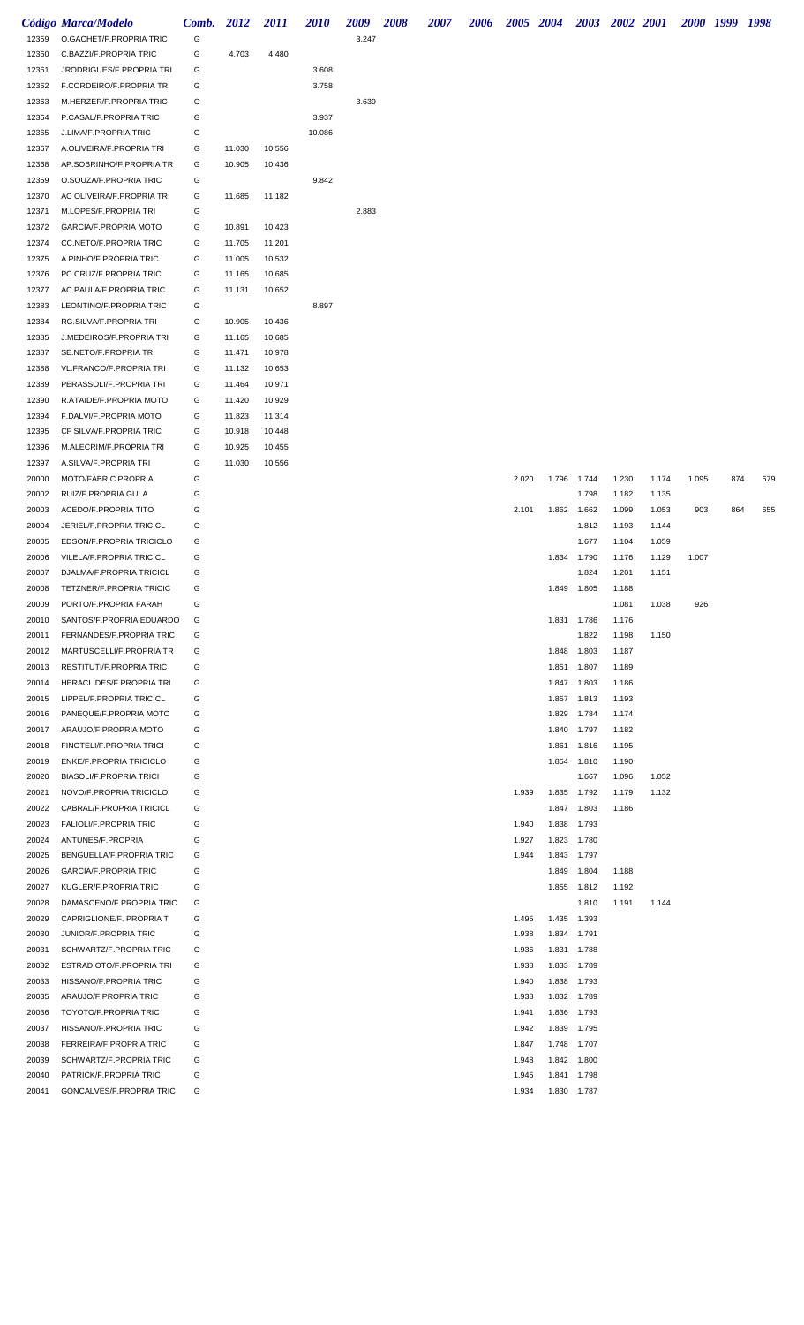|                | Código Marca/Modelo                                 | Comb.  | 2012             | <i>2011</i>      | <i>2010</i> | 2009  | 2008 | <i><b>2007</b></i> | <b>2006</b> |                | 2005 2004 |                            | 2003 2002 2001 |       |       | 2000 1999 1998 |     |
|----------------|-----------------------------------------------------|--------|------------------|------------------|-------------|-------|------|--------------------|-------------|----------------|-----------|----------------------------|----------------|-------|-------|----------------|-----|
| 12359          | O.GACHET/F.PROPRIA TRIC                             | G      |                  |                  |             | 3.247 |      |                    |             |                |           |                            |                |       |       |                |     |
| 12360          | C.BAZZI/F.PROPRIA TRIC                              | G      | 4.703            | 4.480            |             |       |      |                    |             |                |           |                            |                |       |       |                |     |
| 12361          | JRODRIGUES/F.PROPRIA TRI                            | G      |                  |                  | 3.608       |       |      |                    |             |                |           |                            |                |       |       |                |     |
| 12362          | F.CORDEIRO/F.PROPRIA TRI                            | G      |                  |                  | 3.758       |       |      |                    |             |                |           |                            |                |       |       |                |     |
| 12363          | M.HERZER/F.PROPRIA TRIC                             | G      |                  |                  |             | 3.639 |      |                    |             |                |           |                            |                |       |       |                |     |
| 12364          | P.CASAL/F.PROPRIA TRIC                              | G      |                  |                  | 3.937       |       |      |                    |             |                |           |                            |                |       |       |                |     |
| 12365          | J.LIMA/F.PROPRIA TRIC                               | G      |                  |                  | 10.086      |       |      |                    |             |                |           |                            |                |       |       |                |     |
| 12367          | A.OLIVEIRA/F.PROPRIA TRI                            | G      | 11.030           | 10.556           |             |       |      |                    |             |                |           |                            |                |       |       |                |     |
| 12368          | AP.SOBRINHO/F.PROPRIA TR                            | G      | 10.905           | 10.436           |             |       |      |                    |             |                |           |                            |                |       |       |                |     |
| 12369          | O.SOUZA/F.PROPRIA TRIC                              | G      |                  |                  | 9.842       |       |      |                    |             |                |           |                            |                |       |       |                |     |
| 12370          | AC OLIVEIRA/F.PROPRIA TR                            | G      | 11.685           | 11.182           |             |       |      |                    |             |                |           |                            |                |       |       |                |     |
| 12371          | M.LOPES/F.PROPRIA TRI                               | G      |                  |                  |             | 2.883 |      |                    |             |                |           |                            |                |       |       |                |     |
| 12372          | GARCIA/F.PROPRIA MOTO                               | G      | 10.891           | 10.423           |             |       |      |                    |             |                |           |                            |                |       |       |                |     |
| 12374          | CC.NETO/F.PROPRIA TRIC                              | G      | 11.705           | 11.201           |             |       |      |                    |             |                |           |                            |                |       |       |                |     |
| 12375          | A.PINHO/F.PROPRIA TRIC                              | G      | 11.005           | 10.532           |             |       |      |                    |             |                |           |                            |                |       |       |                |     |
| 12376          | PC CRUZ/F.PROPRIA TRIC                              | G      | 11.165           | 10.685           |             |       |      |                    |             |                |           |                            |                |       |       |                |     |
| 12377          | AC.PAULA/F.PROPRIA TRIC                             | G      | 11.131           | 10.652           |             |       |      |                    |             |                |           |                            |                |       |       |                |     |
| 12383          | LEONTINO/F.PROPRIA TRIC                             | G      |                  |                  | 8.897       |       |      |                    |             |                |           |                            |                |       |       |                |     |
| 12384          | RG.SILVA/F.PROPRIA TRI                              | G      | 10.905           | 10.436           |             |       |      |                    |             |                |           |                            |                |       |       |                |     |
| 12385          | J.MEDEIROS/F.PROPRIA TRI                            | G      | 11.165           | 10.685           |             |       |      |                    |             |                |           |                            |                |       |       |                |     |
| 12387          | SE.NETO/F.PROPRIA TRI                               | G      | 11.471           | 10.978           |             |       |      |                    |             |                |           |                            |                |       |       |                |     |
| 12388          | VL.FRANCO/F.PROPRIA TRI                             | G      | 11.132           | 10.653           |             |       |      |                    |             |                |           |                            |                |       |       |                |     |
| 12389          | PERASSOLI/F.PROPRIA TRI                             | G      | 11.464           | 10.971           |             |       |      |                    |             |                |           |                            |                |       |       |                |     |
| 12390          | R.ATAIDE/F.PROPRIA MOTO                             | G      | 11.420           | 10.929           |             |       |      |                    |             |                |           |                            |                |       |       |                |     |
| 12394          | F.DALVI/F.PROPRIA MOTO                              | G      | 11.823           | 11.314           |             |       |      |                    |             |                |           |                            |                |       |       |                |     |
| 12395          | CF SILVA/F.PROPRIA TRIC                             | G      | 10.918           | 10.448           |             |       |      |                    |             |                |           |                            |                |       |       |                |     |
| 12396          | M.ALECRIM/F.PROPRIA TRI<br>A.SILVA/F.PROPRIA TRI    | G<br>G | 10.925<br>11.030 | 10.455<br>10.556 |             |       |      |                    |             |                |           |                            |                |       |       |                |     |
| 12397<br>20000 | MOTO/FABRIC.PROPRIA                                 | G      |                  |                  |             |       |      |                    |             | 2.020          | 1.796     | 1.744                      | 1.230          | 1.174 | 1.095 | 874            | 679 |
| 20002          | RUIZ/F.PROPRIA GULA                                 | G      |                  |                  |             |       |      |                    |             |                |           | 1.798                      | 1.182          | 1.135 |       |                |     |
| 20003          | ACEDO/F.PROPRIA TITO                                | G      |                  |                  |             |       |      |                    |             | 2.101          | 1.862     | 1.662                      | 1.099          | 1.053 | 903   | 864            | 655 |
| 20004          | JERIEL/F.PROPRIA TRICICL                            | G      |                  |                  |             |       |      |                    |             |                |           | 1.812                      | 1.193          | 1.144 |       |                |     |
| 20005          | EDSON/F.PROPRIA TRICICLO                            | G      |                  |                  |             |       |      |                    |             |                |           | 1.677                      | 1.104          | 1.059 |       |                |     |
| 20006          | VILELA/F.PROPRIA TRICICL                            | G      |                  |                  |             |       |      |                    |             |                | 1.834     | 1.790                      | 1.176          | 1.129 | 1.007 |                |     |
| 20007          | DJALMA/F.PROPRIA TRICICL                            | G      |                  |                  |             |       |      |                    |             |                |           | 1.824                      | 1.201          | 1.151 |       |                |     |
| 20008          | <b>TETZNER/F.PROPRIA TRICIC</b>                     | G      |                  |                  |             |       |      |                    |             |                |           | 1.849 1.805                | 1.188          |       |       |                |     |
| 20009          | PORTO/F.PROPRIA FARAH                               | G      |                  |                  |             |       |      |                    |             |                |           |                            | 1.081          | 1.038 | 926   |                |     |
| 20010          | SANTOS/F.PROPRIA EDUARDO                            | G      |                  |                  |             |       |      |                    |             |                |           | 1.831 1.786                | 1.176          |       |       |                |     |
| 20011          | FERNANDES/F.PROPRIA TRIC                            | G      |                  |                  |             |       |      |                    |             |                |           | 1.822                      | 1.198          | 1.150 |       |                |     |
| 20012          | MARTUSCELLI/F.PROPRIA TR                            | G      |                  |                  |             |       |      |                    |             |                |           | 1.848 1.803                | 1.187          |       |       |                |     |
| 20013          | RESTITUTI/F.PROPRIA TRIC                            | G      |                  |                  |             |       |      |                    |             |                | 1.851     | 1.807                      | 1.189          |       |       |                |     |
| 20014          | HERACLIDES/F.PROPRIA TRI                            | G      |                  |                  |             |       |      |                    |             |                |           | 1.847 1.803                | 1.186          |       |       |                |     |
| 20015          | LIPPEL/F.PROPRIA TRICICL                            | G      |                  |                  |             |       |      |                    |             |                |           | 1.857 1.813                | 1.193          |       |       |                |     |
| 20016          | PANEQUE/F.PROPRIA MOTO                              | G      |                  |                  |             |       |      |                    |             |                | 1.829     | 1.784                      | 1.174          |       |       |                |     |
| 20017          | ARAUJO/F.PROPRIA MOTO                               | G      |                  |                  |             |       |      |                    |             |                |           | 1.840 1.797                | 1.182          |       |       |                |     |
| 20018          | FINOTELI/F.PROPRIA TRICI                            | G      |                  |                  |             |       |      |                    |             |                | 1.861     | 1.816                      | 1.195          |       |       |                |     |
| 20019          | <b>ENKE/F.PROPRIA TRICICLO</b>                      | G      |                  |                  |             |       |      |                    |             |                |           | 1.854 1.810                | 1.190          |       |       |                |     |
| 20020          | <b>BIASOLI/F.PROPRIA TRICI</b>                      | G      |                  |                  |             |       |      |                    |             |                |           | 1.667                      | 1.096          | 1.052 |       |                |     |
| 20021          | NOVO/F.PROPRIA TRICICLO                             | G      |                  |                  |             |       |      |                    |             | 1.939          |           | 1.835 1.792                | 1.179          | 1.132 |       |                |     |
| 20022          | CABRAL/F.PROPRIA TRICICL                            | G      |                  |                  |             |       |      |                    |             |                |           | 1.847 1.803                | 1.186          |       |       |                |     |
| 20023          | <b>FALIOLI/F.PROPRIA TRIC</b>                       | G      |                  |                  |             |       |      |                    |             | 1.940          | 1.838     | 1.793                      |                |       |       |                |     |
| 20024          | ANTUNES/F.PROPRIA                                   | G      |                  |                  |             |       |      |                    |             | 1.927          |           | 1.823 1.780                |                |       |       |                |     |
| 20025          | BENGUELLA/F.PROPRIA TRIC                            | G      |                  |                  |             |       |      |                    |             | 1.944          |           | 1.843 1.797                |                |       |       |                |     |
| 20026          | GARCIA/F.PROPRIA TRIC                               | G      |                  |                  |             |       |      |                    |             |                |           | 1.849 1.804                | 1.188          |       |       |                |     |
| 20027          | KUGLER/F.PROPRIA TRIC                               | G      |                  |                  |             |       |      |                    |             |                |           | 1.855 1.812                | 1.192          |       |       |                |     |
| 20028          | DAMASCENO/F.PROPRIA TRIC                            | G      |                  |                  |             |       |      |                    |             |                |           | 1.810                      | 1.191          | 1.144 |       |                |     |
| 20029          | CAPRIGLIONE/F. PROPRIA T                            | G      |                  |                  |             |       |      |                    |             | 1.495          |           | 1.435 1.393                |                |       |       |                |     |
| 20030          | JUNIOR/F.PROPRIA TRIC                               | G<br>G |                  |                  |             |       |      |                    |             | 1.938          |           | 1.834 1.791                |                |       |       |                |     |
| 20031<br>20032 | SCHWARTZ/F.PROPRIA TRIC<br>ESTRADIOTO/F.PROPRIA TRI | G      |                  |                  |             |       |      |                    |             | 1.936<br>1.938 |           | 1.831 1.788<br>1.833 1.789 |                |       |       |                |     |
| 20033          | HISSANO/F.PROPRIA TRIC                              | G      |                  |                  |             |       |      |                    |             | 1.940          |           | 1.838 1.793                |                |       |       |                |     |
| 20035          | ARAUJO/F.PROPRIA TRIC                               | G      |                  |                  |             |       |      |                    |             | 1.938          |           | 1.832 1.789                |                |       |       |                |     |
| 20036          | TOYOTO/F.PROPRIA TRIC                               | G      |                  |                  |             |       |      |                    |             | 1.941          |           | 1.836 1.793                |                |       |       |                |     |
| 20037          | HISSANO/F.PROPRIA TRIC                              | G      |                  |                  |             |       |      |                    |             | 1.942          |           | 1.839 1.795                |                |       |       |                |     |
| 20038          | FERREIRA/F.PROPRIA TRIC                             | G      |                  |                  |             |       |      |                    |             | 1.847          |           | 1.748 1.707                |                |       |       |                |     |
| 20039          | SCHWARTZ/F.PROPRIA TRIC                             | G      |                  |                  |             |       |      |                    |             | 1.948          |           | 1.842 1.800                |                |       |       |                |     |
| 20040          | PATRICK/F.PROPRIA TRIC                              | G      |                  |                  |             |       |      |                    |             | 1.945          |           | 1.841 1.798                |                |       |       |                |     |
| 20041          | GONCALVES/F.PROPRIA TRIC                            | G      |                  |                  |             |       |      |                    |             | 1.934          |           | 1.830 1.787                |                |       |       |                |     |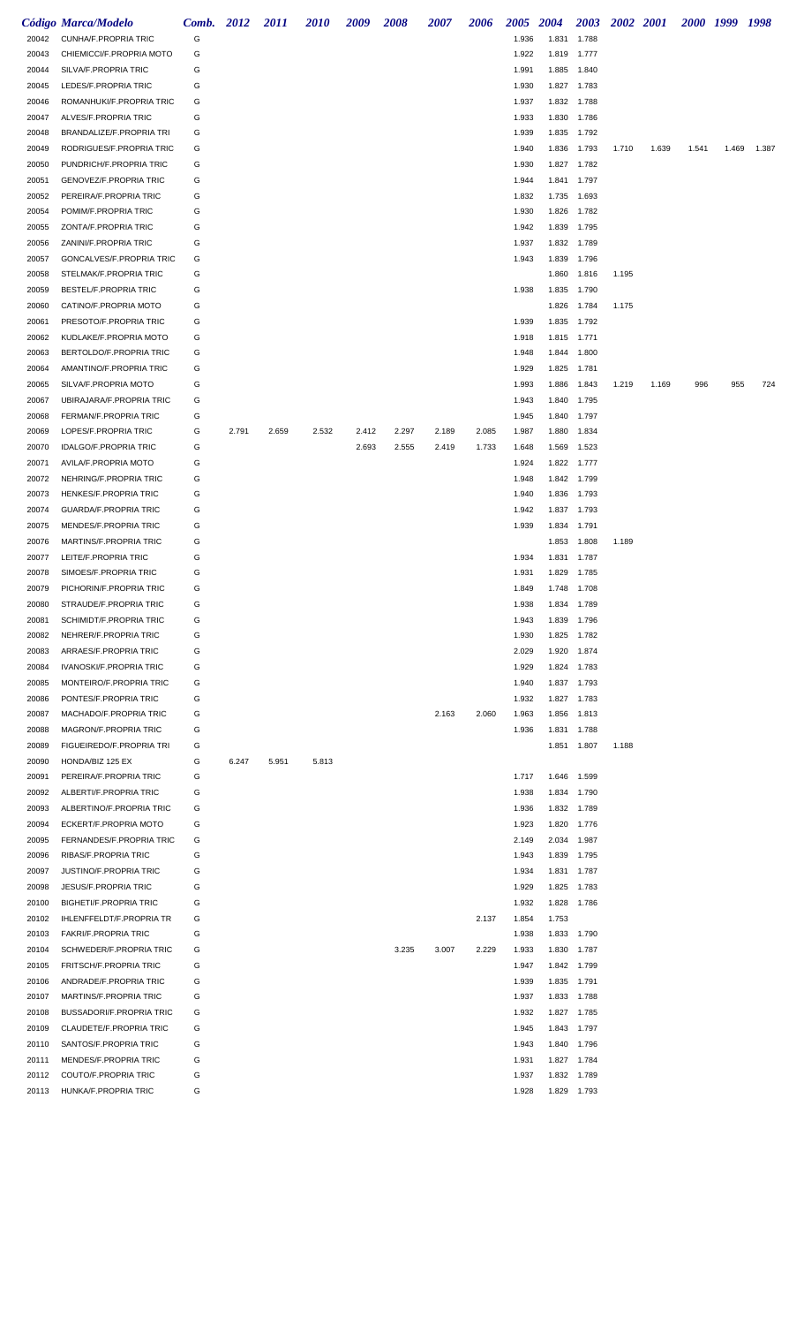|                | Código Marca/Modelo                                          | Comb. 2012 |       | <i>2011</i> | <i>2010</i> | 2009  | 2008  | <i><b>2007</b></i> | 2006  | <b>2005</b>    | <b>2004</b>    | <b>2003</b>                | 2002 2001 |       | 2000 1999 |       | 1998  |
|----------------|--------------------------------------------------------------|------------|-------|-------------|-------------|-------|-------|--------------------|-------|----------------|----------------|----------------------------|-----------|-------|-----------|-------|-------|
| 20042          | <b>CUNHA/F.PROPRIA TRIC</b>                                  | G          |       |             |             |       |       |                    |       | 1.936          | 1.831          | 1.788                      |           |       |           |       |       |
| 20043          | CHIEMICCI/F.PROPRIA MOTO                                     | G          |       |             |             |       |       |                    |       | 1.922          | 1.819          | 1.777                      |           |       |           |       |       |
| 20044          | SILVA/F.PROPRIA TRIC                                         | G          |       |             |             |       |       |                    |       | 1.991          | 1.885          | 1.840                      |           |       |           |       |       |
| 20045          | LEDES/F.PROPRIA TRIC                                         | G          |       |             |             |       |       |                    |       | 1.930          | 1.827          | 1.783                      |           |       |           |       |       |
| 20046          | ROMANHUKI/F.PROPRIA TRIC                                     | G          |       |             |             |       |       |                    |       | 1.937          | 1.832          | 1.788                      |           |       |           |       |       |
| 20047          | ALVES/F.PROPRIA TRIC                                         | G          |       |             |             |       |       |                    |       | 1.933          | 1.830          | 1.786                      |           |       |           |       |       |
| 20048          | BRANDALIZE/F.PROPRIA TRI                                     | G          |       |             |             |       |       |                    |       | 1.939          | 1.835          | 1.792                      |           |       |           |       |       |
| 20049          | RODRIGUES/F.PROPRIA TRIC                                     | G          |       |             |             |       |       |                    |       | 1.940          | 1.836          | 1.793                      | 1.710     | 1.639 | 1.541     | 1.469 | 1.387 |
| 20050          | PUNDRICH/F.PROPRIA TRIC                                      | G          |       |             |             |       |       |                    |       | 1.930          | 1.827          | 1.782                      |           |       |           |       |       |
| 20051<br>20052 | GENOVEZ/F.PROPRIA TRIC<br>PEREIRA/F.PROPRIA TRIC             | G<br>G     |       |             |             |       |       |                    |       | 1.944<br>1.832 | 1.841<br>1.735 | 1.797<br>1.693             |           |       |           |       |       |
| 20054          | POMIM/F.PROPRIA TRIC                                         | G          |       |             |             |       |       |                    |       | 1.930          | 1.826          | 1.782                      |           |       |           |       |       |
| 20055          | ZONTA/F.PROPRIA TRIC                                         | G          |       |             |             |       |       |                    |       | 1.942          | 1.839          | 1.795                      |           |       |           |       |       |
| 20056          | ZANINI/F.PROPRIA TRIC                                        | G          |       |             |             |       |       |                    |       | 1.937          | 1.832          | 1.789                      |           |       |           |       |       |
| 20057          | GONCALVES/F.PROPRIA TRIC                                     | G          |       |             |             |       |       |                    |       | 1.943          | 1.839          | 1.796                      |           |       |           |       |       |
| 20058          | STELMAK/F.PROPRIA TRIC                                       | G          |       |             |             |       |       |                    |       |                | 1.860          | 1.816                      | 1.195     |       |           |       |       |
| 20059          | BESTEL/F.PROPRIA TRIC                                        | G          |       |             |             |       |       |                    |       | 1.938          | 1.835          | 1.790                      |           |       |           |       |       |
| 20060          | CATINO/F.PROPRIA MOTO                                        | G          |       |             |             |       |       |                    |       |                | 1.826          | 1.784                      | 1.175     |       |           |       |       |
| 20061          | PRESOTO/F.PROPRIA TRIC                                       | G          |       |             |             |       |       |                    |       | 1.939          | 1.835          | 1.792                      |           |       |           |       |       |
| 20062          | KUDLAKE/F.PROPRIA MOTO                                       | G          |       |             |             |       |       |                    |       | 1.918          | 1.815          | 1.771                      |           |       |           |       |       |
| 20063          | BERTOLDO/F.PROPRIA TRIC                                      | G          |       |             |             |       |       |                    |       | 1.948          | 1.844          | 1.800                      |           |       |           |       |       |
| 20064          | AMANTINO/F.PROPRIA TRIC                                      | G          |       |             |             |       |       |                    |       | 1.929          | 1.825          | 1.781                      |           |       |           |       |       |
| 20065          | SILVA/F.PROPRIA MOTO                                         | G          |       |             |             |       |       |                    |       | 1.993          | 1.886          | 1.843                      | 1.219     | 1.169 | 996       | 955   | 724   |
| 20067          | UBIRAJARA/F.PROPRIA TRIC                                     | G          |       |             |             |       |       |                    |       | 1.943          | 1.840          | 1.795                      |           |       |           |       |       |
| 20068          | FERMAN/F.PROPRIA TRIC                                        | G          |       |             |             |       |       |                    |       | 1.945          | 1.840          | 1.797                      |           |       |           |       |       |
| 20069          | LOPES/F.PROPRIA TRIC                                         | G          | 2.791 | 2.659       | 2.532       | 2.412 | 2.297 | 2.189              | 2.085 | 1.987          | 1.880          | 1.834                      |           |       |           |       |       |
| 20070          | <b>IDALGO/F.PROPRIA TRIC</b>                                 | G          |       |             |             | 2.693 | 2.555 | 2.419              | 1.733 | 1.648          | 1.569          | 1.523                      |           |       |           |       |       |
| 20071          | AVILA/F.PROPRIA MOTO                                         | G          |       |             |             |       |       |                    |       | 1.924          | 1.822          | 1.777                      |           |       |           |       |       |
| 20072          | NEHRING/F.PROPRIA TRIC                                       | G          |       |             |             |       |       |                    |       | 1.948          | 1.842          | 1.799                      |           |       |           |       |       |
| 20073          | HENKES/F.PROPRIA TRIC                                        | G          |       |             |             |       |       |                    |       | 1.940          | 1.836          | 1.793                      |           |       |           |       |       |
| 20074          | <b>GUARDA/F.PROPRIA TRIC</b>                                 | G          |       |             |             |       |       |                    |       | 1.942          | 1.837          | 1.793                      |           |       |           |       |       |
| 20075          | MENDES/F.PROPRIA TRIC                                        | G          |       |             |             |       |       |                    |       | 1.939          | 1.834          | 1.791                      |           |       |           |       |       |
| 20076          | MARTINS/F.PROPRIA TRIC                                       | G          |       |             |             |       |       |                    |       |                | 1.853          | 1.808                      | 1.189     |       |           |       |       |
| 20077          | LEITE/F.PROPRIA TRIC                                         | G          |       |             |             |       |       |                    |       | 1.934          | 1.831          | 1.787                      |           |       |           |       |       |
| 20078          | SIMOES/F.PROPRIA TRIC                                        | G          |       |             |             |       |       |                    |       | 1.931          | 1.829          | 1.785                      |           |       |           |       |       |
| 20079          | PICHORIN/F.PROPRIA TRIC                                      | G          |       |             |             |       |       |                    |       | 1.849          | 1.748          | 1.708                      |           |       |           |       |       |
| 20080          | STRAUDE/F.PROPRIA TRIC                                       | G          |       |             |             |       |       |                    |       | 1.938          |                | 1.834 1.789                |           |       |           |       |       |
| 20081          | SCHIMIDT/F.PROPRIA TRIC                                      | G          |       |             |             |       |       |                    |       | 1.943          |                | 1.839 1.796                |           |       |           |       |       |
| 20082          | NEHRER/F.PROPRIA TRIC                                        | G          |       |             |             |       |       |                    |       | 1.930          | 1.825          | 1.782                      |           |       |           |       |       |
| 20083          | ARRAES/F.PROPRIA TRIC                                        | G          |       |             |             |       |       |                    |       | 2.029          | 1.920          | 1.874                      |           |       |           |       |       |
| 20084          | IVANOSKI/F.PROPRIA TRIC                                      | G          |       |             |             |       |       |                    |       | 1.929          |                | 1.824 1.783                |           |       |           |       |       |
| 20085          | MONTEIRO/F.PROPRIA TRIC                                      | G          |       |             |             |       |       |                    |       | 1.940          |                | 1.837 1.793                |           |       |           |       |       |
| 20086          | PONTES/F.PROPRIA TRIC                                        | G          |       |             |             |       |       |                    |       | 1.932          |                | 1.827 1.783                |           |       |           |       |       |
| 20087          | MACHADO/F.PROPRIA TRIC                                       | G          |       |             |             |       |       | 2.163              | 2.060 | 1.963          | 1.856          | 1.813                      |           |       |           |       |       |
| 20088          | MAGRON/F.PROPRIA TRIC                                        | G          |       |             |             |       |       |                    |       | 1.936          |                | 1.831 1.788                |           |       |           |       |       |
| 20089          | FIGUEIREDO/F.PROPRIA TRI                                     | G          |       |             |             |       |       |                    |       |                |                | 1.851 1.807                | 1.188     |       |           |       |       |
| 20090          | HONDA/BIZ 125 EX                                             | G          | 6.247 | 5.951       | 5.813       |       |       |                    |       |                |                |                            |           |       |           |       |       |
| 20091          | PEREIRA/F.PROPRIA TRIC                                       | G          |       |             |             |       |       |                    |       | 1.717          |                | 1.646 1.599                |           |       |           |       |       |
| 20092          | ALBERTI/F.PROPRIA TRIC                                       | G          |       |             |             |       |       |                    |       | 1.938          |                | 1.834 1.790                |           |       |           |       |       |
| 20093          | ALBERTINO/F.PROPRIA TRIC                                     | G          |       |             |             |       |       |                    |       | 1.936          |                | 1.832 1.789                |           |       |           |       |       |
| 20094          | ECKERT/F.PROPRIA MOTO                                        | G          |       |             |             |       |       |                    |       | 1.923          |                | 1.820 1.776                |           |       |           |       |       |
| 20095          | FERNANDES/F.PROPRIA TRIC                                     | G          |       |             |             |       |       |                    |       | 2.149          |                | 2.034 1.987                |           |       |           |       |       |
| 20096          | RIBAS/F.PROPRIA TRIC                                         | G          |       |             |             |       |       |                    |       | 1.943          |                | 1.839 1.795                |           |       |           |       |       |
| 20097          | <b>JUSTINO/F.PROPRIA TRIC</b>                                | G<br>G     |       |             |             |       |       |                    |       | 1.934<br>1.929 |                | 1.831 1.787<br>1.825 1.783 |           |       |           |       |       |
| 20098          | <b>JESUS/F.PROPRIA TRIC</b><br><b>BIGHETI/F.PROPRIA TRIC</b> | G          |       |             |             |       |       |                    |       |                |                |                            |           |       |           |       |       |
| 20100<br>20102 | <b>IHLENFFELDT/F.PROPRIA TR</b>                              | G          |       |             |             |       |       |                    | 2.137 | 1.932<br>1.854 | 1.753          | 1.828 1.786                |           |       |           |       |       |
| 20103          | <b>FAKRI/F.PROPRIA TRIC</b>                                  | G          |       |             |             |       |       |                    |       | 1.938          |                | 1.833 1.790                |           |       |           |       |       |
|                | SCHWEDER/F.PROPRIA TRIC                                      | G          |       |             |             |       |       |                    |       | 1.933          |                |                            |           |       |           |       |       |
| 20104<br>20105 | <b>FRITSCH/F.PROPRIA TRIC</b>                                | G          |       |             |             |       | 3.235 | 3.007              | 2.229 | 1.947          |                | 1.830 1.787<br>1.842 1.799 |           |       |           |       |       |
| 20106          | ANDRADE/F.PROPRIA TRIC                                       | G          |       |             |             |       |       |                    |       | 1.939          |                | 1.835 1.791                |           |       |           |       |       |
| 20107          | MARTINS/F.PROPRIA TRIC                                       | G          |       |             |             |       |       |                    |       | 1.937          |                | 1.833 1.788                |           |       |           |       |       |
| 20108          | <b>BUSSADORI/F.PROPRIA TRIC</b>                              | G          |       |             |             |       |       |                    |       | 1.932          |                | 1.827 1.785                |           |       |           |       |       |
| 20109          | CLAUDETE/F.PROPRIA TRIC                                      | G          |       |             |             |       |       |                    |       | 1.945          |                | 1.843 1.797                |           |       |           |       |       |
| 20110          | SANTOS/F.PROPRIA TRIC                                        | G          |       |             |             |       |       |                    |       | 1.943          |                | 1.840 1.796                |           |       |           |       |       |
| 20111          | MENDES/F.PROPRIA TRIC                                        | G          |       |             |             |       |       |                    |       | 1.931          |                | 1.827 1.784                |           |       |           |       |       |
| 20112          | COUTO/F.PROPRIA TRIC                                         | G          |       |             |             |       |       |                    |       | 1.937          | 1.832          | 1.789                      |           |       |           |       |       |
| 20113          | HUNKA/F.PROPRIA TRIC                                         | G          |       |             |             |       |       |                    |       | 1.928          |                | 1.829 1.793                |           |       |           |       |       |
|                |                                                              |            |       |             |             |       |       |                    |       |                |                |                            |           |       |           |       |       |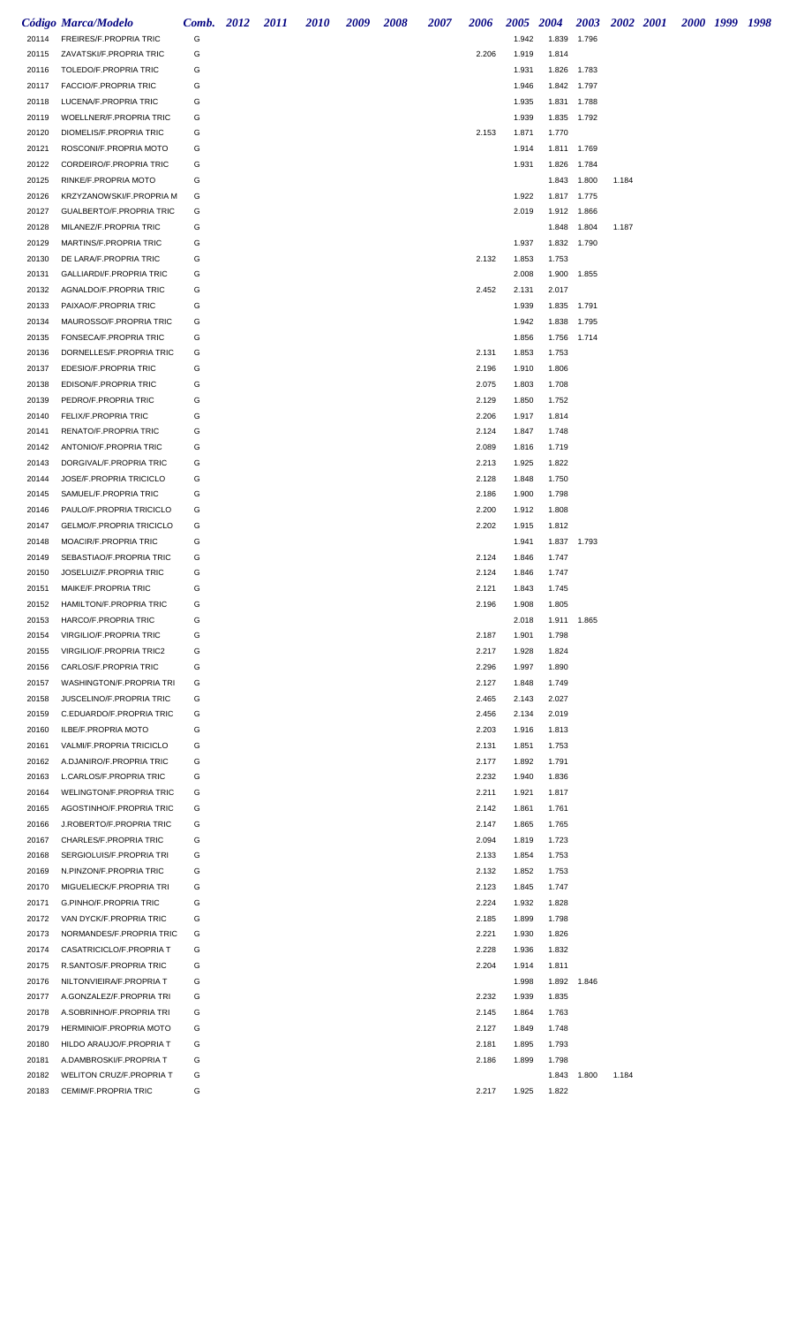|                | Código Marca/Modelo                                      | Comb. 2012 | 2011 | <i>2010</i> | 2009 | 2008 | 2007 | 2006           | 2005 2004      |                | 2003                 | 2002 2001 |  | 2000 1999 1998 |  |
|----------------|----------------------------------------------------------|------------|------|-------------|------|------|------|----------------|----------------|----------------|----------------------|-----------|--|----------------|--|
| 20114          | FREIRES/F.PROPRIA TRIC                                   | G          |      |             |      |      |      |                | 1.942          | 1.839          | 1.796                |           |  |                |  |
| 20115          | ZAVATSKI/F.PROPRIA TRIC                                  | G          |      |             |      |      |      | 2.206          | 1.919          | 1.814          |                      |           |  |                |  |
| 20116          | TOLEDO/F.PROPRIA TRIC                                    | G          |      |             |      |      |      |                | 1.931          | 1.826          | 1.783                |           |  |                |  |
| 20117          | FACCIO/F.PROPRIA TRIC                                    | G          |      |             |      |      |      |                | 1.946          | 1.842 1.797    |                      |           |  |                |  |
| 20118          | LUCENA/F.PROPRIA TRIC                                    | G          |      |             |      |      |      |                | 1.935          | 1.831 1.788    |                      |           |  |                |  |
| 20119          | WOELLNER/F.PROPRIA TRIC                                  | G          |      |             |      |      |      |                | 1.939          | 1.835 1.792    |                      |           |  |                |  |
| 20120          | DIOMELIS/F.PROPRIA TRIC                                  | G          |      |             |      |      |      | 2.153          | 1.871          | 1.770          |                      |           |  |                |  |
| 20121          | ROSCONI/F.PROPRIA MOTO                                   | G          |      |             |      |      |      |                | 1.914          | 1.811 1.769    |                      |           |  |                |  |
| 20122<br>20125 | CORDEIRO/F.PROPRIA TRIC<br>RINKE/F.PROPRIA MOTO          | G<br>G     |      |             |      |      |      |                | 1.931          | 1.826          | 1.784<br>1.843 1.800 | 1.184     |  |                |  |
| 20126          | KRZYZANOWSKI/F.PROPRIA M                                 | G          |      |             |      |      |      |                | 1.922          | 1.817 1.775    |                      |           |  |                |  |
| 20127          | GUALBERTO/F.PROPRIA TRIC                                 | G          |      |             |      |      |      |                | 2.019          | 1.912 1.866    |                      |           |  |                |  |
| 20128          | MILANEZ/F.PROPRIA TRIC                                   | G          |      |             |      |      |      |                |                | 1.848          | 1.804                | 1.187     |  |                |  |
| 20129          | MARTINS/F.PROPRIA TRIC                                   | G          |      |             |      |      |      |                | 1.937          | 1.832 1.790    |                      |           |  |                |  |
| 20130          | DE LARA/F.PROPRIA TRIC                                   | G          |      |             |      |      |      | 2.132          | 1.853          | 1.753          |                      |           |  |                |  |
| 20131          | <b>GALLIARDI/F.PROPRIA TRIC</b>                          | G          |      |             |      |      |      |                | 2.008          | 1.900          | 1.855                |           |  |                |  |
| 20132          | AGNALDO/F.PROPRIA TRIC                                   | G          |      |             |      |      |      | 2.452          | 2.131          | 2.017          |                      |           |  |                |  |
| 20133          | PAIXAO/F.PROPRIA TRIC                                    | G          |      |             |      |      |      |                | 1.939          | 1.835 1.791    |                      |           |  |                |  |
| 20134          | MAUROSSO/F.PROPRIA TRIC                                  | G          |      |             |      |      |      |                | 1.942          | 1.838          | 1.795                |           |  |                |  |
| 20135          | FONSECA/F.PROPRIA TRIC                                   | G          |      |             |      |      |      |                | 1.856          | 1.756 1.714    |                      |           |  |                |  |
| 20136          | DORNELLES/F.PROPRIA TRIC                                 | G          |      |             |      |      |      | 2.131          | 1.853          | 1.753          |                      |           |  |                |  |
| 20137          | EDESIO/F.PROPRIA TRIC                                    | G          |      |             |      |      |      | 2.196          | 1.910          | 1.806          |                      |           |  |                |  |
| 20138          | EDISON/F.PROPRIA TRIC                                    | G          |      |             |      |      |      | 2.075          | 1.803          | 1.708          |                      |           |  |                |  |
| 20139          | PEDRO/F.PROPRIA TRIC                                     | G          |      |             |      |      |      | 2.129          | 1.850          | 1.752          |                      |           |  |                |  |
| 20140          | FELIX/F.PROPRIA TRIC                                     | G          |      |             |      |      |      | 2.206          | 1.917          | 1.814          |                      |           |  |                |  |
| 20141          | RENATO/F.PROPRIA TRIC                                    | G          |      |             |      |      |      | 2.124          | 1.847          | 1.748          |                      |           |  |                |  |
| 20142          | ANTONIO/F.PROPRIA TRIC                                   | G          |      |             |      |      |      | 2.089          | 1.816          | 1.719          |                      |           |  |                |  |
| 20143          | DORGIVAL/F.PROPRIA TRIC                                  | G          |      |             |      |      |      | 2.213          | 1.925          | 1.822          |                      |           |  |                |  |
| 20144          | JOSE/F.PROPRIA TRICICLO                                  | G          |      |             |      |      |      | 2.128          | 1.848          | 1.750          |                      |           |  |                |  |
| 20145          | SAMUEL/F.PROPRIA TRIC                                    | G          |      |             |      |      |      | 2.186          | 1.900          | 1.798          |                      |           |  |                |  |
| 20146          | PAULO/F.PROPRIA TRICICLO                                 | G          |      |             |      |      |      | 2.200          | 1.912          | 1.808          |                      |           |  |                |  |
| 20147          | <b>GELMO/F.PROPRIA TRICICLO</b><br>MOACIR/F.PROPRIA TRIC | G<br>G     |      |             |      |      |      | 2.202          | 1.915<br>1.941 | 1.812<br>1.837 |                      |           |  |                |  |
| 20148<br>20149 | SEBASTIAO/F.PROPRIA TRIC                                 | G          |      |             |      |      |      | 2.124          | 1.846          | 1.747          | 1.793                |           |  |                |  |
| 20150          | JOSELUIZ/F.PROPRIA TRIC                                  | G          |      |             |      |      |      | 2.124          | 1.846          | 1.747          |                      |           |  |                |  |
| 20151          | MAIKE/F.PROPRIA TRIC                                     | G          |      |             |      |      |      | 2.121          | 1.843          | 1.745          |                      |           |  |                |  |
| 20152          | HAMILTON/F.PROPRIA TRIC                                  | G          |      |             |      |      |      | 2.196          | 1.908          | 1.805          |                      |           |  |                |  |
| 20153          | HARCO/F.PROPRIA TRIC                                     | G          |      |             |      |      |      |                | 2.018          | 1.911 1.865    |                      |           |  |                |  |
| 20154          | VIRGILIO/F.PROPRIA TRIC                                  | G          |      |             |      |      |      | 2.187          | 1.901          | 1.798          |                      |           |  |                |  |
| 20155          | VIRGILIO/F.PROPRIA TRIC2                                 | G          |      |             |      |      |      | 2.217          | 1.928          | 1.824          |                      |           |  |                |  |
| 20156          | CARLOS/F.PROPRIA TRIC                                    | G          |      |             |      |      |      | 2.296          | 1.997          | 1.890          |                      |           |  |                |  |
| 20157          | WASHINGTON/F.PROPRIA TRI                                 | G          |      |             |      |      |      | 2.127          | 1.848          | 1.749          |                      |           |  |                |  |
| 20158          | JUSCELINO/F.PROPRIA TRIC                                 | G          |      |             |      |      |      | 2.465          | 2.143          | 2.027          |                      |           |  |                |  |
| 20159          | C.EDUARDO/F.PROPRIA TRIC                                 | G          |      |             |      |      |      | 2.456          | 2.134          | 2.019          |                      |           |  |                |  |
| 20160          | ILBE/F.PROPRIA MOTO                                      | G          |      |             |      |      |      | 2.203          | 1.916          | 1.813          |                      |           |  |                |  |
| 20161          | VALMI/F.PROPRIA TRICICLO                                 | G          |      |             |      |      |      | 2.131          | 1.851          | 1.753          |                      |           |  |                |  |
| 20162          | A.DJANIRO/F.PROPRIA TRIC                                 | G          |      |             |      |      |      | 2.177          | 1.892          | 1.791          |                      |           |  |                |  |
| 20163          | L.CARLOS/F.PROPRIA TRIC                                  | G          |      |             |      |      |      | 2.232          | 1.940          | 1.836          |                      |           |  |                |  |
| 20164          | <b>WELINGTON/F.PROPRIA TRIC</b>                          | G          |      |             |      |      |      | 2.211          | 1.921          | 1.817          |                      |           |  |                |  |
| 20165          | AGOSTINHO/F.PROPRIA TRIC                                 | G          |      |             |      |      |      | 2.142          | 1.861          | 1.761          |                      |           |  |                |  |
| 20166          | J.ROBERTO/F.PROPRIA TRIC                                 | G          |      |             |      |      |      | 2.147          | 1.865          | 1.765          |                      |           |  |                |  |
| 20167<br>20168 | CHARLES/F.PROPRIA TRIC<br>SERGIOLUIS/F.PROPRIA TRI       | G<br>G     |      |             |      |      |      | 2.094<br>2.133 | 1.819<br>1.854 | 1.723<br>1.753 |                      |           |  |                |  |
| 20169          | N.PINZON/F.PROPRIA TRIC                                  | G          |      |             |      |      |      | 2.132          | 1.852          | 1.753          |                      |           |  |                |  |
| 20170          | MIGUELIECK/F.PROPRIA TRI                                 | G          |      |             |      |      |      | 2.123          | 1.845          | 1.747          |                      |           |  |                |  |
| 20171          | G.PINHO/F.PROPRIA TRIC                                   | G          |      |             |      |      |      | 2.224          | 1.932          | 1.828          |                      |           |  |                |  |
| 20172          | VAN DYCK/F.PROPRIA TRIC                                  | G          |      |             |      |      |      | 2.185          | 1.899          | 1.798          |                      |           |  |                |  |
| 20173          | NORMANDES/F.PROPRIA TRIC                                 | G          |      |             |      |      |      | 2.221          | 1.930          | 1.826          |                      |           |  |                |  |
| 20174          | CASATRICICLO/F.PROPRIA T                                 | G          |      |             |      |      |      | 2.228          | 1.936          | 1.832          |                      |           |  |                |  |
| 20175          | R.SANTOS/F.PROPRIA TRIC                                  | G          |      |             |      |      |      | 2.204          | 1.914          | 1.811          |                      |           |  |                |  |
| 20176          | NILTONVIEIRA/F.PROPRIA T                                 | G          |      |             |      |      |      |                | 1.998          | 1.892          | 1.846                |           |  |                |  |
| 20177          | A.GONZALEZ/F.PROPRIA TRI                                 | G          |      |             |      |      |      | 2.232          | 1.939          | 1.835          |                      |           |  |                |  |
| 20178          | A.SOBRINHO/F.PROPRIA TRI                                 | G          |      |             |      |      |      | 2.145          | 1.864          | 1.763          |                      |           |  |                |  |
| 20179          | HERMINIO/F.PROPRIA MOTO                                  | G          |      |             |      |      |      | 2.127          | 1.849          | 1.748          |                      |           |  |                |  |
| 20180          | HILDO ARAUJO/F.PROPRIA T                                 | G          |      |             |      |      |      | 2.181          | 1.895          | 1.793          |                      |           |  |                |  |
| 20181          | A.DAMBROSKI/F.PROPRIA T                                  | G          |      |             |      |      |      | 2.186          | 1.899          | 1.798          |                      |           |  |                |  |
| 20182          | WELITON CRUZ/F.PROPRIA T                                 | G          |      |             |      |      |      |                |                | 1.843          | 1.800                | 1.184     |  |                |  |
| 20183          | CEMIM/F.PROPRIA TRIC                                     | G          |      |             |      |      |      | 2.217          | 1.925          | 1.822          |                      |           |  |                |  |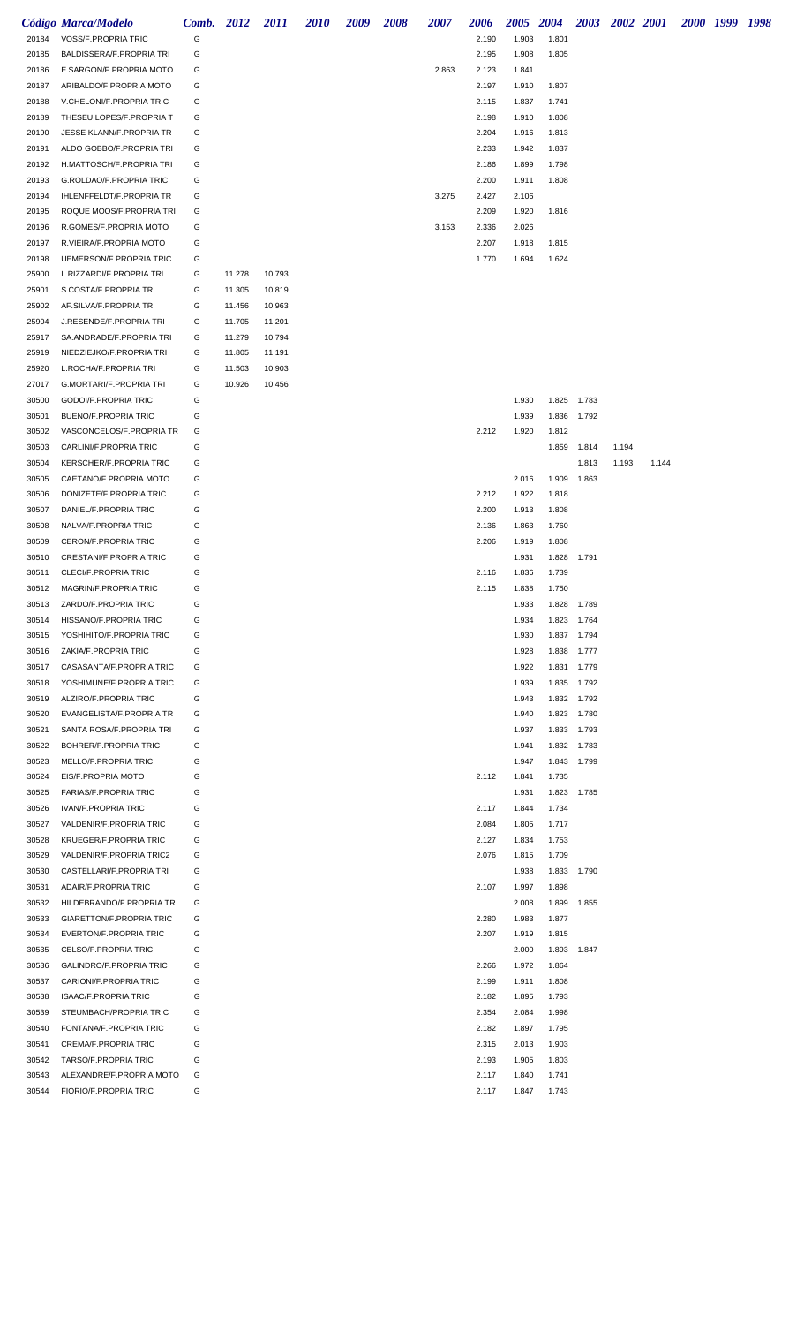|                | Código Marca/Modelo                                 | Comb. 2012 |        | 2011   | <i>2010</i> | 2009 | 2008 | 2007  | 2006           | <i><b>2005</b></i> | 2004           | 2003        | 2002 2001 |       | 2000 1999 1998 |  |
|----------------|-----------------------------------------------------|------------|--------|--------|-------------|------|------|-------|----------------|--------------------|----------------|-------------|-----------|-------|----------------|--|
| 20184          | VOSS/F.PROPRIA TRIC                                 | G          |        |        |             |      |      |       | 2.190          | 1.903              | 1.801          |             |           |       |                |  |
| 20185          | BALDISSERA/F.PROPRIA TRI                            | G          |        |        |             |      |      |       | 2.195          | 1.908              | 1.805          |             |           |       |                |  |
| 20186          | E.SARGON/F.PROPRIA MOTO                             | G          |        |        |             |      |      | 2.863 | 2.123          | 1.841              |                |             |           |       |                |  |
| 20187          | ARIBALDO/F.PROPRIA MOTO                             | G          |        |        |             |      |      |       | 2.197          | 1.910              | 1.807          |             |           |       |                |  |
| 20188          | V.CHELONI/F.PROPRIA TRIC                            | G          |        |        |             |      |      |       | 2.115          | 1.837              | 1.741          |             |           |       |                |  |
| 20189          | THESEU LOPES/F.PROPRIA T                            | G          |        |        |             |      |      |       | 2.198          | 1.910              | 1.808          |             |           |       |                |  |
| 20190          | JESSE KLANN/F.PROPRIA TR                            | G          |        |        |             |      |      |       | 2.204          | 1.916              | 1.813          |             |           |       |                |  |
| 20191          | ALDO GOBBO/F.PROPRIA TRI                            | G          |        |        |             |      |      |       | 2.233          | 1.942              | 1.837          |             |           |       |                |  |
| 20192          | H.MATTOSCH/F.PROPRIA TRI                            | G          |        |        |             |      |      |       | 2.186          | 1.899              | 1.798          |             |           |       |                |  |
| 20193          | G.ROLDAO/F.PROPRIA TRIC                             | G          |        |        |             |      |      |       | 2.200          | 1.911              | 1.808          |             |           |       |                |  |
| 20194          | IHLENFFELDT/F.PROPRIA TR                            | G          |        |        |             |      |      | 3.275 | 2.427          | 2.106              |                |             |           |       |                |  |
| 20195          | ROQUE MOOS/F.PROPRIA TRI                            | G          |        |        |             |      |      |       | 2.209          | 1.920              | 1.816          |             |           |       |                |  |
| 20196          | R.GOMES/F.PROPRIA MOTO                              | G          |        |        |             |      |      | 3.153 | 2.336          | 2.026              |                |             |           |       |                |  |
| 20197          | R.VIEIRA/F.PROPRIA MOTO                             | G          |        |        |             |      |      |       | 2.207          | 1.918              | 1.815          |             |           |       |                |  |
| 20198          | UEMERSON/F.PROPRIA TRIC                             | G          |        |        |             |      |      |       | 1.770          | 1.694              | 1.624          |             |           |       |                |  |
| 25900          | L.RIZZARDI/F.PROPRIA TRI                            | G          | 11.278 | 10.793 |             |      |      |       |                |                    |                |             |           |       |                |  |
| 25901          | S.COSTA/F.PROPRIA TRI                               | G          | 11.305 | 10.819 |             |      |      |       |                |                    |                |             |           |       |                |  |
| 25902          | AF.SILVA/F.PROPRIA TRI                              | G          | 11.456 | 10.963 |             |      |      |       |                |                    |                |             |           |       |                |  |
| 25904          | J.RESENDE/F.PROPRIA TRI                             | G          | 11.705 | 11.201 |             |      |      |       |                |                    |                |             |           |       |                |  |
| 25917          | SA.ANDRADE/F.PROPRIA TRI                            | G          | 11.279 | 10.794 |             |      |      |       |                |                    |                |             |           |       |                |  |
| 25919          | NIEDZIEJKO/F.PROPRIA TRI                            | G          | 11.805 | 11.191 |             |      |      |       |                |                    |                |             |           |       |                |  |
| 25920          | L.ROCHA/F.PROPRIA TRI                               | G          | 11.503 | 10.903 |             |      |      |       |                |                    |                |             |           |       |                |  |
| 27017          | G.MORTARI/F.PROPRIA TRI                             | G          | 10.926 | 10.456 |             |      |      |       |                |                    |                |             |           |       |                |  |
| 30500          | GODOI/F.PROPRIA TRIC                                | G          |        |        |             |      |      |       |                | 1.930              |                | 1.825 1.783 |           |       |                |  |
| 30501          | <b>BUENO/F.PROPRIA TRIC</b>                         | G          |        |        |             |      |      |       |                | 1.939              |                | 1.836 1.792 |           |       |                |  |
| 30502          | VASCONCELOS/F.PROPRIA TR                            | G          |        |        |             |      |      |       | 2.212          | 1.920              | 1.812          |             |           |       |                |  |
| 30503          | CARLINI/F.PROPRIA TRIC                              | G          |        |        |             |      |      |       |                |                    |                | 1.859 1.814 | 1.194     |       |                |  |
| 30504          | KERSCHER/F.PROPRIA TRIC                             | G          |        |        |             |      |      |       |                |                    |                | 1.813       | 1.193     | 1.144 |                |  |
| 30505          | CAETANO/F.PROPRIA MOTO                              | G          |        |        |             |      |      |       |                | 2.016              | 1.909          | 1.863       |           |       |                |  |
| 30506          | DONIZETE/F.PROPRIA TRIC                             | G          |        |        |             |      |      |       | 2.212          | 1.922              | 1.818          |             |           |       |                |  |
| 30507          | DANIEL/F.PROPRIA TRIC                               | G<br>G     |        |        |             |      |      |       | 2.200          | 1.913              | 1.808          |             |           |       |                |  |
| 30508<br>30509 | NALVA/F.PROPRIA TRIC<br><b>CERON/F.PROPRIA TRIC</b> | G          |        |        |             |      |      |       | 2.136<br>2.206 | 1.863<br>1.919     | 1.760<br>1.808 |             |           |       |                |  |
| 30510          | CRESTANI/F.PROPRIA TRIC                             | G          |        |        |             |      |      |       |                | 1.931              | 1.828          | 1.791       |           |       |                |  |
| 30511          | CLECI/F.PROPRIA TRIC                                | G          |        |        |             |      |      |       | 2.116          | 1.836              | 1.739          |             |           |       |                |  |
| 30512          | MAGRIN/F.PROPRIA TRIC                               | G          |        |        |             |      |      |       | 2.115          | 1.838              | 1.750          |             |           |       |                |  |
|                | 30513 ZARDO/F.PROPRIA TRIC                          | G          |        |        |             |      |      |       |                | 1.933              | 1.828 1.789    |             |           |       |                |  |
| 30514          | HISSANO/F.PROPRIA TRIC                              | G          |        |        |             |      |      |       |                | 1.934              | 1.823 1.764    |             |           |       |                |  |
| 30515          | YOSHIHITO/F.PROPRIA TRIC                            | G          |        |        |             |      |      |       |                | 1.930              |                | 1.837 1.794 |           |       |                |  |
| 30516          | ZAKIA/F.PROPRIA TRIC                                | G          |        |        |             |      |      |       |                | 1.928              |                | 1.838 1.777 |           |       |                |  |
| 30517          | CASASANTA/F.PROPRIA TRIC                            | G          |        |        |             |      |      |       |                | 1.922              |                | 1.831 1.779 |           |       |                |  |
| 30518          | YOSHIMUNE/F.PROPRIA TRIC                            | G          |        |        |             |      |      |       |                | 1.939              |                | 1.835 1.792 |           |       |                |  |
| 30519          | ALZIRO/F.PROPRIA TRIC                               | G          |        |        |             |      |      |       |                | 1.943              |                | 1.832 1.792 |           |       |                |  |
| 30520          | EVANGELISTA/F.PROPRIA TR                            | G          |        |        |             |      |      |       |                | 1.940              |                | 1.823 1.780 |           |       |                |  |
| 30521          | SANTA ROSA/F.PROPRIA TRI                            | G          |        |        |             |      |      |       |                | 1.937              |                | 1.833 1.793 |           |       |                |  |
| 30522          | BOHRER/F.PROPRIA TRIC                               | G          |        |        |             |      |      |       |                | 1.941              |                | 1.832 1.783 |           |       |                |  |
| 30523          | MELLO/F.PROPRIA TRIC                                | G          |        |        |             |      |      |       |                | 1.947              |                | 1.843 1.799 |           |       |                |  |
| 30524          | EIS/F.PROPRIA MOTO                                  | G          |        |        |             |      |      |       | 2.112          | 1.841              | 1.735          |             |           |       |                |  |
| 30525          | <b>FARIAS/F.PROPRIA TRIC</b>                        | G          |        |        |             |      |      |       |                | 1.931              |                | 1.823 1.785 |           |       |                |  |
| 30526          | <b>IVAN/F.PROPRIA TRIC</b>                          | G          |        |        |             |      |      |       | 2.117          | 1.844              | 1.734          |             |           |       |                |  |
| 30527          | VALDENIR/F.PROPRIA TRIC                             | G          |        |        |             |      |      |       | 2.084          | 1.805              | 1.717          |             |           |       |                |  |
| 30528          | KRUEGER/F.PROPRIA TRIC                              | G          |        |        |             |      |      |       | 2.127          | 1.834              | 1.753          |             |           |       |                |  |
| 30529          | VALDENIR/F.PROPRIA TRIC2                            | G          |        |        |             |      |      |       | 2.076          | 1.815              | 1.709          |             |           |       |                |  |
| 30530          | CASTELLARI/F.PROPRIA TRI                            | G<br>G     |        |        |             |      |      |       | 2.107          | 1.938<br>1.997     | 1.898          | 1.833 1.790 |           |       |                |  |
| 30531<br>30532 | ADAIR/F.PROPRIA TRIC<br>HILDEBRANDO/F.PROPRIA TR    | G          |        |        |             |      |      |       |                | 2.008              |                | 1.899 1.855 |           |       |                |  |
| 30533          | GIARETTON/F.PROPRIA TRIC                            | G          |        |        |             |      |      |       | 2.280          | 1.983              | 1.877          |             |           |       |                |  |
| 30534          | EVERTON/F.PROPRIA TRIC                              | G          |        |        |             |      |      |       | 2.207          | 1.919              | 1.815          |             |           |       |                |  |
| 30535          | CELSO/F.PROPRIA TRIC                                | G          |        |        |             |      |      |       |                | 2.000              |                | 1.893 1.847 |           |       |                |  |
| 30536          | GALINDRO/F.PROPRIA TRIC                             | G          |        |        |             |      |      |       | 2.266          | 1.972              | 1.864          |             |           |       |                |  |
| 30537          | CARIONI/F.PROPRIA TRIC                              | G          |        |        |             |      |      |       | 2.199          | 1.911              | 1.808          |             |           |       |                |  |
| 30538          | <b>ISAAC/F.PROPRIA TRIC</b>                         | G          |        |        |             |      |      |       | 2.182          | 1.895              | 1.793          |             |           |       |                |  |
| 30539          | STEUMBACH/PROPRIA TRIC                              | G          |        |        |             |      |      |       | 2.354          | 2.084              | 1.998          |             |           |       |                |  |
| 30540          | FONTANA/F.PROPRIA TRIC                              | G          |        |        |             |      |      |       | 2.182          | 1.897              | 1.795          |             |           |       |                |  |
| 30541          | <b>CREMA/F.PROPRIA TRIC</b>                         | G          |        |        |             |      |      |       | 2.315          | 2.013              | 1.903          |             |           |       |                |  |
| 30542          | TARSO/F.PROPRIA TRIC                                | G          |        |        |             |      |      |       | 2.193          | 1.905              | 1.803          |             |           |       |                |  |
| 30543          | ALEXANDRE/F.PROPRIA MOTO                            | G          |        |        |             |      |      |       | 2.117          | 1.840              | 1.741          |             |           |       |                |  |
| 30544          | FIORIO/F.PROPRIA TRIC                               | G          |        |        |             |      |      |       | 2.117          | 1.847              | 1.743          |             |           |       |                |  |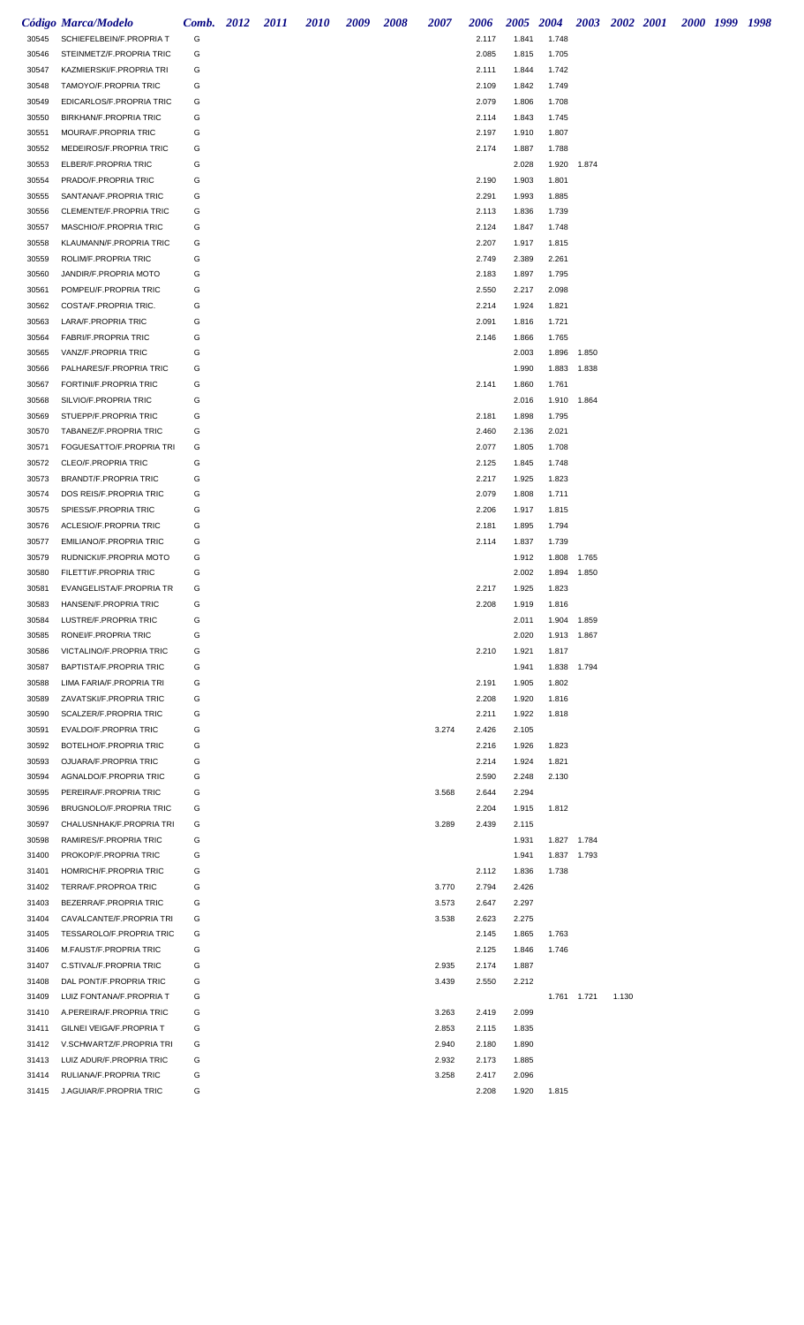|                | Código Marca/Modelo                              | Comb. 2012 | 2011 | <i>2010</i> | 2009 | 2008 | 2007  | 2006           |                | 2005 2004      |       | 2003 2002 2001 |  | 2000 1999 1998 |  |
|----------------|--------------------------------------------------|------------|------|-------------|------|------|-------|----------------|----------------|----------------|-------|----------------|--|----------------|--|
| 30545          | SCHIEFELBEIN/F.PROPRIA T                         | G          |      |             |      |      |       | 2.117          | 1.841          | 1.748          |       |                |  |                |  |
| 30546          | STEINMETZ/F.PROPRIA TRIC                         | G          |      |             |      |      |       | 2.085          | 1.815          | 1.705          |       |                |  |                |  |
| 30547          | KAZMIERSKI/F.PROPRIA TRI                         | G          |      |             |      |      |       | 2.111          | 1.844          | 1.742          |       |                |  |                |  |
| 30548          | TAMOYO/F.PROPRIA TRIC                            | G          |      |             |      |      |       | 2.109          | 1.842          | 1.749          |       |                |  |                |  |
| 30549          | EDICARLOS/F.PROPRIA TRIC                         | G          |      |             |      |      |       | 2.079          | 1.806          | 1.708          |       |                |  |                |  |
| 30550          | <b>BIRKHAN/F.PROPRIA TRIC</b>                    | G          |      |             |      |      |       | 2.114          | 1.843          | 1.745          |       |                |  |                |  |
| 30551          | MOURA/F.PROPRIA TRIC                             | G          |      |             |      |      |       | 2.197          | 1.910          | 1.807          |       |                |  |                |  |
| 30552          | MEDEIROS/F.PROPRIA TRIC                          | G          |      |             |      |      |       | 2.174          | 1.887          | 1.788          |       |                |  |                |  |
| 30553<br>30554 | ELBER/F.PROPRIA TRIC<br>PRADO/F.PROPRIA TRIC     | G<br>G     |      |             |      |      |       | 2.190          | 2.028<br>1.903 | 1.920<br>1.801 | 1.874 |                |  |                |  |
| 30555          | SANTANA/F.PROPRIA TRIC                           | G          |      |             |      |      |       | 2.291          | 1.993          | 1.885          |       |                |  |                |  |
| 30556          | CLEMENTE/F.PROPRIA TRIC                          | G          |      |             |      |      |       | 2.113          | 1.836          | 1.739          |       |                |  |                |  |
| 30557          | MASCHIO/F.PROPRIA TRIC                           | G          |      |             |      |      |       | 2.124          | 1.847          | 1.748          |       |                |  |                |  |
| 30558          | KLAUMANN/F.PROPRIA TRIC                          | G          |      |             |      |      |       | 2.207          | 1.917          | 1.815          |       |                |  |                |  |
| 30559          | ROLIM/F.PROPRIA TRIC                             | G          |      |             |      |      |       | 2.749          | 2.389          | 2.261          |       |                |  |                |  |
| 30560          | JANDIR/F.PROPRIA MOTO                            | G          |      |             |      |      |       | 2.183          | 1.897          | 1.795          |       |                |  |                |  |
| 30561          | POMPEU/F.PROPRIA TRIC                            | G          |      |             |      |      |       | 2.550          | 2.217          | 2.098          |       |                |  |                |  |
| 30562          | COSTA/F.PROPRIA TRIC.                            | G          |      |             |      |      |       | 2.214          | 1.924          | 1.821          |       |                |  |                |  |
| 30563          | LARA/F.PROPRIA TRIC                              | G          |      |             |      |      |       | 2.091          | 1.816          | 1.721          |       |                |  |                |  |
| 30564          | <b>FABRI/F.PROPRIA TRIC</b>                      | G          |      |             |      |      |       | 2.146          | 1.866          | 1.765          |       |                |  |                |  |
| 30565          | VANZ/F.PROPRIA TRIC                              | G          |      |             |      |      |       |                | 2.003          | 1.896          | 1.850 |                |  |                |  |
| 30566          | PALHARES/F.PROPRIA TRIC                          | G          |      |             |      |      |       |                | 1.990          | 1.883          | 1.838 |                |  |                |  |
| 30567          | FORTINI/F.PROPRIA TRIC                           | G          |      |             |      |      |       | 2.141          | 1.860          | 1.761          |       |                |  |                |  |
| 30568          | SILVIO/F.PROPRIA TRIC                            | G          |      |             |      |      |       |                | 2.016          | 1.910 1.864    |       |                |  |                |  |
| 30569          | STUEPP/F.PROPRIA TRIC                            | G          |      |             |      |      |       | 2.181          | 1.898          | 1.795          |       |                |  |                |  |
| 30570          | TABANEZ/F.PROPRIA TRIC                           | G          |      |             |      |      |       | 2.460          | 2.136          | 2.021          |       |                |  |                |  |
| 30571          | FOGUESATTO/F.PROPRIA TRI                         | G          |      |             |      |      |       | 2.077          | 1.805          | 1.708          |       |                |  |                |  |
| 30572          | CLEO/F.PROPRIA TRIC                              | G          |      |             |      |      |       | 2.125          | 1.845          | 1.748          |       |                |  |                |  |
| 30573          | <b>BRANDT/F.PROPRIA TRIC</b>                     | G          |      |             |      |      |       | 2.217          | 1.925          | 1.823          |       |                |  |                |  |
| 30574<br>30575 | DOS REIS/F.PROPRIA TRIC<br>SPIESS/F.PROPRIA TRIC | G<br>G     |      |             |      |      |       | 2.079<br>2.206 | 1.808<br>1.917 | 1.711<br>1.815 |       |                |  |                |  |
| 30576          | ACLESIO/F.PROPRIA TRIC                           | G          |      |             |      |      |       | 2.181          | 1.895          | 1.794          |       |                |  |                |  |
| 30577          | <b>EMILIANO/F.PROPRIA TRIC</b>                   | G          |      |             |      |      |       | 2.114          | 1.837          | 1.739          |       |                |  |                |  |
| 30579          | RUDNICKI/F.PROPRIA MOTO                          | G          |      |             |      |      |       |                | 1.912          | 1.808          | 1.765 |                |  |                |  |
| 30580          | FILETTI/F.PROPRIA TRIC                           | G          |      |             |      |      |       |                | 2.002          | 1.894          | 1.850 |                |  |                |  |
| 30581          | EVANGELISTA/F.PROPRIA TR                         | G          |      |             |      |      |       | 2.217          | 1.925          | 1.823          |       |                |  |                |  |
| 30583          | HANSEN/F.PROPRIA TRIC                            | G          |      |             |      |      |       | 2.208          | 1.919          | 1.816          |       |                |  |                |  |
| 30584          | LUSTRE/F.PROPRIA TRIC                            | G          |      |             |      |      |       |                | 2.011          | 1.904 1.859    |       |                |  |                |  |
| 30585          | RONEI/F.PROPRIA TRIC                             | G          |      |             |      |      |       |                | 2.020          | 1.913 1.867    |       |                |  |                |  |
| 30586          | VICTALINO/F.PROPRIA TRIC                         | G          |      |             |      |      |       | 2.210          | 1.921          | 1.817          |       |                |  |                |  |
| 30587          | BAPTISTA/F.PROPRIA TRIC                          | G          |      |             |      |      |       |                | 1.941          | 1.838          | 1.794 |                |  |                |  |
| 30588          | LIMA FARIA/F.PROPRIA TRI                         | G          |      |             |      |      |       | 2.191          | 1.905          | 1.802          |       |                |  |                |  |
| 30589          | ZAVATSKI/F.PROPRIA TRIC                          | G          |      |             |      |      |       | 2.208          | 1.920          | 1.816          |       |                |  |                |  |
| 30590          | SCALZER/F.PROPRIA TRIC                           | G          |      |             |      |      |       | 2.211          | 1.922          | 1.818          |       |                |  |                |  |
| 30591          | EVALDO/F.PROPRIA TRIC                            | G          |      |             |      |      | 3.274 | 2.426          | 2.105          |                |       |                |  |                |  |
| 30592          | BOTELHO/F.PROPRIA TRIC                           | G          |      |             |      |      |       | 2.216          | 1.926          | 1.823          |       |                |  |                |  |
| 30593          | OJUARA/F.PROPRIA TRIC                            | G          |      |             |      |      |       | 2.214          | 1.924          | 1.821          |       |                |  |                |  |
| 30594<br>30595 | AGNALDO/F.PROPRIA TRIC<br>PEREIRA/F.PROPRIA TRIC | G<br>G     |      |             |      |      | 3.568 | 2.590<br>2.644 | 2.248<br>2.294 | 2.130          |       |                |  |                |  |
| 30596          | BRUGNOLO/F.PROPRIA TRIC                          | G          |      |             |      |      |       | 2.204          | 1.915          | 1.812          |       |                |  |                |  |
| 30597          | CHALUSNHAK/F.PROPRIA TRI                         | G          |      |             |      |      | 3.289 | 2.439          | 2.115          |                |       |                |  |                |  |
| 30598          | RAMIRES/F.PROPRIA TRIC                           | G          |      |             |      |      |       |                | 1.931          | 1.827 1.784    |       |                |  |                |  |
| 31400          | PROKOP/F.PROPRIA TRIC                            | G          |      |             |      |      |       |                | 1.941          | 1.837 1.793    |       |                |  |                |  |
| 31401          | HOMRICH/F.PROPRIA TRIC                           | G          |      |             |      |      |       | 2.112          | 1.836          | 1.738          |       |                |  |                |  |
| 31402          | TERRA/F.PROPROA TRIC                             | G          |      |             |      |      | 3.770 | 2.794          | 2.426          |                |       |                |  |                |  |
| 31403          | BEZERRA/F.PROPRIA TRIC                           | G          |      |             |      |      | 3.573 | 2.647          | 2.297          |                |       |                |  |                |  |
| 31404          | CAVALCANTE/F.PROPRIA TRI                         | G          |      |             |      |      | 3.538 | 2.623          | 2.275          |                |       |                |  |                |  |
| 31405          | TESSAROLO/F.PROPRIA TRIC                         | G          |      |             |      |      |       | 2.145          | 1.865          | 1.763          |       |                |  |                |  |
| 31406          | M.FAUST/F.PROPRIA TRIC                           | G          |      |             |      |      |       | 2.125          | 1.846          | 1.746          |       |                |  |                |  |
| 31407          | C.STIVAL/F.PROPRIA TRIC                          | G          |      |             |      |      | 2.935 | 2.174          | 1.887          |                |       |                |  |                |  |
| 31408          | DAL PONT/F.PROPRIA TRIC                          | G          |      |             |      |      | 3.439 | 2.550          | 2.212          |                |       |                |  |                |  |
| 31409          | LUIZ FONTANA/F.PROPRIA T                         | G          |      |             |      |      |       |                |                | 1.761 1.721    |       | 1.130          |  |                |  |
| 31410          | A.PEREIRA/F.PROPRIA TRIC                         | G          |      |             |      |      | 3.263 | 2.419          | 2.099          |                |       |                |  |                |  |
| 31411          | GILNEI VEIGA/F.PROPRIA T                         | G          |      |             |      |      | 2.853 | 2.115          | 1.835          |                |       |                |  |                |  |
| 31412          | V.SCHWARTZ/F.PROPRIA TRI                         | G          |      |             |      |      | 2.940 | 2.180          | 1.890          |                |       |                |  |                |  |
| 31413          | LUIZ ADUR/F.PROPRIA TRIC                         | G          |      |             |      |      | 2.932 | 2.173          | 1.885          |                |       |                |  |                |  |
| 31414          | RULIANA/F.PROPRIA TRIC                           | G          |      |             |      |      | 3.258 | 2.417          | 2.096          |                |       |                |  |                |  |
| 31415          | J.AGUIAR/F.PROPRIA TRIC                          | G          |      |             |      |      |       | 2.208          | 1.920          | 1.815          |       |                |  |                |  |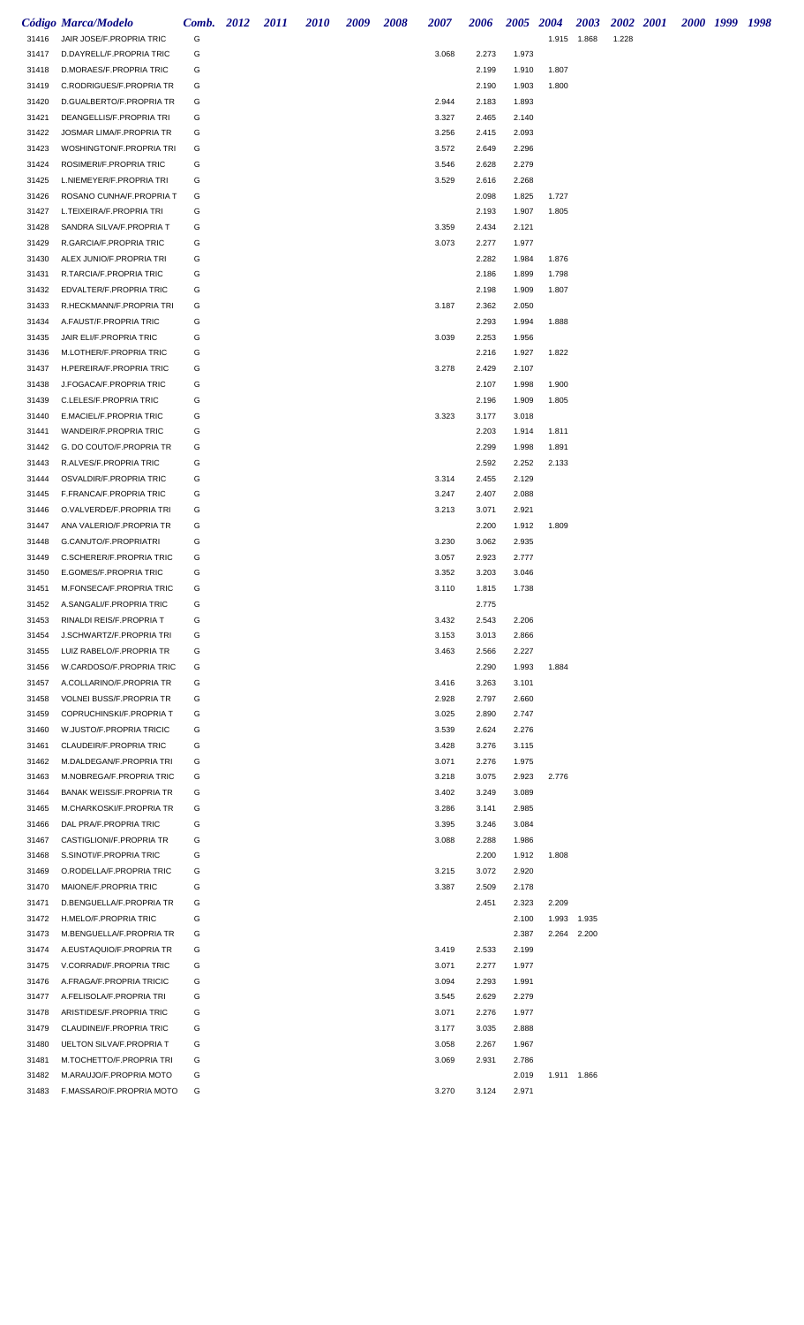|                | Código Marca/Modelo                                         | Comb. 2012 | 2011 | 2010 | 2009 | 2008 | 2007           | 2006           | 2005 2004      |       | 2003        |       | 2002 2001 | 2000 1999 1998 |  |
|----------------|-------------------------------------------------------------|------------|------|------|------|------|----------------|----------------|----------------|-------|-------------|-------|-----------|----------------|--|
| 31416          | JAIR JOSE/F.PROPRIA TRIC                                    | G          |      |      |      |      |                |                |                | 1.915 | 1.868       | 1.228 |           |                |  |
| 31417          | D.DAYRELL/F.PROPRIA TRIC                                    | G          |      |      |      |      | 3.068          | 2.273          | 1.973          |       |             |       |           |                |  |
| 31418          | D.MORAES/F.PROPRIA TRIC                                     | G          |      |      |      |      |                | 2.199          | 1.910          | 1.807 |             |       |           |                |  |
| 31419          | C.RODRIGUES/F.PROPRIA TR                                    | G          |      |      |      |      |                | 2.190          | 1.903          | 1.800 |             |       |           |                |  |
| 31420          | D.GUALBERTO/F.PROPRIA TR                                    | G          |      |      |      |      | 2.944          | 2.183          | 1.893          |       |             |       |           |                |  |
| 31421          | DEANGELLIS/F.PROPRIA TRI                                    | G          |      |      |      |      | 3.327          | 2.465          | 2.140          |       |             |       |           |                |  |
| 31422          | JOSMAR LIMA/F.PROPRIA TR                                    | G          |      |      |      |      | 3.256          | 2.415          | 2.093          |       |             |       |           |                |  |
| 31423          | WOSHINGTON/F.PROPRIA TRI                                    | G          |      |      |      |      | 3.572          | 2.649          | 2.296          |       |             |       |           |                |  |
| 31424          | ROSIMERI/F.PROPRIA TRIC                                     | G          |      |      |      |      | 3.546          | 2.628          | 2.279          |       |             |       |           |                |  |
| 31425<br>31426 | L.NIEMEYER/F.PROPRIA TRI<br>ROSANO CUNHA/F.PROPRIA T        | G<br>G     |      |      |      |      | 3.529          | 2.616<br>2.098 | 2.268<br>1.825 | 1.727 |             |       |           |                |  |
| 31427          | L.TEIXEIRA/F.PROPRIA TRI                                    | G          |      |      |      |      |                | 2.193          | 1.907          | 1.805 |             |       |           |                |  |
| 31428          | SANDRA SILVA/F.PROPRIA T                                    | G          |      |      |      |      | 3.359          | 2.434          | 2.121          |       |             |       |           |                |  |
| 31429          | R.GARCIA/F.PROPRIA TRIC                                     | G          |      |      |      |      | 3.073          | 2.277          | 1.977          |       |             |       |           |                |  |
| 31430          | ALEX JUNIO/F.PROPRIA TRI                                    | G          |      |      |      |      |                | 2.282          | 1.984          | 1.876 |             |       |           |                |  |
| 31431          | R.TARCIA/F.PROPRIA TRIC                                     | G          |      |      |      |      |                | 2.186          | 1.899          | 1.798 |             |       |           |                |  |
| 31432          | EDVALTER/F.PROPRIA TRIC                                     | G          |      |      |      |      |                | 2.198          | 1.909          | 1.807 |             |       |           |                |  |
| 31433          | R.HECKMANN/F.PROPRIA TRI                                    | G          |      |      |      |      | 3.187          | 2.362          | 2.050          |       |             |       |           |                |  |
| 31434          | A.FAUST/F.PROPRIA TRIC                                      | G          |      |      |      |      |                | 2.293          | 1.994          | 1.888 |             |       |           |                |  |
| 31435          | JAIR ELI/F.PROPRIA TRIC                                     | G          |      |      |      |      | 3.039          | 2.253          | 1.956          |       |             |       |           |                |  |
| 31436          | M.LOTHER/F.PROPRIA TRIC                                     | G          |      |      |      |      |                | 2.216          | 1.927          | 1.822 |             |       |           |                |  |
| 31437          | H.PEREIRA/F.PROPRIA TRIC                                    | G          |      |      |      |      | 3.278          | 2.429          | 2.107          |       |             |       |           |                |  |
| 31438          | J.FOGACA/F.PROPRIA TRIC                                     | G          |      |      |      |      |                | 2.107          | 1.998          | 1.900 |             |       |           |                |  |
| 31439          | C.LELES/F.PROPRIA TRIC                                      | G          |      |      |      |      |                | 2.196          | 1.909          | 1.805 |             |       |           |                |  |
| 31440          | E.MACIEL/F.PROPRIA TRIC                                     | G          |      |      |      |      | 3.323          | 3.177          | 3.018          |       |             |       |           |                |  |
| 31441          | WANDEIR/F.PROPRIA TRIC                                      | G          |      |      |      |      |                | 2.203          | 1.914          | 1.811 |             |       |           |                |  |
| 31442          | G. DO COUTO/F.PROPRIA TR                                    | G          |      |      |      |      |                | 2.299          | 1.998          | 1.891 |             |       |           |                |  |
| 31443          | R.ALVES/F.PROPRIA TRIC                                      | G          |      |      |      |      |                | 2.592          | 2.252          | 2.133 |             |       |           |                |  |
| 31444          | OSVALDIR/F.PROPRIA TRIC                                     | G          |      |      |      |      | 3.314          | 2.455          | 2.129          |       |             |       |           |                |  |
| 31445<br>31446 | F.FRANCA/F.PROPRIA TRIC<br>O.VALVERDE/F.PROPRIA TRI         | G<br>G     |      |      |      |      | 3.247<br>3.213 | 2.407<br>3.071 | 2.088<br>2.921 |       |             |       |           |                |  |
| 31447          | ANA VALERIO/F.PROPRIA TR                                    | G          |      |      |      |      |                | 2.200          | 1.912          | 1.809 |             |       |           |                |  |
| 31448          | G.CANUTO/F.PROPRIATRI                                       | G          |      |      |      |      | 3.230          | 3.062          | 2.935          |       |             |       |           |                |  |
| 31449          | C.SCHERER/F.PROPRIA TRIC                                    | G          |      |      |      |      | 3.057          | 2.923          | 2.777          |       |             |       |           |                |  |
| 31450          | E.GOMES/F.PROPRIA TRIC                                      | G          |      |      |      |      | 3.352          | 3.203          | 3.046          |       |             |       |           |                |  |
| 31451          | M.FONSECA/F.PROPRIA TRIC                                    | G          |      |      |      |      | 3.110          | 1.815          | 1.738          |       |             |       |           |                |  |
| 31452          | A.SANGALI/F.PROPRIA TRIC                                    | G          |      |      |      |      |                | 2.775          |                |       |             |       |           |                |  |
| 31453          | RINALDI REIS/F.PROPRIA T                                    | G          |      |      |      |      | 3.432          | 2.543          | 2.206          |       |             |       |           |                |  |
| 31454          | J.SCHWARTZ/F.PROPRIA TRI                                    | G          |      |      |      |      | 3.153          | 3.013          | 2.866          |       |             |       |           |                |  |
| 31455          | LUIZ RABELO/F.PROPRIA TR                                    | G          |      |      |      |      | 3.463          | 2.566          | 2.227          |       |             |       |           |                |  |
| 31456          | W.CARDOSO/F.PROPRIA TRIC                                    | G          |      |      |      |      |                | 2.290          | 1.993          | 1.884 |             |       |           |                |  |
| 31457          | A.COLLARINO/F.PROPRIA TR                                    | G          |      |      |      |      | 3.416          | 3.263          | 3.101          |       |             |       |           |                |  |
| 31458          | <b>VOLNEI BUSS/F.PROPRIA TR</b>                             | G          |      |      |      |      | 2.928          | 2.797          | 2.660          |       |             |       |           |                |  |
| 31459          | COPRUCHINSKI/F.PROPRIA T                                    | G          |      |      |      |      | 3.025          | 2.890          | 2.747          |       |             |       |           |                |  |
| 31460          | W.JUSTO/F.PROPRIA TRICIC                                    | G          |      |      |      |      | 3.539          | 2.624          | 2.276          |       |             |       |           |                |  |
| 31461          | CLAUDEIR/F.PROPRIA TRIC<br>M.DALDEGAN/F.PROPRIA TRI         | G<br>G     |      |      |      |      | 3.428<br>3.071 | 3.276<br>2.276 | 3.115<br>1.975 |       |             |       |           |                |  |
| 31462<br>31463 | M.NOBREGA/F.PROPRIA TRIC                                    | G          |      |      |      |      | 3.218          | 3.075          | 2.923          | 2.776 |             |       |           |                |  |
| 31464          | <b>BANAK WEISS/F.PROPRIA TR</b>                             | G          |      |      |      |      | 3.402          | 3.249          | 3.089          |       |             |       |           |                |  |
| 31465          | M.CHARKOSKI/F.PROPRIA TR                                    | G          |      |      |      |      | 3.286          | 3.141          | 2.985          |       |             |       |           |                |  |
| 31466          | DAL PRA/F.PROPRIA TRIC                                      | G          |      |      |      |      | 3.395          | 3.246          | 3.084          |       |             |       |           |                |  |
| 31467          | CASTIGLIONI/F.PROPRIA TR                                    | G          |      |      |      |      | 3.088          | 2.288          | 1.986          |       |             |       |           |                |  |
| 31468          | S.SINOTI/F.PROPRIA TRIC                                     | G          |      |      |      |      |                | 2.200          | 1.912          | 1.808 |             |       |           |                |  |
| 31469          | O.RODELLA/F.PROPRIA TRIC                                    | G          |      |      |      |      | 3.215          | 3.072          | 2.920          |       |             |       |           |                |  |
| 31470          | MAIONE/F.PROPRIA TRIC                                       | G          |      |      |      |      | 3.387          | 2.509          | 2.178          |       |             |       |           |                |  |
| 31471          | D.BENGUELLA/F.PROPRIA TR                                    | G          |      |      |      |      |                | 2.451          | 2.323          | 2.209 |             |       |           |                |  |
| 31472          | H.MELO/F.PROPRIA TRIC                                       | G          |      |      |      |      |                |                | 2.100          | 1.993 | 1.935       |       |           |                |  |
| 31473          | M.BENGUELLA/F.PROPRIA TR                                    | G          |      |      |      |      |                |                | 2.387          |       | 2.264 2.200 |       |           |                |  |
| 31474          | A.EUSTAQUIO/F.PROPRIA TR                                    | G          |      |      |      |      | 3.419          | 2.533          | 2.199          |       |             |       |           |                |  |
| 31475          | V.CORRADI/F.PROPRIA TRIC                                    | G          |      |      |      |      | 3.071          | 2.277          | 1.977          |       |             |       |           |                |  |
| 31476          | A.FRAGA/F.PROPRIA TRICIC                                    | G          |      |      |      |      | 3.094          | 2.293          | 1.991          |       |             |       |           |                |  |
| 31477          | A.FELISOLA/F.PROPRIA TRI                                    | G          |      |      |      |      | 3.545          | 2.629          | 2.279          |       |             |       |           |                |  |
| 31478          | ARISTIDES/F.PROPRIA TRIC                                    | G          |      |      |      |      | 3.071          | 2.276          | 1.977          |       |             |       |           |                |  |
| 31479          | CLAUDINEI/F.PROPRIA TRIC                                    | G          |      |      |      |      | 3.177          | 3.035          | 2.888          |       |             |       |           |                |  |
| 31480<br>31481 | <b>UELTON SILVA/F.PROPRIA T</b><br>M.TOCHETTO/F.PROPRIA TRI | G<br>G     |      |      |      |      | 3.058<br>3.069 | 2.267<br>2.931 | 1.967<br>2.786 |       |             |       |           |                |  |
| 31482          | M.ARAUJO/F.PROPRIA MOTO                                     | G          |      |      |      |      |                |                | 2.019          |       | 1.911 1.866 |       |           |                |  |
| 31483          | F.MASSARO/F.PROPRIA MOTO                                    | G          |      |      |      |      | 3.270          | 3.124          | 2.971          |       |             |       |           |                |  |
|                |                                                             |            |      |      |      |      |                |                |                |       |             |       |           |                |  |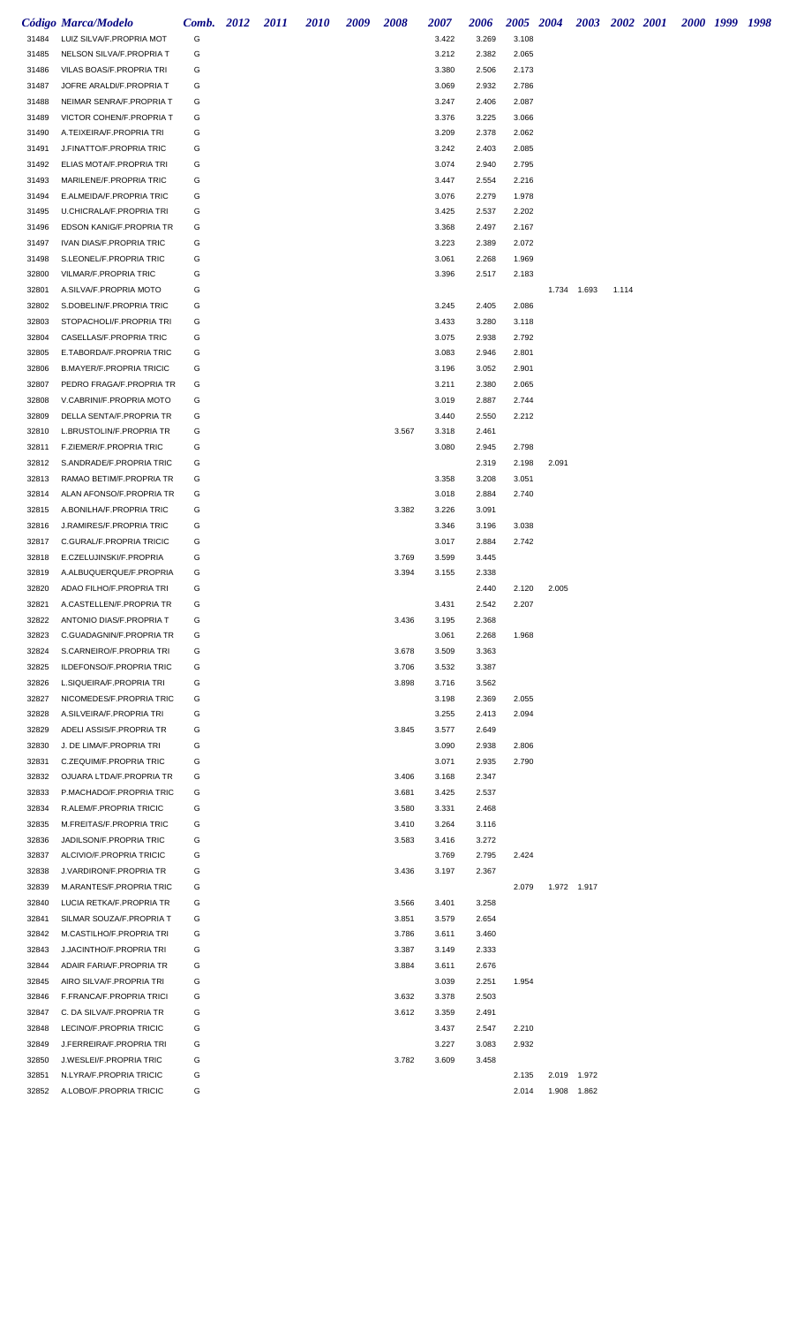|                | Código Marca/Modelo                              | Comb. 2012 | 2011 | 2010 | 2009 | 2008  | 2007           | 2006  | 2005 2004 |       | 2003        | 2002 2001 |  | 2000 1999 1998 |  |
|----------------|--------------------------------------------------|------------|------|------|------|-------|----------------|-------|-----------|-------|-------------|-----------|--|----------------|--|
| 31484          | LUIZ SILVA/F.PROPRIA MOT                         | G          |      |      |      |       | 3.422          | 3.269 | 3.108     |       |             |           |  |                |  |
| 31485          | NELSON SILVA/F.PROPRIA T                         | G          |      |      |      |       | 3.212          | 2.382 | 2.065     |       |             |           |  |                |  |
| 31486          | VILAS BOAS/F.PROPRIA TRI                         | G          |      |      |      |       | 3.380          | 2.506 | 2.173     |       |             |           |  |                |  |
| 31487          | JOFRE ARALDI/F.PROPRIA T                         | G          |      |      |      |       | 3.069          | 2.932 | 2.786     |       |             |           |  |                |  |
| 31488          | NEIMAR SENRA/F.PROPRIA T                         | G          |      |      |      |       | 3.247          | 2.406 | 2.087     |       |             |           |  |                |  |
| 31489          | VICTOR COHEN/F.PROPRIA T                         | G          |      |      |      |       | 3.376          | 3.225 | 3.066     |       |             |           |  |                |  |
| 31490          | A.TEIXEIRA/F.PROPRIA TRI                         | G          |      |      |      |       | 3.209          | 2.378 | 2.062     |       |             |           |  |                |  |
| 31491          | J.FINATTO/F.PROPRIA TRIC                         | G          |      |      |      |       | 3.242          | 2.403 | 2.085     |       |             |           |  |                |  |
| 31492          | ELIAS MOTA/F.PROPRIA TRI                         | G          |      |      |      |       | 3.074          | 2.940 | 2.795     |       |             |           |  |                |  |
| 31493          | MARILENE/F.PROPRIA TRIC                          | G          |      |      |      |       | 3.447          | 2.554 | 2.216     |       |             |           |  |                |  |
| 31494          | E.ALMEIDA/F.PROPRIA TRIC                         | G          |      |      |      |       | 3.076          | 2.279 | 1.978     |       |             |           |  |                |  |
| 31495          | U.CHICRALA/F.PROPRIA TRI                         | G          |      |      |      |       | 3.425          | 2.537 | 2.202     |       |             |           |  |                |  |
| 31496          | EDSON KANIG/F.PROPRIA TR                         | G          |      |      |      |       | 3.368          | 2.497 | 2.167     |       |             |           |  |                |  |
| 31497          | IVAN DIAS/F.PROPRIA TRIC                         | G          |      |      |      |       | 3.223          | 2.389 | 2.072     |       |             |           |  |                |  |
| 31498          | S.LEONEL/F.PROPRIA TRIC<br>VILMAR/F.PROPRIA TRIC | G<br>G     |      |      |      |       | 3.061<br>3.396 | 2.268 | 1.969     |       |             |           |  |                |  |
| 32800<br>32801 | A.SILVA/F.PROPRIA MOTO                           | G          |      |      |      |       |                | 2.517 | 2.183     | 1.734 | 1.693       | 1.114     |  |                |  |
| 32802          | S.DOBELIN/F.PROPRIA TRIC                         | G          |      |      |      |       | 3.245          | 2.405 | 2.086     |       |             |           |  |                |  |
| 32803          | STOPACHOLI/F.PROPRIA TRI                         | G          |      |      |      |       | 3.433          | 3.280 | 3.118     |       |             |           |  |                |  |
| 32804          | CASELLAS/F.PROPRIA TRIC                          | G          |      |      |      |       | 3.075          | 2.938 | 2.792     |       |             |           |  |                |  |
| 32805          | E.TABORDA/F.PROPRIA TRIC                         | G          |      |      |      |       | 3.083          | 2.946 | 2.801     |       |             |           |  |                |  |
| 32806          | <b>B.MAYER/F.PROPRIA TRICIC</b>                  | G          |      |      |      |       | 3.196          | 3.052 | 2.901     |       |             |           |  |                |  |
| 32807          | PEDRO FRAGA/F.PROPRIA TR                         | G          |      |      |      |       | 3.211          | 2.380 | 2.065     |       |             |           |  |                |  |
| 32808          | V.CABRINI/F.PROPRIA MOTO                         | G          |      |      |      |       | 3.019          | 2.887 | 2.744     |       |             |           |  |                |  |
| 32809          | DELLA SENTA/F.PROPRIA TR                         | G          |      |      |      |       | 3.440          | 2.550 | 2.212     |       |             |           |  |                |  |
| 32810          | L.BRUSTOLIN/F.PROPRIA TR                         | G          |      |      |      | 3.567 | 3.318          | 2.461 |           |       |             |           |  |                |  |
| 32811          | F.ZIEMER/F.PROPRIA TRIC                          | G          |      |      |      |       | 3.080          | 2.945 | 2.798     |       |             |           |  |                |  |
| 32812          | S.ANDRADE/F.PROPRIA TRIC                         | G          |      |      |      |       |                | 2.319 | 2.198     | 2.091 |             |           |  |                |  |
| 32813          | RAMAO BETIM/F.PROPRIA TR                         | G          |      |      |      |       | 3.358          | 3.208 | 3.051     |       |             |           |  |                |  |
| 32814          | ALAN AFONSO/F.PROPRIA TR                         | G          |      |      |      |       | 3.018          | 2.884 | 2.740     |       |             |           |  |                |  |
| 32815          | A.BONILHA/F.PROPRIA TRIC                         | G          |      |      |      | 3.382 | 3.226          | 3.091 |           |       |             |           |  |                |  |
| 32816          | J.RAMIRES/F.PROPRIA TRIC                         | G          |      |      |      |       | 3.346          | 3.196 | 3.038     |       |             |           |  |                |  |
| 32817          | C.GURAL/F.PROPRIA TRICIC                         | G          |      |      |      |       | 3.017          | 2.884 | 2.742     |       |             |           |  |                |  |
| 32818          | E.CZELUJINSKI/F.PROPRIA                          | G          |      |      |      | 3.769 | 3.599          | 3.445 |           |       |             |           |  |                |  |
| 32819          | A.ALBUQUERQUE/F.PROPRIA                          | G          |      |      |      | 3.394 | 3.155          | 2.338 |           |       |             |           |  |                |  |
| 32820          | ADAO FILHO/F.PROPRIA TRI                         | G          |      |      |      |       |                | 2.440 | 2.120     | 2.005 |             |           |  |                |  |
| 32821          | A.CASTELLEN/F.PROPRIA TR                         | G          |      |      |      |       | 3.431          | 2.542 | 2.207     |       |             |           |  |                |  |
| 32822          | ANTONIO DIAS/F.PROPRIA T                         | G          |      |      |      | 3.436 | 3.195          | 2.368 |           |       |             |           |  |                |  |
| 32823          | C.GUADAGNIN/F.PROPRIA TR                         | G          |      |      |      |       | 3.061          | 2.268 | 1.968     |       |             |           |  |                |  |
| 32824          | S.CARNEIRO/F.PROPRIA TRI                         | G          |      |      |      | 3.678 | 3.509          | 3.363 |           |       |             |           |  |                |  |
| 32825          | ILDEFONSO/F.PROPRIA TRIC                         | G          |      |      |      | 3.706 | 3.532          | 3.387 |           |       |             |           |  |                |  |
| 32826          | L.SIQUEIRA/F.PROPRIA TRI                         | G          |      |      |      | 3.898 | 3.716          | 3.562 |           |       |             |           |  |                |  |
| 32827          | NICOMEDES/F.PROPRIA TRIC                         | G          |      |      |      |       | 3.198          | 2.369 | 2.055     |       |             |           |  |                |  |
| 32828          | A.SILVEIRA/F.PROPRIA TRI                         | G          |      |      |      |       | 3.255          | 2.413 | 2.094     |       |             |           |  |                |  |
| 32829          | ADELI ASSIS/F.PROPRIA TR                         | G          |      |      |      | 3.845 | 3.577          | 2.649 |           |       |             |           |  |                |  |
| 32830          | J. DE LIMA/F.PROPRIA TRI                         | G          |      |      |      |       | 3.090          | 2.938 | 2.806     |       |             |           |  |                |  |
| 32831          | C.ZEQUIM/F.PROPRIA TRIC                          | G          |      |      |      |       | 3.071          | 2.935 | 2.790     |       |             |           |  |                |  |
| 32832          | OJUARA LTDA/F.PROPRIA TR                         | G          |      |      |      | 3.406 | 3.168          | 2.347 |           |       |             |           |  |                |  |
| 32833          | P.MACHADO/F.PROPRIA TRIC                         | G          |      |      |      | 3.681 | 3.425          | 2.537 |           |       |             |           |  |                |  |
| 32834          | R.ALEM/F.PROPRIA TRICIC                          | G          |      |      |      | 3.580 | 3.331          | 2.468 |           |       |             |           |  |                |  |
| 32835          | M.FREITAS/F.PROPRIA TRIC                         | G          |      |      |      | 3.410 | 3.264          | 3.116 |           |       |             |           |  |                |  |
| 32836          | JADILSON/F.PROPRIA TRIC                          | G          |      |      |      | 3.583 | 3.416          | 3.272 |           |       |             |           |  |                |  |
| 32837          | ALCIVIO/F.PROPRIA TRICIC                         | G          |      |      |      |       | 3.769          | 2.795 | 2.424     |       |             |           |  |                |  |
| 32838          | J.VARDIRON/F.PROPRIA TR                          | G          |      |      |      | 3.436 | 3.197          | 2.367 |           |       |             |           |  |                |  |
| 32839          | M.ARANTES/F.PROPRIA TRIC                         | G          |      |      |      |       |                |       | 2.079     |       | 1.972 1.917 |           |  |                |  |
| 32840          | LUCIA RETKA/F.PROPRIA TR                         | G          |      |      |      | 3.566 | 3.401          | 3.258 |           |       |             |           |  |                |  |
| 32841          | SILMAR SOUZA/F.PROPRIA T                         | G          |      |      |      | 3.851 | 3.579          | 2.654 |           |       |             |           |  |                |  |
| 32842          | M.CASTILHO/F.PROPRIA TRI                         | G          |      |      |      | 3.786 | 3.611          | 3.460 |           |       |             |           |  |                |  |
| 32843          | J.JACINTHO/F.PROPRIA TRI                         | G          |      |      |      | 3.387 | 3.149          | 2.333 |           |       |             |           |  |                |  |
| 32844          | ADAIR FARIA/F.PROPRIA TR                         | G          |      |      |      | 3.884 | 3.611          | 2.676 |           |       |             |           |  |                |  |
| 32845          | AIRO SILVA/F.PROPRIA TRI                         | G          |      |      |      |       | 3.039          | 2.251 | 1.954     |       |             |           |  |                |  |
| 32846          | F.FRANCA/F.PROPRIA TRICI                         | G          |      |      |      | 3.632 | 3.378          | 2.503 |           |       |             |           |  |                |  |
| 32847          | C. DA SILVA/F.PROPRIA TR                         | G          |      |      |      | 3.612 | 3.359          | 2.491 |           |       |             |           |  |                |  |
| 32848          | LECINO/F.PROPRIA TRICIC                          | G          |      |      |      |       | 3.437          | 2.547 | 2.210     |       |             |           |  |                |  |
| 32849          | J.FERREIRA/F.PROPRIA TRI                         | G          |      |      |      |       | 3.227          | 3.083 | 2.932     |       |             |           |  |                |  |
| 32850          | J.WESLEI/F.PROPRIA TRIC                          | G          |      |      |      | 3.782 | 3.609          | 3.458 |           |       |             |           |  |                |  |
| 32851          | N.LYRA/F.PROPRIA TRICIC                          | G          |      |      |      |       |                |       | 2.135     |       | 2.019 1.972 |           |  |                |  |
| 32852          | A.LOBO/F.PROPRIA TRICIC                          | G          |      |      |      |       |                |       | 2.014     |       | 1.908 1.862 |           |  |                |  |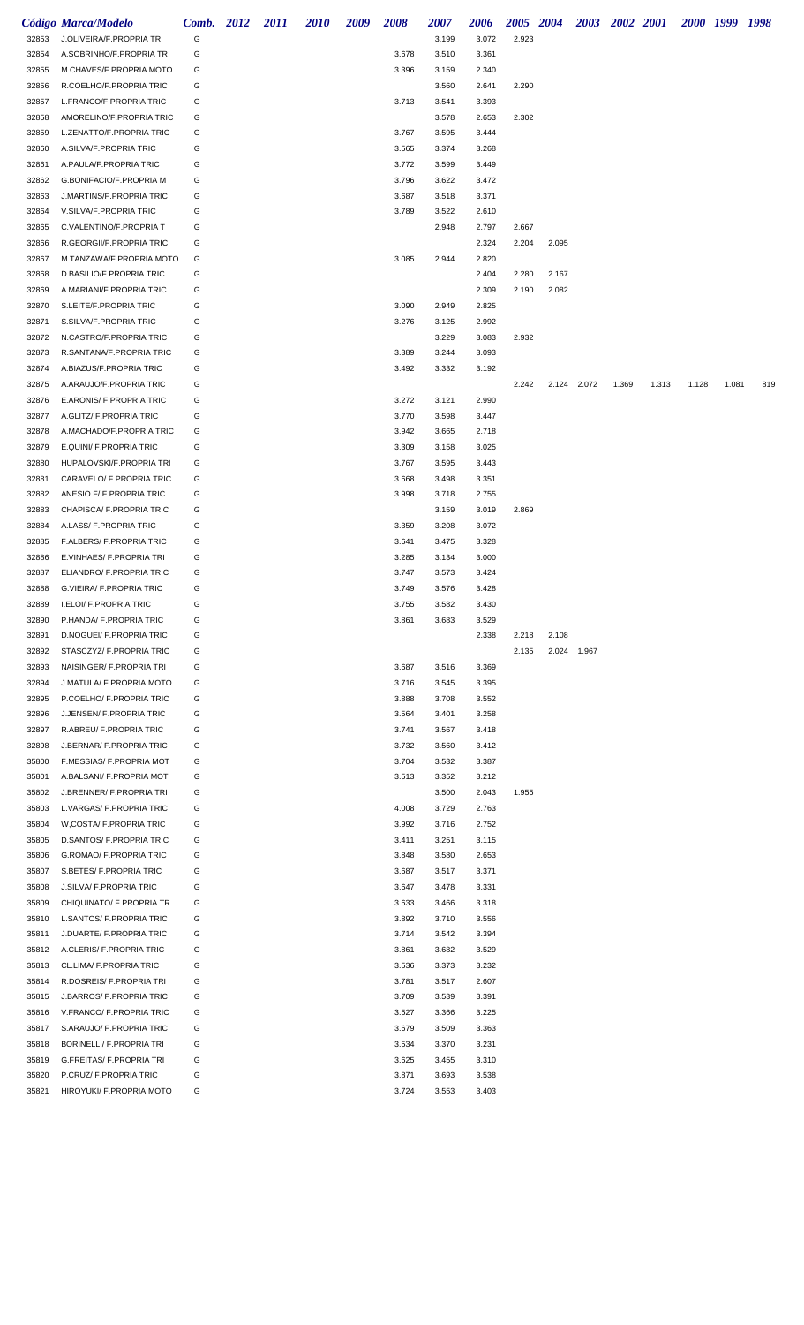|                | Código Marca/Modelo                                  | Comb. 2012 | <i>2011</i> | <b>2010</b> | 2009 | 2008           | 2007           | 2006           | 2005 2004 |       |             | 2003 2002 2001 |       |       | 2000 1999 1998 |     |
|----------------|------------------------------------------------------|------------|-------------|-------------|------|----------------|----------------|----------------|-----------|-------|-------------|----------------|-------|-------|----------------|-----|
| 32853          | J.OLIVEIRA/F.PROPRIA TR                              | G          |             |             |      |                | 3.199          | 3.072          | 2.923     |       |             |                |       |       |                |     |
| 32854          | A.SOBRINHO/F.PROPRIA TR                              | G          |             |             |      | 3.678          | 3.510          | 3.361          |           |       |             |                |       |       |                |     |
| 32855          | M.CHAVES/F.PROPRIA MOTO                              | G          |             |             |      | 3.396          | 3.159          | 2.340          |           |       |             |                |       |       |                |     |
| 32856          | R.COELHO/F.PROPRIA TRIC                              | G          |             |             |      |                | 3.560          | 2.641          | 2.290     |       |             |                |       |       |                |     |
| 32857          | L.FRANCO/F.PROPRIA TRIC                              | G          |             |             |      | 3.713          | 3.541          | 3.393          |           |       |             |                |       |       |                |     |
| 32858          | AMORELINO/F.PROPRIA TRIC                             | G          |             |             |      |                | 3.578          | 2.653          | 2.302     |       |             |                |       |       |                |     |
| 32859          | L.ZENATTO/F.PROPRIA TRIC                             | G          |             |             |      | 3.767          | 3.595          | 3.444          |           |       |             |                |       |       |                |     |
| 32860          | A.SILVA/F.PROPRIA TRIC                               | G          |             |             |      | 3.565          | 3.374          | 3.268          |           |       |             |                |       |       |                |     |
| 32861          | A.PAULA/F.PROPRIA TRIC                               | G          |             |             |      | 3.772          | 3.599          | 3.449          |           |       |             |                |       |       |                |     |
| 32862          | G.BONIFACIO/F.PROPRIA M                              | G          |             |             |      | 3.796          | 3.622          | 3.472          |           |       |             |                |       |       |                |     |
| 32863          | J.MARTINS/F.PROPRIA TRIC                             | G          |             |             |      | 3.687          | 3.518          | 3.371          |           |       |             |                |       |       |                |     |
| 32864          | V.SILVA/F.PROPRIA TRIC                               | G          |             |             |      | 3.789          | 3.522          | 2.610          |           |       |             |                |       |       |                |     |
| 32865          | C.VALENTINO/F.PROPRIA T                              | G          |             |             |      |                | 2.948          | 2.797          | 2.667     |       |             |                |       |       |                |     |
| 32866          | R.GEORGII/F.PROPRIA TRIC                             | G          |             |             |      |                |                | 2.324          | 2.204     | 2.095 |             |                |       |       |                |     |
| 32867          | M.TANZAWA/F.PROPRIA MOTO                             | G          |             |             |      | 3.085          | 2.944          | 2.820          |           |       |             |                |       |       |                |     |
| 32868          | D.BASILIO/F.PROPRIA TRIC                             | G          |             |             |      |                |                | 2.404          | 2.280     | 2.167 |             |                |       |       |                |     |
| 32869          | A.MARIANI/F.PROPRIA TRIC                             | G          |             |             |      |                |                | 2.309          | 2.190     | 2.082 |             |                |       |       |                |     |
| 32870          | S.LEITE/F.PROPRIA TRIC                               | G          |             |             |      | 3.090          | 2.949          | 2.825          |           |       |             |                |       |       |                |     |
| 32871          | S.SILVA/F.PROPRIA TRIC                               | G          |             |             |      | 3.276          | 3.125          | 2.992          |           |       |             |                |       |       |                |     |
| 32872          | N.CASTRO/F.PROPRIA TRIC                              | G          |             |             |      |                | 3.229          | 3.083          | 2.932     |       |             |                |       |       |                |     |
| 32873          | R.SANTANA/F.PROPRIA TRIC                             | G          |             |             |      | 3.389          | 3.244          | 3.093          |           |       |             |                |       |       |                |     |
| 32874          | A.BIAZUS/F.PROPRIA TRIC                              | G          |             |             |      | 3.492          | 3.332          | 3.192          |           |       |             |                |       |       |                |     |
| 32875          | A.ARAUJO/F.PROPRIA TRIC                              | G          |             |             |      |                |                |                | 2.242     |       | 2.124 2.072 | 1.369          | 1.313 | 1.128 | 1.081          | 819 |
| 32876          | E.ARONIS/ F.PROPRIA TRIC                             | G          |             |             |      | 3.272          | 3.121          | 2.990          |           |       |             |                |       |       |                |     |
| 32877          | A.GLITZ/ F.PROPRIA TRIC                              | G          |             |             |      | 3.770          | 3.598          | 3.447          |           |       |             |                |       |       |                |     |
| 32878          | A.MACHADO/F.PROPRIA TRIC                             | G          |             |             |      | 3.942          | 3.665          | 2.718          |           |       |             |                |       |       |                |     |
| 32879          | E.QUINI/ F.PROPRIA TRIC                              | G          |             |             |      | 3.309          | 3.158          | 3.025          |           |       |             |                |       |       |                |     |
| 32880          | HUPALOVSKI/F.PROPRIA TRI                             | G          |             |             |      | 3.767          | 3.595          | 3.443          |           |       |             |                |       |       |                |     |
| 32881          | CARAVELO/ F.PROPRIA TRIC                             | G          |             |             |      | 3.668          | 3.498          | 3.351          |           |       |             |                |       |       |                |     |
| 32882          | ANESIO.F/ F.PROPRIA TRIC                             | G          |             |             |      | 3.998          | 3.718          | 2.755          |           |       |             |                |       |       |                |     |
| 32883          | CHAPISCA/ F.PROPRIA TRIC                             | G          |             |             |      |                | 3.159          | 3.019          | 2.869     |       |             |                |       |       |                |     |
| 32884          | A.LASS/ F.PROPRIA TRIC                               | G          |             |             |      | 3.359          | 3.208          | 3.072          |           |       |             |                |       |       |                |     |
| 32885          | F.ALBERS/ F.PROPRIA TRIC                             | G          |             |             |      | 3.641          | 3.475          | 3.328          |           |       |             |                |       |       |                |     |
| 32886          | E.VINHAES/ F.PROPRIA TRI                             | G          |             |             |      | 3.285          | 3.134          | 3.000          |           |       |             |                |       |       |                |     |
| 32887          | ELIANDRO/ F.PROPRIA TRIC                             | G          |             |             |      | 3.747          | 3.573          | 3.424          |           |       |             |                |       |       |                |     |
| 32888          | G.VIEIRA/ F.PROPRIA TRIC                             | G          |             |             |      | 3.749          | 3.576          | 3.428          |           |       |             |                |       |       |                |     |
| 32889          | I.ELOI/ F.PROPRIA TRIC                               | G          |             |             |      | 3.755          | 3.582          | 3.430          |           |       |             |                |       |       |                |     |
| 32890          | P.HANDA/ F.PROPRIA TRIC                              | G          |             |             |      | 3.861          | 3.683          | 3.529          |           |       |             |                |       |       |                |     |
| 32891          | D.NOGUEI/ F.PROPRIA TRIC                             | G          |             |             |      |                |                | 2.338          | 2.218     | 2.108 |             |                |       |       |                |     |
| 32892          | STASCZYZ/ F.PROPRIA TRIC                             | G          |             |             |      |                |                |                | 2.135     |       | 2.024 1.967 |                |       |       |                |     |
| 32893          | NAISINGER/ F.PROPRIA TRI                             | G          |             |             |      | 3.687          | 3.516          | 3.369          |           |       |             |                |       |       |                |     |
| 32894          | J.MATULA/ F.PROPRIA MOTO                             | G          |             |             |      | 3.716          | 3.545          | 3.395          |           |       |             |                |       |       |                |     |
| 32895          | P.COELHO/ F.PROPRIA TRIC                             | G          |             |             |      | 3.888          | 3.708          | 3.552          |           |       |             |                |       |       |                |     |
| 32896          | J.JENSEN/ F.PROPRIA TRIC                             | G          |             |             |      | 3.564          | 3.401          | 3.258          |           |       |             |                |       |       |                |     |
| 32897          | R.ABREU/ F.PROPRIA TRIC                              | G          |             |             |      | 3.741          | 3.567          | 3.418          |           |       |             |                |       |       |                |     |
| 32898          | J.BERNAR/ F.PROPRIA TRIC                             | G          |             |             |      | 3.732          | 3.560          | 3.412          |           |       |             |                |       |       |                |     |
| 35800          | F.MESSIAS/ F.PROPRIA MOT<br>A.BALSANI/ F.PROPRIA MOT | G<br>G     |             |             |      | 3.704<br>3.513 | 3.532          | 3.387<br>3.212 |           |       |             |                |       |       |                |     |
| 35801<br>35802 | J.BRENNER/ F.PROPRIA TRI                             | G          |             |             |      |                | 3.352<br>3.500 | 2.043          | 1.955     |       |             |                |       |       |                |     |
| 35803          | L.VARGAS/ F.PROPRIA TRIC                             | G          |             |             |      | 4.008          | 3.729          | 2.763          |           |       |             |                |       |       |                |     |
| 35804          | W,COSTA/ F.PROPRIA TRIC                              | G          |             |             |      | 3.992          | 3.716          | 2.752          |           |       |             |                |       |       |                |     |
| 35805          | D.SANTOS/ F.PROPRIA TRIC                             | G          |             |             |      | 3.411          | 3.251          | 3.115          |           |       |             |                |       |       |                |     |
| 35806          | G.ROMAO/ F.PROPRIA TRIC                              | G          |             |             |      | 3.848          | 3.580          | 2.653          |           |       |             |                |       |       |                |     |
| 35807          | S.BETES/ F.PROPRIA TRIC                              | G          |             |             |      | 3.687          | 3.517          | 3.371          |           |       |             |                |       |       |                |     |
| 35808          | J.SILVA/ F.PROPRIA TRIC                              | G          |             |             |      | 3.647          | 3.478          | 3.331          |           |       |             |                |       |       |                |     |
| 35809          | CHIQUINATO/ F.PROPRIA TR                             | G          |             |             |      | 3.633          | 3.466          | 3.318          |           |       |             |                |       |       |                |     |
| 35810          | L.SANTOS/ F.PROPRIA TRIC                             | G          |             |             |      | 3.892          | 3.710          | 3.556          |           |       |             |                |       |       |                |     |
| 35811          | J.DUARTE/ F.PROPRIA TRIC                             | G          |             |             |      | 3.714          | 3.542          | 3.394          |           |       |             |                |       |       |                |     |
| 35812          | A.CLERIS/ F.PROPRIA TRIC                             | G          |             |             |      | 3.861          | 3.682          | 3.529          |           |       |             |                |       |       |                |     |
| 35813          | CL.LIMA/ F.PROPRIA TRIC                              | G          |             |             |      | 3.536          | 3.373          | 3.232          |           |       |             |                |       |       |                |     |
| 35814          | R.DOSREIS/ F.PROPRIA TRI                             | G          |             |             |      | 3.781          | 3.517          | 2.607          |           |       |             |                |       |       |                |     |
| 35815          | <b>J.BARROS/ F.PROPRIA TRIC</b>                      | G          |             |             |      | 3.709          | 3.539          | 3.391          |           |       |             |                |       |       |                |     |
| 35816          | V.FRANCO/ F.PROPRIA TRIC                             | G          |             |             |      | 3.527          | 3.366          | 3.225          |           |       |             |                |       |       |                |     |
| 35817          | S.ARAUJO/ F.PROPRIA TRIC                             | G          |             |             |      | 3.679          | 3.509          | 3.363          |           |       |             |                |       |       |                |     |
| 35818          | BORINELLI/ F.PROPRIA TRI                             | G          |             |             |      | 3.534          | 3.370          | 3.231          |           |       |             |                |       |       |                |     |
| 35819          | <b>G.FREITAS/ F.PROPRIA TRI</b>                      | G          |             |             |      | 3.625          | 3.455          | 3.310          |           |       |             |                |       |       |                |     |
| 35820          | P.CRUZ/ F.PROPRIA TRIC                               | G          |             |             |      | 3.871          | 3.693          | 3.538          |           |       |             |                |       |       |                |     |
| 35821          | HIROYUKI/ F.PROPRIA MOTO                             | G          |             |             |      | 3.724          | 3.553          | 3.403          |           |       |             |                |       |       |                |     |
|                |                                                      |            |             |             |      |                |                |                |           |       |             |                |       |       |                |     |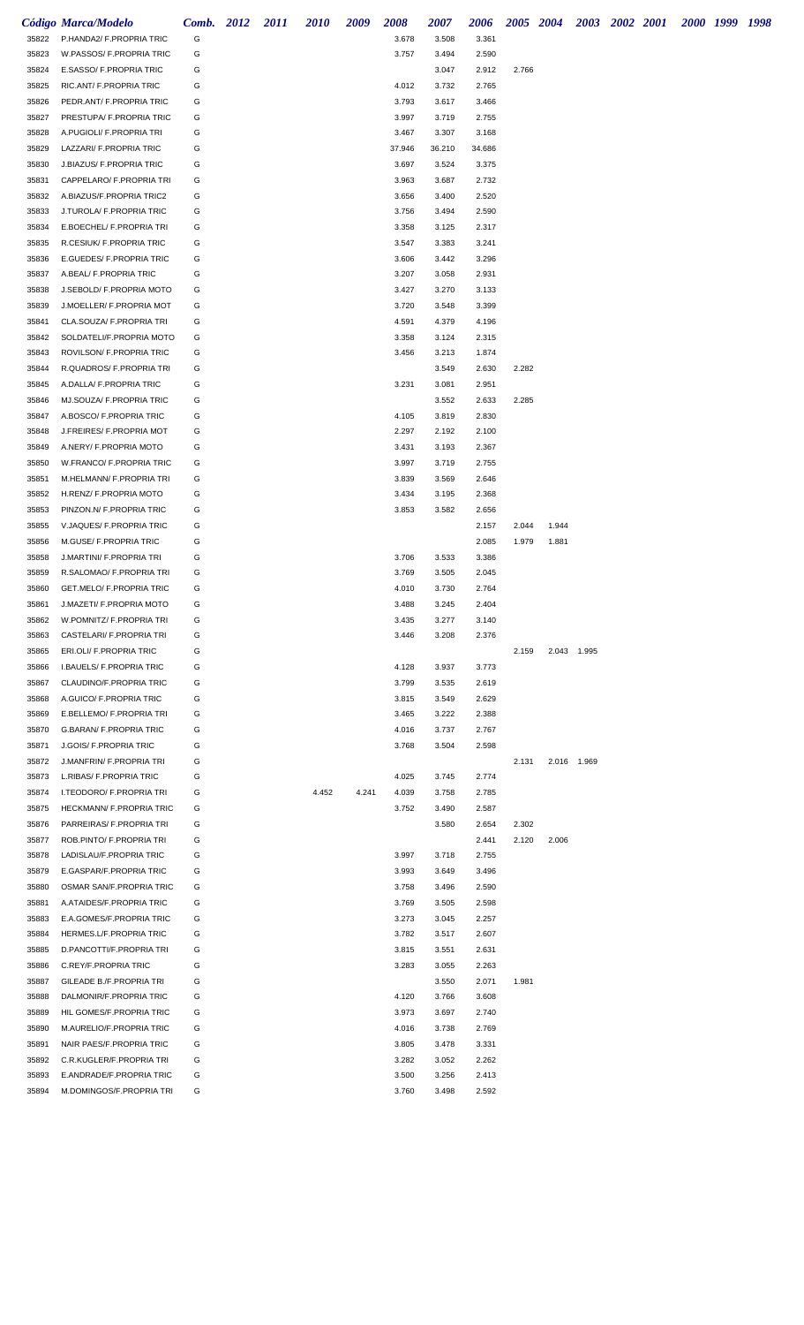|                | <b>Código Marca/Modelo</b>                          | Comb. 2012 | 2011 | <b>2010</b> | 2009  | 2008           | 2007           | 2006           | 2005 2004 |       |             | 2003 2002 2001 |  | 2000 1999 1998 |  |
|----------------|-----------------------------------------------------|------------|------|-------------|-------|----------------|----------------|----------------|-----------|-------|-------------|----------------|--|----------------|--|
| 35822          | P.HANDA2/ F.PROPRIA TRIC                            | G          |      |             |       | 3.678          | 3.508          | 3.361          |           |       |             |                |  |                |  |
| 35823          | W.PASSOS/ F.PROPRIA TRIC                            | G          |      |             |       | 3.757          | 3.494          | 2.590          |           |       |             |                |  |                |  |
| 35824          | E.SASSO/ F.PROPRIA TRIC                             | G          |      |             |       |                | 3.047          | 2.912          | 2.766     |       |             |                |  |                |  |
| 35825          | RIC.ANT/ F.PROPRIA TRIC                             | G          |      |             |       | 4.012          | 3.732          | 2.765          |           |       |             |                |  |                |  |
| 35826          | PEDR.ANT/ F.PROPRIA TRIC                            | G          |      |             |       | 3.793          | 3.617          | 3.466          |           |       |             |                |  |                |  |
| 35827          | PRESTUPA/ F.PROPRIA TRIC                            | G          |      |             |       | 3.997          | 3.719          | 2.755          |           |       |             |                |  |                |  |
| 35828          | A.PUGIOLI/ F.PROPRIA TRI                            | G          |      |             |       | 3.467          | 3.307          | 3.168          |           |       |             |                |  |                |  |
| 35829          | LAZZARI/ F.PROPRIA TRIC                             | G          |      |             |       | 37.946         | 36.210         | 34.686         |           |       |             |                |  |                |  |
| 35830          | J.BIAZUS/ F.PROPRIA TRIC                            | G          |      |             |       | 3.697          | 3.524          | 3.375          |           |       |             |                |  |                |  |
| 35831          | CAPPELARO/ F.PROPRIA TRI                            | G          |      |             |       | 3.963          | 3.687          | 2.732          |           |       |             |                |  |                |  |
| 35832          | A.BIAZUS/F.PROPRIA TRIC2                            | G          |      |             |       | 3.656          | 3.400          | 2.520          |           |       |             |                |  |                |  |
| 35833          | J.TUROLA/ F.PROPRIA TRIC                            | G          |      |             |       | 3.756          | 3.494          | 2.590          |           |       |             |                |  |                |  |
| 35834          | E.BOECHEL/ F.PROPRIA TRI                            | G          |      |             |       | 3.358          | 3.125          | 2.317          |           |       |             |                |  |                |  |
| 35835          | R.CESIUK/ F.PROPRIA TRIC                            | G          |      |             |       | 3.547          | 3.383          | 3.241          |           |       |             |                |  |                |  |
| 35836          | E.GUEDES/ F.PROPRIA TRIC                            | G          |      |             |       | 3.606          | 3.442          | 3.296          |           |       |             |                |  |                |  |
| 35837          | A.BEAL/ F.PROPRIA TRIC                              | G          |      |             |       | 3.207          | 3.058          | 2.931          |           |       |             |                |  |                |  |
| 35838          | J.SEBOLD/ F.PROPRIA MOTO                            | G          |      |             |       | 3.427          | 3.270          | 3.133          |           |       |             |                |  |                |  |
| 35839          | J.MOELLER/ F.PROPRIA MOT                            | G          |      |             |       | 3.720          | 3.548          | 3.399          |           |       |             |                |  |                |  |
| 35841          | CLA.SOUZA/ F.PROPRIA TRI                            | G          |      |             |       | 4.591          | 4.379          | 4.196          |           |       |             |                |  |                |  |
| 35842          | SOLDATELI/F.PROPRIA MOTO                            | G          |      |             |       | 3.358          | 3.124          | 2.315          |           |       |             |                |  |                |  |
| 35843          | ROVILSON/ F.PROPRIA TRIC                            | G          |      |             |       | 3.456          | 3.213          | 1.874          |           |       |             |                |  |                |  |
| 35844          | R.QUADROS/ F.PROPRIA TRI                            | G          |      |             |       |                | 3.549          | 2.630          | 2.282     |       |             |                |  |                |  |
| 35845          | A.DALLA/ F.PROPRIA TRIC                             | G          |      |             |       | 3.231          | 3.081          | 2.951          |           |       |             |                |  |                |  |
| 35846          | MJ.SOUZA/ F.PROPRIA TRIC                            | G          |      |             |       |                | 3.552          | 2.633          | 2.285     |       |             |                |  |                |  |
| 35847          | A.BOSCO/ F.PROPRIA TRIC                             | G          |      |             |       | 4.105          | 3.819          | 2.830          |           |       |             |                |  |                |  |
| 35848          | J.FREIRES/ F.PROPRIA MOT                            | G          |      |             |       | 2.297          | 2.192          | 2.100          |           |       |             |                |  |                |  |
| 35849          | A.NERY/ F.PROPRIA MOTO                              | G          |      |             |       | 3.431          | 3.193          | 2.367          |           |       |             |                |  |                |  |
| 35850          | W.FRANCO/ F.PROPRIA TRIC                            | G          |      |             |       | 3.997          | 3.719          | 2.755          |           |       |             |                |  |                |  |
| 35851          | M.HELMANN/ F.PROPRIA TRI                            | G          |      |             |       | 3.839          | 3.569          | 2.646          |           |       |             |                |  |                |  |
| 35852          | H.RENZ/ F.PROPRIA MOTO                              | G          |      |             |       | 3.434          | 3.195          | 2.368          |           |       |             |                |  |                |  |
| 35853          | PINZON.N/ F.PROPRIA TRIC                            | G          |      |             |       | 3.853          | 3.582          | 2.656          |           |       |             |                |  |                |  |
| 35855          | V.JAQUES/ F.PROPRIA TRIC                            | G          |      |             |       |                |                | 2.157          | 2.044     | 1.944 |             |                |  |                |  |
| 35856          | M.GUSE/ F.PROPRIA TRIC                              | G          |      |             |       |                |                | 2.085          | 1.979     | 1.881 |             |                |  |                |  |
| 35858          | J.MARTINI/ F.PROPRIA TRI                            | G          |      |             |       | 3.706          | 3.533          | 3.386          |           |       |             |                |  |                |  |
| 35859          | R.SALOMAO/ F.PROPRIA TRI                            | G          |      |             |       | 3.769          | 3.505          | 2.045          |           |       |             |                |  |                |  |
| 35860          | GET.MELO/ F.PROPRIA TRIC                            | G          |      |             |       | 4.010          | 3.730          | 2.764          |           |       |             |                |  |                |  |
| 35861          | J.MAZETI/ F.PROPRIA MOTO                            | G          |      |             |       | 3.488          | 3.245          | 2.404          |           |       |             |                |  |                |  |
| 35862          | W.POMNITZ/ F.PROPRIA TRI                            | G          |      |             |       | 3.435          | 3.277          | 3.140          |           |       |             |                |  |                |  |
| 35863          | CASTELARI/ F.PROPRIA TRI                            | G          |      |             |       | 3.446          | 3.208          | 2.376          |           |       |             |                |  |                |  |
| 35865          | ERI.OLI/ F.PROPRIA TRIC                             | G          |      |             |       |                |                |                | 2.159     |       | 2.043 1.995 |                |  |                |  |
| 35866          | I.BAUELS/ F.PROPRIA TRIC<br>CLAUDINO/F.PROPRIA TRIC | G<br>G     |      |             |       | 4.128<br>3.799 | 3.937          | 3.773          |           |       |             |                |  |                |  |
| 35867          | A.GUICO/ F.PROPRIA TRIC                             | G          |      |             |       | 3.815          | 3.535<br>3.549 | 2.619<br>2.629 |           |       |             |                |  |                |  |
| 35868          | E.BELLEMO/ F.PROPRIA TRI                            | G          |      |             |       | 3.465          | 3.222          | 2.388          |           |       |             |                |  |                |  |
| 35869<br>35870 | G.BARAN/ F.PROPRIA TRIC                             | G          |      |             |       | 4.016          | 3.737          | 2.767          |           |       |             |                |  |                |  |
| 35871          | <b>J.GOIS/ F.PROPRIA TRIC</b>                       | G          |      |             |       | 3.768          | 3.504          | 2.598          |           |       |             |                |  |                |  |
| 35872          | J.MANFRIN/ F.PROPRIA TRI                            | G          |      |             |       |                |                |                | 2.131     |       | 2.016 1.969 |                |  |                |  |
| 35873          | L.RIBAS/ F.PROPRIA TRIC                             | G          |      |             |       | 4.025          | 3.745          | 2.774          |           |       |             |                |  |                |  |
| 35874          | I.TEODORO/ F.PROPRIA TRI                            | G          |      | 4.452       | 4.241 | 4.039          | 3.758          | 2.785          |           |       |             |                |  |                |  |
| 35875          | HECKMANN/ F.PROPRIA TRIC                            | G          |      |             |       | 3.752          | 3.490          | 2.587          |           |       |             |                |  |                |  |
| 35876          | PARREIRAS/ F.PROPRIA TRI                            | G          |      |             |       |                | 3.580          | 2.654          | 2.302     |       |             |                |  |                |  |
| 35877          | ROB.PINTO/ F.PROPRIA TRI                            | G          |      |             |       |                |                | 2.441          | 2.120     | 2.006 |             |                |  |                |  |
| 35878          | LADISLAU/F.PROPRIA TRIC                             | G          |      |             |       | 3.997          | 3.718          | 2.755          |           |       |             |                |  |                |  |
| 35879          | E.GASPAR/F.PROPRIA TRIC                             | G          |      |             |       | 3.993          | 3.649          | 3.496          |           |       |             |                |  |                |  |
| 35880          | OSMAR SAN/F.PROPRIA TRIC                            | G          |      |             |       | 3.758          | 3.496          | 2.590          |           |       |             |                |  |                |  |
| 35881          | A.ATAIDES/F.PROPRIA TRIC                            | G          |      |             |       | 3.769          | 3.505          | 2.598          |           |       |             |                |  |                |  |
| 35883          | E.A.GOMES/F.PROPRIA TRIC                            | G          |      |             |       | 3.273          | 3.045          | 2.257          |           |       |             |                |  |                |  |
| 35884          | HERMES.L/F.PROPRIA TRIC                             | G          |      |             |       | 3.782          | 3.517          | 2.607          |           |       |             |                |  |                |  |
| 35885          | D.PANCOTTI/F.PROPRIA TRI                            | G          |      |             |       | 3.815          | 3.551          | 2.631          |           |       |             |                |  |                |  |
| 35886          | C.REY/F.PROPRIA TRIC                                | G          |      |             |       | 3.283          | 3.055          | 2.263          |           |       |             |                |  |                |  |
| 35887          | GILEADE B./F.PROPRIA TRI                            | G          |      |             |       |                | 3.550          | 2.071          | 1.981     |       |             |                |  |                |  |
| 35888          | DALMONIR/F.PROPRIA TRIC                             | G          |      |             |       | 4.120          | 3.766          | 3.608          |           |       |             |                |  |                |  |
| 35889          | HIL GOMES/F.PROPRIA TRIC                            | G          |      |             |       | 3.973          | 3.697          | 2.740          |           |       |             |                |  |                |  |
| 35890          | M.AURELIO/F.PROPRIA TRIC                            | G          |      |             |       | 4.016          | 3.738          | 2.769          |           |       |             |                |  |                |  |
| 35891          | NAIR PAES/F.PROPRIA TRIC                            | G          |      |             |       | 3.805          | 3.478          | 3.331          |           |       |             |                |  |                |  |
| 35892          | C.R.KUGLER/F.PROPRIA TRI                            | G          |      |             |       | 3.282          | 3.052          | 2.262          |           |       |             |                |  |                |  |
| 35893          | E.ANDRADE/F.PROPRIA TRIC                            | G          |      |             |       | 3.500          | 3.256          | 2.413          |           |       |             |                |  |                |  |
| 35894          | M.DOMINGOS/F.PROPRIA TRI                            | G          |      |             |       | 3.760          | 3.498          | 2.592          |           |       |             |                |  |                |  |
|                |                                                     |            |      |             |       |                |                |                |           |       |             |                |  |                |  |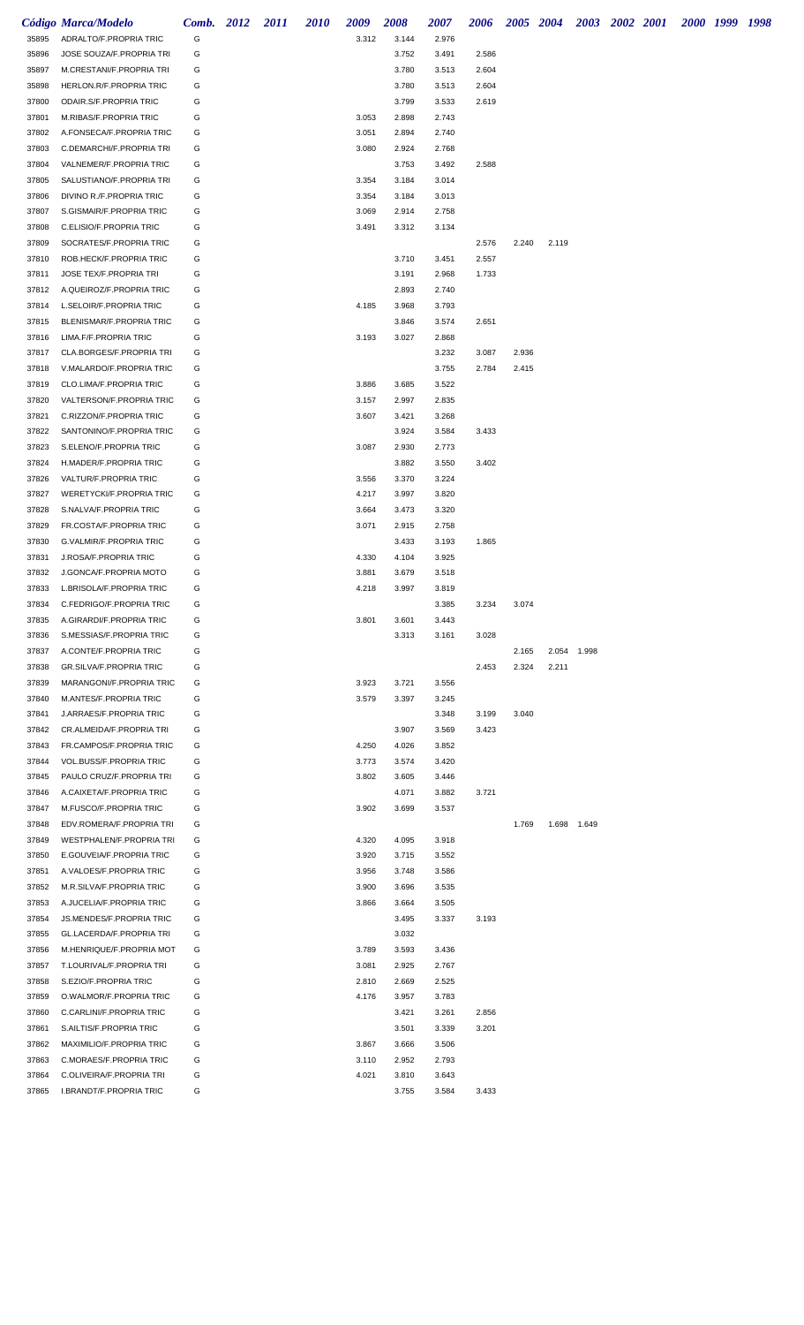|                | Código Marca/Modelo                                | <b>Comb.</b> 2012 | 2011 | <b>2010</b> | 2009  | <b>2008</b>    | 2007           | 2006  |       | 2005 2004 |             | 2003 2002 2001 | 2000 1999 1998 |  |
|----------------|----------------------------------------------------|-------------------|------|-------------|-------|----------------|----------------|-------|-------|-----------|-------------|----------------|----------------|--|
| 35895          | ADRALTO/F.PROPRIA TRIC                             | G                 |      |             | 3.312 | 3.144          | 2.976          |       |       |           |             |                |                |  |
| 35896          | JOSE SOUZA/F.PROPRIA TRI                           | G                 |      |             |       | 3.752          | 3.491          | 2.586 |       |           |             |                |                |  |
| 35897          | M.CRESTANI/F.PROPRIA TRI                           | G                 |      |             |       | 3.780          | 3.513          | 2.604 |       |           |             |                |                |  |
| 35898          | HERLON.R/F.PROPRIA TRIC                            | G                 |      |             |       | 3.780          | 3.513          | 2.604 |       |           |             |                |                |  |
| 37800          | ODAIR.S/F.PROPRIA TRIC                             | G                 |      |             |       | 3.799          | 3.533          | 2.619 |       |           |             |                |                |  |
| 37801          | M.RIBAS/F.PROPRIA TRIC                             | G                 |      |             | 3.053 | 2.898          | 2.743          |       |       |           |             |                |                |  |
| 37802          | A.FONSECA/F.PROPRIA TRIC                           | G                 |      |             | 3.051 | 2.894          | 2.740          |       |       |           |             |                |                |  |
| 37803          | C.DEMARCHI/F.PROPRIA TRI                           | G                 |      |             | 3.080 | 2.924          | 2.768          |       |       |           |             |                |                |  |
| 37804          | VALNEMER/F.PROPRIA TRIC                            | G                 |      |             |       | 3.753          | 3.492          | 2.588 |       |           |             |                |                |  |
| 37805          | SALUSTIANO/F.PROPRIA TRI                           | G                 |      |             | 3.354 | 3.184          | 3.014          |       |       |           |             |                |                |  |
| 37806          | DIVINO R./F.PROPRIA TRIC                           | G                 |      |             | 3.354 | 3.184          | 3.013          |       |       |           |             |                |                |  |
| 37807          | S.GISMAIR/F.PROPRIA TRIC                           | G                 |      |             | 3.069 | 2.914          | 2.758          |       |       |           |             |                |                |  |
| 37808          | C.ELISIO/F.PROPRIA TRIC                            | G                 |      |             | 3.491 | 3.312          | 3.134          |       |       |           |             |                |                |  |
| 37809          | SOCRATES/F.PROPRIA TRIC                            | G                 |      |             |       |                |                | 2.576 | 2.240 | 2.119     |             |                |                |  |
| 37810          | ROB.HECK/F.PROPRIA TRIC                            | G                 |      |             |       | 3.710          | 3.451          | 2.557 |       |           |             |                |                |  |
| 37811<br>37812 | JOSE TEX/F.PROPRIA TRI<br>A.QUEIROZ/F.PROPRIA TRIC | G<br>G            |      |             |       | 3.191<br>2.893 | 2.968<br>2.740 | 1.733 |       |           |             |                |                |  |
| 37814          | L.SELOIR/F.PROPRIA TRIC                            | G                 |      |             | 4.185 | 3.968          | 3.793          |       |       |           |             |                |                |  |
| 37815          | BLENISMAR/F.PROPRIA TRIC                           | G                 |      |             |       | 3.846          | 3.574          | 2.651 |       |           |             |                |                |  |
| 37816          | LIMA.F/F.PROPRIA TRIC                              | G                 |      |             | 3.193 | 3.027          | 2.868          |       |       |           |             |                |                |  |
| 37817          | CLA.BORGES/F.PROPRIA TRI                           | G                 |      |             |       |                | 3.232          | 3.087 | 2.936 |           |             |                |                |  |
| 37818          | V.MALARDO/F.PROPRIA TRIC                           | G                 |      |             |       |                | 3.755          | 2.784 | 2.415 |           |             |                |                |  |
| 37819          | CLO.LIMA/F.PROPRIA TRIC                            | G                 |      |             | 3.886 | 3.685          | 3.522          |       |       |           |             |                |                |  |
| 37820          | VALTERSON/F.PROPRIA TRIC                           | G                 |      |             | 3.157 | 2.997          | 2.835          |       |       |           |             |                |                |  |
| 37821          | C.RIZZON/F.PROPRIA TRIC                            | G                 |      |             | 3.607 | 3.421          | 3.268          |       |       |           |             |                |                |  |
| 37822          | SANTONINO/F.PROPRIA TRIC                           | G                 |      |             |       | 3.924          | 3.584          | 3.433 |       |           |             |                |                |  |
| 37823          | S.ELENO/F.PROPRIA TRIC                             | G                 |      |             | 3.087 | 2.930          | 2.773          |       |       |           |             |                |                |  |
| 37824          | H.MADER/F.PROPRIA TRIC                             | G                 |      |             |       | 3.882          | 3.550          | 3.402 |       |           |             |                |                |  |
| 37826          | VALTUR/F.PROPRIA TRIC                              | G                 |      |             | 3.556 | 3.370          | 3.224          |       |       |           |             |                |                |  |
| 37827          | WERETYCKI/F.PROPRIA TRIC                           | G                 |      |             | 4.217 | 3.997          | 3.820          |       |       |           |             |                |                |  |
| 37828          | S.NALVA/F.PROPRIA TRIC                             | G                 |      |             | 3.664 | 3.473          | 3.320          |       |       |           |             |                |                |  |
| 37829          | FR.COSTA/F.PROPRIA TRIC                            | G                 |      |             | 3.071 | 2.915          | 2.758          |       |       |           |             |                |                |  |
| 37830          | G.VALMIR/F.PROPRIA TRIC                            | G                 |      |             |       | 3.433          | 3.193          | 1.865 |       |           |             |                |                |  |
| 37831          | J.ROSA/F.PROPRIA TRIC                              | G                 |      |             | 4.330 | 4.104          | 3.925          |       |       |           |             |                |                |  |
| 37832          | J.GONCA/F.PROPRIA MOTO                             | G                 |      |             | 3.881 | 3.679          | 3.518          |       |       |           |             |                |                |  |
| 37833          | L.BRISOLA/F.PROPRIA TRIC                           | G                 |      |             | 4.218 | 3.997          | 3.819          |       |       |           |             |                |                |  |
| 37834          | C.FEDRIGO/F.PROPRIA TRIC                           | G                 |      |             |       |                | 3.385          | 3.234 | 3.074 |           |             |                |                |  |
| 37835          | A.GIRARDI/F.PROPRIA TRIC                           | G                 |      |             | 3.801 | 3.601          | 3.443          |       |       |           |             |                |                |  |
| 37836          | S.MESSIAS/F.PROPRIA TRIC                           | G                 |      |             |       | 3.313          | 3.161          | 3.028 |       |           |             |                |                |  |
| 37837          | A.CONTE/F.PROPRIA TRIC                             | G                 |      |             |       |                |                |       | 2.165 |           | 2.054 1.998 |                |                |  |
| 37838          | <b>GR.SILVA/F.PROPRIA TRIC</b>                     | G                 |      |             |       |                |                | 2.453 | 2.324 | 2.211     |             |                |                |  |
| 37839          | MARANGONI/F.PROPRIA TRIC                           | G                 |      |             | 3.923 | 3.721          | 3.556          |       |       |           |             |                |                |  |
| 37840          | M.ANTES/F.PROPRIA TRIC                             | G                 |      |             | 3.579 | 3.397          | 3.245          |       |       |           |             |                |                |  |
| 37841          | J.ARRAES/F.PROPRIA TRIC                            | G                 |      |             |       |                | 3.348          | 3.199 | 3.040 |           |             |                |                |  |
| 37842          | CR.ALMEIDA/F.PROPRIA TRI                           | G                 |      |             |       | 3.907          | 3.569          | 3.423 |       |           |             |                |                |  |
| 37843          | FR.CAMPOS/F.PROPRIA TRIC                           | G                 |      |             | 4.250 | 4.026          | 3.852          |       |       |           |             |                |                |  |
| 37844          | VOL.BUSS/F.PROPRIA TRIC                            | G                 |      |             | 3.773 | 3.574          | 3.420          |       |       |           |             |                |                |  |
| 37845          | PAULO CRUZ/F.PROPRIA TRI                           | G                 |      |             | 3.802 | 3.605          | 3.446          |       |       |           |             |                |                |  |
| 37846          | A.CAIXETA/F.PROPRIA TRIC                           | G                 |      |             |       | 4.071          | 3.882          | 3.721 |       |           |             |                |                |  |
| 37847          | M.FUSCO/F.PROPRIA TRIC                             | G                 |      |             | 3.902 | 3.699          | 3.537          |       |       |           |             |                |                |  |
| 37848          | EDV.ROMERA/F.PROPRIA TRI                           | G                 |      |             |       |                |                |       | 1.769 |           | 1.698 1.649 |                |                |  |
| 37849          | WESTPHALEN/F.PROPRIA TRI                           | G                 |      |             | 4.320 | 4.095          | 3.918          |       |       |           |             |                |                |  |
| 37850          | E.GOUVEIA/F.PROPRIA TRIC                           | G                 |      |             | 3.920 | 3.715          | 3.552          |       |       |           |             |                |                |  |
| 37851          | A.VALOES/F.PROPRIA TRIC                            | G                 |      |             | 3.956 | 3.748          | 3.586          |       |       |           |             |                |                |  |
| 37852          | M.R.SILVA/F.PROPRIA TRIC                           | G                 |      |             | 3.900 | 3.696          | 3.535          |       |       |           |             |                |                |  |
| 37853          | A.JUCELIA/F.PROPRIA TRIC                           | G                 |      |             | 3.866 | 3.664          | 3.505          |       |       |           |             |                |                |  |
| 37854          | JS.MENDES/F.PROPRIA TRIC                           | G                 |      |             |       | 3.495          | 3.337          | 3.193 |       |           |             |                |                |  |
| 37855          | GL.LACERDA/F.PROPRIA TRI                           | G                 |      |             |       | 3.032          |                |       |       |           |             |                |                |  |
| 37856          | M.HENRIQUE/F.PROPRIA MOT                           | G                 |      |             | 3.789 | 3.593          | 3.436          |       |       |           |             |                |                |  |
| 37857          | T.LOURIVAL/F.PROPRIA TRI                           | G                 |      |             | 3.081 | 2.925          | 2.767          |       |       |           |             |                |                |  |
| 37858          | S.EZIO/F.PROPRIA TRIC                              | G                 |      |             | 2.810 | 2.669          | 2.525          |       |       |           |             |                |                |  |
| 37859          | O.WALMOR/F.PROPRIA TRIC                            | G                 |      |             | 4.176 | 3.957          | 3.783          |       |       |           |             |                |                |  |
| 37860          | C.CARLINI/F.PROPRIA TRIC                           | G                 |      |             |       | 3.421          | 3.261          | 2.856 |       |           |             |                |                |  |
| 37861          | S.AILTIS/F.PROPRIA TRIC                            | G                 |      |             |       | 3.501          | 3.339          | 3.201 |       |           |             |                |                |  |
| 37862          | MAXIMILIO/F.PROPRIA TRIC                           | G                 |      |             | 3.867 | 3.666          | 3.506          |       |       |           |             |                |                |  |
| 37863          | C.MORAES/F.PROPRIA TRIC                            | G                 |      |             | 3.110 | 2.952          | 2.793          |       |       |           |             |                |                |  |
| 37864          | C.OLIVEIRA/F.PROPRIA TRI                           | G                 |      |             | 4.021 | 3.810          | 3.643          |       |       |           |             |                |                |  |
| 37865          | I.BRANDT/F.PROPRIA TRIC                            | G                 |      |             |       | 3.755          | 3.584          | 3.433 |       |           |             |                |                |  |
|                |                                                    |                   |      |             |       |                |                |       |       |           |             |                |                |  |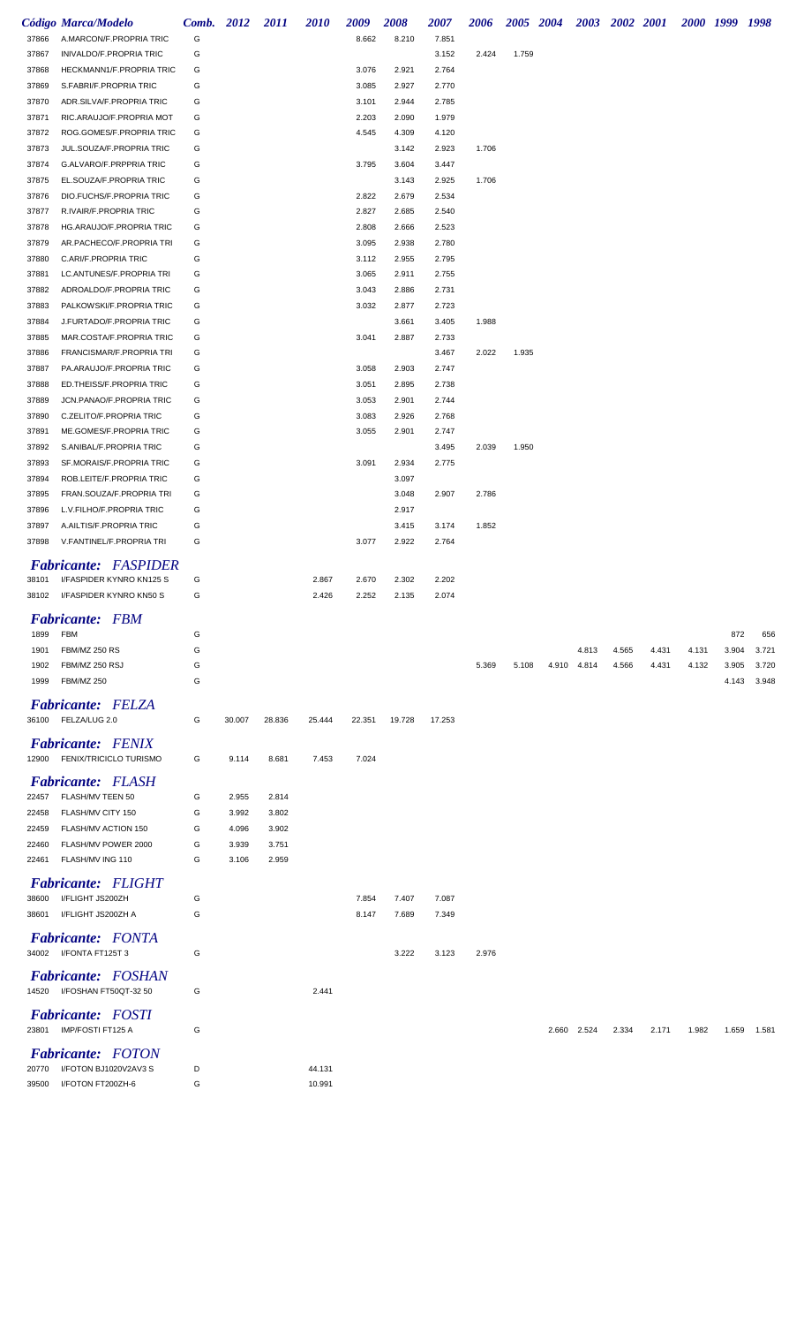|       | Código Marca/Modelo                          | Comb. 2012 |        | 2011   | 2010   | 2009   | 2008   | 2007   | 2006  |       | 2005 2004 | 2003        | 2002 2001 |       |       | 2000 1999 1998 |       |
|-------|----------------------------------------------|------------|--------|--------|--------|--------|--------|--------|-------|-------|-----------|-------------|-----------|-------|-------|----------------|-------|
| 37866 | A.MARCON/F.PROPRIA TRIC                      | G          |        |        |        | 8.662  | 8.210  | 7.851  |       |       |           |             |           |       |       |                |       |
| 37867 | INIVALDO/F.PROPRIA TRIC                      | G          |        |        |        |        |        | 3.152  | 2.424 | 1.759 |           |             |           |       |       |                |       |
| 37868 | HECKMANN1/F.PROPRIA TRIC                     | G          |        |        |        | 3.076  | 2.921  | 2.764  |       |       |           |             |           |       |       |                |       |
| 37869 | S.FABRI/F.PROPRIA TRIC                       | G          |        |        |        | 3.085  | 2.927  | 2.770  |       |       |           |             |           |       |       |                |       |
| 37870 | ADR.SILVA/F.PROPRIA TRIC                     | G          |        |        |        | 3.101  | 2.944  | 2.785  |       |       |           |             |           |       |       |                |       |
| 37871 | RIC.ARAUJO/F.PROPRIA MOT                     | G          |        |        |        | 2.203  | 2.090  | 1.979  |       |       |           |             |           |       |       |                |       |
| 37872 | ROG.GOMES/F.PROPRIA TRIC                     | G          |        |        |        | 4.545  | 4.309  | 4.120  |       |       |           |             |           |       |       |                |       |
| 37873 | JUL.SOUZA/F.PROPRIA TRIC                     | G          |        |        |        |        | 3.142  | 2.923  | 1.706 |       |           |             |           |       |       |                |       |
| 37874 | G.ALVARO/F.PRPPRIA TRIC                      | G          |        |        |        | 3.795  | 3.604  | 3.447  |       |       |           |             |           |       |       |                |       |
| 37875 | EL.SOUZA/F.PROPRIA TRIC                      | G          |        |        |        |        | 3.143  | 2.925  | 1.706 |       |           |             |           |       |       |                |       |
| 37876 | DIO.FUCHS/F.PROPRIA TRIC                     | G          |        |        |        | 2.822  | 2.679  | 2.534  |       |       |           |             |           |       |       |                |       |
| 37877 | R.IVAIR/F.PROPRIA TRIC                       | G          |        |        |        | 2.827  | 2.685  | 2.540  |       |       |           |             |           |       |       |                |       |
| 37878 | HG.ARAUJO/F.PROPRIA TRIC                     | G          |        |        |        | 2.808  | 2.666  | 2.523  |       |       |           |             |           |       |       |                |       |
| 37879 | AR.PACHECO/F.PROPRIA TRI                     | G          |        |        |        | 3.095  | 2.938  | 2.780  |       |       |           |             |           |       |       |                |       |
| 37880 | C.ARI/F.PROPRIA TRIC                         | G          |        |        |        | 3.112  | 2.955  | 2.795  |       |       |           |             |           |       |       |                |       |
| 37881 | LC.ANTUNES/F.PROPRIA TRI                     | G          |        |        |        | 3.065  | 2.911  | 2.755  |       |       |           |             |           |       |       |                |       |
| 37882 | ADROALDO/F.PROPRIA TRIC                      | G          |        |        |        | 3.043  | 2.886  | 2.731  |       |       |           |             |           |       |       |                |       |
| 37883 | PALKOWSKI/F.PROPRIA TRIC                     | G          |        |        |        | 3.032  | 2.877  | 2.723  |       |       |           |             |           |       |       |                |       |
| 37884 | J.FURTADO/F.PROPRIA TRIC                     | G          |        |        |        |        | 3.661  | 3.405  | 1.988 |       |           |             |           |       |       |                |       |
| 37885 | MAR.COSTA/F.PROPRIA TRIC                     | G          |        |        |        | 3.041  | 2.887  | 2.733  |       |       |           |             |           |       |       |                |       |
| 37886 | FRANCISMAR/F.PROPRIA TRI                     | G          |        |        |        |        |        | 3.467  | 2.022 | 1.935 |           |             |           |       |       |                |       |
| 37887 | PA.ARAUJO/F.PROPRIA TRIC                     | G          |        |        |        | 3.058  | 2.903  | 2.747  |       |       |           |             |           |       |       |                |       |
| 37888 | ED.THEISS/F.PROPRIA TRIC                     | G          |        |        |        | 3.051  | 2.895  | 2.738  |       |       |           |             |           |       |       |                |       |
| 37889 | JCN.PANAO/F.PROPRIA TRIC                     | G          |        |        |        | 3.053  | 2.901  | 2.744  |       |       |           |             |           |       |       |                |       |
| 37890 | C.ZELITO/F.PROPRIA TRIC                      | G          |        |        |        | 3.083  | 2.926  | 2.768  |       |       |           |             |           |       |       |                |       |
| 37891 | ME.GOMES/F.PROPRIA TRIC                      | G          |        |        |        | 3.055  | 2.901  | 2.747  |       |       |           |             |           |       |       |                |       |
| 37892 | S.ANIBAL/F.PROPRIA TRIC                      | G          |        |        |        |        |        | 3.495  | 2.039 | 1.950 |           |             |           |       |       |                |       |
| 37893 | SF.MORAIS/F.PROPRIA TRIC                     | G          |        |        |        | 3.091  | 2.934  | 2.775  |       |       |           |             |           |       |       |                |       |
| 37894 | ROB.LEITE/F.PROPRIA TRIC                     | G          |        |        |        |        | 3.097  |        |       |       |           |             |           |       |       |                |       |
| 37895 | FRAN.SOUZA/F.PROPRIA TRI                     | G          |        |        |        |        | 3.048  | 2.907  | 2.786 |       |           |             |           |       |       |                |       |
| 37896 | L.V.FILHO/F.PROPRIA TRIC                     | G          |        |        |        |        | 2.917  |        |       |       |           |             |           |       |       |                |       |
| 37897 | A.AILTIS/F.PROPRIA TRIC                      | G          |        |        |        |        | 3.415  | 3.174  | 1.852 |       |           |             |           |       |       |                |       |
| 37898 | V.FANTINEL/F.PROPRIA TRI                     | G          |        |        |        | 3.077  | 2.922  | 2.764  |       |       |           |             |           |       |       |                |       |
|       |                                              |            |        |        |        |        |        |        |       |       |           |             |           |       |       |                |       |
|       | <b>Fabricante: FASPIDER</b>                  |            |        |        |        |        |        |        |       |       |           |             |           |       |       |                |       |
| 38101 | I/FASPIDER KYNRO KN125 S                     | G          |        |        | 2.867  | 2.670  | 2.302  | 2.202  |       |       |           |             |           |       |       |                |       |
| 38102 | I/FASPIDER KYNRO KN50 S                      | G          |        |        | 2.426  | 2.252  | 2.135  | 2.074  |       |       |           |             |           |       |       |                |       |
|       | <b>Fabricante: FBM</b>                       |            |        |        |        |        |        |        |       |       |           |             |           |       |       |                |       |
| 1899  | <b>FBM</b>                                   | G          |        |        |        |        |        |        |       |       |           |             |           |       |       | 872            | 656   |
| 1901  | FBM/MZ 250 RS                                | G          |        |        |        |        |        |        |       |       |           | 4.813       | 4.565     | 4.431 | 4.131 | 3.904          | 3.721 |
| 1902  | FBM/MZ 250 RSJ                               | G          |        |        |        |        |        |        | 5.369 | 5.108 |           | 4.910 4.814 | 4.566     | 4.431 | 4.132 | 3.905          | 3.720 |
| 1999  | FBM/MZ 250                                   | G          |        |        |        |        |        |        |       |       |           |             |           |       |       | 4.143          | 3.948 |
|       |                                              |            |        |        |        |        |        |        |       |       |           |             |           |       |       |                |       |
|       | <b>Fabricante: FELZA</b>                     |            |        |        |        |        |        |        |       |       |           |             |           |       |       |                |       |
|       | 36100 FELZA/LUG 2.0                          | G          | 30.007 | 28.836 | 25.444 | 22.351 | 19.728 | 17.253 |       |       |           |             |           |       |       |                |       |
|       | <b>Fabricante:</b> FENIX                     |            |        |        |        |        |        |        |       |       |           |             |           |       |       |                |       |
|       | 12900 FENIX/TRICICLO TURISMO                 | G          | 9.114  | 8.681  | 7.453  | 7.024  |        |        |       |       |           |             |           |       |       |                |       |
|       |                                              |            |        |        |        |        |        |        |       |       |           |             |           |       |       |                |       |
| 22457 | <b>Fabricante:</b> FLASH<br>FLASH/MV TEEN 50 | G          | 2.955  | 2.814  |        |        |        |        |       |       |           |             |           |       |       |                |       |
| 22458 | FLASH/MV CITY 150                            | G          | 3.992  | 3.802  |        |        |        |        |       |       |           |             |           |       |       |                |       |
|       |                                              | G          |        |        |        |        |        |        |       |       |           |             |           |       |       |                |       |
| 22459 | FLASH/MV ACTION 150                          |            | 4.096  | 3.902  |        |        |        |        |       |       |           |             |           |       |       |                |       |
| 22460 | FLASH/MV POWER 2000                          | G          | 3.939  | 3.751  |        |        |        |        |       |       |           |             |           |       |       |                |       |
| 22461 | FLASH/MV ING 110                             | G          | 3.106  | 2.959  |        |        |        |        |       |       |           |             |           |       |       |                |       |
|       | <b>Fabricante: FLIGHT</b>                    |            |        |        |        |        |        |        |       |       |           |             |           |       |       |                |       |
| 38600 | I/FLIGHT JS200ZH                             | G          |        |        |        | 7.854  | 7.407  | 7.087  |       |       |           |             |           |       |       |                |       |
| 38601 | I/FLIGHT JS200ZH A                           | G          |        |        |        | 8.147  | 7.689  | 7.349  |       |       |           |             |           |       |       |                |       |
|       |                                              |            |        |        |        |        |        |        |       |       |           |             |           |       |       |                |       |
|       | <b>Fabricante:</b> FONTA                     |            |        |        |        |        |        |        |       |       |           |             |           |       |       |                |       |
|       | 34002 I/FONTA FT125T 3                       | G          |        |        |        |        | 3.222  | 3.123  | 2.976 |       |           |             |           |       |       |                |       |
|       | <b>Fabricante:</b> FOSHAN                    |            |        |        |        |        |        |        |       |       |           |             |           |       |       |                |       |
|       | 14520 I/FOSHAN FT50QT-32 50                  | G          |        |        | 2.441  |        |        |        |       |       |           |             |           |       |       |                |       |
|       |                                              |            |        |        |        |        |        |        |       |       |           |             |           |       |       |                |       |
|       | <b>Fabricante:</b> FOSTI                     |            |        |        |        |        |        |        |       |       |           |             |           |       |       |                |       |
|       | 23801 IMP/FOSTI FT125 A                      | G          |        |        |        |        |        |        |       |       |           | 2.660 2.524 | 2.334     | 2.171 | 1.982 | 1.659          | 1.581 |
|       | <b>Fabricante:</b> FOTON                     |            |        |        |        |        |        |        |       |       |           |             |           |       |       |                |       |
| 20770 | I/FOTON BJ1020V2AV3 S                        | D          |        |        | 44.131 |        |        |        |       |       |           |             |           |       |       |                |       |
|       | 39500 I/FOTON FT200ZH-6                      | G          |        |        | 10.991 |        |        |        |       |       |           |             |           |       |       |                |       |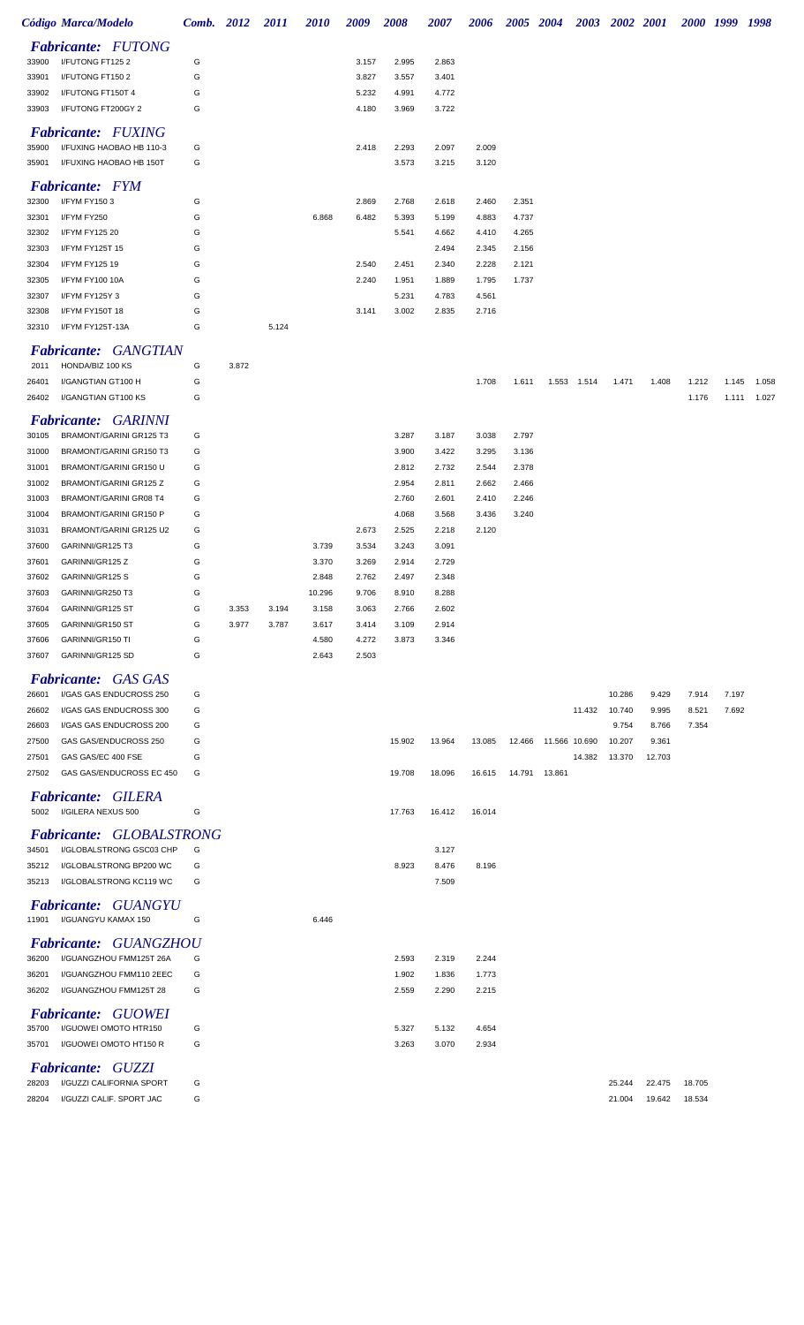|                | Código Marca/Modelo                                         | Comb. 2012 |       | 2011  | 2010   | 2009  | 2008           | 2007           | 2006           | 2005 2004      |                      |             | 2003 2002 2001  |                |                | 2000 1999 | 1998        |
|----------------|-------------------------------------------------------------|------------|-------|-------|--------|-------|----------------|----------------|----------------|----------------|----------------------|-------------|-----------------|----------------|----------------|-----------|-------------|
|                | <b>Fabricante: FUTONG</b>                                   |            |       |       |        |       |                |                |                |                |                      |             |                 |                |                |           |             |
| 33900          | I/FUTONG FT1252                                             | G          |       |       |        | 3.157 | 2.995          | 2.863          |                |                |                      |             |                 |                |                |           |             |
| 33901          | I/FUTONG FT150 2                                            | G          |       |       |        | 3.827 | 3.557          | 3.401          |                |                |                      |             |                 |                |                |           |             |
| 33902          | I/FUTONG FT150T 4                                           | G          |       |       |        | 5.232 | 4.991          | 4.772          |                |                |                      |             |                 |                |                |           |             |
| 33903          | I/FUTONG FT200GY 2                                          | G          |       |       |        | 4.180 | 3.969          | 3.722          |                |                |                      |             |                 |                |                |           |             |
|                | Fabricante: FUXING                                          |            |       |       |        |       |                |                |                |                |                      |             |                 |                |                |           |             |
| 35900          | I/FUXING HAOBAO HB 110-3                                    | G          |       |       |        | 2.418 | 2.293          | 2.097          | 2.009          |                |                      |             |                 |                |                |           |             |
| 35901          | I/FUXING HAOBAO HB 150T                                     | G          |       |       |        |       | 3.573          | 3.215          | 3.120          |                |                      |             |                 |                |                |           |             |
|                | <b>Fabricante:</b> FYM                                      |            |       |       |        |       |                |                |                |                |                      |             |                 |                |                |           |             |
| 32300          | I/FYM FY1503                                                | G          |       |       |        | 2.869 | 2.768          | 2.618          | 2.460          | 2.351          |                      |             |                 |                |                |           |             |
| 32301          | I/FYM FY250                                                 | G          |       |       | 6.868  | 6.482 | 5.393          | 5.199          | 4.883          | 4.737          |                      |             |                 |                |                |           |             |
| 32302          | I/FYM FY125 20                                              | G          |       |       |        |       | 5.541          | 4.662          | 4.410          | 4.265          |                      |             |                 |                |                |           |             |
| 32303<br>32304 | I/FYM FY125T 15<br>I/FYM FY125 19                           | G<br>G     |       |       |        | 2.540 | 2.451          | 2.494<br>2.340 | 2.345<br>2.228 | 2.156<br>2.121 |                      |             |                 |                |                |           |             |
| 32305          | I/FYM FY100 10A                                             | G          |       |       |        | 2.240 | 1.951          | 1.889          | 1.795          | 1.737          |                      |             |                 |                |                |           |             |
| 32307          | I/FYM FY125Y3                                               | G          |       |       |        |       | 5.231          | 4.783          | 4.561          |                |                      |             |                 |                |                |           |             |
| 32308          | I/FYM FY150T 18                                             | G          |       |       |        | 3.141 | 3.002          | 2.835          | 2.716          |                |                      |             |                 |                |                |           |             |
| 32310          | I/FYM FY125T-13A                                            | G          |       | 5.124 |        |       |                |                |                |                |                      |             |                 |                |                |           |             |
|                | Fabricante: GANGTIAN                                        |            |       |       |        |       |                |                |                |                |                      |             |                 |                |                |           |             |
| 2011           | HONDA/BIZ 100 KS                                            | G          | 3.872 |       |        |       |                |                |                |                |                      |             |                 |                |                |           |             |
| 26401          | I/GANGTIAN GT100 H                                          | G          |       |       |        |       |                |                | 1.708          | 1.611          |                      | 1.553 1.514 | 1.471           | 1.408          | 1.212          | 1.145     | 1.058       |
| 26402          | I/GANGTIAN GT100 KS                                         | G          |       |       |        |       |                |                |                |                |                      |             |                 |                | 1.176          |           | 1.111 1.027 |
|                | <b>Fabricante: GARINNI</b>                                  |            |       |       |        |       |                |                |                |                |                      |             |                 |                |                |           |             |
| 30105          | BRAMONT/GARINI GR125 T3                                     | G          |       |       |        |       | 3.287          | 3.187          | 3.038          | 2.797          |                      |             |                 |                |                |           |             |
| 31000          | BRAMONT/GARINI GR150 T3                                     | G          |       |       |        |       | 3.900          | 3.422          | 3.295          | 3.136          |                      |             |                 |                |                |           |             |
| 31001          | BRAMONT/GARINI GR150 U                                      | G          |       |       |        |       | 2.812          | 2.732          | 2.544          | 2.378          |                      |             |                 |                |                |           |             |
| 31002          | BRAMONT/GARINI GR125 Z                                      | G          |       |       |        |       | 2.954          | 2.811          | 2.662          | 2.466          |                      |             |                 |                |                |           |             |
| 31003          | BRAMONT/GARINI GR08 T4                                      | G          |       |       |        |       | 2.760          | 2.601          | 2.410          | 2.246          |                      |             |                 |                |                |           |             |
| 31004<br>31031 | BRAMONT/GARINI GR150 P<br>BRAMONT/GARINI GR125 U2           | G<br>G     |       |       |        | 2.673 | 4.068<br>2.525 | 3.568<br>2.218 | 3.436<br>2.120 | 3.240          |                      |             |                 |                |                |           |             |
| 37600          | GARINNI/GR125 T3                                            | G          |       |       | 3.739  | 3.534 | 3.243          | 3.091          |                |                |                      |             |                 |                |                |           |             |
| 37601          | GARINNI/GR125 Z                                             | G          |       |       | 3.370  | 3.269 | 2.914          | 2.729          |                |                |                      |             |                 |                |                |           |             |
| 37602          | GARINNI/GR125 S                                             | G          |       |       | 2.848  | 2.762 | 2.497          | 2.348          |                |                |                      |             |                 |                |                |           |             |
| 37603          | GARINNI/GR250 T3                                            | G          |       |       | 10.296 | 9.706 | 8.910          | 8.288          |                |                |                      |             |                 |                |                |           |             |
| 37604          | GARINNI/GR125 ST                                            | G          | 3.353 | 3.194 | 3.158  | 3.063 | 2.766          | 2.602          |                |                |                      |             |                 |                |                |           |             |
| 37605          | GARINNI/GR150 ST                                            | G          | 3.977 | 3.787 | 3.617  | 3.414 | 3.109          | 2.914          |                |                |                      |             |                 |                |                |           |             |
| 37606          | GARINNI/GR150 TI                                            | G          |       |       | 4.580  | 4.272 | 3.873          | 3.346          |                |                |                      |             |                 |                |                |           |             |
| 37607          | GARINNI/GR125 SD                                            | G          |       |       | 2.643  | 2.503 |                |                |                |                |                      |             |                 |                |                |           |             |
|                | <b>Fabricante: GAS GAS</b>                                  |            |       |       |        |       |                |                |                |                |                      |             |                 |                |                |           |             |
| 26601          | I/GAS GAS ENDUCROSS 250                                     | G          |       |       |        |       |                |                |                |                |                      |             | 10.286          | 9.429          | 7.914          | 7.197     |             |
| 26602<br>26603 | I/GAS GAS ENDUCROSS 300<br>I/GAS GAS ENDUCROSS 200          | G<br>G     |       |       |        |       |                |                |                |                |                      | 11.432      | 10.740<br>9.754 | 9.995<br>8.766 | 8.521<br>7.354 | 7.692     |             |
| 27500          | GAS GAS/ENDUCROSS 250                                       | G          |       |       |        |       | 15.902         | 13.964         | 13.085         |                | 12.466 11.566 10.690 |             | 10.207          | 9.361          |                |           |             |
| 27501          | GAS GAS/EC 400 FSE                                          | G          |       |       |        |       |                |                |                |                |                      | 14.382      | 13.370          | 12.703         |                |           |             |
| 27502          | GAS GAS/ENDUCROSS EC 450                                    | G          |       |       |        |       | 19.708         | 18.096         | 16.615         | 14.791         | 13.861               |             |                 |                |                |           |             |
|                | <b>Fabricante: GILERA</b>                                   |            |       |       |        |       |                |                |                |                |                      |             |                 |                |                |           |             |
|                | 5002 I/GILERA NEXUS 500                                     | G          |       |       |        |       | 17.763         | 16.412         | 16.014         |                |                      |             |                 |                |                |           |             |
|                |                                                             |            |       |       |        |       |                |                |                |                |                      |             |                 |                |                |           |             |
| 34501          | <b>Fabricante: GLOBALSTRONG</b><br>I/GLOBALSTRONG GSC03 CHP | G          |       |       |        |       |                | 3.127          |                |                |                      |             |                 |                |                |           |             |
| 35212          | I/GLOBALSTRONG BP200 WC                                     | G          |       |       |        |       | 8.923          | 8.476          | 8.196          |                |                      |             |                 |                |                |           |             |
| 35213          | I/GLOBALSTRONG KC119 WC                                     | G          |       |       |        |       |                | 7.509          |                |                |                      |             |                 |                |                |           |             |
|                | <b>Fabricante: GUANGYU</b>                                  |            |       |       |        |       |                |                |                |                |                      |             |                 |                |                |           |             |
|                | 11901 I/GUANGYU KAMAX 150                                   | G          |       |       | 6.446  |       |                |                |                |                |                      |             |                 |                |                |           |             |
|                |                                                             |            |       |       |        |       |                |                |                |                |                      |             |                 |                |                |           |             |
| 36200          | <b>Fabricante: GUANGZHOU</b><br>I/GUANGZHOU FMM125T 26A     | G          |       |       |        |       | 2.593          | 2.319          | 2.244          |                |                      |             |                 |                |                |           |             |
| 36201          | I/GUANGZHOU FMM110 2EEC                                     | G          |       |       |        |       | 1.902          | 1.836          | 1.773          |                |                      |             |                 |                |                |           |             |
| 36202          | I/GUANGZHOU FMM125T 28                                      | G          |       |       |        |       | 2.559          | 2.290          | 2.215          |                |                      |             |                 |                |                |           |             |
|                |                                                             |            |       |       |        |       |                |                |                |                |                      |             |                 |                |                |           |             |
| 35700          | <b>Fabricante: GUOWEI</b><br>I/GUOWEI OMOTO HTR150          | G          |       |       |        |       | 5.327          | 5.132          | 4.654          |                |                      |             |                 |                |                |           |             |
| 35701          | I/GUOWEI OMOTO HT150 R                                      | G          |       |       |        |       | 3.263          | 3.070          | 2.934          |                |                      |             |                 |                |                |           |             |
|                |                                                             |            |       |       |        |       |                |                |                |                |                      |             |                 |                |                |           |             |
| 28203          | <b>Fabricante: GUZZI</b><br>I/GUZZI CALIFORNIA SPORT        | G          |       |       |        |       |                |                |                |                |                      |             | 25.244          | 22.475         | 18.705         |           |             |
| 28204          | I/GUZZI CALIF. SPORT JAC                                    | G          |       |       |        |       |                |                |                |                |                      |             | 21.004          | 19.642         | 18.534         |           |             |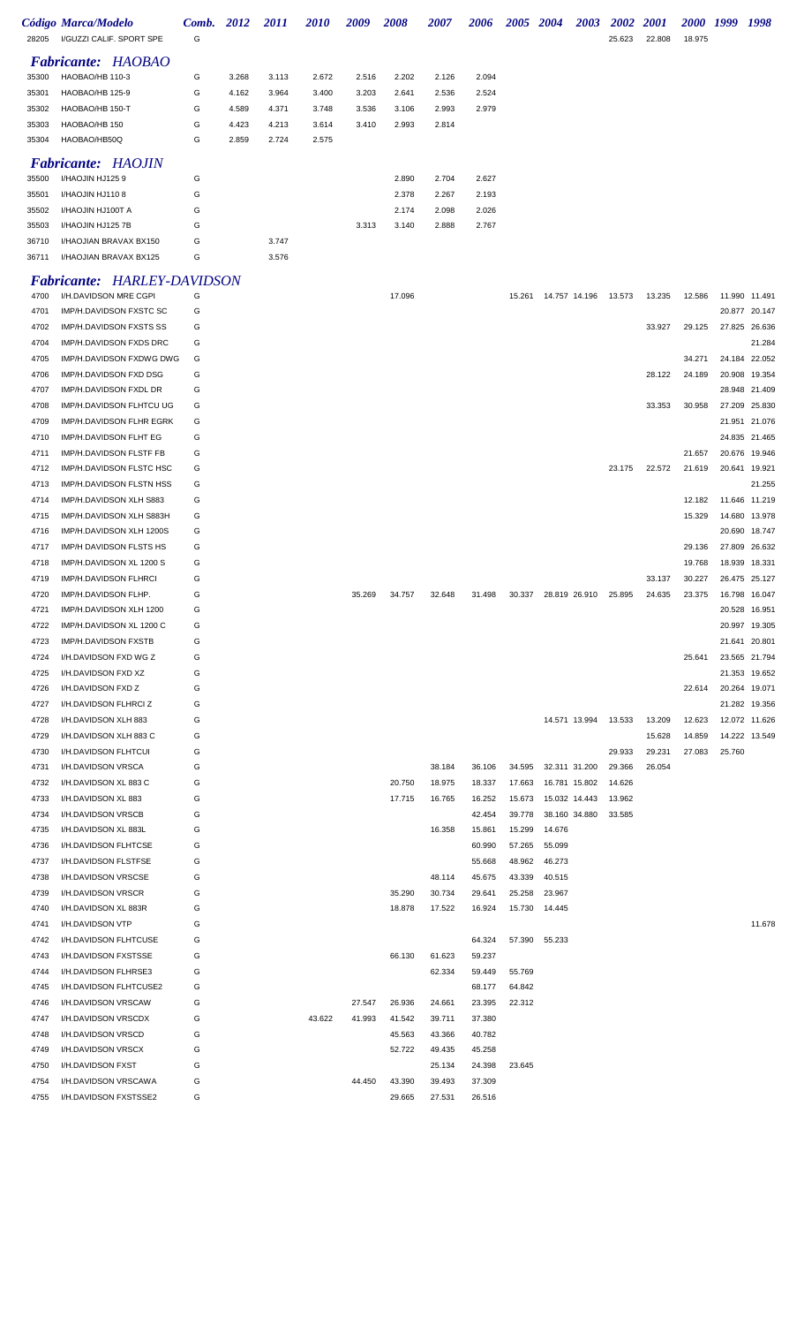| 28205 | Código Marca/Modelo<br>I/GUZZI CALIF, SPORT SPE | Comb.<br>G | 2012  | <i>2011</i> | <b>2010</b> | 2009  | 2008  | 2007  | 2006  | 2005 | 2004 | 2003 | <b>2002</b><br>25.623 | <b>2001</b><br>22.808 | <i>2000</i><br>18.975 | 1999 | 1998 |
|-------|-------------------------------------------------|------------|-------|-------------|-------------|-------|-------|-------|-------|------|------|------|-----------------------|-----------------------|-----------------------|------|------|
|       | <b>Fabricante: HAOBAO</b>                       |            |       |             |             |       |       |       |       |      |      |      |                       |                       |                       |      |      |
| 35300 | HAOBAO/HB 110-3                                 | G          | 3.268 | 3.113       | 2.672       | 2.516 | 2.202 | 2.126 | 2.094 |      |      |      |                       |                       |                       |      |      |
| 35301 | HAOBAO/HB 125-9                                 | G          | 4.162 | 3.964       | 3.400       | 3.203 | 2.641 | 2.536 | 2.524 |      |      |      |                       |                       |                       |      |      |
| 35302 | HAOBAO/HB 150-T                                 | G          | 4.589 | 4.371       | 3.748       | 3.536 | 3.106 | 2.993 | 2.979 |      |      |      |                       |                       |                       |      |      |
| 35303 | HAOBAO/HB 150                                   | G          | 4.423 | 4.213       | 3.614       | 3.410 | 2.993 | 2.814 |       |      |      |      |                       |                       |                       |      |      |
| 35304 | HAOBAO/HB50Q                                    | G          | 2.859 | 2.724       | 2.575       |       |       |       |       |      |      |      |                       |                       |                       |      |      |
|       | <b>Fabricante: HAOJIN</b>                       |            |       |             |             |       |       |       |       |      |      |      |                       |                       |                       |      |      |
| 35500 | I/HAOJIN HJ1259                                 | G          |       |             |             |       | 2.890 | 2.704 | 2.627 |      |      |      |                       |                       |                       |      |      |
| 35501 | I/HAOJIN HJ1108                                 | G          |       |             |             |       | 2.378 | 2.267 | 2.193 |      |      |      |                       |                       |                       |      |      |
| 35502 | I/HAOJIN HJ100T A                               | G          |       |             |             |       | 2.174 | 2.098 | 2.026 |      |      |      |                       |                       |                       |      |      |
| 35503 | I/HAOJIN HJ125 7B                               | G          |       |             |             | 3.313 | 3.140 | 2.888 | 2.767 |      |      |      |                       |                       |                       |      |      |
| 36710 | I/HAOJIAN BRAVAX BX150                          | G          |       | 3.747       |             |       |       |       |       |      |      |      |                       |                       |                       |      |      |
| 36711 | <b>I/HAOJIAN BRAVAX BX125</b>                   | G          |       | 3.576       |             |       |       |       |       |      |      |      |                       |                       |                       |      |      |

## *Fabricante: HARLEY-DAVIDSON*

| 4700 | I/H.DAVIDSON MRE CGPI                     | G      |        |        | 17.096 |        |        | 15.261 | 14.757 14.196 | 13.573 | 13.235 | 12.586 | 11.990 11.491 |        |
|------|-------------------------------------------|--------|--------|--------|--------|--------|--------|--------|---------------|--------|--------|--------|---------------|--------|
| 4701 | IMP/H.DAVIDSON FXSTC SC                   | G      |        |        |        |        |        |        |               |        |        |        | 20.877 20.147 |        |
| 4702 | IMP/H.DAVIDSON FXSTS SS                   | G      |        |        |        |        |        |        |               |        | 33.927 | 29.125 | 27.825 26.636 |        |
| 4704 | IMP/H.DAVIDSON FXDS DRC                   | G      |        |        |        |        |        |        |               |        |        |        |               | 21.284 |
| 4705 | IMP/H.DAVIDSON FXDWG DWG                  | G      |        |        |        |        |        |        |               |        |        | 34.271 | 24.184 22.052 |        |
| 4706 | IMP/H.DAVIDSON FXD DSG                    | G      |        |        |        |        |        |        |               |        | 28.122 | 24.189 | 20.908 19.354 |        |
| 4707 | IMP/H.DAVIDSON FXDL DR                    | G      |        |        |        |        |        |        |               |        |        |        | 28.948 21.409 |        |
| 4708 | IMP/H.DAVIDSON FLHTCU UG                  | G      |        |        |        |        |        |        |               |        | 33.353 | 30.958 | 27.209 25.830 |        |
| 4709 | IMP/H.DAVIDSON FLHR EGRK                  | G      |        |        |        |        |        |        |               |        |        |        | 21.951 21.076 |        |
| 4710 | IMP/H.DAVIDSON FLHT EG                    | G      |        |        |        |        |        |        |               |        |        |        | 24.835 21.465 |        |
| 4711 | IMP/H.DAVIDSON FLSTF FB                   | G      |        |        |        |        |        |        |               |        |        | 21.657 | 20.676 19.946 |        |
| 4712 | IMP/H.DAVIDSON FLSTC HSC                  | G      |        |        |        |        |        |        |               | 23.175 | 22.572 | 21.619 | 20.641 19.921 |        |
| 4713 | IMP/H.DAVIDSON FLSTN HSS                  | G      |        |        |        |        |        |        |               |        |        |        |               | 21.255 |
| 4714 | IMP/H.DAVIDSON XLH S883                   | G      |        |        |        |        |        |        |               |        |        | 12.182 | 11.646 11.219 |        |
| 4715 | IMP/H.DAVIDSON XLH S883H                  | G      |        |        |        |        |        |        |               |        |        | 15.329 | 14.680 13.978 |        |
| 4716 | IMP/H.DAVIDSON XLH 1200S                  | G      |        |        |        |        |        |        |               |        |        |        | 20.690 18.747 |        |
| 4717 | IMP/H DAVIDSON FLSTS HS                   | G      |        |        |        |        |        |        |               |        |        | 29.136 | 27.809 26.632 |        |
| 4718 | IMP/H.DAVIDSON XL 1200 S                  | G      |        |        |        |        |        |        |               |        |        | 19.768 | 18.939        | 18.331 |
| 4719 | IMP/H.DAVIDSON FLHRCI                     | G      |        |        |        |        |        |        |               |        | 33.137 | 30.227 | 26.475 25.127 |        |
| 4720 | IMP/H.DAVIDSON FLHP.                      | G      |        | 35.269 | 34.757 | 32.648 | 31.498 | 30.337 | 28.819 26.910 | 25.895 | 24.635 | 23.375 | 16.798        | 16.047 |
| 4721 | IMP/H.DAVIDSON XLH 1200                   | G      |        |        |        |        |        |        |               |        |        |        | 20.528 16.951 |        |
| 4722 | IMP/H.DAVIDSON XL 1200 C                  | G      |        |        |        |        |        |        |               |        |        |        | 20.997 19.305 |        |
| 4723 | IMP/H.DAVIDSON FXSTB                      | G      |        |        |        |        |        |        |               |        |        |        | 21.641 20.801 |        |
| 4724 | I/H.DAVIDSON FXD WG Z                     | G      |        |        |        |        |        |        |               |        |        | 25.641 | 23.565 21.794 |        |
| 4725 | I/H.DAVIDSON FXD XZ                       | G      |        |        |        |        |        |        |               |        |        |        | 21.353 19.652 |        |
| 4726 | I/H.DAVIDSON FXD Z                        | G      |        |        |        |        |        |        |               |        |        | 22.614 | 20.264 19.071 |        |
| 4727 | I/H.DAVIDSON FLHRCI Z                     | G      |        |        |        |        |        |        |               |        |        |        | 21.282 19.356 |        |
| 4728 | I/H.DAVIDSON XLH 883                      | G      |        |        |        |        |        |        | 14.571 13.994 | 13.533 | 13.209 | 12.623 | 12.072 11.626 |        |
| 4729 | I/H.DAVIDSON XLH 883 C                    | G      |        |        |        |        |        |        |               |        | 15.628 | 14.859 | 14.222 13.549 |        |
| 4730 | I/H.DAVIDSON FLHTCUI                      | G      |        |        |        |        |        |        |               | 29.933 | 29.231 | 27.083 | 25.760        |        |
| 4731 | I/H.DAVIDSON VRSCA                        | G      |        |        |        | 38.184 | 36.106 | 34.595 | 32.311 31.200 | 29.366 | 26.054 |        |               |        |
| 4732 | I/H.DAVIDSON XL 883 C                     | G      |        |        | 20.750 | 18.975 | 18.337 | 17.663 | 16.781 15.802 | 14.626 |        |        |               |        |
| 4733 | I/H.DAVIDSON XL 883                       | G      |        |        | 17.715 | 16.765 | 16.252 | 15.673 | 15.032 14.443 | 13.962 |        |        |               |        |
| 4734 | I/H.DAVIDSON VRSCB                        | G      |        |        |        |        | 42.454 | 39.778 | 38.160 34.880 | 33.585 |        |        |               |        |
| 4735 | I/H.DAVIDSON XL 883L                      | G      |        |        |        | 16.358 | 15.861 | 15.299 | 14.676        |        |        |        |               |        |
| 4736 | I/H.DAVIDSON FLHTCSE                      | G      |        |        |        |        | 60.990 | 57.265 | 55.099        |        |        |        |               |        |
| 4737 | I/H.DAVIDSON FLSTFSE                      | G      |        |        |        |        | 55.668 | 48.962 | 46.273        |        |        |        |               |        |
| 4738 | I/H.DAVIDSON VRSCSE                       | G      |        |        |        | 48.114 | 45.675 | 43.339 | 40.515        |        |        |        |               |        |
| 4739 | I/H.DAVIDSON VRSCR                        | G      |        |        | 35.290 | 30.734 | 29.641 |        | 25.258 23.967 |        |        |        |               |        |
| 4740 | I/H.DAVIDSON XL 883R                      | G      |        |        | 18.878 | 17.522 | 16.924 |        | 15.730 14.445 |        |        |        |               |        |
| 4741 | I/H.DAVIDSON VTP                          | G      |        |        |        |        |        |        |               |        |        |        |               | 11.678 |
| 4742 | I/H.DAVIDSON FLHTCUSE                     | G      |        |        |        |        | 64.324 |        | 57.390 55.233 |        |        |        |               |        |
| 4743 | I/H.DAVIDSON FXSTSSE                      | G      |        |        | 66.130 | 61.623 | 59.237 |        |               |        |        |        |               |        |
| 4744 | I/H.DAVIDSON FLHRSE3                      | G      |        |        |        | 62.334 | 59.449 | 55.769 |               |        |        |        |               |        |
| 4745 | I/H.DAVIDSON FLHTCUSE2                    | G      |        |        |        |        | 68.177 | 64.842 |               |        |        |        |               |        |
| 4746 |                                           | G      |        | 27.547 |        |        | 23.395 | 22.312 |               |        |        |        |               |        |
|      | I/H.DAVIDSON VRSCAW                       |        |        |        | 26.936 | 24.661 |        |        |               |        |        |        |               |        |
| 4747 | I/H.DAVIDSON VRSCDX<br>I/H.DAVIDSON VRSCD | G<br>G | 43.622 | 41.993 | 41.542 | 39.711 | 37.380 |        |               |        |        |        |               |        |
| 4748 |                                           | G      |        |        | 45.563 | 43.366 | 40.782 |        |               |        |        |        |               |        |
| 4749 | I/H.DAVIDSON VRSCX                        | G      |        |        | 52.722 | 49.435 | 45.258 |        |               |        |        |        |               |        |
| 4750 | I/H.DAVIDSON FXST                         |        |        |        |        | 25.134 | 24.398 | 23.645 |               |        |        |        |               |        |
| 4754 | I/H.DAVIDSON VRSCAWA                      | G      |        | 44.450 | 43.390 | 39.493 | 37.309 |        |               |        |        |        |               |        |
| 4755 | I/H.DAVIDSON FXSTSSE2                     | G      |        |        | 29.665 | 27.531 | 26.516 |        |               |        |        |        |               |        |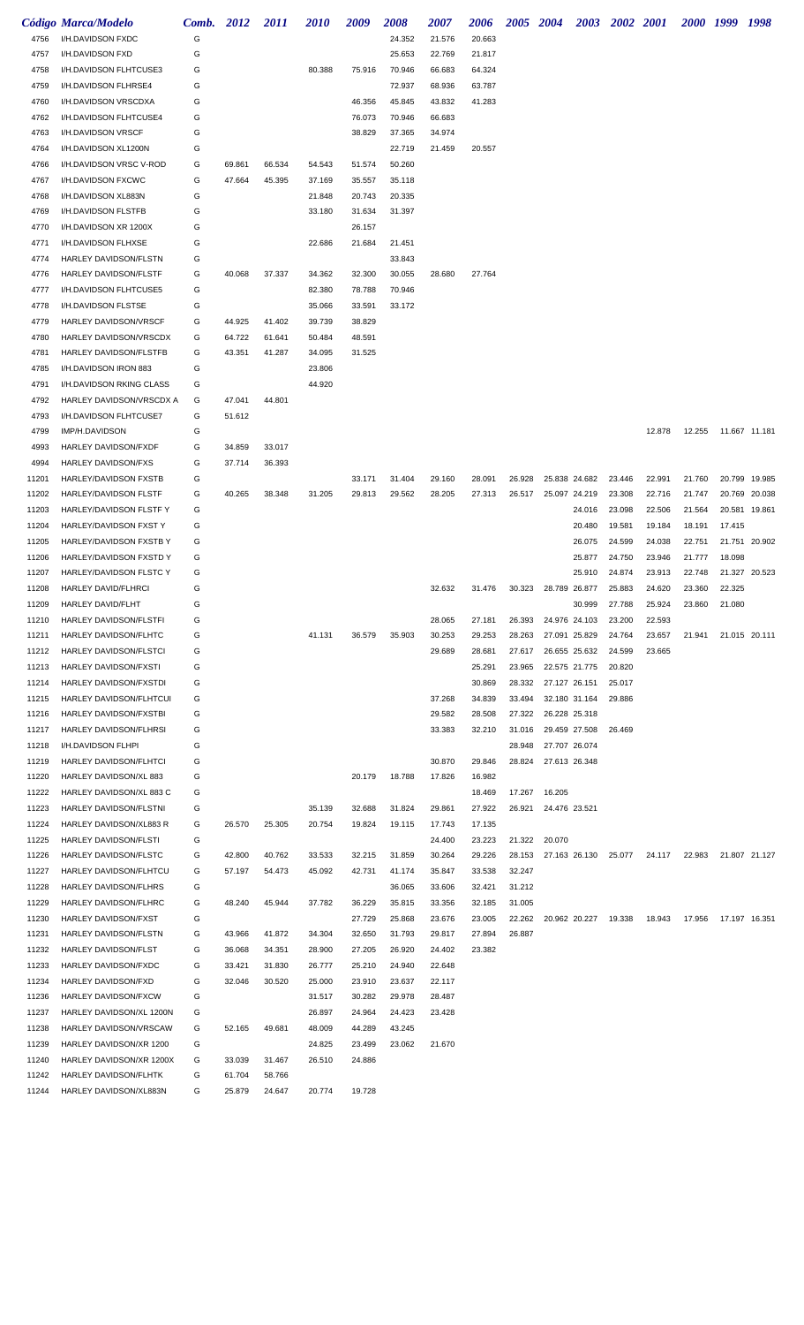|       | Código Marca/Modelo            | Comb. 2012 |        | <i>2011</i> | <i>2010</i> | 2009   | 2008   | <i><b>2007</b></i> | 2006   |        | 2005 2004     |               | 2003 2002 2001 |        |        | 2000 1999 1998 |               |
|-------|--------------------------------|------------|--------|-------------|-------------|--------|--------|--------------------|--------|--------|---------------|---------------|----------------|--------|--------|----------------|---------------|
| 4756  | I/H.DAVIDSON FXDC              | G          |        |             |             |        | 24.352 | 21.576             | 20.663 |        |               |               |                |        |        |                |               |
| 4757  | I/H.DAVIDSON FXD               | G          |        |             |             |        | 25.653 | 22.769             | 21.817 |        |               |               |                |        |        |                |               |
| 4758  | I/H.DAVIDSON FLHTCUSE3         | G          |        |             | 80.388      | 75.916 | 70.946 | 66.683             | 64.324 |        |               |               |                |        |        |                |               |
| 4759  | I/H.DAVIDSON FLHRSE4           | G          |        |             |             |        | 72.937 | 68.936             | 63.787 |        |               |               |                |        |        |                |               |
| 4760  | I/H.DAVIDSON VRSCDXA           | G          |        |             |             | 46.356 | 45.845 | 43.832             | 41.283 |        |               |               |                |        |        |                |               |
| 4762  | I/H.DAVIDSON FLHTCUSE4         | G          |        |             |             | 76.073 | 70.946 | 66.683             |        |        |               |               |                |        |        |                |               |
| 4763  | I/H.DAVIDSON VRSCF             | G          |        |             |             | 38.829 | 37.365 | 34.974             |        |        |               |               |                |        |        |                |               |
| 4764  | I/H.DAVIDSON XL1200N           | G          |        |             |             |        | 22.719 | 21.459             | 20.557 |        |               |               |                |        |        |                |               |
| 4766  | I/H.DAVIDSON VRSC V-ROD        | G          | 69.861 | 66.534      | 54.543      | 51.574 | 50.260 |                    |        |        |               |               |                |        |        |                |               |
| 4767  | I/H.DAVIDSON FXCWC             | G          | 47.664 | 45.395      | 37.169      | 35.557 | 35.118 |                    |        |        |               |               |                |        |        |                |               |
| 4768  | I/H.DAVIDSON XL883N            | G          |        |             | 21.848      | 20.743 | 20.335 |                    |        |        |               |               |                |        |        |                |               |
| 4769  | I/H.DAVIDSON FLSTFB            | G          |        |             | 33.180      | 31.634 | 31.397 |                    |        |        |               |               |                |        |        |                |               |
| 4770  | I/H.DAVIDSON XR 1200X          | G          |        |             |             | 26.157 |        |                    |        |        |               |               |                |        |        |                |               |
| 4771  | I/H.DAVIDSON FLHXSE            | G          |        |             | 22.686      | 21.684 | 21.451 |                    |        |        |               |               |                |        |        |                |               |
| 4774  | HARLEY DAVIDSON/FLSTN          | G          |        |             |             |        | 33.843 |                    |        |        |               |               |                |        |        |                |               |
| 4776  | HARLEY DAVIDSON/FLSTF          | G          | 40.068 | 37.337      | 34.362      | 32.300 | 30.055 | 28.680             | 27.764 |        |               |               |                |        |        |                |               |
| 4777  | I/H.DAVIDSON FLHTCUSE5         | G          |        |             | 82.380      | 78.788 | 70.946 |                    |        |        |               |               |                |        |        |                |               |
| 4778  | I/H.DAVIDSON FLSTSE            | G          |        |             | 35.066      | 33.591 | 33.172 |                    |        |        |               |               |                |        |        |                |               |
| 4779  | HARLEY DAVIDSON/VRSCF          | G          | 44.925 | 41.402      | 39.739      | 38.829 |        |                    |        |        |               |               |                |        |        |                |               |
| 4780  | HARLEY DAVIDSON/VRSCDX         | G          | 64.722 | 61.641      | 50.484      | 48.591 |        |                    |        |        |               |               |                |        |        |                |               |
| 4781  | HARLEY DAVIDSON/FLSTFB         | G          | 43.351 | 41.287      | 34.095      | 31.525 |        |                    |        |        |               |               |                |        |        |                |               |
| 4785  | I/H.DAVIDSON IRON 883          | G          |        |             | 23.806      |        |        |                    |        |        |               |               |                |        |        |                |               |
| 4791  | I/H.DAVIDSON RKING CLASS       | G          |        |             | 44.920      |        |        |                    |        |        |               |               |                |        |        |                |               |
| 4792  | HARLEY DAVIDSON/VRSCDX A       | G          | 47.041 | 44.801      |             |        |        |                    |        |        |               |               |                |        |        |                |               |
| 4793  | I/H.DAVIDSON FLHTCUSE7         | G          | 51.612 |             |             |        |        |                    |        |        |               |               |                |        |        |                |               |
| 4799  | IMP/H.DAVIDSON                 | G          |        |             |             |        |        |                    |        |        |               |               |                | 12.878 | 12.255 |                | 11.667 11.181 |
| 4993  | HARLEY DAVIDSON/FXDF           | G          | 34.859 | 33.017      |             |        |        |                    |        |        |               |               |                |        |        |                |               |
| 4994  | <b>HARLEY DAVIDSON/FXS</b>     | G          | 37.714 | 36.393      |             |        |        |                    |        |        |               |               |                |        |        |                |               |
| 11201 | HARLEY/DAVIDSON FXSTB          | G          |        |             |             | 33.171 | 31.404 | 29.160             | 28.091 | 26.928 |               | 25.838 24.682 | 23.446         | 22.991 | 21.760 |                | 20.799 19.985 |
| 11202 | HARLEY/DAVIDSON FLSTF          | G          | 40.265 | 38.348      | 31.205      | 29.813 | 29.562 | 28.205             | 27.313 | 26.517 |               | 25.097 24.219 | 23.308         | 22.716 | 21.747 |                | 20.769 20.038 |
| 11203 | HARLEY/DAVIDSON FLSTF Y        | G          |        |             |             |        |        |                    |        |        |               | 24.016        | 23.098         | 22.506 | 21.564 |                | 20.581 19.861 |
| 11204 | <b>HARLEY/DAVIDSON FXST Y</b>  | G          |        |             |             |        |        |                    |        |        |               | 20.480        | 19.581         | 19.184 | 18.191 | 17.415         |               |
| 11205 | HARLEY/DAVIDSON FXSTB Y        | G          |        |             |             |        |        |                    |        |        |               | 26.075        | 24.599         | 24.038 | 22.751 |                | 21.751 20.902 |
| 11206 | <b>HARLEY/DAVIDSON FXSTD Y</b> | G          |        |             |             |        |        |                    |        |        |               | 25.877        | 24.750         | 23.946 | 21.777 | 18.098         |               |
| 11207 | HARLEY/DAVIDSON FLSTC Y        | G          |        |             |             |        |        |                    |        |        |               | 25.910        | 24.874         | 23.913 | 22.748 |                | 21.327 20.523 |
| 11208 | <b>HARLEY DAVID/FLHRCI</b>     | G          |        |             |             |        |        | 32.632             | 31.476 | 30.323 |               | 28.789 26.877 | 25.883         | 24.620 | 23.360 | 22.325         |               |
| 11209 | HARLEY DAVID/FLHT              | G          |        |             |             |        |        |                    |        |        |               | 30.999        | 27.788         | 25.924 | 23.860 | 21.080         |               |
| 11210 | HARLEY DAVIDSON/FLSTFI         | G          |        |             |             |        |        | 28.065             | 27.181 | 26.393 |               | 24.976 24.103 | 23.200         | 22.593 |        |                |               |
| 11211 | HARLEY DAVIDSON/FLHTC          | G          |        |             | 41.131      | 36.579 | 35.903 | 30.253             | 29.253 | 28.263 |               | 27.091 25.829 | 24.764         | 23.657 | 21.941 |                | 21.015 20.111 |
| 11212 | HARLEY DAVIDSON/FLSTCI         | G          |        |             |             |        |        | 29.689             | 28.681 | 27.617 |               | 26.655 25.632 | 24.599         | 23.665 |        |                |               |
| 11213 | HARLEY DAVIDSON/FXSTI          | G          |        |             |             |        |        |                    | 25.291 | 23.965 |               | 22.575 21.775 | 20.820         |        |        |                |               |
| 11214 | HARLEY DAVIDSON/FXSTDI         | G          |        |             |             |        |        |                    | 30.869 | 28.332 | 27.127 26.151 |               | 25.017         |        |        |                |               |
| 11215 | HARLEY DAVIDSON/FLHTCUI        | G          |        |             |             |        |        | 37.268             | 34.839 | 33.494 |               | 32.180 31.164 | 29.886         |        |        |                |               |
| 11216 | HARLEY DAVIDSON/FXSTBI         | G          |        |             |             |        |        | 29.582             | 28.508 | 27.322 |               | 26.228 25.318 |                |        |        |                |               |
| 11217 | HARLEY DAVIDSON/FLHRSI         | G          |        |             |             |        |        | 33.383             | 32.210 | 31.016 |               | 29.459 27.508 | 26.469         |        |        |                |               |
| 11218 | I/H.DAVIDSON FLHPI             | G          |        |             |             |        |        |                    |        | 28.948 |               | 27.707 26.074 |                |        |        |                |               |
| 11219 | HARLEY DAVIDSON/FLHTCI         | G          |        |             |             |        |        | 30.870             | 29.846 | 28.824 |               | 27.613 26.348 |                |        |        |                |               |
| 11220 | HARLEY DAVIDSON/XL 883         | G          |        |             |             | 20.179 | 18.788 | 17.826             | 16.982 |        |               |               |                |        |        |                |               |
| 11222 | HARLEY DAVIDSON/XL 883 C       | G          |        |             |             |        |        |                    | 18.469 | 17.267 | 16.205        |               |                |        |        |                |               |
| 11223 | HARLEY DAVIDSON/FLSTNI         | G          |        |             | 35.139      | 32.688 | 31.824 | 29.861             | 27.922 | 26.921 | 24.476 23.521 |               |                |        |        |                |               |
| 11224 | HARLEY DAVIDSON/XL883 R        | G          | 26.570 | 25.305      | 20.754      | 19.824 | 19.115 | 17.743             | 17.135 |        |               |               |                |        |        |                |               |
| 11225 | HARLEY DAVIDSON/FLSTI          | G          |        |             |             |        |        | 24.400             | 23.223 | 21.322 | 20.070        |               |                |        |        |                |               |
| 11226 | HARLEY DAVIDSON/FLSTC          | G          | 42.800 | 40.762      | 33.533      | 32.215 | 31.859 | 30.264             | 29.226 | 28.153 |               | 27.163 26.130 | 25.077         | 24.117 | 22.983 |                | 21.807 21.127 |
| 11227 | HARLEY DAVIDSON/FLHTCU         | G          | 57.197 | 54.473      | 45.092      | 42.731 | 41.174 | 35.847             | 33.538 | 32.247 |               |               |                |        |        |                |               |
| 11228 | HARLEY DAVIDSON/FLHRS          | G          |        |             |             |        | 36.065 | 33.606             | 32.421 | 31.212 |               |               |                |        |        |                |               |
| 11229 | HARLEY DAVIDSON/FLHRC          | G          | 48.240 | 45.944      | 37.782      | 36.229 | 35.815 | 33.356             | 32.185 | 31.005 |               |               |                |        |        |                |               |
| 11230 | <b>HARLEY DAVIDSON/FXST</b>    | G          |        |             |             | 27.729 | 25.868 | 23.676             | 23.005 | 22.262 |               | 20.962 20.227 | 19.338         | 18.943 | 17.956 |                | 17.197 16.351 |
| 11231 | <b>HARLEY DAVIDSON/FLSTN</b>   | G          | 43.966 | 41.872      | 34.304      | 32.650 | 31.793 | 29.817             | 27.894 | 26.887 |               |               |                |        |        |                |               |
| 11232 | HARLEY DAVIDSON/FLST           | G          | 36.068 | 34.351      | 28.900      | 27.205 | 26.920 | 24.402             | 23.382 |        |               |               |                |        |        |                |               |
| 11233 | HARLEY DAVIDSON/FXDC           | G          | 33.421 | 31.830      | 26.777      | 25.210 | 24.940 | 22.648             |        |        |               |               |                |        |        |                |               |
| 11234 | <b>HARLEY DAVIDSON/FXD</b>     | G          | 32.046 | 30.520      | 25.000      | 23.910 | 23.637 | 22.117             |        |        |               |               |                |        |        |                |               |
| 11236 | <b>HARLEY DAVIDSON/FXCW</b>    | G          |        |             | 31.517      | 30.282 | 29.978 | 28.487             |        |        |               |               |                |        |        |                |               |
| 11237 | HARLEY DAVIDSON/XL 1200N       | G          |        |             | 26.897      | 24.964 | 24.423 | 23.428             |        |        |               |               |                |        |        |                |               |
| 11238 | HARLEY DAVIDSON/VRSCAW         | G          | 52.165 | 49.681      | 48.009      | 44.289 | 43.245 |                    |        |        |               |               |                |        |        |                |               |
| 11239 | HARLEY DAVIDSON/XR 1200        | G          |        |             | 24.825      | 23.499 | 23.062 | 21.670             |        |        |               |               |                |        |        |                |               |
| 11240 | HARLEY DAVIDSON/XR 1200X       | G          | 33.039 | 31.467      | 26.510      | 24.886 |        |                    |        |        |               |               |                |        |        |                |               |
| 11242 | HARLEY DAVIDSON/FLHTK          | G          | 61.704 | 58.766      |             |        |        |                    |        |        |               |               |                |        |        |                |               |
| 11244 | HARLEY DAVIDSON/XL883N         | G          | 25.879 | 24.647      | 20.774      | 19.728 |        |                    |        |        |               |               |                |        |        |                |               |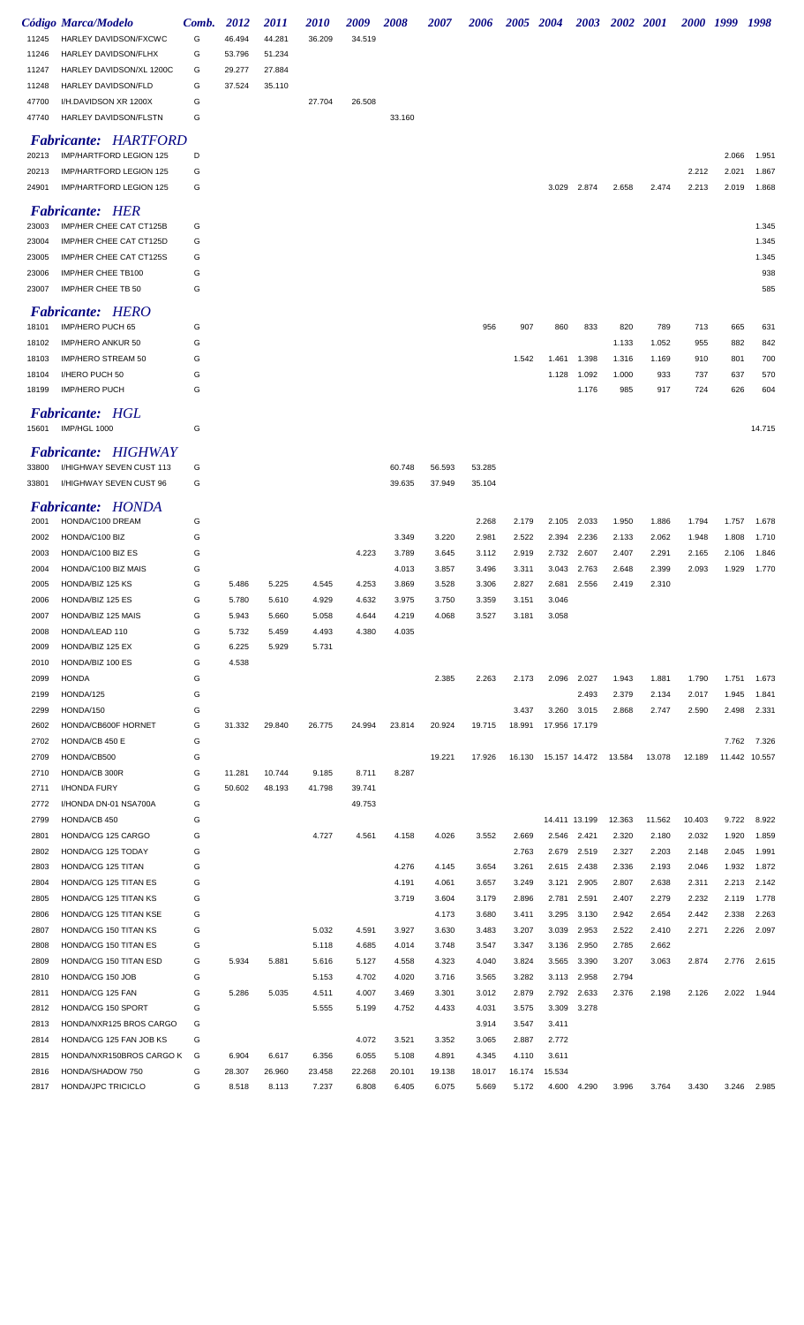|       | <b>Código Marca/Modelo</b>                  | Comb. | 2012   | <i>2011</i> | <i><b>2010</b></i> | 2009   | <i><b>2008</b></i> | <i><b>2007</b></i> | <i><b>2006</b></i> | 2005 2004 |                                | <b>2003</b> | 2002 2001 |        | 2000 1999 |       | 1998          |
|-------|---------------------------------------------|-------|--------|-------------|--------------------|--------|--------------------|--------------------|--------------------|-----------|--------------------------------|-------------|-----------|--------|-----------|-------|---------------|
| 11245 | HARLEY DAVIDSON/FXCWC                       | G     | 46.494 | 44.281      | 36.209             | 34.519 |                    |                    |                    |           |                                |             |           |        |           |       |               |
| 11246 | HARLEY DAVIDSON/FLHX                        | G     | 53.796 | 51.234      |                    |        |                    |                    |                    |           |                                |             |           |        |           |       |               |
| 11247 | HARLEY DAVIDSON/XL 1200C                    | G     | 29.277 | 27.884      |                    |        |                    |                    |                    |           |                                |             |           |        |           |       |               |
| 11248 | <b>HARLEY DAVIDSON/FLD</b>                  | G     | 37.524 | 35.110      |                    |        |                    |                    |                    |           |                                |             |           |        |           |       |               |
| 47700 | I/H.DAVIDSON XR 1200X                       | G     |        |             | 27.704             | 26.508 |                    |                    |                    |           |                                |             |           |        |           |       |               |
| 47740 | <b>HARLEY DAVIDSON/FLSTN</b>                | G     |        |             |                    |        | 33.160             |                    |                    |           |                                |             |           |        |           |       |               |
|       |                                             |       |        |             |                    |        |                    |                    |                    |           |                                |             |           |        |           |       |               |
|       | <b>Fabricante: HARTFORD</b>                 |       |        |             |                    |        |                    |                    |                    |           |                                |             |           |        |           |       |               |
| 20213 | IMP/HARTFORD LEGION 125                     | D     |        |             |                    |        |                    |                    |                    |           |                                |             |           |        |           | 2.066 | 1.951         |
| 20213 | IMP/HARTFORD LEGION 125                     | G     |        |             |                    |        |                    |                    |                    |           |                                |             |           |        | 2.212     | 2.021 | 1.867         |
| 24901 | IMP/HARTFORD LEGION 125                     | G     |        |             |                    |        |                    |                    |                    |           | 3.029                          | 2.874       | 2.658     | 2.474  | 2.213     | 2.019 | 1.868         |
|       | <b>Fabricante: HER</b>                      |       |        |             |                    |        |                    |                    |                    |           |                                |             |           |        |           |       |               |
| 23003 | IMP/HER CHEE CAT CT125B                     | G     |        |             |                    |        |                    |                    |                    |           |                                |             |           |        |           |       | 1.345         |
| 23004 | IMP/HER CHEE CAT CT125D                     | G     |        |             |                    |        |                    |                    |                    |           |                                |             |           |        |           |       | 1.345         |
| 23005 | IMP/HER CHEE CAT CT125S                     | G     |        |             |                    |        |                    |                    |                    |           |                                |             |           |        |           |       | 1.345         |
| 23006 | IMP/HER CHEE TB100                          | G     |        |             |                    |        |                    |                    |                    |           |                                |             |           |        |           |       | 938           |
| 23007 | IMP/HER CHEE TB 50                          | G     |        |             |                    |        |                    |                    |                    |           |                                |             |           |        |           |       | 585           |
|       |                                             |       |        |             |                    |        |                    |                    |                    |           |                                |             |           |        |           |       |               |
|       | <b>Fabricante: HERO</b><br>IMP/HERO PUCH 65 | G     |        |             |                    |        |                    |                    | 956                | 907       | 860                            | 833         | 820       | 789    | 713       |       |               |
| 18101 |                                             | G     |        |             |                    |        |                    |                    |                    |           |                                |             |           |        |           | 665   | 631           |
| 18102 | IMP/HERO ANKUR 50                           |       |        |             |                    |        |                    |                    |                    |           |                                |             | 1.133     | 1.052  | 955       | 882   | 842           |
| 18103 | IMP/HERO STREAM 50                          | G     |        |             |                    |        |                    |                    |                    | 1.542     | 1.461                          | 1.398       | 1.316     | 1.169  | 910       | 801   | 700           |
| 18104 | I/HERO PUCH 50                              | G     |        |             |                    |        |                    |                    |                    |           | 1.128                          | 1.092       | 1.000     | 933    | 737       | 637   | 570           |
| 18199 | <b>IMP/HERO PUCH</b>                        | G     |        |             |                    |        |                    |                    |                    |           |                                | 1.176       | 985       | 917    | 724       | 626   | 604           |
|       | <b>Fabricante: HGL</b>                      |       |        |             |                    |        |                    |                    |                    |           |                                |             |           |        |           |       |               |
| 15601 | IMP/HGL 1000                                | G     |        |             |                    |        |                    |                    |                    |           |                                |             |           |        |           |       | 14.715        |
|       | <b>Fabricante: HIGHWAY</b>                  |       |        |             |                    |        |                    |                    |                    |           |                                |             |           |        |           |       |               |
|       |                                             | G     |        |             |                    |        |                    |                    |                    |           |                                |             |           |        |           |       |               |
| 33800 | I/HIGHWAY SEVEN CUST 113                    |       |        |             |                    |        | 60.748             | 56.593             | 53.285             |           |                                |             |           |        |           |       |               |
| 33801 | I/HIGHWAY SEVEN CUST 96                     | G     |        |             |                    |        | 39.635             | 37.949             | 35.104             |           |                                |             |           |        |           |       |               |
|       | <b>Fabricante: HONDA</b>                    |       |        |             |                    |        |                    |                    |                    |           |                                |             |           |        |           |       |               |
| 2001  | HONDA/C100 DREAM                            | G     |        |             |                    |        |                    |                    | 2.268              | 2.179     | 2.105                          | 2.033       | 1.950     | 1.886  | 1.794     | 1.757 | 1.678         |
| 2002  | HONDA/C100 BIZ                              | G     |        |             |                    |        | 3.349              | 3.220              | 2.981              | 2.522     | 2.394                          | 2.236       | 2.133     | 2.062  | 1.948     | 1.808 | 1.710         |
| 2003  | HONDA/C100 BIZ ES                           | G     |        |             |                    | 4.223  | 3.789              | 3.645              | 3.112              | 2.919     | 2.732                          | 2.607       | 2.407     | 2.291  | 2.165     | 2.106 | 1.846         |
| 2004  | HONDA/C100 BIZ MAIS                         | G     |        |             |                    |        | 4.013              | 3.857              | 3.496              | 3.311     | 3.043                          | 2.763       | 2.648     | 2.399  | 2.093     | 1.929 | 1.770         |
| 2005  | HONDA/BIZ 125 KS                            | G     | 5.486  | 5.225       | 4.545              | 4.253  | 3.869              | 3.528              | 3.306              | 2.827     | 2.681                          | 2.556       | 2.419     | 2.310  |           |       |               |
| 2006  | HONDA/BIZ 125 ES                            | G     | 5.780  | 5.610       | 4.929              | 4.632  | 3.975              | 3.750              | 3.359              | 3.151     | 3.046                          |             |           |        |           |       |               |
| 2007  | HONDA/BIZ 125 MAIS                          | G     | 5.943  | 5.660       | 5.058              | 4.644  | 4.219              | 4.068              | 3.527              | 3.181     | 3.058                          |             |           |        |           |       |               |
| 2008  | HONDA/LEAD 110                              | G     | 5.732  | 5.459       | 4.493              | 4.380  | 4.035              |                    |                    |           |                                |             |           |        |           |       |               |
| 2009  | HONDA/BIZ 125 EX                            | G     | 6.225  | 5.929       | 5.731              |        |                    |                    |                    |           |                                |             |           |        |           |       |               |
| 2010  | HONDA/BIZ 100 ES                            | G     | 4.538  |             |                    |        |                    |                    |                    |           |                                |             |           |        |           |       |               |
| 2099  | <b>HONDA</b>                                | G     |        |             |                    |        |                    | 2.385              | 2.263              | 2.173     |                                | 2.096 2.027 | 1.943     | 1.881  | 1.790     | 1.751 | 1.673         |
| 2199  | HONDA/125                                   | G     |        |             |                    |        |                    |                    |                    |           |                                | 2.493       | 2.379     | 2.134  | 2.017     | 1.945 | 1.841         |
| 2299  | HONDA/150                                   | G     |        |             |                    |        |                    |                    |                    | 3.437     |                                | 3.260 3.015 | 2.868     | 2.747  | 2.590     | 2.498 | 2.331         |
| 2602  | HONDA/CB600F HORNET                         | G     | 31.332 | 29.840      | 26.775             | 24.994 | 23.814             | 20.924             | 19.715             | 18.991    | 17.956 17.179                  |             |           |        |           |       |               |
| 2702  | HONDA/CB 450 E                              | G     |        |             |                    |        |                    |                    |                    |           |                                |             |           |        |           | 7.762 | 7.326         |
| 2709  | HONDA/CB500                                 | G     |        |             |                    |        |                    | 19.221             | 17.926             |           | 16.130  15.157  14.472  13.584 |             |           | 13.078 | 12.189    |       | 11.442 10.557 |
| 2710  | HONDA/CB 300R                               | G     | 11.281 | 10.744      | 9.185              | 8.711  | 8.287              |                    |                    |           |                                |             |           |        |           |       |               |
| 2711  | I/HONDA FURY                                | G     | 50.602 | 48.193      | 41.798             | 39.741 |                    |                    |                    |           |                                |             |           |        |           |       |               |
| 2772  | I/HONDA DN-01 NSA700A                       | G     |        |             |                    | 49.753 |                    |                    |                    |           |                                |             |           |        |           |       |               |
| 2799  | HONDA/CB 450                                | G     |        |             |                    |        |                    |                    |                    |           | 14.411 13.199                  |             | 12.363    | 11.562 | 10.403    | 9.722 | 8.922         |
| 2801  | HONDA/CG 125 CARGO                          | G     |        |             | 4.727              | 4.561  | 4.158              | 4.026              | 3.552              | 2.669     |                                | 2.546 2.421 | 2.320     | 2.180  | 2.032     | 1.920 | 1.859         |
| 2802  | HONDA/CG 125 TODAY                          | G     |        |             |                    |        |                    |                    |                    | 2.763     |                                | 2.679 2.519 | 2.327     | 2.203  | 2.148     | 2.045 | 1.991         |
| 2803  | HONDA/CG 125 TITAN                          | G     |        |             |                    |        | 4.276              | 4.145              | 3.654              | 3.261     |                                | 2.615 2.438 | 2.336     | 2.193  | 2.046     | 1.932 | 1.872         |
| 2804  | HONDA/CG 125 TITAN ES                       | G     |        |             |                    |        | 4.191              | 4.061              | 3.657              | 3.249     |                                | 3.121 2.905 | 2.807     | 2.638  | 2.311     | 2.213 | 2.142         |
| 2805  | HONDA/CG 125 TITAN KS                       | G     |        |             |                    |        | 3.719              | 3.604              | 3.179              | 2.896     | 2.781                          | 2.591       | 2.407     | 2.279  | 2.232     | 2.119 | 1.778         |
| 2806  | HONDA/CG 125 TITAN KSE                      | G     |        |             |                    |        |                    | 4.173              | 3.680              | 3.411     |                                | 3.295 3.130 | 2.942     | 2.654  | 2.442     | 2.338 | 2.263         |
| 2807  | HONDA/CG 150 TITAN KS                       | G     |        |             | 5.032              | 4.591  | 3.927              | 3.630              | 3.483              | 3.207     | 3.039                          | 2.953       | 2.522     | 2.410  | 2.271     | 2.226 | 2.097         |
| 2808  | HONDA/CG 150 TITAN ES                       | G     |        |             | 5.118              | 4.685  | 4.014              | 3.748              | 3.547              | 3.347     | 3.136                          | 2.950       | 2.785     | 2.662  |           |       |               |
| 2809  | HONDA/CG 150 TITAN ESD                      | G     | 5.934  | 5.881       | 5.616              | 5.127  | 4.558              | 4.323              | 4.040              | 3.824     |                                | 3.565 3.390 | 3.207     | 3.063  | 2.874     | 2.776 | 2.615         |
| 2810  | HONDA/CG 150 JOB                            | G     |        |             | 5.153              | 4.702  | 4.020              | 3.716              | 3.565              | 3.282     |                                | 3.113 2.958 | 2.794     |        |           |       |               |
| 2811  | HONDA/CG 125 FAN                            | G     | 5.286  | 5.035       | 4.511              | 4.007  | 3.469              | 3.301              | 3.012              | 2.879     |                                | 2.792 2.633 | 2.376     | 2.198  | 2.126     | 2.022 | 1.944         |
|       |                                             | G     |        |             |                    |        |                    |                    |                    |           |                                |             |           |        |           |       |               |
| 2812  | HONDA/CG 150 SPORT                          |       |        |             | 5.555              | 5.199  | 4.752              | 4.433              | 4.031              | 3.575     |                                | 3.309 3.278 |           |        |           |       |               |
| 2813  | HONDA/NXR125 BROS CARGO                     | G     |        |             |                    |        |                    |                    | 3.914              | 3.547     | 3.411                          |             |           |        |           |       |               |
| 2814  | HONDA/CG 125 FAN JOB KS                     | G     |        |             |                    | 4.072  | 3.521              | 3.352              | 3.065              | 2.887     | 2.772                          |             |           |        |           |       |               |
| 2815  | HONDA/NXR150BROS CARGO K                    | G     | 6.904  | 6.617       | 6.356              | 6.055  | 5.108              | 4.891              | 4.345              | 4.110     | 3.611                          |             |           |        |           |       |               |
| 2816  | HONDA/SHADOW 750                            | G     | 28.307 | 26.960      | 23.458             | 22.268 | 20.101             | 19.138             | 18.017             | 16.174    | 15.534                         |             |           |        |           |       |               |
| 2817  | HONDA/JPC TRICICLO                          | G     | 8.518  | 8.113       | 7.237              | 6.808  | 6.405              | 6.075              | 5.669              | 5.172     | 4.600                          | 4.290       | 3.996     | 3.764  | 3.430     | 3.246 | 2.985         |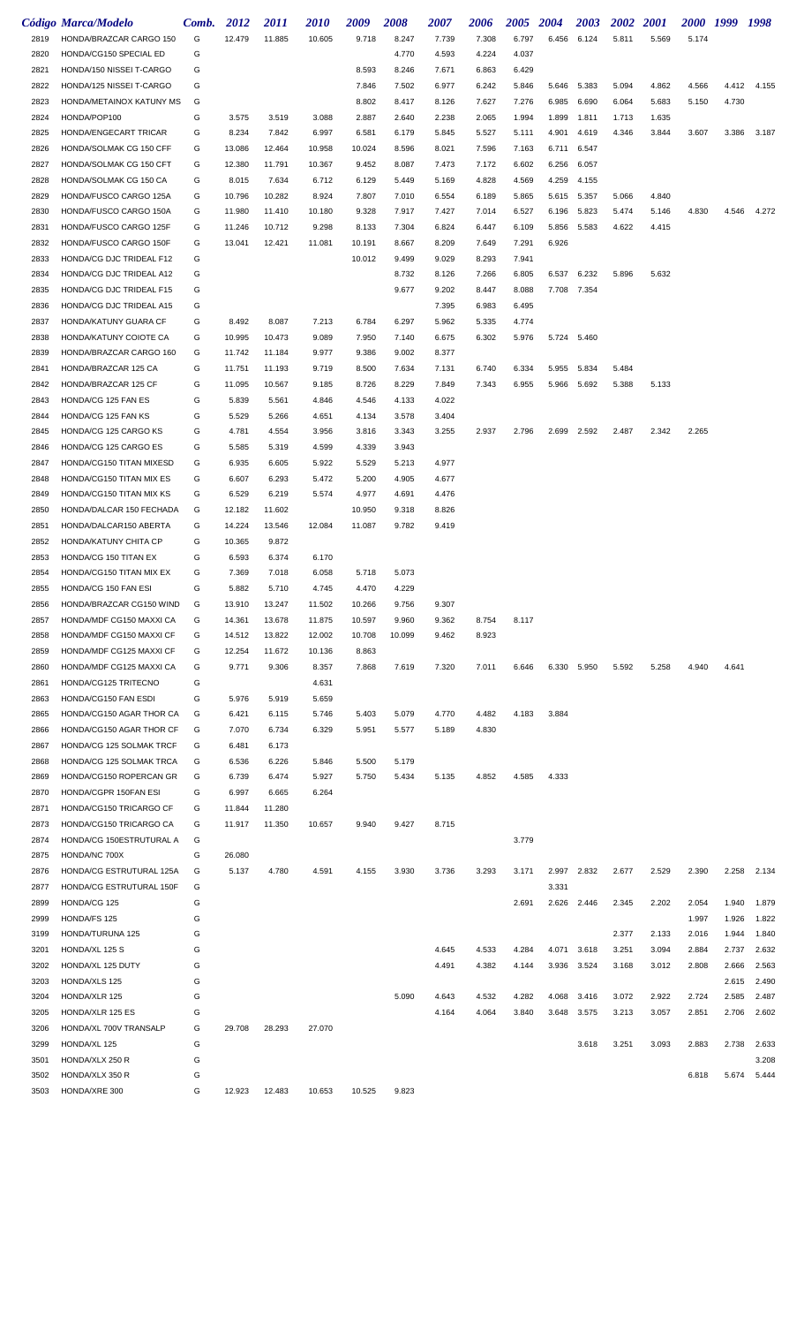|      | Código Marca/Modelo      | Comb. | 2012   | 2011   | <i>2010</i> | 2009   | 2008   | 2007  | 2006  | 2005  | 2004  | 2003        | 2002  | <b>2001</b> |       | 2000 1999 1998 |       |
|------|--------------------------|-------|--------|--------|-------------|--------|--------|-------|-------|-------|-------|-------------|-------|-------------|-------|----------------|-------|
| 2819 | HONDA/BRAZCAR CARGO 150  | G     | 12.479 | 11.885 | 10.605      | 9.718  | 8.247  | 7.739 | 7.308 | 6.797 | 6.456 | 6.124       | 5.811 | 5.569       | 5.174 |                |       |
| 2820 | HONDA/CG150 SPECIAL ED   | G     |        |        |             |        | 4.770  | 4.593 | 4.224 | 4.037 |       |             |       |             |       |                |       |
| 2821 | HONDA/150 NISSEI T-CARGO | G     |        |        |             | 8.593  | 8.246  | 7.671 | 6.863 | 6.429 |       |             |       |             |       |                |       |
| 2822 | HONDA/125 NISSEI T-CARGO | G     |        |        |             | 7.846  | 7.502  | 6.977 | 6.242 | 5.846 | 5.646 | 5.383       | 5.094 | 4.862       | 4.566 | 4.412          | 4.155 |
| 2823 | HONDA/METAINOX KATUNY MS | G     |        |        |             | 8.802  | 8.417  | 8.126 | 7.627 | 7.276 |       | 6.985 6.690 | 6.064 | 5.683       | 5.150 | 4.730          |       |
| 2824 | HONDA/POP100             | G     | 3.575  | 3.519  | 3.088       | 2.887  | 2.640  | 2.238 | 2.065 | 1.994 | 1.899 | 1.811       | 1.713 | 1.635       |       |                |       |
| 2825 | HONDA/ENGECART TRICAR    | G     | 8.234  | 7.842  | 6.997       | 6.581  | 6.179  | 5.845 | 5.527 | 5.111 | 4.901 | 4.619       | 4.346 | 3.844       | 3.607 | 3.386          | 3.187 |
| 2826 | HONDA/SOLMAK CG 150 CFF  | G     | 13.086 | 12.464 | 10.958      | 10.024 | 8.596  | 8.021 | 7.596 | 7.163 | 6.711 | 6.547       |       |             |       |                |       |
| 2827 | HONDA/SOLMAK CG 150 CFT  | G     | 12.380 | 11.791 | 10.367      | 9.452  | 8.087  | 7.473 | 7.172 | 6.602 | 6.256 | 6.057       |       |             |       |                |       |
| 2828 | HONDA/SOLMAK CG 150 CA   | G     | 8.015  | 7.634  | 6.712       | 6.129  | 5.449  | 5.169 | 4.828 | 4.569 | 4.259 | 4.155       |       |             |       |                |       |
| 2829 | HONDA/FUSCO CARGO 125A   | G     | 10.796 | 10.282 | 8.924       | 7.807  | 7.010  | 6.554 | 6.189 | 5.865 |       | 5.615 5.357 | 5.066 | 4.840       |       |                |       |
| 2830 | HONDA/FUSCO CARGO 150A   | G     | 11.980 | 11.410 | 10.180      | 9.328  | 7.917  | 7.427 | 7.014 | 6.527 | 6.196 | 5.823       | 5.474 | 5.146       | 4.830 | 4.546          | 4.272 |
| 2831 | HONDA/FUSCO CARGO 125F   | G     | 11.246 | 10.712 | 9.298       | 8.133  | 7.304  | 6.824 | 6.447 | 6.109 | 5.856 | 5.583       | 4.622 | 4.415       |       |                |       |
| 2832 | HONDA/FUSCO CARGO 150F   | G     | 13.041 | 12.421 | 11.081      | 10.191 | 8.667  | 8.209 | 7.649 | 7.291 | 6.926 |             |       |             |       |                |       |
| 2833 | HONDA/CG DJC TRIDEAL F12 | G     |        |        |             | 10.012 | 9.499  | 9.029 | 8.293 | 7.941 |       |             |       |             |       |                |       |
| 2834 | HONDA/CG DJC TRIDEAL A12 | G     |        |        |             |        | 8.732  | 8.126 | 7.266 | 6.805 | 6.537 | 6.232       | 5.896 | 5.632       |       |                |       |
| 2835 | HONDA/CG DJC TRIDEAL F15 | G     |        |        |             |        | 9.677  | 9.202 | 8.447 | 8.088 |       | 7.708 7.354 |       |             |       |                |       |
| 2836 | HONDA/CG DJC TRIDEAL A15 | G     |        |        |             |        |        | 7.395 | 6.983 | 6.495 |       |             |       |             |       |                |       |
| 2837 | HONDA/KATUNY GUARA CF    | G     | 8.492  | 8.087  | 7.213       | 6.784  | 6.297  | 5.962 | 5.335 | 4.774 |       |             |       |             |       |                |       |
| 2838 | HONDA/KATUNY COIOTE CA   | G     | 10.995 | 10.473 | 9.089       | 7.950  | 7.140  | 6.675 | 6.302 | 5.976 |       | 5.724 5.460 |       |             |       |                |       |
| 2839 | HONDA/BRAZCAR CARGO 160  | G     | 11.742 | 11.184 | 9.977       | 9.386  | 9.002  | 8.377 |       |       |       |             |       |             |       |                |       |
| 2841 | HONDA/BRAZCAR 125 CA     | G     | 11.751 | 11.193 | 9.719       | 8.500  | 7.634  | 7.131 | 6.740 | 6.334 | 5.955 | 5.834       | 5.484 |             |       |                |       |
| 2842 | HONDA/BRAZCAR 125 CF     | G     | 11.095 | 10.567 | 9.185       | 8.726  | 8.229  | 7.849 | 7.343 | 6.955 |       | 5.966 5.692 | 5.388 | 5.133       |       |                |       |
| 2843 | HONDA/CG 125 FAN ES      | G     | 5.839  | 5.561  | 4.846       | 4.546  | 4.133  | 4.022 |       |       |       |             |       |             |       |                |       |
| 2844 | HONDA/CG 125 FAN KS      | G     | 5.529  | 5.266  | 4.651       | 4.134  | 3.578  | 3.404 |       |       |       |             |       |             |       |                |       |
| 2845 | HONDA/CG 125 CARGO KS    | G     | 4.781  | 4.554  | 3.956       | 3.816  | 3.343  | 3.255 | 2.937 | 2.796 | 2.699 | 2.592       | 2.487 | 2.342       | 2.265 |                |       |
| 2846 | HONDA/CG 125 CARGO ES    | G     | 5.585  | 5.319  | 4.599       | 4.339  | 3.943  |       |       |       |       |             |       |             |       |                |       |
| 2847 | HONDA/CG150 TITAN MIXESD | G     | 6.935  | 6.605  | 5.922       | 5.529  | 5.213  | 4.977 |       |       |       |             |       |             |       |                |       |
| 2848 | HONDA/CG150 TITAN MIX ES | G     | 6.607  | 6.293  | 5.472       | 5.200  | 4.905  | 4.677 |       |       |       |             |       |             |       |                |       |
| 2849 | HONDA/CG150 TITAN MIX KS | G     | 6.529  | 6.219  | 5.574       | 4.977  | 4.691  | 4.476 |       |       |       |             |       |             |       |                |       |
| 2850 | HONDA/DALCAR 150 FECHADA | G     | 12.182 | 11.602 |             | 10.950 | 9.318  | 8.826 |       |       |       |             |       |             |       |                |       |
| 2851 | HONDA/DALCAR150 ABERTA   | G     | 14.224 | 13.546 | 12.084      | 11.087 | 9.782  | 9.419 |       |       |       |             |       |             |       |                |       |
| 2852 | HONDA/KATUNY CHITA CP    | G     | 10.365 | 9.872  |             |        |        |       |       |       |       |             |       |             |       |                |       |
| 2853 | HONDA/CG 150 TITAN EX    | G     | 6.593  | 6.374  | 6.170       |        |        |       |       |       |       |             |       |             |       |                |       |
| 2854 | HONDA/CG150 TITAN MIX EX | G     | 7.369  | 7.018  | 6.058       | 5.718  | 5.073  |       |       |       |       |             |       |             |       |                |       |
| 2855 | HONDA/CG 150 FAN ESI     | G     | 5.882  | 5.710  | 4.745       | 4.470  | 4.229  |       |       |       |       |             |       |             |       |                |       |
| 2856 | HONDA/BRAZCAR CG150 WIND | G     | 13.910 | 13.247 | 11.502      | 10.266 | 9.756  | 9.307 |       |       |       |             |       |             |       |                |       |
| 2857 | HONDA/MDF CG150 MAXXI CA | G     | 14.361 | 13.678 | 11.875      | 10.597 | 9.960  | 9.362 | 8.754 | 8.117 |       |             |       |             |       |                |       |
| 2858 | HONDA/MDF CG150 MAXXI CF | G     | 14.512 | 13.822 | 12.002      | 10.708 | 10.099 | 9.462 | 8.923 |       |       |             |       |             |       |                |       |
| 2859 | HONDA/MDF CG125 MAXXI CF | G     | 12.254 | 11.672 | 10.136      | 8.863  |        |       |       |       |       |             |       |             |       |                |       |
| 2860 | HONDA/MDF CG125 MAXXI CA | G     | 9.771  | 9.306  | 8.357       | 7.868  | 7.619  | 7.320 | 7.011 | 6.646 |       | 6.330 5.950 | 5.592 | 5.258       | 4.940 | 4.641          |       |
| 2861 | HONDA/CG125 TRITECNO     | G     |        |        | 4.631       |        |        |       |       |       |       |             |       |             |       |                |       |
| 2863 | HONDA/CG150 FAN ESDI     | G     | 5.976  | 5.919  | 5.659       |        |        |       |       |       |       |             |       |             |       |                |       |
| 2865 | HONDA/CG150 AGAR THOR CA | G     | 6.421  | 6.115  | 5.746       | 5.403  | 5.079  | 4.770 | 4.482 | 4.183 | 3.884 |             |       |             |       |                |       |
| 2866 | HONDA/CG150 AGAR THOR CF | G     | 7.070  | 6.734  | 6.329       | 5.951  | 5.577  | 5.189 | 4.830 |       |       |             |       |             |       |                |       |
| 2867 | HONDA/CG 125 SOLMAK TRCF | G     | 6.481  | 6.173  |             |        |        |       |       |       |       |             |       |             |       |                |       |
| 2868 | HONDA/CG 125 SOLMAK TRCA | G     | 6.536  | 6.226  | 5.846       | 5.500  | 5.179  |       |       |       |       |             |       |             |       |                |       |
| 2869 | HONDA/CG150 ROPERCAN GR  | G     | 6.739  | 6.474  | 5.927       | 5.750  | 5.434  | 5.135 | 4.852 | 4.585 | 4.333 |             |       |             |       |                |       |
| 2870 | HONDA/CGPR 150FAN ESI    | G     | 6.997  | 6.665  | 6.264       |        |        |       |       |       |       |             |       |             |       |                |       |
| 2871 | HONDA/CG150 TRICARGO CF  | G     | 11.844 | 11.280 |             |        |        |       |       |       |       |             |       |             |       |                |       |
| 2873 | HONDA/CG150 TRICARGO CA  | G     | 11.917 | 11.350 | 10.657      | 9.940  | 9.427  | 8.715 |       |       |       |             |       |             |       |                |       |
| 2874 | HONDA/CG 150ESTRUTURAL A | G     |        |        |             |        |        |       |       | 3.779 |       |             |       |             |       |                |       |
| 2875 | HONDA/NC 700X            | G     | 26.080 |        |             |        |        |       |       |       |       |             |       |             |       |                |       |
| 2876 | HONDA/CG ESTRUTURAL 125A | G     | 5.137  | 4.780  | 4.591       | 4.155  | 3.930  | 3.736 | 3.293 | 3.171 | 2.997 | 2.832       | 2.677 | 2.529       | 2.390 | 2.258          | 2.134 |
| 2877 | HONDA/CG ESTRUTURAL 150F | G     |        |        |             |        |        |       |       |       | 3.331 |             |       |             |       |                |       |
| 2899 | HONDA/CG 125             | G     |        |        |             |        |        |       |       | 2.691 | 2.626 | 2.446       | 2.345 | 2.202       | 2.054 | 1.940          | 1.879 |
| 2999 | HONDA/FS 125             | G     |        |        |             |        |        |       |       |       |       |             |       |             | 1.997 | 1.926          | 1.822 |
| 3199 | HONDA/TURUNA 125         | G     |        |        |             |        |        |       |       |       |       |             | 2.377 | 2.133       | 2.016 | 1.944          | 1.840 |
| 3201 | HONDA/XL 125 S           | G     |        |        |             |        |        | 4.645 | 4.533 | 4.284 | 4.071 | 3.618       | 3.251 | 3.094       | 2.884 | 2.737          | 2.632 |
| 3202 | HONDA/XL 125 DUTY        | G     |        |        |             |        |        | 4.491 | 4.382 | 4.144 | 3.936 | 3.524       | 3.168 | 3.012       | 2.808 | 2.666          | 2.563 |
| 3203 | HONDA/XLS 125            | G     |        |        |             |        |        |       |       |       |       |             |       |             |       | 2.615          | 2.490 |
| 3204 | HONDA/XLR 125            | G     |        |        |             |        | 5.090  | 4.643 | 4.532 | 4.282 | 4.068 | 3.416       | 3.072 | 2.922       | 2.724 | 2.585          | 2.487 |
| 3205 | HONDA/XLR 125 ES         | G     |        |        |             |        |        | 4.164 | 4.064 | 3.840 | 3.648 | 3.575       | 3.213 | 3.057       | 2.851 | 2.706          | 2.602 |
| 3206 | HONDA/XL 700V TRANSALP   | G     | 29.708 | 28.293 | 27.070      |        |        |       |       |       |       |             |       |             |       |                |       |
| 3299 | HONDA/XL 125             | G     |        |        |             |        |        |       |       |       |       | 3.618       | 3.251 | 3.093       | 2.883 | 2.738          | 2.633 |
| 3501 | HONDA/XLX 250 R          | G     |        |        |             |        |        |       |       |       |       |             |       |             |       |                | 3.208 |
| 3502 | HONDA/XLX 350 R          | G     |        |        |             |        |        |       |       |       |       |             |       |             | 6.818 | 5.674          | 5.444 |
| 3503 | HONDA/XRE 300            | G     | 12.923 | 12.483 | 10.653      | 10.525 | 9.823  |       |       |       |       |             |       |             |       |                |       |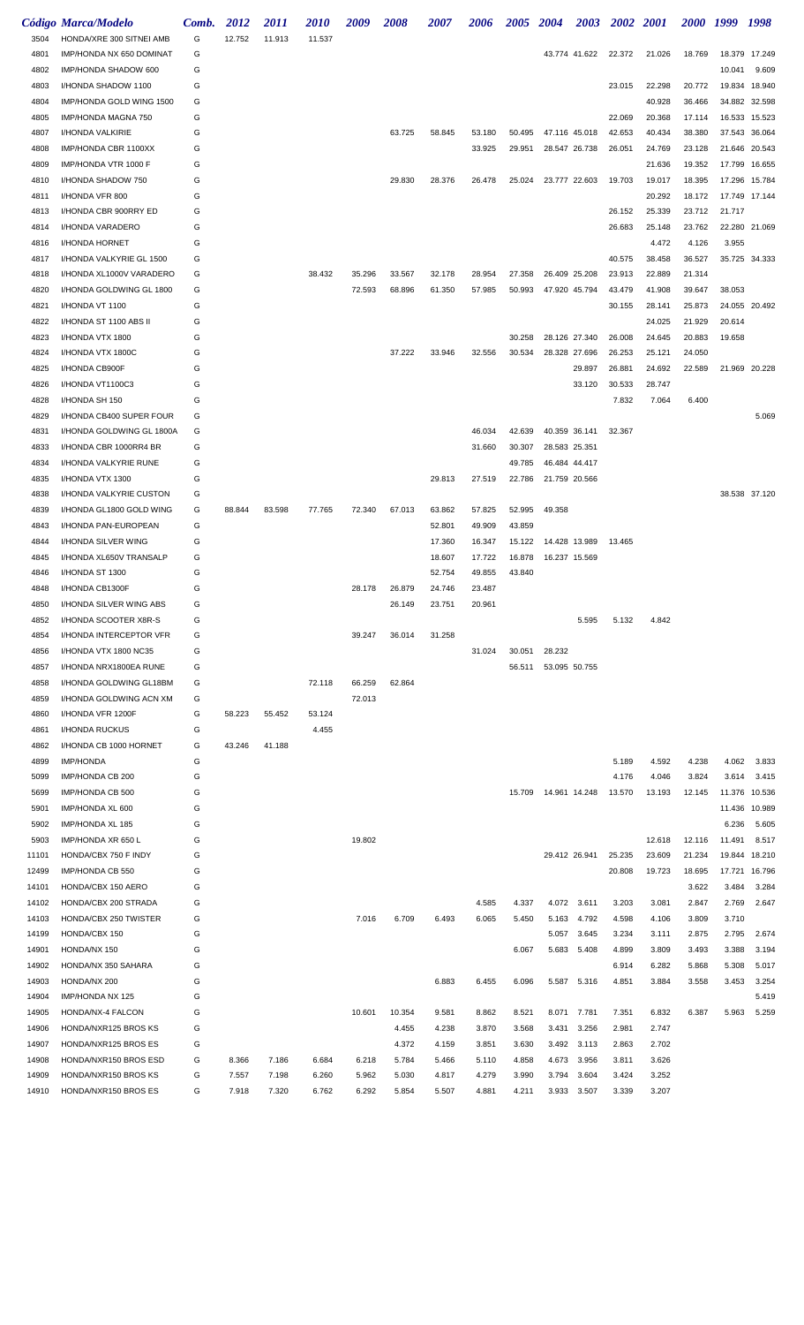|              | <b>Código Marca/Modelo</b>                            | Comb.  | 2012   | <i>2011</i> | <i>2010</i> | 2009   | <i><b>2008</b></i> | <i><b>2007</b></i> | 2006   | 2005 2004 |                        | <b>2003</b>   | 2002 2001 |        | 2000 1999 |        | 1998          |
|--------------|-------------------------------------------------------|--------|--------|-------------|-------------|--------|--------------------|--------------------|--------|-----------|------------------------|---------------|-----------|--------|-----------|--------|---------------|
| 3504         | HONDA/XRE 300 SITNEI AMB                              | G      | 12.752 | 11.913      | 11.537      |        |                    |                    |        |           |                        |               |           |        |           |        |               |
| 4801         | IMP/HONDA NX 650 DOMINAT                              | G      |        |             |             |        |                    |                    |        |           |                        | 43.774 41.622 | 22.372    | 21.026 | 18.769    | 18.379 | 17.249        |
| 4802         | IMP/HONDA SHADOW 600                                  | G      |        |             |             |        |                    |                    |        |           |                        |               |           |        |           | 10.041 | 9.609         |
| 4803         | I/HONDA SHADOW 1100                                   | G      |        |             |             |        |                    |                    |        |           |                        |               | 23.015    | 22.298 | 20.772    | 19.834 | 18.940        |
| 4804         | IMP/HONDA GOLD WING 1500                              | G      |        |             |             |        |                    |                    |        |           |                        |               |           | 40.928 | 36.466    | 34.882 | 32.598        |
| 4805         | IMP/HONDA MAGNA 750                                   | G      |        |             |             |        |                    |                    |        |           |                        |               | 22.069    | 20.368 | 17.114    | 16.533 | 15.523        |
| 4807         | I/HONDA VALKIRIE                                      | G      |        |             |             |        | 63.725             | 58.845             | 53.180 | 50.495    |                        | 47.116 45.018 | 42.653    | 40.434 | 38.380    | 37.543 | 36.064        |
| 4808         | IMP/HONDA CBR 1100XX                                  | G      |        |             |             |        |                    |                    | 33.925 | 29.951    |                        | 28.547 26.738 | 26.051    | 24.769 | 23.128    | 21.646 | 20.543        |
| 4809         | IMP/HONDA VTR 1000 F                                  | G      |        |             |             |        |                    |                    |        |           |                        |               |           | 21.636 | 19.352    | 17.799 | 16.655        |
| 4810         | I/HONDA SHADOW 750                                    | G      |        |             |             |        | 29.830             | 28.376             | 26.478 | 25.024    |                        | 23.777 22.603 | 19.703    | 19.017 | 18.395    | 17.296 | 15.784        |
| 4811         | I/HONDA VFR 800                                       | G      |        |             |             |        |                    |                    |        |           |                        |               |           | 20.292 | 18.172    |        | 17.749 17.144 |
| 4813         | I/HONDA CBR 900RRY ED                                 | G      |        |             |             |        |                    |                    |        |           |                        |               | 26.152    | 25.339 | 23.712    | 21.717 |               |
| 4814         | I/HONDA VARADERO                                      | G      |        |             |             |        |                    |                    |        |           |                        |               | 26.683    | 25.148 | 23.762    |        | 22.280 21.069 |
| 4816         | I/HONDA HORNET                                        | G      |        |             |             |        |                    |                    |        |           |                        |               |           | 4.472  | 4.126     | 3.955  |               |
| 4817         | I/HONDA VALKYRIE GL 1500                              | G      |        |             |             |        |                    |                    |        |           |                        |               | 40.575    | 38.458 | 36.527    |        | 35.725 34.333 |
| 4818         | I/HONDA XL1000V VARADERO                              | G      |        |             | 38.432      | 35.296 | 33.567             | 32.178             | 28.954 | 27.358    |                        | 26.409 25.208 | 23.913    | 22.889 | 21.314    |        |               |
| 4820         | I/HONDA GOLDWING GL 1800                              | G      |        |             |             | 72.593 | 68.896             | 61.350             | 57.985 | 50.993    |                        | 47.920 45.794 | 43.479    | 41.908 | 39.647    | 38.053 |               |
| 4821         | I/HONDA VT 1100                                       | G      |        |             |             |        |                    |                    |        |           |                        |               | 30.155    | 28.141 | 25.873    |        | 24.055 20.492 |
| 4822         | I/HONDA ST 1100 ABS II                                | G      |        |             |             |        |                    |                    |        |           |                        |               |           | 24.025 | 21.929    | 20.614 |               |
| 4823         | I/HONDA VTX 1800                                      | G      |        |             |             |        |                    |                    |        | 30.258    |                        | 28.126 27.340 | 26.008    | 24.645 | 20.883    | 19.658 |               |
| 4824         | I/HONDA VTX 1800C                                     | G      |        |             |             |        | 37.222             | 33.946             | 32.556 | 30.534    |                        | 28.328 27.696 | 26.253    | 25.121 | 24.050    |        |               |
| 4825         | I/HONDA CB900F                                        | G      |        |             |             |        |                    |                    |        |           |                        | 29.897        | 26.881    | 24.692 | 22.589    | 21.969 | 20.228        |
| 4826         | I/HONDA VT1100C3                                      | G<br>G |        |             |             |        |                    |                    |        |           |                        | 33.120        | 30.533    | 28.747 |           |        |               |
| 4828         | I/HONDA SH 150                                        |        |        |             |             |        |                    |                    |        |           |                        |               | 7.832     | 7.064  | 6.400     |        |               |
| 4829<br>4831 | I/HONDA CB400 SUPER FOUR<br>I/HONDA GOLDWING GL 1800A | G<br>G |        |             |             |        |                    |                    | 46.034 | 42.639    |                        | 40.359 36.141 | 32.367    |        |           |        | 5.069         |
| 4833         | I/HONDA CBR 1000RR4 BR                                | G      |        |             |             |        |                    |                    | 31.660 | 30.307    |                        |               |           |        |           |        |               |
| 4834         |                                                       | G      |        |             |             |        |                    |                    |        | 49.785    | 28.583 25.351          |               |           |        |           |        |               |
| 4835         | I/HONDA VALKYRIE RUNE<br>I/HONDA VTX 1300             | G      |        |             |             |        |                    | 29.813             | 27.519 | 22.786    | 21.759 20.566          | 46.484 44.417 |           |        |           |        |               |
| 4838         | I/HONDA VALKYRIE CUSTON                               | G      |        |             |             |        |                    |                    |        |           |                        |               |           |        |           |        | 38.538 37.120 |
| 4839         | I/HONDA GL1800 GOLD WING                              | G      | 88.844 | 83.598      | 77.765      | 72.340 | 67.013             | 63.862             | 57.825 | 52.995    | 49.358                 |               |           |        |           |        |               |
| 4843         | I/HONDA PAN-EUROPEAN                                  | G      |        |             |             |        |                    | 52.801             | 49.909 | 43.859    |                        |               |           |        |           |        |               |
| 4844         | I/HONDA SILVER WING                                   | G      |        |             |             |        |                    | 17.360             | 16.347 | 15.122    |                        | 14.428 13.989 | 13.465    |        |           |        |               |
| 4845         | I/HONDA XL650V TRANSALP                               | G      |        |             |             |        |                    | 18.607             | 17.722 | 16.878    |                        | 16.237 15.569 |           |        |           |        |               |
| 4846         | I/HONDA ST 1300                                       | G      |        |             |             |        |                    | 52.754             | 49.855 | 43.840    |                        |               |           |        |           |        |               |
| 4848         | I/HONDA CB1300F                                       | G      |        |             |             | 28.178 | 26.879             | 24.746             | 23.487 |           |                        |               |           |        |           |        |               |
| 4850         | <b>I/HONDA SILVER WING ABS</b>                        | G      |        |             |             |        | 26.149             | 23.751             | 20.961 |           |                        |               |           |        |           |        |               |
| 4852         | I/HONDA SCOOTER X8R-S                                 | G      |        |             |             |        |                    |                    |        |           |                        | 5.595         | 5.132     | 4.842  |           |        |               |
| 4854         | <b>I/HONDA INTERCEPTOR VFR</b>                        | G      |        |             |             | 39.247 | 36.014             | 31.258             |        |           |                        |               |           |        |           |        |               |
| 4856         | I/HONDA VTX 1800 NC35                                 | G      |        |             |             |        |                    |                    | 31.024 | 30.051    | 28.232                 |               |           |        |           |        |               |
| 4857         | I/HONDA NRX1800EA RUNE                                | G      |        |             |             |        |                    |                    |        | 56.511    |                        | 53.095 50.755 |           |        |           |        |               |
| 4858         | I/HONDA GOLDWING GL18BM                               | G      |        |             | 72.118      | 66.259 | 62.864             |                    |        |           |                        |               |           |        |           |        |               |
| 4859         | I/HONDA GOLDWING ACN XM                               | G      |        |             |             | 72.013 |                    |                    |        |           |                        |               |           |        |           |        |               |
| 4860         | I/HONDA VFR 1200F                                     | G      | 58.223 | 55.452      | 53.124      |        |                    |                    |        |           |                        |               |           |        |           |        |               |
| 4861         | I/HONDA RUCKUS                                        | G      |        |             | 4.455       |        |                    |                    |        |           |                        |               |           |        |           |        |               |
| 4862         | I/HONDA CB 1000 HORNET                                | G      | 43.246 | 41.188      |             |        |                    |                    |        |           |                        |               |           |        |           |        |               |
| 4899         | <b>IMP/HONDA</b>                                      | G      |        |             |             |        |                    |                    |        |           |                        |               | 5.189     | 4.592  | 4.238     | 4.062  | 3.833         |
| 5099         | IMP/HONDA CB 200                                      | G      |        |             |             |        |                    |                    |        |           |                        |               | 4.176     | 4.046  | 3.824     | 3.614  | 3.415         |
| 5699         | IMP/HONDA CB 500                                      | G      |        |             |             |        |                    |                    |        |           | 15.709  14.961  14.248 |               | 13.570    | 13.193 | 12.145    | 11.376 | 10.536        |
| 5901         | IMP/HONDA XL 600                                      | G      |        |             |             |        |                    |                    |        |           |                        |               |           |        |           | 11.436 | 10.989        |
| 5902         | IMP/HONDA XL 185                                      | G      |        |             |             |        |                    |                    |        |           |                        |               |           |        |           | 6.236  | 5.605         |
| 5903         | IMP/HONDA XR 650 L                                    | G      |        |             |             | 19.802 |                    |                    |        |           |                        |               |           | 12.618 | 12.116    | 11.491 | 8.517         |
| 11101        | HONDA/CBX 750 F INDY                                  | G      |        |             |             |        |                    |                    |        |           |                        | 29.412 26.941 | 25.235    | 23.609 | 21.234    | 19.844 | 18.210        |
| 12499        | IMP/HONDA CB 550                                      | G      |        |             |             |        |                    |                    |        |           |                        |               | 20.808    | 19.723 | 18.695    | 17.721 | 16.796        |
| 14101        | HONDA/CBX 150 AERO                                    | G      |        |             |             |        |                    |                    |        |           |                        |               |           |        | 3.622     | 3.484  | 3.284         |
| 14102        | HONDA/CBX 200 STRADA                                  | G      |        |             |             |        |                    |                    | 4.585  | 4.337     |                        | 4.072 3.611   | 3.203     | 3.081  | 2.847     | 2.769  | 2.647         |
| 14103        | HONDA/CBX 250 TWISTER                                 | G      |        |             |             | 7.016  | 6.709              | 6.493              | 6.065  | 5.450     |                        | 5.163 4.792   | 4.598     | 4.106  | 3.809     | 3.710  |               |
| 14199        | HONDA/CBX 150                                         | G      |        |             |             |        |                    |                    |        |           | 5.057                  | 3.645         | 3.234     | 3.111  | 2.875     | 2.795  | 2.674         |
| 14901        | HONDA/NX 150                                          | G      |        |             |             |        |                    |                    |        | 6.067     |                        | 5.683 5.408   | 4.899     | 3.809  | 3.493     | 3.388  | 3.194         |
| 14902        | HONDA/NX 350 SAHARA                                   | G      |        |             |             |        |                    |                    |        |           |                        |               | 6.914     | 6.282  | 5.868     | 5.308  | 5.017         |
| 14903        | HONDA/NX 200                                          | G      |        |             |             |        |                    | 6.883              | 6.455  | 6.096     |                        | 5.587 5.316   | 4.851     | 3.884  | 3.558     | 3.453  | 3.254         |
| 14904        | IMP/HONDA NX 125                                      | G      |        |             |             |        |                    |                    |        |           |                        |               |           |        |           |        | 5.419         |
| 14905        | HONDA/NX-4 FALCON                                     | G      |        |             |             | 10.601 | 10.354             | 9.581              | 8.862  | 8.521     |                        | 8.071 7.781   | 7.351     | 6.832  | 6.387     | 5.963  | 5.259         |
| 14906        | HONDA/NXR125 BROS KS                                  | G      |        |             |             |        | 4.455              | 4.238              | 3.870  | 3.568     | 3.431                  | 3.256         | 2.981     | 2.747  |           |        |               |
| 14907        | HONDA/NXR125 BROS ES                                  | G      |        |             |             |        | 4.372              | 4.159              | 3.851  | 3.630     |                        | 3.492 3.113   | 2.863     | 2.702  |           |        |               |
| 14908        | HONDA/NXR150 BROS ESD                                 | G      | 8.366  | 7.186       | 6.684       | 6.218  | 5.784              | 5.466              | 5.110  | 4.858     | 4.673                  | 3.956         | 3.811     | 3.626  |           |        |               |
| 14909        | HONDA/NXR150 BROS KS                                  | G      | 7.557  | 7.198       | 6.260       | 5.962  | 5.030              | 4.817              | 4.279  | 3.990     | 3.794                  | 3.604         | 3.424     | 3.252  |           |        |               |
| 14910        | HONDA/NXR150 BROS ES                                  | G      | 7.918  | 7.320       | 6.762       | 6.292  | 5.854              | 5.507              | 4.881  | 4.211     | 3.933                  | 3.507         | 3.339     | 3.207  |           |        |               |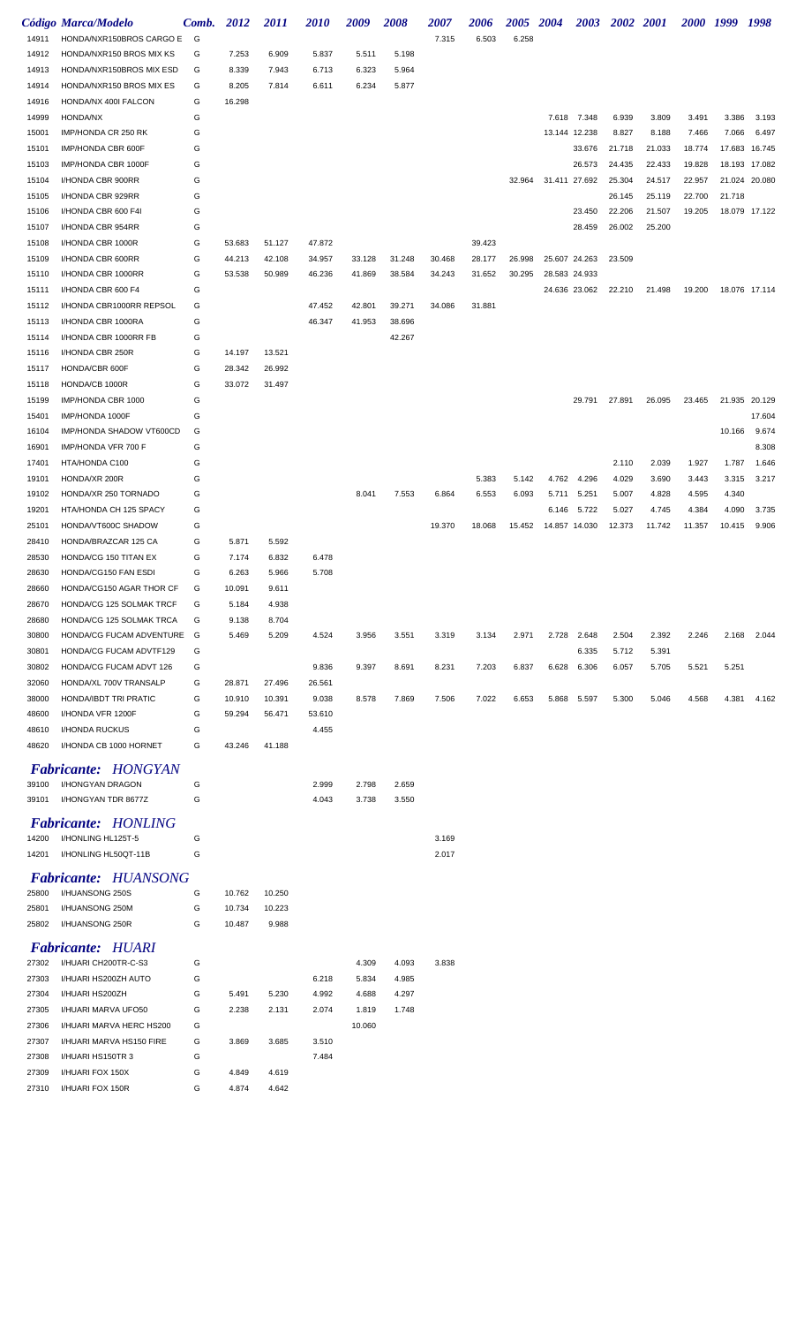|                | <b>Código Marca/Modelo</b>                     | Comb.  | 2012             | 2011             | <i>2010</i>      | 2009             | 2008             | <i><b>2007</b></i> | 2006             | <i><b>2005</b></i> | <b>2004</b>   | <b>2003</b>   | 2002 2001 |        |        | 2000 1999 | 1998          |
|----------------|------------------------------------------------|--------|------------------|------------------|------------------|------------------|------------------|--------------------|------------------|--------------------|---------------|---------------|-----------|--------|--------|-----------|---------------|
| 14911          | HONDA/NXR150BROS CARGO E                       | G      |                  |                  |                  |                  |                  | 7.315              | 6.503            | 6.258              |               |               |           |        |        |           |               |
| 14912          | HONDA/NXR150 BROS MIX KS                       | G      | 7.253            | 6.909            | 5.837            | 5.511            | 5.198            |                    |                  |                    |               |               |           |        |        |           |               |
| 14913          | HONDA/NXR150BROS MIX ESD                       | G      | 8.339            | 7.943            | 6.713            | 6.323            | 5.964            |                    |                  |                    |               |               |           |        |        |           |               |
| 14914          | HONDA/NXR150 BROS MIX ES                       | G      | 8.205            | 7.814            | 6.611            | 6.234            | 5.877            |                    |                  |                    |               |               |           |        |        |           |               |
| 14916          | HONDA/NX 400I FALCON                           | G      | 16.298           |                  |                  |                  |                  |                    |                  |                    |               |               |           |        |        |           |               |
| 14999          | HONDA/NX                                       | G      |                  |                  |                  |                  |                  |                    |                  |                    | 7.618         | 7.348         | 6.939     | 3.809  | 3.491  | 3.386     | 3.193         |
| 15001          | IMP/HONDA CR 250 RK                            | G      |                  |                  |                  |                  |                  |                    |                  |                    |               | 13.144 12.238 | 8.827     | 8.188  | 7.466  | 7.066     | 6.497         |
| 15101          | IMP/HONDA CBR 600F                             | G      |                  |                  |                  |                  |                  |                    |                  |                    |               | 33.676        | 21.718    | 21.033 | 18.774 | 17.683    | 16.745        |
| 15103          | IMP/HONDA CBR 1000F                            | G      |                  |                  |                  |                  |                  |                    |                  |                    |               | 26.573        | 24.435    | 22.433 | 19.828 | 18.193    | 17.082        |
| 15104          | I/HONDA CBR 900RR                              | G      |                  |                  |                  |                  |                  |                    |                  | 32.964             | 31.411        | 27.692        | 25.304    | 24.517 | 22.957 |           | 21.024 20.080 |
| 15105          | I/HONDA CBR 929RR                              | G      |                  |                  |                  |                  |                  |                    |                  |                    |               |               | 26.145    | 25.119 | 22.700 | 21.718    |               |
| 15106          | I/HONDA CBR 600 F4I                            | G      |                  |                  |                  |                  |                  |                    |                  |                    |               | 23.450        | 22.206    | 21.507 | 19.205 |           | 18.079 17.122 |
| 15107          | I/HONDA CBR 954RR                              | G      |                  |                  |                  |                  |                  |                    |                  |                    |               | 28.459        | 26.002    | 25.200 |        |           |               |
| 15108          | I/HONDA CBR 1000R                              | G      | 53.683           | 51.127           | 47.872           |                  |                  |                    | 39.423           |                    |               |               |           |        |        |           |               |
| 15109          | I/HONDA CBR 600RR<br>I/HONDA CBR 1000RR        | G<br>G | 44.213<br>53.538 | 42.108<br>50.989 | 34.957<br>46.236 | 33.128<br>41.869 | 31.248<br>38.584 | 30.468<br>34.243   | 28.177<br>31.652 | 26.998<br>30.295   | 28.583 24.933 | 25.607 24.263 | 23.509    |        |        |           |               |
| 15110<br>15111 | I/HONDA CBR 600 F4                             | G      |                  |                  |                  |                  |                  |                    |                  |                    |               | 24.636 23.062 | 22.210    | 21.498 | 19.200 |           | 18.076 17.114 |
| 15112          | I/HONDA CBR1000RR REPSOL                       | G      |                  |                  | 47.452           | 42.801           | 39.271           | 34.086             | 31.881           |                    |               |               |           |        |        |           |               |
| 15113          | I/HONDA CBR 1000RA                             | G      |                  |                  | 46.347           | 41.953           | 38.696           |                    |                  |                    |               |               |           |        |        |           |               |
| 15114          | I/HONDA CBR 1000RR FB                          | G      |                  |                  |                  |                  | 42.267           |                    |                  |                    |               |               |           |        |        |           |               |
| 15116          | I/HONDA CBR 250R                               | G      | 14.197           | 13.521           |                  |                  |                  |                    |                  |                    |               |               |           |        |        |           |               |
| 15117          | HONDA/CBR 600F                                 | G      | 28.342           | 26.992           |                  |                  |                  |                    |                  |                    |               |               |           |        |        |           |               |
| 15118          | HONDA/CB 1000R                                 | G      | 33.072           | 31.497           |                  |                  |                  |                    |                  |                    |               |               |           |        |        |           |               |
| 15199          | IMP/HONDA CBR 1000                             | G      |                  |                  |                  |                  |                  |                    |                  |                    |               | 29.791        | 27.891    | 26.095 | 23.465 | 21.935    | 20.129        |
| 15401          | IMP/HONDA 1000F                                | G      |                  |                  |                  |                  |                  |                    |                  |                    |               |               |           |        |        |           | 17.604        |
| 16104          | IMP/HONDA SHADOW VT600CD                       | G      |                  |                  |                  |                  |                  |                    |                  |                    |               |               |           |        |        | 10.166    | 9.674         |
| 16901          | IMP/HONDA VFR 700 F                            | G      |                  |                  |                  |                  |                  |                    |                  |                    |               |               |           |        |        |           | 8.308         |
| 17401          | HTA/HONDA C100                                 | G      |                  |                  |                  |                  |                  |                    |                  |                    |               |               | 2.110     | 2.039  | 1.927  | 1.787     | 1.646         |
| 19101          | HONDA/XR 200R                                  | G      |                  |                  |                  |                  |                  |                    | 5.383            | 5.142              | 4.762         | 4.296         | 4.029     | 3.690  | 3.443  | 3.315     | 3.217         |
| 19102          | HONDA/XR 250 TORNADO                           | G      |                  |                  |                  | 8.041            | 7.553            | 6.864              | 6.553            | 6.093              | 5.711         | 5.251         | 5.007     | 4.828  | 4.595  | 4.340     |               |
| 19201          | HTA/HONDA CH 125 SPACY                         | G      |                  |                  |                  |                  |                  |                    |                  |                    | 6.146         | 5.722         | 5.027     | 4.745  | 4.384  | 4.090     | 3.735         |
| 25101          | HONDA/VT600C SHADOW                            | G      |                  |                  |                  |                  |                  | 19.370             | 18.068           | 15.452             | 14.857 14.030 |               | 12.373    | 11.742 | 11.357 | 10.415    | 9.906         |
| 28410          | HONDA/BRAZCAR 125 CA                           | G      | 5.871            | 5.592            |                  |                  |                  |                    |                  |                    |               |               |           |        |        |           |               |
| 28530          | HONDA/CG 150 TITAN EX                          | G      | 7.174            | 6.832            | 6.478            |                  |                  |                    |                  |                    |               |               |           |        |        |           |               |
| 28630          | HONDA/CG150 FAN ESDI                           | G      | 6.263            | 5.966            | 5.708            |                  |                  |                    |                  |                    |               |               |           |        |        |           |               |
| 28660          | HONDA/CG150 AGAR THOR CF                       | G      | 10.091           | 9.611            |                  |                  |                  |                    |                  |                    |               |               |           |        |        |           |               |
| 28670          | HONDA/CG 125 SOLMAK TRCF                       | G      | 5.184            | 4.938            |                  |                  |                  |                    |                  |                    |               |               |           |        |        |           |               |
| 28680          | HONDA/CG 125 SOLMAK TRCA                       | G      | 9.138            | 8.704            |                  |                  |                  |                    |                  |                    |               |               |           |        |        |           |               |
| 30800          | HONDA/CG FUCAM ADVENTURE                       | G      | 5.469            | 5.209            | 4.524            | 3.956            | 3.551            | 3.319              | 3.134            | 2.971              | 2.728         | 2.648         | 2.504     | 2.392  | 2.246  | 2.168     | 2.044         |
| 30801          | HONDA/CG FUCAM ADVTF129                        | G      |                  |                  |                  |                  |                  |                    |                  |                    |               | 6.335         | 5.712     | 5.391  |        |           |               |
| 30802          | HONDA/CG FUCAM ADVT 126                        | G      |                  |                  | 9.836            | 9.397            | 8.691            | 8.231              | 7.203            | 6.837              | 6.628         | 6.306         | 6.057     | 5.705  | 5.521  | 5.251     |               |
| 32060          | HONDA/XL 700V TRANSALP                         | G      | 28.871           | 27.496           | 26.561           |                  |                  |                    |                  |                    |               |               |           |        |        |           |               |
| 38000          | HONDA/IBDT TRI PRATIC                          | G      | 10.910           | 10.391           | 9.038            | 8.578            | 7.869            | 7.506              | 7.022            | 6.653              |               | 5.868 5.597   | 5.300     | 5.046  | 4.568  | 4.381     | 4.162         |
| 48600          | I/HONDA VFR 1200F                              | G      | 59.294           | 56.471           | 53.610           |                  |                  |                    |                  |                    |               |               |           |        |        |           |               |
| 48610          | I/HONDA RUCKUS                                 | G      |                  |                  | 4.455            |                  |                  |                    |                  |                    |               |               |           |        |        |           |               |
| 48620          | I/HONDA CB 1000 HORNET                         | G      | 43.246           | 41.188           |                  |                  |                  |                    |                  |                    |               |               |           |        |        |           |               |
|                |                                                |        |                  |                  |                  |                  |                  |                    |                  |                    |               |               |           |        |        |           |               |
|                | <b>Fabricante: HONGYAN</b><br>I/HONGYAN DRAGON |        |                  |                  |                  |                  |                  |                    |                  |                    |               |               |           |        |        |           |               |
| 39100          | I/HONGYAN TDR 8677Z                            | G      |                  |                  | 2.999            | 2.798            | 2.659            |                    |                  |                    |               |               |           |        |        |           |               |
| 39101          |                                                | G      |                  |                  | 4.043            | 3.738            | 3.550            |                    |                  |                    |               |               |           |        |        |           |               |
|                | <b>Fabricante: HONLING</b>                     |        |                  |                  |                  |                  |                  |                    |                  |                    |               |               |           |        |        |           |               |
| 14200          | I/HONLING HL125T-5                             | G      |                  |                  |                  |                  |                  | 3.169              |                  |                    |               |               |           |        |        |           |               |
| 14201          | I/HONLING HL50QT-11B                           | G      |                  |                  |                  |                  |                  | 2.017              |                  |                    |               |               |           |        |        |           |               |
|                | <b>Fabricante: HUANSONG</b>                    |        |                  |                  |                  |                  |                  |                    |                  |                    |               |               |           |        |        |           |               |
| 25800          | I/HUANSONG 250S                                | G      | 10.762           | 10.250           |                  |                  |                  |                    |                  |                    |               |               |           |        |        |           |               |
| 25801          | I/HUANSONG 250M                                | G      | 10.734           | 10.223           |                  |                  |                  |                    |                  |                    |               |               |           |        |        |           |               |
| 25802          | I/HUANSONG 250R                                | G      | 10.487           | 9.988            |                  |                  |                  |                    |                  |                    |               |               |           |        |        |           |               |
|                |                                                |        |                  |                  |                  |                  |                  |                    |                  |                    |               |               |           |        |        |           |               |
|                | <b>Fabricante: HUARI</b>                       |        |                  |                  |                  |                  |                  |                    |                  |                    |               |               |           |        |        |           |               |
| 27302          | I/HUARI CH200TR-C-S3                           | G      |                  |                  |                  | 4.309            | 4.093            | 3.838              |                  |                    |               |               |           |        |        |           |               |
| 27303          | I/HUARI HS200ZH AUTO                           | G      |                  |                  | 6.218            | 5.834            | 4.985            |                    |                  |                    |               |               |           |        |        |           |               |
| 27304          | I/HUARI HS200ZH                                | G      | 5.491            | 5.230            | 4.992            | 4.688            | 4.297            |                    |                  |                    |               |               |           |        |        |           |               |
| 27305          | I/HUARI MARVA UFO50                            | G      | 2.238            | 2.131            | 2.074            | 1.819            | 1.748            |                    |                  |                    |               |               |           |        |        |           |               |
| 27306          | I/HUARI MARVA HERC HS200                       | G      |                  |                  |                  | 10.060           |                  |                    |                  |                    |               |               |           |        |        |           |               |
| 27307          | I/HUARI MARVA HS150 FIRE                       | G      | 3.869            | 3.685            | 3.510            |                  |                  |                    |                  |                    |               |               |           |        |        |           |               |
| 27308          | I/HUARI HS150TR 3                              | G      |                  |                  | 7.484            |                  |                  |                    |                  |                    |               |               |           |        |        |           |               |
| 27309          | I/HUARI FOX 150X                               | G      | 4.849            | 4.619            |                  |                  |                  |                    |                  |                    |               |               |           |        |        |           |               |
| 27310          | I/HUARI FOX 150R                               | G      | 4.874            | 4.642            |                  |                  |                  |                    |                  |                    |               |               |           |        |        |           |               |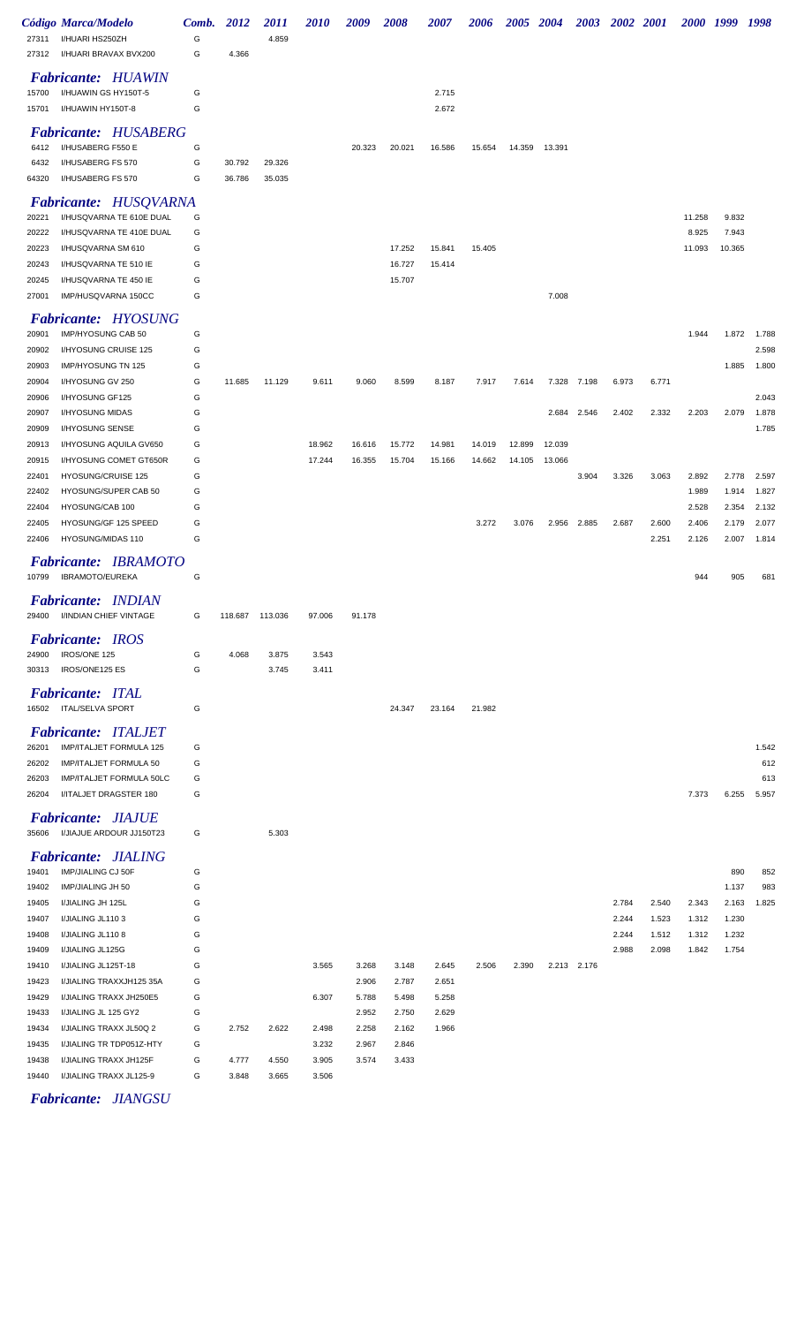|                | Código Marca/Modelo                                   | Comb.  | 2012            | <i>2011</i> | <i><b>2010</b></i> | 2009           | 2008             | <i><b>2007</b></i> | <i><b>2006</b></i> |        | 2005 2004 |             | 2003 2002 2001 |                | 2000 1999      |                | 1998           |
|----------------|-------------------------------------------------------|--------|-----------------|-------------|--------------------|----------------|------------------|--------------------|--------------------|--------|-----------|-------------|----------------|----------------|----------------|----------------|----------------|
| 27311<br>27312 | I/HUARI HS250ZH<br>I/HUARI BRAVAX BVX200              | G<br>G | 4.366           | 4.859       |                    |                |                  |                    |                    |        |           |             |                |                |                |                |                |
|                | <b>Fabricante: HUAWIN</b>                             |        |                 |             |                    |                |                  |                    |                    |        |           |             |                |                |                |                |                |
| 15700          | I/HUAWIN GS HY150T-5                                  | G      |                 |             |                    |                |                  | 2.715              |                    |        |           |             |                |                |                |                |                |
| 15701          | I/HUAWIN HY150T-8                                     | G      |                 |             |                    |                |                  | 2.672              |                    |        |           |             |                |                |                |                |                |
|                | <b>Fabricante: HUSABERG</b>                           |        |                 |             |                    |                |                  |                    |                    |        |           |             |                |                |                |                |                |
| 6412<br>6432   | I/HUSABERG F550 E<br>I/HUSABERG FS 570                | G<br>G | 30.792          | 29.326      |                    | 20.323         | 20.021           | 16.586             | 15.654             | 14.359 | 13.391    |             |                |                |                |                |                |
| 64320          | I/HUSABERG FS 570                                     | G      | 36.786          | 35.035      |                    |                |                  |                    |                    |        |           |             |                |                |                |                |                |
|                | <b>Fabricante: HUSQVARNA</b>                          |        |                 |             |                    |                |                  |                    |                    |        |           |             |                |                |                |                |                |
| 20221          | I/HUSQVARNA TE 610E DUAL                              | G      |                 |             |                    |                |                  |                    |                    |        |           |             |                |                | 11.258         | 9.832          |                |
| 20222          | I/HUSQVARNA TE 410E DUAL                              | G      |                 |             |                    |                |                  |                    |                    |        |           |             |                |                | 8.925          | 7.943          |                |
| 20223          | I/HUSQVARNA SM 610                                    | G      |                 |             |                    |                | 17.252           | 15.841             | 15.405             |        |           |             |                |                | 11.093         | 10.365         |                |
| 20243<br>20245 | I/HUSQVARNA TE 510 IE<br>I/HUSQVARNA TE 450 IE        | G<br>G |                 |             |                    |                | 16.727<br>15.707 | 15.414             |                    |        |           |             |                |                |                |                |                |
| 27001          | IMP/HUSQVARNA 150CC                                   | G      |                 |             |                    |                |                  |                    |                    |        | 7.008     |             |                |                |                |                |                |
|                | <b>Fabricante: HYOSUNG</b>                            |        |                 |             |                    |                |                  |                    |                    |        |           |             |                |                |                |                |                |
| 20901          | IMP/HYOSUNG CAB 50                                    | G      |                 |             |                    |                |                  |                    |                    |        |           |             |                |                | 1.944          | 1.872          | 1.788          |
| 20902          | I/HYOSUNG CRUISE 125                                  | G      |                 |             |                    |                |                  |                    |                    |        |           |             |                |                |                |                | 2.598          |
| 20903          | IMP/HYOSUNG TN 125                                    | G      |                 |             |                    |                |                  |                    |                    |        |           |             |                |                |                | 1.885          | 1.800          |
| 20904          | I/HYOSUNG GV 250                                      | G<br>G | 11.685          | 11.129      | 9.611              | 9.060          | 8.599            | 8.187              | 7.917              | 7.614  |           | 7.328 7.198 | 6.973          | 6.771          |                |                | 2.043          |
| 20906<br>20907 | I/HYOSUNG GF125<br>I/HYOSUNG MIDAS                    | G      |                 |             |                    |                |                  |                    |                    |        | 2.684     | 2.546       | 2.402          | 2.332          | 2.203          | 2.079          | 1.878          |
| 20909          | I/HYOSUNG SENSE                                       | G      |                 |             |                    |                |                  |                    |                    |        |           |             |                |                |                |                | 1.785          |
| 20913          | I/HYOSUNG AQUILA GV650                                | G      |                 |             | 18.962             | 16.616         | 15.772           | 14.981             | 14.019             | 12.899 | 12.039    |             |                |                |                |                |                |
| 20915          | I/HYOSUNG COMET GT650R                                | G      |                 |             | 17.244             | 16.355         | 15.704           | 15.166             | 14.662             | 14.105 | 13.066    |             |                |                |                |                |                |
| 22401<br>22402 | <b>HYOSUNG/CRUISE 125</b><br>HYOSUNG/SUPER CAB 50     | G<br>G |                 |             |                    |                |                  |                    |                    |        |           | 3.904       | 3.326          | 3.063          | 2.892<br>1.989 | 2.778<br>1.914 | 2.597<br>1.827 |
| 22404          | HYOSUNG/CAB 100                                       | G      |                 |             |                    |                |                  |                    |                    |        |           |             |                |                | 2.528          | 2.354          | 2.132          |
| 22405          | HYOSUNG/GF 125 SPEED                                  | G      |                 |             |                    |                |                  |                    | 3.272              | 3.076  |           | 2.956 2.885 | 2.687          | 2.600          | 2.406          | 2.179          | 2.077          |
| 22406          | HYOSUNG/MIDAS 110                                     | G      |                 |             |                    |                |                  |                    |                    |        |           |             |                | 2.251          | 2.126          | 2.007          | 1.814          |
| 10799          | <b>Fabricante: IBRAMOTO</b><br>IBRAMOTO/EUREKA        | G      |                 |             |                    |                |                  |                    |                    |        |           |             |                |                | 944            | 905            | 681            |
| 29400          | Fabricante: INDIAN<br>I/INDIAN CHIEF VINTAGE          | G      | 118.687 113.036 |             | 97.006             | 91.178         |                  |                    |                    |        |           |             |                |                |                |                |                |
|                | <b>Fabricante: IROS</b>                               |        |                 |             |                    |                |                  |                    |                    |        |           |             |                |                |                |                |                |
| 24900          | IROS/ONE 125                                          | G      | 4.068           | 3.875       | 3.543              |                |                  |                    |                    |        |           |             |                |                |                |                |                |
| 30313          | IROS/ONE125 ES                                        | G      |                 | 3.745       | 3.411              |                |                  |                    |                    |        |           |             |                |                |                |                |                |
|                | <b>Fabricante: ITAL</b><br>16502 ITAL/SELVA SPORT     | G      |                 |             |                    |                | 24.347           | 23.164             | 21.982             |        |           |             |                |                |                |                |                |
|                | <b>Fabricante: ITALJET</b>                            |        |                 |             |                    |                |                  |                    |                    |        |           |             |                |                |                |                |                |
| 26201          | IMP/ITALJET FORMULA 125                               | G      |                 |             |                    |                |                  |                    |                    |        |           |             |                |                |                |                | 1.542<br>612   |
| 26202<br>26203 | IMP/ITALJET FORMULA 50<br>IMP/ITALJET FORMULA 50LC    | G<br>G |                 |             |                    |                |                  |                    |                    |        |           |             |                |                |                |                | 613            |
| 26204          | I/ITALJET DRAGSTER 180                                | G      |                 |             |                    |                |                  |                    |                    |        |           |             |                |                | 7.373          | 6.255          | 5.957          |
| 35606          | <b>Fabricante: JIAJUE</b><br>I/JIAJUE ARDOUR JJ150T23 | G      |                 | 5.303       |                    |                |                  |                    |                    |        |           |             |                |                |                |                |                |
|                | <b>Fabricante: JIALING</b>                            |        |                 |             |                    |                |                  |                    |                    |        |           |             |                |                |                |                |                |
| 19401          | IMP/JIALING CJ 50F                                    | G      |                 |             |                    |                |                  |                    |                    |        |           |             |                |                |                | 890            | 852            |
| 19402          | IMP/JIALING JH 50                                     | G      |                 |             |                    |                |                  |                    |                    |        |           |             |                |                |                | 1.137          | 983            |
| 19405          | I/JIALING JH 125L                                     | G      |                 |             |                    |                |                  |                    |                    |        |           |             | 2.784          | 2.540          | 2.343          | 2.163          | 1.825          |
| 19407<br>19408 | I/JIALING JL1103<br>I/JIALING JL1108                  | G<br>G |                 |             |                    |                |                  |                    |                    |        |           |             | 2.244<br>2.244 | 1.523<br>1.512 | 1.312<br>1.312 | 1.230<br>1.232 |                |
| 19409          | I/JIALING JL125G                                      | G      |                 |             |                    |                |                  |                    |                    |        |           |             | 2.988          | 2.098          | 1.842          | 1.754          |                |
| 19410          | I/JIALING JL125T-18                                   | G      |                 |             | 3.565              | 3.268          | 3.148            | 2.645              | 2.506              | 2.390  |           | 2.213 2.176 |                |                |                |                |                |
| 19423          | I/JIALING TRAXXJH125 35A                              | G      |                 |             |                    | 2.906          | 2.787            | 2.651              |                    |        |           |             |                |                |                |                |                |
| 19429          | I/JIALING TRAXX JH250E5                               | G      |                 |             | 6.307              | 5.788          | 5.498            | 5.258              |                    |        |           |             |                |                |                |                |                |
| 19433<br>19434 | I/JIALING JL 125 GY2<br>I/JIALING TRAXX JL50Q 2       | G<br>G | 2.752           | 2.622       | 2.498              | 2.952<br>2.258 | 2.750<br>2.162   | 2.629<br>1.966     |                    |        |           |             |                |                |                |                |                |
| 19435          | I/JIALING TR TDP051Z-HTY                              | G      |                 |             | 3.232              | 2.967          | 2.846            |                    |                    |        |           |             |                |                |                |                |                |
| 19438          | I/JIALING TRAXX JH125F                                | G      | 4.777           | 4.550       | 3.905              | 3.574          | 3.433            |                    |                    |        |           |             |                |                |                |                |                |
| 19440          | I/JIALING TRAXX JL125-9                               | G      | 3.848           | 3.665       | 3.506              |                |                  |                    |                    |        |           |             |                |                |                |                |                |

*Fabricante: JIANGSU*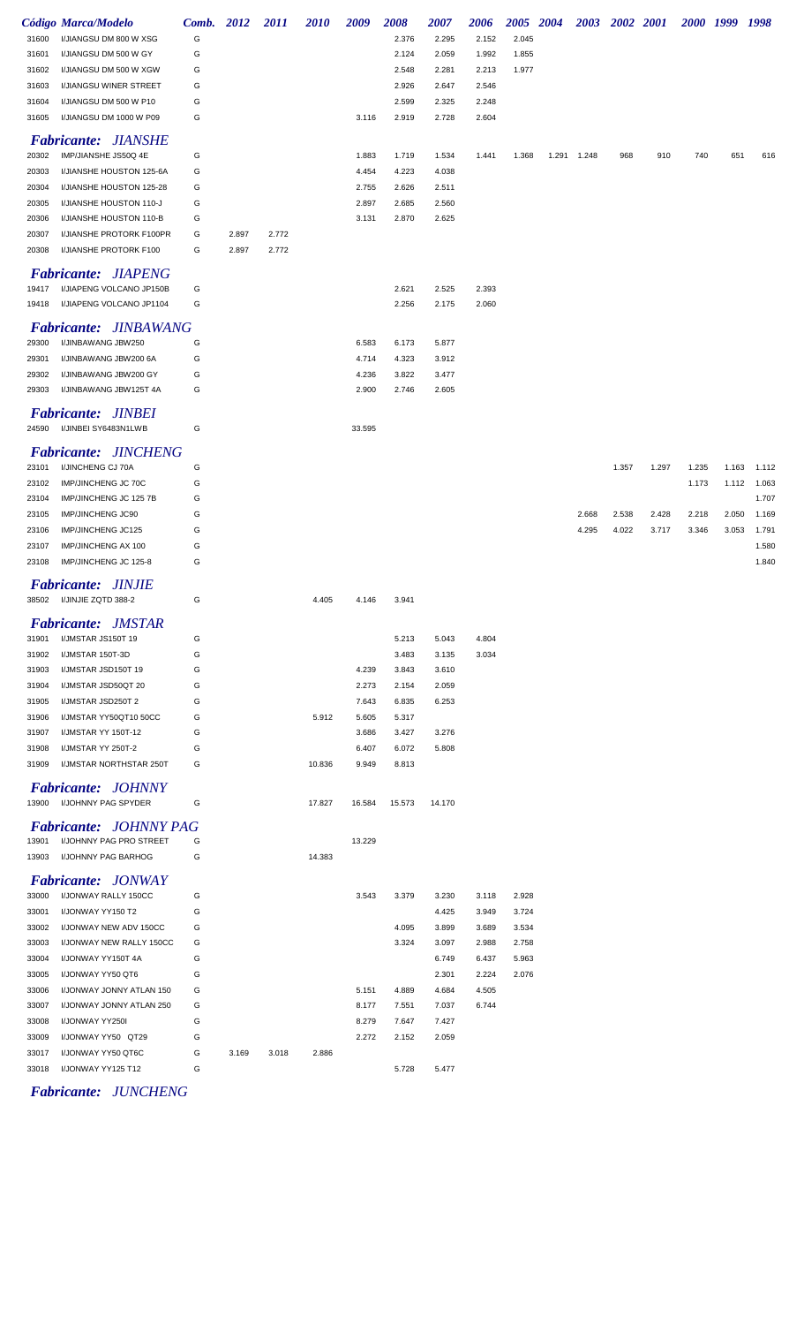|       | Código Marca/Modelo                          | Comb. 2012 |       | <i>2011</i> | <i>2010</i> | 2009   | <b>2008</b> | 2007   | 2006  | 2005 2004 |             | 2003 2002 2001 |       |       | 2000 1999 1998 |       |
|-------|----------------------------------------------|------------|-------|-------------|-------------|--------|-------------|--------|-------|-----------|-------------|----------------|-------|-------|----------------|-------|
| 31600 | I/JIANGSU DM 800 W XSG                       | G          |       |             |             |        | 2.376       | 2.295  | 2.152 | 2.045     |             |                |       |       |                |       |
| 31601 | I/JIANGSU DM 500 W GY                        | G          |       |             |             |        | 2.124       | 2.059  | 1.992 | 1.855     |             |                |       |       |                |       |
| 31602 | I/JIANGSU DM 500 W XGW                       | G          |       |             |             |        | 2.548       | 2.281  | 2.213 | 1.977     |             |                |       |       |                |       |
| 31603 | I/JIANGSU WINER STREET                       | G          |       |             |             |        | 2.926       | 2.647  | 2.546 |           |             |                |       |       |                |       |
| 31604 | I/JIANGSU DM 500 W P10                       | G          |       |             |             |        | 2.599       | 2.325  | 2.248 |           |             |                |       |       |                |       |
| 31605 | I/JIANGSU DM 1000 W P09                      | G          |       |             |             | 3.116  | 2.919       | 2.728  | 2.604 |           |             |                |       |       |                |       |
|       | <b>Fabricante: JIANSHE</b>                   |            |       |             |             |        |             |        |       |           |             |                |       |       |                |       |
| 20302 | IMP/JIANSHE JS50Q 4E                         | G          |       |             |             | 1.883  | 1.719       | 1.534  | 1.441 | 1.368     | 1.291 1.248 | 968            | 910   | 740   | 651            | 616   |
| 20303 | I/JIANSHE HOUSTON 125-6A                     | G          |       |             |             | 4.454  | 4.223       | 4.038  |       |           |             |                |       |       |                |       |
| 20304 | I/JIANSHE HOUSTON 125-28                     | G          |       |             |             | 2.755  | 2.626       | 2.511  |       |           |             |                |       |       |                |       |
| 20305 | I/JIANSHE HOUSTON 110-J                      | G          |       |             |             | 2.897  | 2.685       | 2.560  |       |           |             |                |       |       |                |       |
| 20306 | I/JIANSHE HOUSTON 110-B                      | G          |       |             |             | 3.131  | 2.870       | 2.625  |       |           |             |                |       |       |                |       |
| 20307 | I/JIANSHE PROTORK F100PR                     | G          | 2.897 | 2.772       |             |        |             |        |       |           |             |                |       |       |                |       |
| 20308 | I/JIANSHE PROTORK F100                       | G          | 2.897 | 2.772       |             |        |             |        |       |           |             |                |       |       |                |       |
|       |                                              |            |       |             |             |        |             |        |       |           |             |                |       |       |                |       |
|       | <b>Fabricante: JIAPENG</b>                   |            |       |             |             |        |             |        |       |           |             |                |       |       |                |       |
| 19417 | I/JIAPENG VOLCANO JP150B                     | G          |       |             |             |        | 2.621       | 2.525  | 2.393 |           |             |                |       |       |                |       |
| 19418 | I/JIAPENG VOLCANO JP1104                     | G          |       |             |             |        | 2.256       | 2.175  | 2.060 |           |             |                |       |       |                |       |
|       | <b>Fabricante: JINBAWANG</b>                 |            |       |             |             |        |             |        |       |           |             |                |       |       |                |       |
| 29300 | I/JINBAWANG JBW250                           | G          |       |             |             | 6.583  | 6.173       | 5.877  |       |           |             |                |       |       |                |       |
| 29301 | I/JINBAWANG JBW200 6A                        | G          |       |             |             | 4.714  | 4.323       | 3.912  |       |           |             |                |       |       |                |       |
| 29302 | I/JINBAWANG JBW200 GY                        | G          |       |             |             | 4.236  | 3.822       | 3.477  |       |           |             |                |       |       |                |       |
| 29303 | I/JINBAWANG JBW125T 4A                       | G          |       |             |             | 2.900  | 2.746       | 2.605  |       |           |             |                |       |       |                |       |
|       |                                              |            |       |             |             |        |             |        |       |           |             |                |       |       |                |       |
|       | <b>Fabricante: JINBEI</b>                    |            |       |             |             |        |             |        |       |           |             |                |       |       |                |       |
| 24590 | I/JINBEI SY6483N1LWB                         | G          |       |             |             | 33.595 |             |        |       |           |             |                |       |       |                |       |
|       | <b>Fabricante: JINCHENG</b>                  |            |       |             |             |        |             |        |       |           |             |                |       |       |                |       |
| 23101 | I/JINCHENG CJ 70A                            | G          |       |             |             |        |             |        |       |           |             | 1.357          | 1.297 | 1.235 | 1.163          | 1.112 |
| 23102 | IMP/JINCHENG JC 70C                          | G          |       |             |             |        |             |        |       |           |             |                |       | 1.173 | 1.112          | 1.063 |
| 23104 | IMP/JINCHENG JC 125 7B                       | G          |       |             |             |        |             |        |       |           |             |                |       |       |                | 1.707 |
| 23105 | IMP/JINCHENG JC90                            | G          |       |             |             |        |             |        |       |           | 2.668       | 2.538          | 2.428 | 2.218 | 2.050          | 1.169 |
| 23106 | IMP/JINCHENG JC125                           | G          |       |             |             |        |             |        |       |           | 4.295       | 4.022          | 3.717 | 3.346 | 3.053          | 1.791 |
|       |                                              |            |       |             |             |        |             |        |       |           |             |                |       |       |                |       |
| 23107 | IMP/JINCHENG AX 100<br>IMP/JINCHENG JC 125-8 | G<br>G     |       |             |             |        |             |        |       |           |             |                |       |       |                | 1.580 |
| 23108 |                                              |            |       |             |             |        |             |        |       |           |             |                |       |       |                | 1.840 |
|       | <b>Fabricante: JINJIE</b>                    |            |       |             |             |        |             |        |       |           |             |                |       |       |                |       |
| 38502 | I/JINJIE ZQTD 388-2                          | G          |       |             | 4.405       | 4.146  | 3.941       |        |       |           |             |                |       |       |                |       |
|       | <b>Fabricante: JMSTAR</b>                    |            |       |             |             |        |             |        |       |           |             |                |       |       |                |       |
| 31901 | I/JMSTAR JS150T 19                           | G          |       |             |             |        | 5.213       | 5.043  | 4.804 |           |             |                |       |       |                |       |
| 31902 | I/JMSTAR 150T-3D                             | G          |       |             |             |        | 3.483       | 3.135  | 3.034 |           |             |                |       |       |                |       |
| 31903 | I/JMSTAR JSD150T 19                          | G          |       |             |             | 4.239  | 3.843       | 3.610  |       |           |             |                |       |       |                |       |
|       |                                              |            |       |             |             |        |             |        |       |           |             |                |       |       |                |       |
| 31904 | I/JMSTAR JSD50QT 20                          | G          |       |             |             | 2.273  | 2.154       | 2.059  |       |           |             |                |       |       |                |       |
| 31905 | I/JMSTAR JSD250T 2                           | G          |       |             |             | 7.643  | 6.835       | 6.253  |       |           |             |                |       |       |                |       |
| 31906 | I/JMSTAR YY50QT10 50CC                       | G          |       |             | 5.912       | 5.605  | 5.317       |        |       |           |             |                |       |       |                |       |
| 31907 | I/JMSTAR YY 150T-12                          | G          |       |             |             | 3.686  | 3.427       | 3.276  |       |           |             |                |       |       |                |       |
| 31908 | I/JMSTAR YY 250T-2                           | G          |       |             |             | 6.407  | 6.072       | 5.808  |       |           |             |                |       |       |                |       |
| 31909 | I/JMSTAR NORTHSTAR 250T                      | G          |       |             | 10.836      | 9.949  | 8.813       |        |       |           |             |                |       |       |                |       |
|       | <b>Fabricante: JOHNNY</b>                    |            |       |             |             |        |             |        |       |           |             |                |       |       |                |       |
|       | 13900 I/JOHNNY PAG SPYDER                    | G          |       |             | 17.827      | 16.584 | 15.573      | 14.170 |       |           |             |                |       |       |                |       |
|       |                                              |            |       |             |             |        |             |        |       |           |             |                |       |       |                |       |
|       | <b>Fabricante: JOHNNY PAG</b>                |            |       |             |             |        |             |        |       |           |             |                |       |       |                |       |
| 13901 | I/JOHNNY PAG PRO STREET                      | G          |       |             |             | 13.229 |             |        |       |           |             |                |       |       |                |       |
| 13903 | I/JOHNNY PAG BARHOG                          | G          |       |             | 14.383      |        |             |        |       |           |             |                |       |       |                |       |
|       | <b>Fabricante: JONWAY</b>                    |            |       |             |             |        |             |        |       |           |             |                |       |       |                |       |
| 33000 | I/JONWAY RALLY 150CC                         | G          |       |             |             | 3.543  | 3.379       | 3.230  | 3.118 | 2.928     |             |                |       |       |                |       |
| 33001 | I/JONWAY YY150 T2                            | G          |       |             |             |        |             | 4.425  | 3.949 | 3.724     |             |                |       |       |                |       |
| 33002 | I/JONWAY NEW ADV 150CC                       | G          |       |             |             |        | 4.095       | 3.899  | 3.689 | 3.534     |             |                |       |       |                |       |
| 33003 | I/JONWAY NEW RALLY 150CC                     | G          |       |             |             |        | 3.324       | 3.097  | 2.988 | 2.758     |             |                |       |       |                |       |
| 33004 | I/JONWAY YY150T 4A                           | G          |       |             |             |        |             | 6.749  | 6.437 | 5.963     |             |                |       |       |                |       |
| 33005 | I/JONWAY YY50 QT6                            | G          |       |             |             |        |             | 2.301  | 2.224 | 2.076     |             |                |       |       |                |       |
| 33006 | I/JONWAY JONNY ATLAN 150                     | G          |       |             |             | 5.151  | 4.889       | 4.684  | 4.505 |           |             |                |       |       |                |       |
| 33007 | I/JONWAY JONNY ATLAN 250                     | G          |       |             |             | 8.177  | 7.551       | 7.037  | 6.744 |           |             |                |       |       |                |       |
| 33008 | I/JONWAY YY250I                              | G          |       |             |             | 8.279  | 7.647       | 7.427  |       |           |             |                |       |       |                |       |
| 33009 | I/JONWAY YY50 QT29                           | G          |       |             |             | 2.272  | 2.152       | 2.059  |       |           |             |                |       |       |                |       |
|       |                                              | G          |       |             |             |        |             |        |       |           |             |                |       |       |                |       |
| 33017 | I/JONWAY YY50 QT6C                           |            | 3.169 | 3.018       | 2.886       |        |             |        |       |           |             |                |       |       |                |       |
| 33018 | I/JONWAY YY125 T12                           | G          |       |             |             |        | 5.728       | 5.477  |       |           |             |                |       |       |                |       |

*Fabricante: JUNCHENG*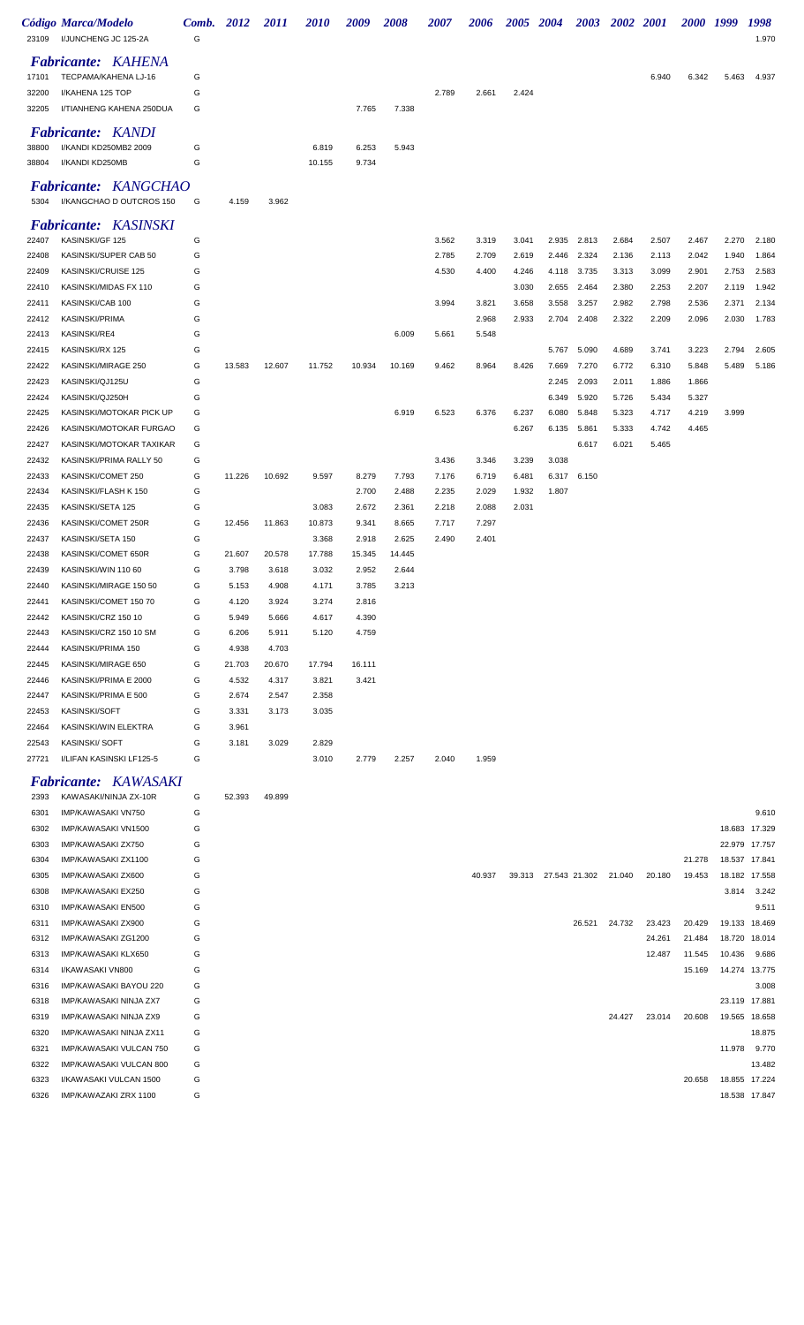| 23109          | Código Marca/Modelo<br>I/JUNCHENG JC 125-2A | Comb.<br>G | 2012   | <i>2011</i> | <i><b>2010</b></i> | 2009   | 2008   | <i><b>2007</b></i> | 2006  | <i><b>2005</b></i> | <b>2004</b> | 2003  | <b>2002</b> | <b>2001</b> | <i>2000</i> | 1999  | 1998<br>1.970 |
|----------------|---------------------------------------------|------------|--------|-------------|--------------------|--------|--------|--------------------|-------|--------------------|-------------|-------|-------------|-------------|-------------|-------|---------------|
|                |                                             |            |        |             |                    |        |        |                    |       |                    |             |       |             |             |             |       |               |
|                | <b>Fabricante: KAHENA</b>                   |            |        |             |                    |        |        |                    |       |                    |             |       |             |             |             |       |               |
| 17101          | TECPAMA/KAHENA LJ-16<br>I/KAHENA 125 TOP    | G          |        |             |                    |        |        |                    |       |                    |             |       |             | 6.940       | 6.342       | 5.463 | 4.937         |
| 32200<br>32205 | I/TIANHENG KAHENA 250DUA                    | G<br>G     |        |             |                    | 7.765  | 7.338  | 2.789              | 2.661 | 2.424              |             |       |             |             |             |       |               |
|                |                                             |            |        |             |                    |        |        |                    |       |                    |             |       |             |             |             |       |               |
|                | <b>Fabricante: KANDI</b>                    |            |        |             |                    |        |        |                    |       |                    |             |       |             |             |             |       |               |
| 38800          | I/KANDI KD250MB2 2009                       | G          |        |             | 6.819              | 6.253  | 5.943  |                    |       |                    |             |       |             |             |             |       |               |
| 38804          | I/KANDI KD250MB                             | G          |        |             | 10.155             | 9.734  |        |                    |       |                    |             |       |             |             |             |       |               |
|                | <b>Fabricante: KANGCHAO</b>                 |            |        |             |                    |        |        |                    |       |                    |             |       |             |             |             |       |               |
| 5304           | I/KANGCHAO D OUTCROS 150                    | G          | 4.159  | 3.962       |                    |        |        |                    |       |                    |             |       |             |             |             |       |               |
|                |                                             |            |        |             |                    |        |        |                    |       |                    |             |       |             |             |             |       |               |
|                | <b>Fabricante: KASINSKI</b>                 |            |        |             |                    |        |        |                    |       |                    |             |       |             |             |             |       |               |
| 22407          | KASINSKI/GF 125                             | G          |        |             |                    |        |        | 3.562              | 3.319 | 3.041              | 2.935       | 2.813 | 2.684       | 2.507       | 2.467       | 2.270 | 2.180         |
| 22408          | KASINSKI/SUPER CAB 50                       | G          |        |             |                    |        |        | 2.785              | 2.709 | 2.619              | 2.446       | 2.324 | 2.136       | 2.113       | 2.042       | 1.940 | 1.864         |
| 22409          | KASINSKI/CRUISE 125                         | G          |        |             |                    |        |        | 4.530              | 4.400 | 4.246              | 4.118       | 3.735 | 3.313       | 3.099       | 2.901       | 2.753 | 2.583         |
| 22410          | KASINSKI/MIDAS FX 110                       | G          |        |             |                    |        |        |                    |       | 3.030              | 2.655       | 2.464 | 2.380       | 2.253       | 2.207       | 2.119 | 1.942         |
| 22411          | KASINSKI/CAB 100                            | G          |        |             |                    |        |        | 3.994              | 3.821 | 3.658              | 3.558       | 3.257 | 2.982       | 2.798       | 2.536       | 2.371 | 2.134         |
| 22412          | <b>KASINSKI/PRIMA</b>                       | G          |        |             |                    |        |        |                    | 2.968 | 2.933              | 2.704       | 2.408 | 2.322       | 2.209       | 2.096       | 2.030 | 1.783         |
| 22413          | <b>KASINSKI/RE4</b>                         | G          |        |             |                    |        | 6.009  | 5.661              | 5.548 |                    |             |       |             |             |             |       |               |
| 22415          | KASINSKI/RX 125                             | G          |        |             |                    |        |        |                    |       |                    | 5.767       | 5.090 | 4.689       | 3.741       | 3.223       | 2.794 | 2.605         |
| 22422          | KASINSKI/MIRAGE 250                         | G          | 13.583 | 12.607      | 11.752             | 10.934 | 10.169 | 9.462              | 8.964 | 8.426              | 7.669       | 7.270 | 6.772       | 6.310       | 5.848       | 5.489 | 5.186         |
| 22423          | KASINSKI/QJ125U                             | G          |        |             |                    |        |        |                    |       |                    | 2.245       | 2.093 | 2.011       | 1.886       | 1.866       |       |               |
| 22424          | KASINSKI/QJ250H                             | G          |        |             |                    |        |        |                    |       |                    | 6.349       | 5.920 | 5.726       | 5.434       | 5.327       |       |               |
| 22425          | KASINSKI/MOTOKAR PICK UP                    | G          |        |             |                    |        | 6.919  | 6.523              | 6.376 | 6.237              | 6.080       | 5.848 | 5.323       | 4.717       | 4.219       | 3.999 |               |
| 22426          | KASINSKI/MOTOKAR FURGAO                     | G          |        |             |                    |        |        |                    |       | 6.267              | 6.135       | 5.861 | 5.333       | 4.742       | 4.465       |       |               |
| 22427          | KASINSKI/MOTOKAR TAXIKAR                    | G          |        |             |                    |        |        |                    |       |                    |             | 6.617 | 6.021       | 5.465       |             |       |               |
| 22432          | KASINSKI/PRIMA RALLY 50                     | G          |        |             |                    |        |        | 3.436              | 3.346 | 3.239              | 3.038       |       |             |             |             |       |               |
| 22433          | KASINSKI/COMET 250                          | G          | 11.226 | 10.692      | 9.597              | 8.279  | 7.793  | 7.176              | 6.719 | 6.481              | 6.317       | 6.150 |             |             |             |       |               |
| 22434          | KASINSKI/FLASH K 150                        | G          |        |             |                    | 2.700  | 2.488  | 2.235              | 2.029 | 1.932              | 1.807       |       |             |             |             |       |               |
| 22435          | KASINSKI/SETA 125                           | G          |        |             | 3.083              | 2.672  | 2.361  | 2.218              | 2.088 | 2.031              |             |       |             |             |             |       |               |
| 22436          | KASINSKI/COMET 250R                         | G          | 12.456 | 11.863      | 10.873             | 9.341  | 8.665  | 7.717              | 7.297 |                    |             |       |             |             |             |       |               |
| 22437          | KASINSKI/SETA 150                           | G          |        |             | 3.368              | 2.918  | 2.625  | 2.490              | 2.401 |                    |             |       |             |             |             |       |               |
| 22438          | KASINSKI/COMET 650R                         | G          | 21.607 | 20.578      | 17.788             | 15.345 | 14.445 |                    |       |                    |             |       |             |             |             |       |               |
| 22439          | KASINSKI/WIN 110 60                         | G          | 3.798  | 3.618       | 3.032              | 2.952  | 2.644  |                    |       |                    |             |       |             |             |             |       |               |
| 22440          | KASINSKI/MIRAGE 150 50                      | G          | 5.153  | 4.908       | 4.171              | 3.785  | 3.213  |                    |       |                    |             |       |             |             |             |       |               |
| 22441          | KASINSKI/COMET 150 70                       | G          | 4.120  | 3.924       | 3.274              | 2.816  |        |                    |       |                    |             |       |             |             |             |       |               |
| 22442          | KASINSKI/CRZ 150 10                         | G          | 5.949  | 5.666       | 4.617              | 4.390  |        |                    |       |                    |             |       |             |             |             |       |               |
| 22443          | KASINSKI/CRZ 150 10 SM                      | G          | 6.206  | 5.911       | 5.120              | 4.759  |        |                    |       |                    |             |       |             |             |             |       |               |
| 22444          | KASINSKI/PRIMA 150                          | G          | 4.938  | 4.703       |                    |        |        |                    |       |                    |             |       |             |             |             |       |               |
| 22445          | KASINSKI/MIRAGE 650                         | G          | 21.703 | 20.670      | 17.794             | 16.111 |        |                    |       |                    |             |       |             |             |             |       |               |
| 22446          | KASINSKI/PRIMA E 2000                       | G          | 4.532  | 4.317       | 3.821              | 3.421  |        |                    |       |                    |             |       |             |             |             |       |               |
| 22447          | KASINSKI/PRIMA E 500                        | G          | 2.674  | 2.547       | 2.358              |        |        |                    |       |                    |             |       |             |             |             |       |               |
| 22453          | KASINSKI/SOFT                               | G          | 3.331  | 3.173       | 3.035              |        |        |                    |       |                    |             |       |             |             |             |       |               |
| 22464          | KASINSKI/WIN ELEKTRA                        | G          | 3.961  |             |                    |        |        |                    |       |                    |             |       |             |             |             |       |               |
| 22543          | <b>KASINSKI/SOFT</b>                        | G          | 3.181  | 3.029       | 2.829              |        |        |                    |       |                    |             |       |             |             |             |       |               |
| 27721          | I/LIFAN KASINSKI LF125-5                    | G          |        |             | 3.010              | 2.779  | 2.257  | 2.040              | 1.959 |                    |             |       |             |             |             |       |               |
|                | Fabricante: KAWASAKI                        |            |        |             |                    |        |        |                    |       |                    |             |       |             |             |             |       |               |

| 2393 | KAWASAKI/NINJA ZX-10R          | G | 52.393 | 49.899 |
|------|--------------------------------|---|--------|--------|
| 6301 | IMP/KAWASAKI VN750             | G |        |        |
| 6302 | IMP/KAWASAKI VN1500            | G |        |        |
| 6303 | IMP/KAWASAKI ZX750             | G |        |        |
| 6304 | IMP/KAWASAKI ZX1100            | G |        |        |
| 6305 | IMP/KAWASAKI ZX600             | G |        |        |
| 6308 | IMP/KAWASAKI EX250             | G |        |        |
| 6310 | IMP/KAWASAKI EN500             | G |        |        |
| 6311 | IMP/KAWASAKI ZX900             | G |        |        |
| 6312 | IMP/KAWASAKI ZG1200            | G |        |        |
| 6313 | IMP/KAWASAKI KLX650            | G |        |        |
| 6314 | I/KAWASAKI VN800               | G |        |        |
| 6316 | IMP/KAWASAKI BAYOU 220         | G |        |        |
| 6318 | <b>IMP/KAWASAKI NINJA ZX7</b>  | G |        |        |
| 6319 | IMP/KAWASAKI NINJA ZX9         | G |        |        |
| 6320 | <b>IMP/KAWASAKI NINJA ZX11</b> | G |        |        |
| 6321 | IMP/KAWASAKI VULCAN 750        | G |        |        |
| 6322 | <b>IMP/KAWASAKI VULCAN 800</b> | G |        |        |
| 6323 | I/KAWASAKI VULCAN 1500         | G |        |        |
| 6326 | IMP/KAWAZAKI ZRX 1100          | G |        |        |
|      |                                |   |        |        |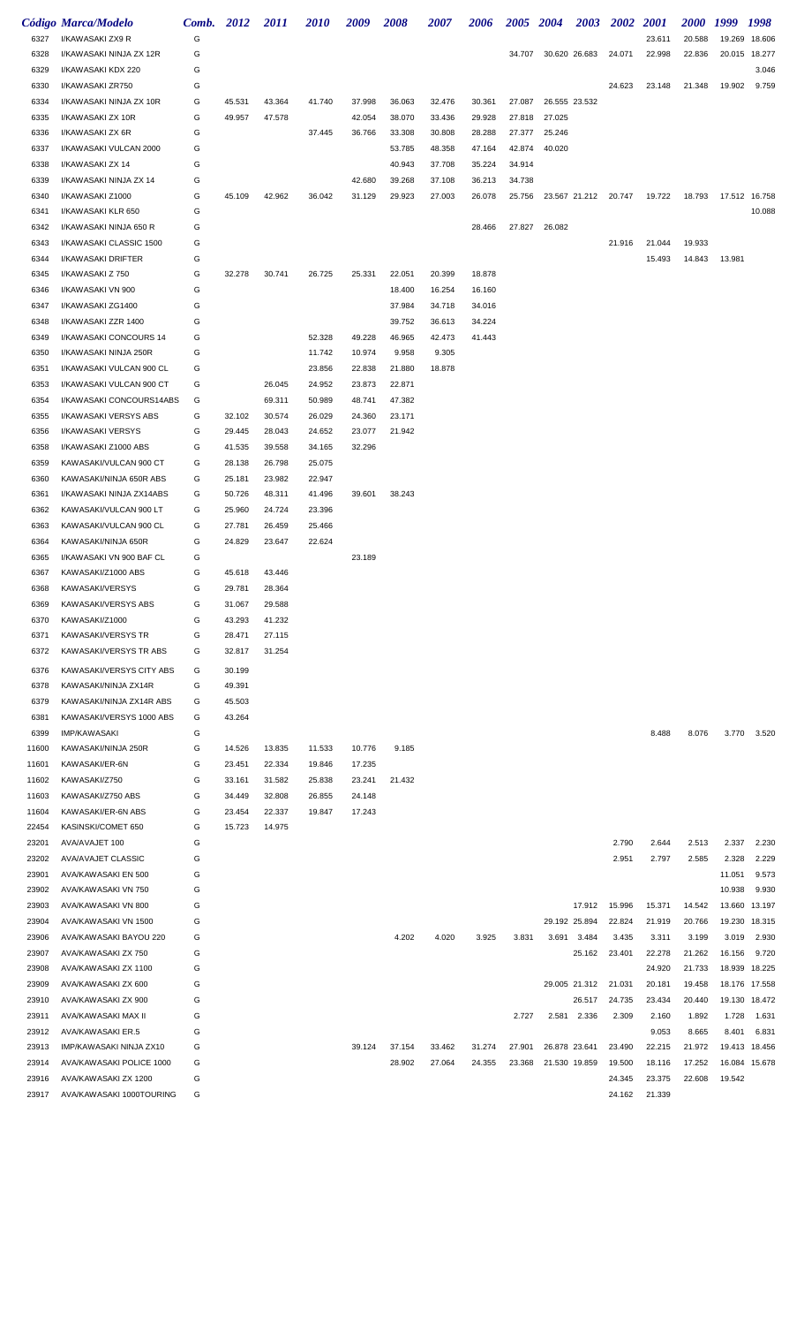|       | Código Marca/Modelo       | Comb. 2012 |        | <i>2011</i> | <i>2010</i> | 2009   | 2008   | 2007   | 2006   | 2005 2004 |                      | <b>2003</b>   | <b>2002</b>                 | <i>2001</i> | <i>2000</i> | 1999          | 1998   |
|-------|---------------------------|------------|--------|-------------|-------------|--------|--------|--------|--------|-----------|----------------------|---------------|-----------------------------|-------------|-------------|---------------|--------|
| 6327  | I/KAWASAKI ZX9 R          | G          |        |             |             |        |        |        |        |           |                      |               |                             | 23.611      | 20.588      | 19.269        | 18.606 |
| 6328  | I/KAWASAKI NINJA ZX 12R   | G          |        |             |             |        |        |        |        |           | 34.707 30.620 26.683 |               | 24.071                      | 22.998      | 22.836      | 20.015        | 18.277 |
| 6329  | I/KAWASAKI KDX 220        | G          |        |             |             |        |        |        |        |           |                      |               |                             |             |             |               | 3.046  |
| 6330  | I/KAWASAKI ZR750          | G          |        |             |             |        |        |        |        |           |                      |               | 24.623                      | 23.148      | 21.348      | 19.902        | 9.759  |
| 6334  | I/KAWASAKI NINJA ZX 10R   | G          | 45.531 | 43.364      | 41.740      | 37.998 | 36.063 | 32.476 | 30.361 | 27.087    | 26.555 23.532        |               |                             |             |             |               |        |
| 6335  | I/KAWASAKI ZX 10R         | G          | 49.957 | 47.578      |             | 42.054 | 38.070 | 33.436 | 29.928 | 27.818    | 27.025               |               |                             |             |             |               |        |
| 6336  | I/KAWASAKI ZX 6R          | G          |        |             | 37.445      | 36.766 | 33.308 | 30.808 | 28.288 | 27.377    | 25.246               |               |                             |             |             |               |        |
| 6337  | I/KAWASAKI VULCAN 2000    | G          |        |             |             |        | 53.785 | 48.358 | 47.164 | 42.874    | 40.020               |               |                             |             |             |               |        |
| 6338  | I/KAWASAKI ZX 14          | G          |        |             |             |        | 40.943 | 37.708 | 35.224 | 34.914    |                      |               |                             |             |             |               |        |
| 6339  | I/KAWASAKI NINJA ZX 14    | G          |        |             |             | 42.680 | 39.268 | 37.108 | 36.213 | 34.738    |                      |               |                             |             |             |               |        |
| 6340  | I/KAWASAKI Z1000          | G          | 45.109 | 42.962      | 36.042      | 31.129 | 29.923 | 27.003 | 26.078 | 25.756    |                      |               | 23.567 21.212 20.747 19.722 |             | 18.793      | 17.512 16.758 |        |
| 6341  | I/KAWASAKI KLR 650        | G          |        |             |             |        |        |        |        |           |                      |               |                             |             |             |               | 10.088 |
| 6342  | I/KAWASAKI NINJA 650 R    | G          |        |             |             |        |        |        | 28.466 | 27.827    | 26.082               |               |                             |             |             |               |        |
| 6343  | I/KAWASAKI CLASSIC 1500   | G          |        |             |             |        |        |        |        |           |                      |               | 21.916                      | 21.044      | 19.933      |               |        |
| 6344  | I/KAWASAKI DRIFTER        | G          |        |             |             |        |        |        |        |           |                      |               |                             | 15.493      | 14.843      | 13.981        |        |
| 6345  | I/KAWASAKI Z 750          | G          | 32.278 | 30.741      | 26.725      | 25.331 | 22.051 | 20.399 | 18.878 |           |                      |               |                             |             |             |               |        |
| 6346  | I/KAWASAKI VN 900         | G          |        |             |             |        | 18.400 | 16.254 | 16.160 |           |                      |               |                             |             |             |               |        |
| 6347  | I/KAWASAKI ZG1400         | G          |        |             |             |        | 37.984 | 34.718 | 34.016 |           |                      |               |                             |             |             |               |        |
| 6348  | I/KAWASAKI ZZR 1400       | G          |        |             |             |        | 39.752 | 36.613 | 34.224 |           |                      |               |                             |             |             |               |        |
| 6349  | I/KAWASAKI CONCOURS 14    | G          |        |             | 52.328      | 49.228 | 46.965 | 42.473 | 41.443 |           |                      |               |                             |             |             |               |        |
| 6350  | I/KAWASAKI NINJA 250R     | G          |        |             | 11.742      | 10.974 | 9.958  | 9.305  |        |           |                      |               |                             |             |             |               |        |
| 6351  | I/KAWASAKI VULCAN 900 CL  | G          |        |             | 23.856      | 22.838 | 21.880 | 18.878 |        |           |                      |               |                             |             |             |               |        |
| 6353  | I/KAWASAKI VULCAN 900 CT  | G          |        | 26.045      | 24.952      | 23.873 | 22.871 |        |        |           |                      |               |                             |             |             |               |        |
| 6354  | I/KAWASAKI CONCOURS14ABS  | G          |        | 69.311      | 50.989      | 48.741 | 47.382 |        |        |           |                      |               |                             |             |             |               |        |
| 6355  | I/KAWASAKI VERSYS ABS     | G          | 32.102 | 30.574      | 26.029      | 24.360 | 23.171 |        |        |           |                      |               |                             |             |             |               |        |
| 6356  | I/KAWASAKI VERSYS         | G          | 29.445 | 28.043      | 24.652      | 23.077 | 21.942 |        |        |           |                      |               |                             |             |             |               |        |
| 6358  | I/KAWASAKI Z1000 ABS      | G          | 41.535 | 39.558      | 34.165      | 32.296 |        |        |        |           |                      |               |                             |             |             |               |        |
| 6359  | KAWASAKI/VULCAN 900 CT    | G          | 28.138 | 26.798      | 25.075      |        |        |        |        |           |                      |               |                             |             |             |               |        |
| 6360  | KAWASAKI/NINJA 650R ABS   | G          | 25.181 | 23.982      | 22.947      |        |        |        |        |           |                      |               |                             |             |             |               |        |
| 6361  | I/KAWASAKI NINJA ZX14ABS  | G          | 50.726 | 48.311      | 41.496      | 39.601 | 38.243 |        |        |           |                      |               |                             |             |             |               |        |
| 6362  | KAWASAKI/VULCAN 900 LT    | G          | 25.960 | 24.724      | 23.396      |        |        |        |        |           |                      |               |                             |             |             |               |        |
| 6363  | KAWASAKI/VULCAN 900 CL    | G          | 27.781 | 26.459      | 25.466      |        |        |        |        |           |                      |               |                             |             |             |               |        |
| 6364  | KAWASAKI/NINJA 650R       | G          | 24.829 | 23.647      | 22.624      |        |        |        |        |           |                      |               |                             |             |             |               |        |
| 6365  | I/KAWASAKI VN 900 BAF CL  | G          |        |             |             | 23.189 |        |        |        |           |                      |               |                             |             |             |               |        |
| 6367  | KAWASAKI/Z1000 ABS        | G          | 45.618 | 43.446      |             |        |        |        |        |           |                      |               |                             |             |             |               |        |
| 6368  | KAWASAKI/VERSYS           | G          | 29.781 | 28.364      |             |        |        |        |        |           |                      |               |                             |             |             |               |        |
| 6369  | KAWASAKI/VERSYS ABS       | G          | 31.067 | 29.588      |             |        |        |        |        |           |                      |               |                             |             |             |               |        |
| 6370  | KAWASAKI/Z1000            | G          | 43.293 | 41.232      |             |        |        |        |        |           |                      |               |                             |             |             |               |        |
| 6371  | <b>KAWASAKI/VERSYS TR</b> | G          | 28.471 | 27.115      |             |        |        |        |        |           |                      |               |                             |             |             |               |        |
| 6372  | KAWASAKI/VERSYS TR ABS    | G          | 32.817 | 31.254      |             |        |        |        |        |           |                      |               |                             |             |             |               |        |
| 6376  | KAWASAKI/VERSYS CITY ABS  | G          | 30.199 |             |             |        |        |        |        |           |                      |               |                             |             |             |               |        |
| 6378  | KAWASAKI/NINJA ZX14R      | G          | 49.391 |             |             |        |        |        |        |           |                      |               |                             |             |             |               |        |
| 6379  | KAWASAKI/NINJA ZX14R ABS  | G          | 45.503 |             |             |        |        |        |        |           |                      |               |                             |             |             |               |        |
| 6381  | KAWASAKI/VERSYS 1000 ABS  | G          | 43.264 |             |             |        |        |        |        |           |                      |               |                             |             |             |               |        |
| 6399  | <b>IMP/KAWASAKI</b>       | G          |        |             |             |        |        |        |        |           |                      |               |                             | 8.488       | 8.076       | 3.770         | 3.520  |
| 11600 | KAWASAKI/NINJA 250R       | G          | 14.526 | 13.835      | 11.533      | 10.776 | 9.185  |        |        |           |                      |               |                             |             |             |               |        |
| 11601 | KAWASAKI/ER-6N            | G          | 23.451 | 22.334      | 19.846      | 17.235 |        |        |        |           |                      |               |                             |             |             |               |        |
| 11602 | KAWASAKI/Z750             | G          | 33.161 | 31.582      | 25.838      | 23.241 | 21.432 |        |        |           |                      |               |                             |             |             |               |        |
| 11603 | KAWASAKI/Z750 ABS         | G          | 34.449 | 32.808      | 26.855      | 24.148 |        |        |        |           |                      |               |                             |             |             |               |        |
| 11604 | KAWASAKI/ER-6N ABS        | G          | 23.454 | 22.337      | 19.847      | 17.243 |        |        |        |           |                      |               |                             |             |             |               |        |
| 22454 | KASINSKI/COMET 650        | G          | 15.723 | 14.975      |             |        |        |        |        |           |                      |               |                             |             |             |               |        |
| 23201 | AVA/AVAJET 100            | G          |        |             |             |        |        |        |        |           |                      |               | 2.790                       | 2.644       | 2.513       | 2.337         | 2.230  |
| 23202 | AVA/AVAJET CLASSIC        | G          |        |             |             |        |        |        |        |           |                      |               | 2.951                       | 2.797       | 2.585       | 2.328         | 2.229  |
| 23901 | AVA/KAWASAKI EN 500       | G          |        |             |             |        |        |        |        |           |                      |               |                             |             |             | 11.051        | 9.573  |
| 23902 | AVA/KAWASAKI VN 750       | G          |        |             |             |        |        |        |        |           |                      |               |                             |             |             | 10.938        | 9.930  |
| 23903 | AVA/KAWASAKI VN 800       | G          |        |             |             |        |        |        |        |           |                      | 17.912        | 15.996                      | 15.371      | 14.542      | 13.660        | 13.197 |
| 23904 | AVA/KAWASAKI VN 1500      | G          |        |             |             |        |        |        |        |           | 29.192 25.894        |               | 22.824                      | 21.919      | 20.766      | 19.230        | 18.315 |
| 23906 | AVA/KAWASAKI BAYOU 220    | G          |        |             |             |        | 4.202  | 4.020  | 3.925  | 3.831     | 3.691                | 3.484         | 3.435                       | 3.311       | 3.199       | 3.019         | 2.930  |
| 23907 | AVA/KAWASAKI ZX 750       | G          |        |             |             |        |        |        |        |           |                      | 25.162        | 23.401                      | 22.278      | 21.262      | 16.156        | 9.720  |
| 23908 | AVA/KAWASAKI ZX 1100      | G          |        |             |             |        |        |        |        |           |                      |               |                             | 24.920      | 21.733      | 18.939        | 18.225 |
| 23909 | AVA/KAWASAKI ZX 600       | G          |        |             |             |        |        |        |        |           |                      | 29.005 21.312 | 21.031                      | 20.181      | 19.458      | 18.176        | 17.558 |
| 23910 | AVA/KAWASAKI ZX 900       | G          |        |             |             |        |        |        |        |           |                      | 26.517        | 24.735                      | 23.434      | 20.440      | 19.130        | 18.472 |
| 23911 | AVA/KAWASAKI MAX II       | G          |        |             |             |        |        |        |        | 2.727     | 2.581                | 2.336         | 2.309                       | 2.160       | 1.892       | 1.728         | 1.631  |
| 23912 | AVA/KAWASAKI ER.5         | G          |        |             |             |        |        |        |        |           |                      |               |                             | 9.053       | 8.665       | 8.401         | 6.831  |
| 23913 | IMP/KAWASAKI NINJA ZX10   | G          |        |             |             | 39.124 | 37.154 | 33.462 | 31.274 | 27.901    | 26.878 23.641        |               | 23.490                      | 22.215      | 21.972      | 19.413        | 18.456 |
| 23914 | AVA/KAWASAKI POLICE 1000  | G          |        |             |             |        | 28.902 | 27.064 | 24.355 | 23.368    | 21.530 19.859        |               | 19.500                      | 18.116      | 17.252      | 16.084        | 15.678 |
| 23916 | AVA/KAWASAKI ZX 1200      | G          |        |             |             |        |        |        |        |           |                      |               | 24.345                      | 23.375      | 22.608      | 19.542        |        |
| 23917 | AVA/KAWASAKI 1000TOURING  | G          |        |             |             |        |        |        |        |           |                      |               | 24.162                      | 21.339      |             |               |        |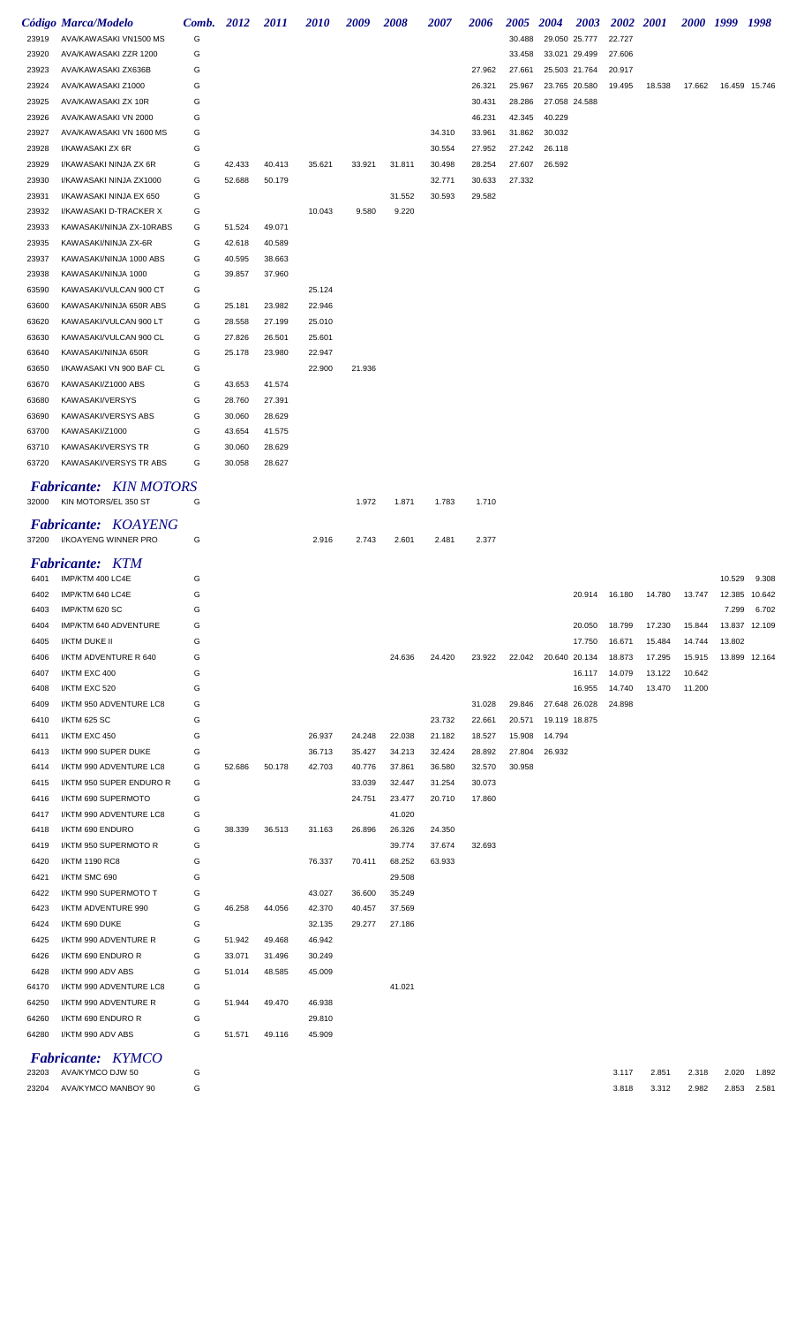|       | Código Marca/Modelo                                                             | Comb. 2012 |        | <i>2011</i> | <i><b>2010</b></i> | 2009   | <i><b>2008</b></i> | <i><b>2007</b></i> | 2006   | <b>2005</b> | <b>2004</b>          | <b>2003</b>   | <b>2002</b> 2001 |                                                |        | 2000 1999 1998 |               |
|-------|---------------------------------------------------------------------------------|------------|--------|-------------|--------------------|--------|--------------------|--------------------|--------|-------------|----------------------|---------------|------------------|------------------------------------------------|--------|----------------|---------------|
| 23919 | AVA/KAWASAKI VN1500 MS                                                          | G          |        |             |                    |        |                    |                    |        | 30.488      |                      | 29.050 25.777 | 22.727           |                                                |        |                |               |
| 23920 | AVA/KAWASAKI ZZR 1200                                                           | G          |        |             |                    |        |                    |                    |        | 33.458      |                      | 33.021 29.499 | 27.606           |                                                |        |                |               |
| 23923 | AVA/KAWASAKI ZX636B                                                             | G          |        |             |                    |        |                    |                    | 27.962 | 27.661      |                      | 25.503 21.764 | 20.917           |                                                |        |                |               |
| 23924 | AVA/KAWASAKI Z1000                                                              | G          |        |             |                    |        |                    |                    | 26.321 | 25.967      |                      | 23.765 20.580 | 19.495           | 18.538                                         | 17.662 |                | 16.459 15.746 |
| 23925 | AVA/KAWASAKI ZX 10R                                                             | G          |        |             |                    |        |                    |                    | 30.431 | 28.286      |                      | 27.058 24.588 |                  |                                                |        |                |               |
| 23926 | AVA/KAWASAKI VN 2000                                                            | G          |        |             |                    |        |                    |                    | 46.231 | 42.345      | 40.229               |               |                  |                                                |        |                |               |
| 23927 | AVA/KAWASAKI VN 1600 MS                                                         | G          |        |             |                    |        |                    | 34.310             | 33.961 | 31.862      | 30.032               |               |                  |                                                |        |                |               |
| 23928 | I/KAWASAKI ZX 6R                                                                | G          |        |             |                    |        |                    | 30.554             | 27.952 | 27.242      | 26.118               |               |                  |                                                |        |                |               |
| 23929 | I/KAWASAKI NINJA ZX 6R                                                          | G          | 42.433 | 40.413      | 35.621             | 33.921 | 31.811             | 30.498             | 28.254 | 27.607      | 26.592               |               |                  |                                                |        |                |               |
| 23930 | I/KAWASAKI NINJA ZX1000                                                         | G          | 52.688 | 50.179      |                    |        |                    | 32.771             | 30.633 | 27.332      |                      |               |                  |                                                |        |                |               |
| 23931 | I/KAWASAKI NINJA EX 650                                                         | G          |        |             |                    |        | 31.552             | 30.593             | 29.582 |             |                      |               |                  |                                                |        |                |               |
| 23932 | I/KAWASAKI D-TRACKER X                                                          | G          |        |             | 10.043             | 9.580  | 9.220              |                    |        |             |                      |               |                  |                                                |        |                |               |
| 23933 | KAWASAKI/NINJA ZX-10RABS                                                        | G          | 51.524 | 49.071      |                    |        |                    |                    |        |             |                      |               |                  |                                                |        |                |               |
| 23935 | KAWASAKI/NINJA ZX-6R                                                            | G          | 42.618 | 40.589      |                    |        |                    |                    |        |             |                      |               |                  |                                                |        |                |               |
| 23937 | KAWASAKI/NINJA 1000 ABS                                                         | G          | 40.595 | 38.663      |                    |        |                    |                    |        |             |                      |               |                  |                                                |        |                |               |
| 23938 | KAWASAKI/NINJA 1000                                                             | G          | 39.857 | 37.960      |                    |        |                    |                    |        |             |                      |               |                  |                                                |        |                |               |
| 63590 | KAWASAKI/VULCAN 900 CT                                                          | G          |        |             | 25.124             |        |                    |                    |        |             |                      |               |                  |                                                |        |                |               |
| 63600 | KAWASAKI/NINJA 650R ABS                                                         | G          | 25.181 | 23.982      | 22.946             |        |                    |                    |        |             |                      |               |                  |                                                |        |                |               |
| 63620 | KAWASAKI/VULCAN 900 LT                                                          | G          | 28.558 | 27.199      | 25.010             |        |                    |                    |        |             |                      |               |                  |                                                |        |                |               |
| 63630 | KAWASAKI/VULCAN 900 CL                                                          | G          | 27.826 | 26.501      | 25.601             |        |                    |                    |        |             |                      |               |                  |                                                |        |                |               |
| 63640 | KAWASAKI/NINJA 650R                                                             | G          | 25.178 | 23.980      | 22.947             |        |                    |                    |        |             |                      |               |                  |                                                |        |                |               |
| 63650 | I/KAWASAKI VN 900 BAF CL                                                        | G          |        |             | 22.900             | 21.936 |                    |                    |        |             |                      |               |                  |                                                |        |                |               |
| 63670 | KAWASAKI/Z1000 ABS                                                              | G          | 43.653 | 41.574      |                    |        |                    |                    |        |             |                      |               |                  |                                                |        |                |               |
| 63680 | KAWASAKI/VERSYS                                                                 | G          | 28.760 | 27.391      |                    |        |                    |                    |        |             |                      |               |                  |                                                |        |                |               |
| 63690 | KAWASAKI/VERSYS ABS                                                             | G          | 30.060 | 28.629      |                    |        |                    |                    |        |             |                      |               |                  |                                                |        |                |               |
| 63700 | KAWASAKI/Z1000                                                                  | G          | 43.654 | 41.575      |                    |        |                    |                    |        |             |                      |               |                  |                                                |        |                |               |
|       |                                                                                 | G          |        |             |                    |        |                    |                    |        |             |                      |               |                  |                                                |        |                |               |
| 63710 | <b>KAWASAKI/VERSYS TR</b>                                                       |            | 30.060 | 28.629      |                    |        |                    |                    |        |             |                      |               |                  |                                                |        |                |               |
| 63720 | KAWASAKI/VERSYS TR ABS                                                          | G          | 30.058 | 28.627      |                    |        |                    |                    |        |             |                      |               |                  |                                                |        |                |               |
|       | <b>Fabricante:</b> KIN MOTORS                                                   |            |        |             |                    |        |                    |                    |        |             |                      |               |                  |                                                |        |                |               |
| 32000 | KIN MOTORS/EL 350 ST                                                            | G          |        |             |                    | 1.972  | 1.871              | 1.783              | 1.710  |             |                      |               |                  |                                                |        |                |               |
|       | <b>Fabricante: KOAYENG</b>                                                      |            |        |             |                    |        |                    |                    |        |             |                      |               |                  |                                                |        |                |               |
| 37200 | I/KOAYENG WINNER PRO                                                            | G          |        |             | 2.916              | 2.743  | 2.601              | 2.481              | 2.377  |             |                      |               |                  |                                                |        |                |               |
|       |                                                                                 |            |        |             |                    |        |                    |                    |        |             |                      |               |                  |                                                |        |                |               |
|       | <b>Fabricante: KTM</b>                                                          |            |        |             |                    |        |                    |                    |        |             |                      |               |                  |                                                |        |                |               |
| 6401  | IMP/KTM 400 LC4E                                                                | G          |        |             |                    |        |                    |                    |        |             |                      |               |                  |                                                |        | 10.529         | 9.308         |
|       | 6402 IMP/KTM 640 LC4E                                                           | $\epsilon$ |        |             |                    |        |                    |                    |        |             |                      |               |                  | 20.914  16.180  14.780  13.747  12.385  10.642 |        |                |               |
| 6403  | IMP/KTM 620 SC                                                                  | G          |        |             |                    |        |                    |                    |        |             |                      |               |                  |                                                |        | 7.299          | 6.702         |
| 6404  | IMP/KTM 640 ADVENTURE                                                           | G          |        |             |                    |        |                    |                    |        |             |                      | 20.050        | 18.799           | 17.230                                         | 15.844 |                | 13.837 12.109 |
| 6405  | I/KTM DUKE II                                                                   | G          |        |             |                    |        |                    |                    |        |             |                      | 17.750        | 16.671           | 15.484                                         | 14.744 | 13.802         |               |
| 6406  | I/KTM ADVENTURE R 640                                                           | G          |        |             |                    |        | 24.636             | 24.420             | 23.922 |             | 22.042 20.640 20.134 |               | 18.873           | 17.295                                         | 15.915 |                | 13.899 12.164 |
| 6407  | I/KTM EXC 400                                                                   | G          |        |             |                    |        |                    |                    |        |             |                      | 16.117        | 14.079           | 13.122                                         | 10.642 |                |               |
| 6408  | I/KTM EXC 520                                                                   | G          |        |             |                    |        |                    |                    |        |             |                      | 16.955        | 14.740           | 13.470                                         | 11.200 |                |               |
| 6409  | I/KTM 950 ADVENTURE LC8                                                         | G          |        |             |                    |        |                    |                    | 31.028 | 29.846      |                      | 27.648 26.028 | 24.898           |                                                |        |                |               |
| 6410  | I/KTM 625 SC                                                                    | G          |        |             |                    |        |                    | 23.732             | 22.661 | 20.571      |                      | 19.119 18.875 |                  |                                                |        |                |               |
| 6411  | I/KTM EXC 450                                                                   | G          |        |             | 26.937             | 24.248 | 22.038             | 21.182             | 18.527 | 15.908      | 14.794               |               |                  |                                                |        |                |               |
| 6413  | I/KTM 990 SUPER DUKE                                                            | G          |        |             | 36.713             | 35.427 | 34.213             | 32.424             | 28.892 | 27.804      | 26.932               |               |                  |                                                |        |                |               |
| 6414  | I/KTM 990 ADVENTURE LC8                                                         | G          | 52.686 | 50.178      | 42.703             | 40.776 | 37.861             | 36.580             | 32.570 | 30.958      |                      |               |                  |                                                |        |                |               |
| 6415  | I/KTM 950 SUPER ENDURO R                                                        | G          |        |             |                    | 33.039 | 32.447             | 31.254             | 30.073 |             |                      |               |                  |                                                |        |                |               |
| 6416  | I/KTM 690 SUPERMOTO                                                             | G          |        |             |                    | 24.751 | 23.477             | 20.710             | 17.860 |             |                      |               |                  |                                                |        |                |               |
| 6417  | I/KTM 990 ADVENTURE LC8                                                         | G          |        |             |                    |        | 41.020             |                    |        |             |                      |               |                  |                                                |        |                |               |
| 6418  | I/KTM 690 ENDURO                                                                | G          | 38.339 | 36.513      | 31.163             | 26.896 | 26.326             | 24.350             |        |             |                      |               |                  |                                                |        |                |               |
| 6419  | I/KTM 950 SUPERMOTO R                                                           | G          |        |             |                    |        | 39.774             | 37.674             | 32.693 |             |                      |               |                  |                                                |        |                |               |
| 6420  | I/KTM 1190 RC8                                                                  | G          |        |             | 76.337             | 70.411 | 68.252             | 63.933             |        |             |                      |               |                  |                                                |        |                |               |
| 6421  | I/KTM SMC 690                                                                   | G          |        |             |                    |        | 29.508             |                    |        |             |                      |               |                  |                                                |        |                |               |
| 6422  | I/KTM 990 SUPERMOTO T                                                           | G          |        |             | 43.027             | 36.600 | 35.249             |                    |        |             |                      |               |                  |                                                |        |                |               |
| 6423  | I/KTM ADVENTURE 990                                                             | G          | 46.258 | 44.056      | 42.370             | 40.457 | 37.569             |                    |        |             |                      |               |                  |                                                |        |                |               |
| 6424  | I/KTM 690 DUKE                                                                  | G          |        |             | 32.135             | 29.277 | 27.186             |                    |        |             |                      |               |                  |                                                |        |                |               |
| 6425  | I/KTM 990 ADVENTURE R                                                           | G          | 51.942 | 49.468      | 46.942             |        |                    |                    |        |             |                      |               |                  |                                                |        |                |               |
| 6426  | I/KTM 690 ENDURO R                                                              | G          | 33.071 | 31.496      | 30.249             |        |                    |                    |        |             |                      |               |                  |                                                |        |                |               |
| 6428  | I/KTM 990 ADV ABS                                                               | G          | 51.014 | 48.585      | 45.009             |        |                    |                    |        |             |                      |               |                  |                                                |        |                |               |
| 64170 | I/KTM 990 ADVENTURE LC8                                                         | G          |        |             |                    |        | 41.021             |                    |        |             |                      |               |                  |                                                |        |                |               |
| 64250 | I/KTM 990 ADVENTURE R                                                           | G          | 51.944 | 49.470      | 46.938             |        |                    |                    |        |             |                      |               |                  |                                                |        |                |               |
| 64260 | I/KTM 690 ENDURO R                                                              | G          |        |             | 29.810             |        |                    |                    |        |             |                      |               |                  |                                                |        |                |               |
| 64280 | I/KTM 990 ADV ABS                                                               | G          | 51.571 | 49.116      | 45.909             |        |                    |                    |        |             |                      |               |                  |                                                |        |                |               |
|       | $\mathbf{L}$ ahmaanta: $\mathbf{V} \mathbf{V} \mathbf{M} \mathbf{C} \mathbf{O}$ |            |        |             |                    |        |                    |                    |        |             |                      |               |                  |                                                |        |                |               |

*Fabricante: KYMCO*

 AVA/KYMCO DJW 50 G 3.117 2.851 2.318 2.020 1.892 AVA/KYMCO MANBOY 90 G 3.818 3.312 2.982 2.853 2.581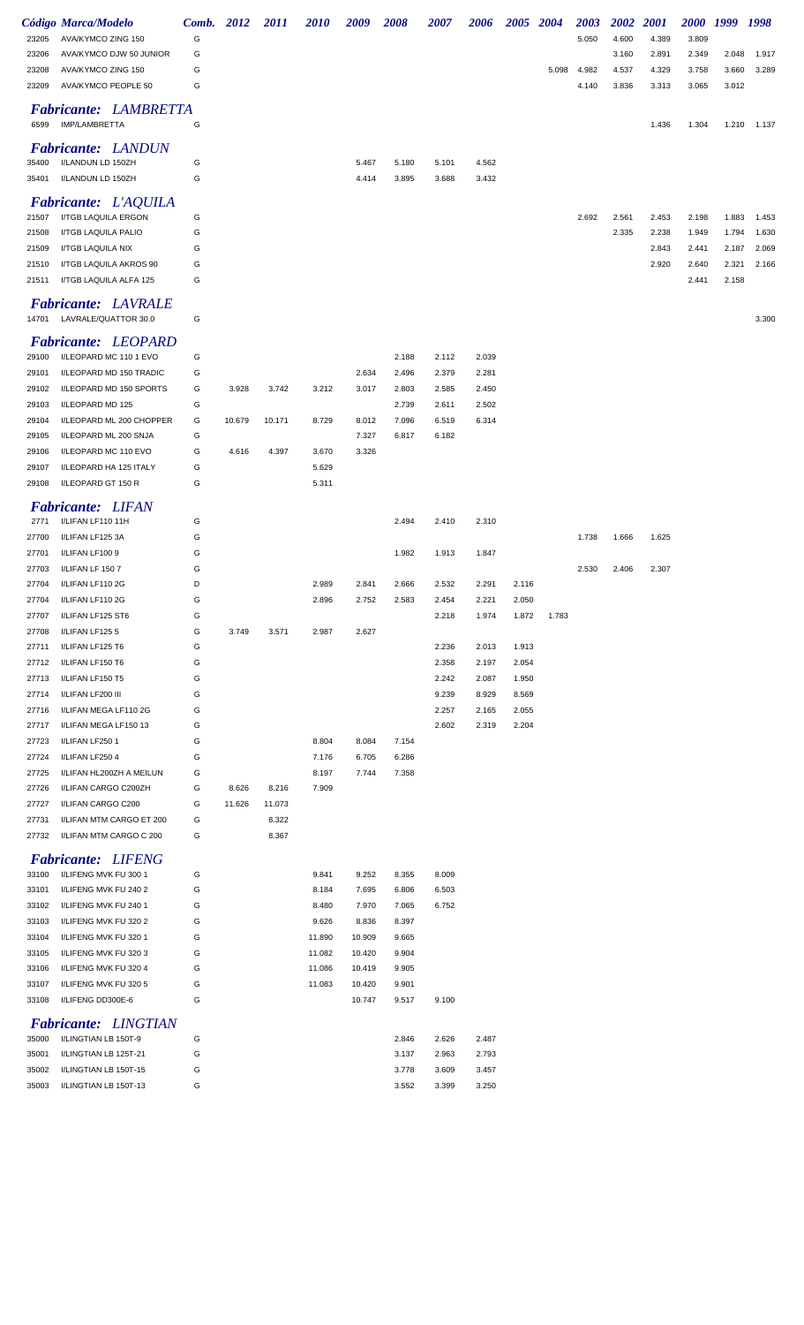|                | <b>Código Marca/Modelo</b>                               | Comb. 2012 |        | 2011   | <i>2010</i> | 2009   | 2008  | 2007  | 2006  | 2005 2004 |       | 2003  | <b>2002</b> | <b>2001</b> |       | 2000 1999 1998 |       |
|----------------|----------------------------------------------------------|------------|--------|--------|-------------|--------|-------|-------|-------|-----------|-------|-------|-------------|-------------|-------|----------------|-------|
| 23205          | AVA/KYMCO ZING 150                                       | G          |        |        |             |        |       |       |       |           |       | 5.050 | 4.600       | 4.389       | 3.809 |                |       |
| 23206          | AVA/KYMCO DJW 50 JUNIOR                                  | G          |        |        |             |        |       |       |       |           |       |       | 3.160       | 2.891       | 2.349 | 2.048          | 1.917 |
| 23208          | AVA/KYMCO ZING 150                                       | G          |        |        |             |        |       |       |       |           | 5.098 | 4.982 | 4.537       | 4.329       | 3.758 | 3.660          | 3.289 |
| 23209          | AVA/KYMCO PEOPLE 50                                      | G          |        |        |             |        |       |       |       |           |       | 4.140 | 3.836       | 3.313       | 3.065 | 3.012          |       |
| 6599           | <b>Fabricante: LAMBRETTA</b><br>IMP/LAMBRETTA            | G          |        |        |             |        |       |       |       |           |       |       |             | 1.436       | 1.304 | 1.210          | 1.137 |
|                | <b>Fabricante: LANDUN</b>                                |            |        |        |             |        |       |       |       |           |       |       |             |             |       |                |       |
| 35400          | I/LANDUN LD 150ZH                                        | G          |        |        |             | 5.467  | 5.180 | 5.101 | 4.562 |           |       |       |             |             |       |                |       |
| 35401          | I/LANDUN LD 150ZH                                        | G          |        |        |             | 4.414  | 3.895 | 3.688 | 3.432 |           |       |       |             |             |       |                |       |
|                | <b>Fabricante:</b> L'AQUILA                              |            |        |        |             |        |       |       |       |           |       |       |             |             |       |                |       |
| 21507          | I/TGB LAQUILA ERGON                                      | G          |        |        |             |        |       |       |       |           |       | 2.692 | 2.561       | 2.453       | 2.198 | 1.883          | 1.453 |
| 21508          | I/TGB LAQUILA PALIO                                      | G          |        |        |             |        |       |       |       |           |       |       | 2.335       | 2.238       | 1.949 | 1.794          | 1.630 |
| 21509          | I/TGB LAQUILA NIX                                        | G          |        |        |             |        |       |       |       |           |       |       |             | 2.843       | 2.441 | 2.187          | 2.069 |
| 21510          | I/TGB LAQUILA AKROS 90                                   | G          |        |        |             |        |       |       |       |           |       |       |             | 2.920       | 2.640 | 2.321          | 2.166 |
| 21511          | I/TGB LAQUILA ALFA 125                                   | G          |        |        |             |        |       |       |       |           |       |       |             |             | 2.441 | 2.158          |       |
|                | <b>Fabricante: LAVRALE</b><br>14701 LAVRALE/QUATTOR 30.0 | G          |        |        |             |        |       |       |       |           |       |       |             |             |       |                | 3.300 |
|                | <b>Fabricante: LEOPARD</b>                               |            |        |        |             |        |       |       |       |           |       |       |             |             |       |                |       |
| 29100          | I/LEOPARD MC 110 1 EVO                                   | G          |        |        |             |        | 2.188 | 2.112 | 2.039 |           |       |       |             |             |       |                |       |
| 29101          | I/LEOPARD MD 150 TRADIC                                  | G          |        |        |             | 2.634  | 2.496 | 2.379 | 2.281 |           |       |       |             |             |       |                |       |
| 29102          | I/LEOPARD MD 150 SPORTS                                  | G          | 3.928  | 3.742  | 3.212       | 3.017  | 2.803 | 2.585 | 2.450 |           |       |       |             |             |       |                |       |
| 29103          | I/LEOPARD MD 125                                         | G          |        |        |             |        | 2.739 | 2.611 | 2.502 |           |       |       |             |             |       |                |       |
| 29104          | I/LEOPARD ML 200 CHOPPER                                 | G          | 10.679 | 10.171 | 8.729       | 8.012  | 7.096 | 6.519 | 6.314 |           |       |       |             |             |       |                |       |
| 29105          | I/LEOPARD ML 200 SNJA                                    | G          |        |        |             | 7.327  | 6.817 | 6.182 |       |           |       |       |             |             |       |                |       |
| 29106          | I/LEOPARD MC 110 EVO                                     | G          | 4.616  | 4.397  | 3.670       | 3.326  |       |       |       |           |       |       |             |             |       |                |       |
| 29107          | I/LEOPARD HA 125 ITALY                                   | G          |        |        | 5.629       |        |       |       |       |           |       |       |             |             |       |                |       |
| 29108          | I/LEOPARD GT 150 R                                       | G          |        |        | 5.311       |        |       |       |       |           |       |       |             |             |       |                |       |
|                | <b>Fabricante: LIFAN</b>                                 |            |        |        |             |        |       |       |       |           |       |       |             |             |       |                |       |
| 2771           | I/LIFAN LF110 11H                                        | G          |        |        |             |        | 2.494 | 2.410 | 2.310 |           |       |       |             |             |       |                |       |
| 27700          | I/LIFAN LF125 3A                                         | G          |        |        |             |        |       |       |       |           |       | 1.738 | 1.666       | 1.625       |       |                |       |
| 27701          | I/LIFAN LF100 9                                          | G          |        |        |             |        | 1.982 | 1.913 | 1.847 |           |       |       |             |             |       |                |       |
| 27703          | I/LIFAN LF 1507                                          | G          |        |        |             |        |       |       |       |           |       | 2.530 | 2.406       | 2.307       |       |                |       |
| 27704          | I/LIFAN LF110 2G                                         | D          |        |        | 2.989       | 2.841  | 2.666 | 2.532 | 2.291 | 2.116     |       |       |             |             |       |                |       |
| 27704          | I/LIFAN LF110 2G                                         | G          |        |        | 2.896       | 2.752  | 2.583 | 2.454 | 2.221 | 2.050     |       |       |             |             |       |                |       |
| 27707<br>27708 | I/LIFAN LF125 ST6<br>I/LIFAN LF1255                      | G<br>G     | 3.749  | 3.571  | 2.987       | 2.627  |       | 2.218 | 1.974 | 1.872     | 1.783 |       |             |             |       |                |       |
| 27711          | I/LIFAN LF125 T6                                         | G          |        |        |             |        |       | 2.236 | 2.013 | 1.913     |       |       |             |             |       |                |       |
| 27712          | I/LIFAN LF150 T6                                         | G          |        |        |             |        |       | 2.358 | 2.197 | 2.054     |       |       |             |             |       |                |       |
| 27713          | I/LIFAN LF150 T5                                         | G          |        |        |             |        |       | 2.242 | 2.087 | 1.950     |       |       |             |             |       |                |       |
| 27714          | I/LIFAN LF200 III                                        | G          |        |        |             |        |       | 9.239 | 8.929 | 8.569     |       |       |             |             |       |                |       |
| 27716          | I/LIFAN MEGA LF110 2G                                    | G          |        |        |             |        |       | 2.257 | 2.165 | 2.055     |       |       |             |             |       |                |       |
| 27717          | I/LIFAN MEGA LF150 13                                    | G          |        |        |             |        |       | 2.602 | 2.319 | 2.204     |       |       |             |             |       |                |       |
| 27723          | I/LIFAN LF250 1                                          | G          |        |        | 8.804       | 8.084  | 7.154 |       |       |           |       |       |             |             |       |                |       |
| 27724          | I/LIFAN LF250 4                                          | G          |        |        | 7.176       | 6.705  | 6.286 |       |       |           |       |       |             |             |       |                |       |
| 27725          | I/LIFAN HL200ZH A MEILUN                                 | G          |        |        | 8.197       | 7.744  | 7.358 |       |       |           |       |       |             |             |       |                |       |
| 27726          | I/LIFAN CARGO C200ZH                                     | G          | 8.626  | 8.216  | 7.909       |        |       |       |       |           |       |       |             |             |       |                |       |
| 27727          | I/LIFAN CARGO C200                                       | G          | 11.626 | 11.073 |             |        |       |       |       |           |       |       |             |             |       |                |       |
| 27731          | I/LIFAN MTM CARGO ET 200                                 | G          |        | 8.322  |             |        |       |       |       |           |       |       |             |             |       |                |       |
| 27732          | I/LIFAN MTM CARGO C 200                                  | G          |        | 8.367  |             |        |       |       |       |           |       |       |             |             |       |                |       |
|                | <b>Fabricante: LIFENG</b>                                |            |        |        |             |        |       |       |       |           |       |       |             |             |       |                |       |
| 33100          | I/LIFENG MVK FU 300 1                                    | G          |        |        | 9.841       | 9.252  | 8.355 | 8.009 |       |           |       |       |             |             |       |                |       |
| 33101          | I/LIFENG MVK FU 240 2                                    | G          |        |        | 8.184       | 7.695  | 6.806 | 6.503 |       |           |       |       |             |             |       |                |       |
| 33102          | I/LIFENG MVK FU 240 1                                    | G          |        |        | 8.480       | 7.970  | 7.065 | 6.752 |       |           |       |       |             |             |       |                |       |
| 33103          | I/LIFENG MVK FU 320 2                                    | G          |        |        | 9.626       | 8.836  | 8.397 |       |       |           |       |       |             |             |       |                |       |
| 33104          | I/LIFENG MVK FU 320 1                                    | G          |        |        | 11.890      | 10.909 | 9.665 |       |       |           |       |       |             |             |       |                |       |
| 33105          | I/LIFENG MVK FU 320 3                                    | G          |        |        | 11.082      | 10.420 | 9.904 |       |       |           |       |       |             |             |       |                |       |
| 33106          | I/LIFENG MVK FU 320 4                                    | G          |        |        | 11.086      | 10.419 | 9.905 |       |       |           |       |       |             |             |       |                |       |
| 33107          | I/LIFENG MVK FU 320 5                                    | G          |        |        | 11.083      | 10.420 | 9.901 |       |       |           |       |       |             |             |       |                |       |
| 33108          | I/LIFENG DD300E-6                                        | G          |        |        |             | 10.747 | 9.517 | 9.100 |       |           |       |       |             |             |       |                |       |
|                | <b>Fabricante: LINGTIAN</b>                              |            |        |        |             |        |       |       |       |           |       |       |             |             |       |                |       |
| 35000          | I/LINGTIAN LB 150T-9                                     | G          |        |        |             |        | 2.846 | 2.626 | 2.487 |           |       |       |             |             |       |                |       |
| 35001          | I/LINGTIAN LB 125T-21                                    | G          |        |        |             |        | 3.137 | 2.963 | 2.793 |           |       |       |             |             |       |                |       |
| 35002          | I/LINGTIAN LB 150T-15                                    | G          |        |        |             |        | 3.778 | 3.609 | 3.457 |           |       |       |             |             |       |                |       |
| 35003          | I/LINGTIAN LB 150T-13                                    | G          |        |        |             |        | 3.552 | 3.399 | 3.250 |           |       |       |             |             |       |                |       |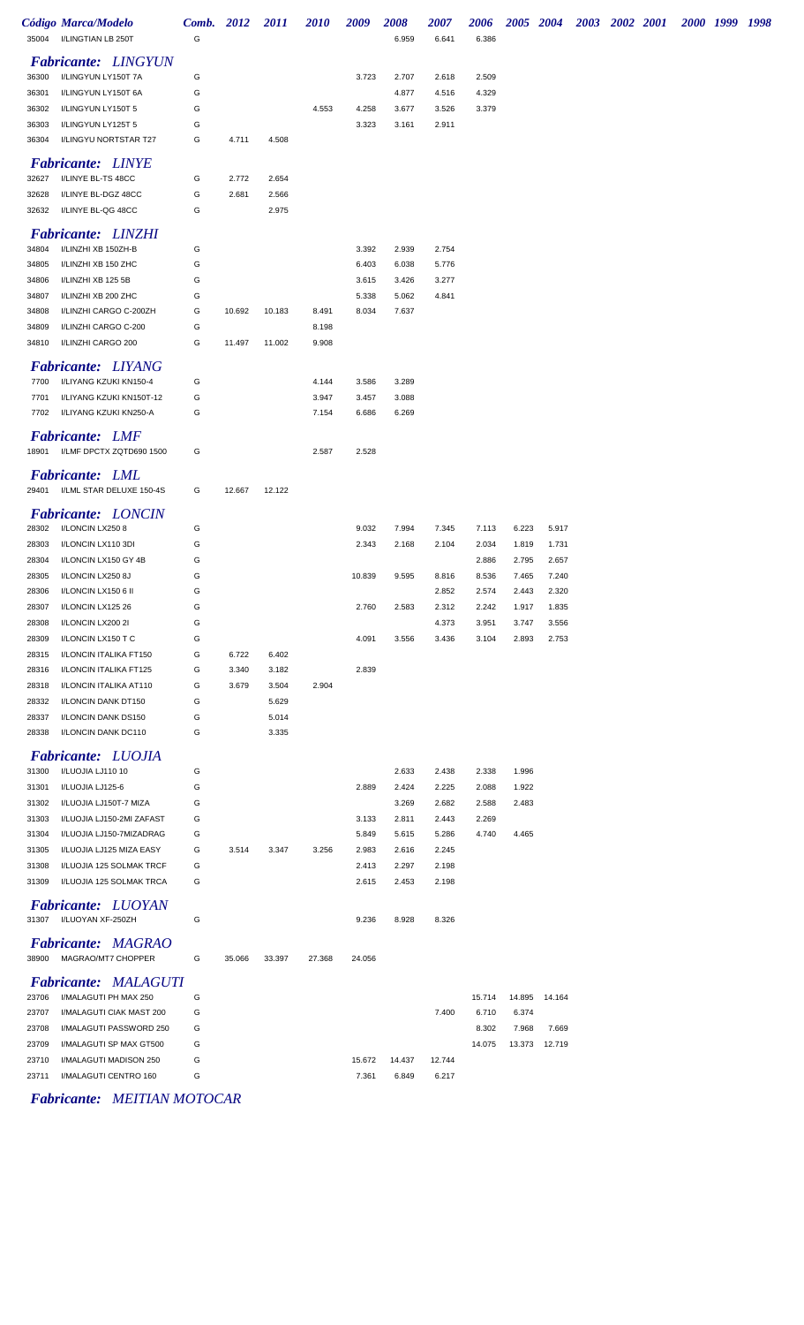|       | Código Marca/Modelo                             | Comb. 2012 |        | <b>2011</b> | <b>2010</b> | 2009   | 2008   | 2007   | 2006   | 2005 2004 |        | 2003 2002 2001 |  | 2000 1999 1998 |  |
|-------|-------------------------------------------------|------------|--------|-------------|-------------|--------|--------|--------|--------|-----------|--------|----------------|--|----------------|--|
| 35004 | I/LINGTIAN LB 250T                              | G          |        |             |             |        | 6.959  | 6.641  | 6.386  |           |        |                |  |                |  |
|       | <b>Fabricante: LINGYUN</b>                      |            |        |             |             |        |        |        |        |           |        |                |  |                |  |
| 36300 | I/LINGYUN LY150T 7A                             | G          |        |             |             | 3.723  | 2.707  | 2.618  | 2.509  |           |        |                |  |                |  |
| 36301 | I/LINGYUN LY150T 6A                             | G          |        |             |             |        | 4.877  | 4.516  | 4.329  |           |        |                |  |                |  |
| 36302 | I/LINGYUN LY150T 5                              | G          |        |             | 4.553       | 4.258  | 3.677  | 3.526  | 3.379  |           |        |                |  |                |  |
| 36303 | I/LINGYUN LY125T 5                              | G          |        |             |             | 3.323  | 3.161  | 2.911  |        |           |        |                |  |                |  |
| 36304 | I/LINGYU NORTSTAR T27                           | G          | 4.711  | 4.508       |             |        |        |        |        |           |        |                |  |                |  |
|       |                                                 |            |        |             |             |        |        |        |        |           |        |                |  |                |  |
|       | <b>Fabricante: LINYE</b>                        |            |        |             |             |        |        |        |        |           |        |                |  |                |  |
| 32627 | I/LINYE BL-TS 48CC                              | G          | 2.772  | 2.654       |             |        |        |        |        |           |        |                |  |                |  |
| 32628 | I/LINYE BL-DGZ 48CC                             | G          | 2.681  | 2.566       |             |        |        |        |        |           |        |                |  |                |  |
| 32632 | I/LINYE BL-QG 48CC                              | G          |        | 2.975       |             |        |        |        |        |           |        |                |  |                |  |
|       | <b>Fabricante: LINZHI</b>                       |            |        |             |             |        |        |        |        |           |        |                |  |                |  |
| 34804 | I/LINZHI XB 150ZH-B                             | G          |        |             |             | 3.392  | 2.939  | 2.754  |        |           |        |                |  |                |  |
| 34805 | I/LINZHI XB 150 ZHC                             | G          |        |             |             | 6.403  | 6.038  | 5.776  |        |           |        |                |  |                |  |
| 34806 | I/LINZHI XB 125 5B                              | G          |        |             |             | 3.615  | 3.426  | 3.277  |        |           |        |                |  |                |  |
| 34807 | I/LINZHI XB 200 ZHC                             | G          |        |             |             | 5.338  | 5.062  | 4.841  |        |           |        |                |  |                |  |
| 34808 | I/LINZHI CARGO C-200ZH                          | G          | 10.692 | 10.183      | 8.491       | 8.034  | 7.637  |        |        |           |        |                |  |                |  |
| 34809 | I/LINZHI CARGO C-200                            | G          |        |             | 8.198       |        |        |        |        |           |        |                |  |                |  |
| 34810 | I/LINZHI CARGO 200                              | G          | 11.497 | 11.002      | 9.908       |        |        |        |        |           |        |                |  |                |  |
|       | <b>Fabricante: LIYANG</b>                       |            |        |             |             |        |        |        |        |           |        |                |  |                |  |
| 7700  | I/LIYANG KZUKI KN150-4                          | G          |        |             | 4.144       | 3.586  | 3.289  |        |        |           |        |                |  |                |  |
| 7701  | I/LIYANG KZUKI KN150T-12                        | G          |        |             | 3.947       | 3.457  | 3.088  |        |        |           |        |                |  |                |  |
| 7702  | I/LIYANG KZUKI KN250-A                          | G          |        |             | 7.154       | 6.686  | 6.269  |        |        |           |        |                |  |                |  |
|       |                                                 |            |        |             |             |        |        |        |        |           |        |                |  |                |  |
|       | <b>Fabricante: LMF</b>                          |            |        |             |             |        |        |        |        |           |        |                |  |                |  |
| 18901 | I/LMF DPCTX ZQTD690 1500                        | G          |        |             | 2.587       | 2.528  |        |        |        |           |        |                |  |                |  |
|       | Fabricante: LML                                 |            |        |             |             |        |        |        |        |           |        |                |  |                |  |
| 29401 | I/LML STAR DELUXE 150-4S                        | G          | 12.667 | 12.122      |             |        |        |        |        |           |        |                |  |                |  |
|       |                                                 |            |        |             |             |        |        |        |        |           |        |                |  |                |  |
|       | <b>Fabricante: LONCIN</b>                       |            |        |             |             |        |        |        |        |           |        |                |  |                |  |
| 28302 | I/LONCIN LX2508                                 | G          |        |             |             | 9.032  | 7.994  | 7.345  | 7.113  | 6.223     | 5.917  |                |  |                |  |
| 28303 | I/LONCIN LX110 3DI                              | G          |        |             |             | 2.343  | 2.168  | 2.104  | 2.034  | 1.819     | 1.731  |                |  |                |  |
| 28304 | I/LONCIN LX150 GY 4B                            | G          |        |             |             |        |        |        | 2.886  | 2.795     | 2.657  |                |  |                |  |
| 28305 | I/LONCIN LX250 8J                               | G          |        |             |             | 10.839 | 9.595  | 8.816  | 8.536  | 7.465     | 7.240  |                |  |                |  |
| 28306 | I/LONCIN LX150 6 II                             | G          |        |             |             |        |        | 2.852  | 2.574  | 2.443     | 2.320  |                |  |                |  |
| 28307 | I/LONCIN LX125 26                               | G          |        |             |             | 2.760  | 2.583  | 2.312  | 2.242  | 1.917     | 1.835  |                |  |                |  |
| 28308 | I/LONCIN LX200 2I                               | G          |        |             |             |        |        | 4.373  | 3.951  | 3.747     | 3.556  |                |  |                |  |
| 28309 | I/LONCIN LX150 T C                              | G          |        |             |             | 4.091  | 3.556  | 3.436  | 3.104  | 2.893     | 2.753  |                |  |                |  |
| 28315 | I/LONCIN ITALIKA FT150                          | G          | 6.722  | 6.402       |             |        |        |        |        |           |        |                |  |                |  |
| 28316 | I/LONCIN ITALIKA FT125                          | G          | 3.340  | 3.182       |             | 2.839  |        |        |        |           |        |                |  |                |  |
| 28318 | I/LONCIN ITALIKA AT110                          | G          | 3.679  | 3.504       | 2.904       |        |        |        |        |           |        |                |  |                |  |
| 28332 | I/LONCIN DANK DT150                             | G          |        | 5.629       |             |        |        |        |        |           |        |                |  |                |  |
| 28337 | I/LONCIN DANK DS150                             | G          |        | 5.014       |             |        |        |        |        |           |        |                |  |                |  |
| 28338 | I/LONCIN DANK DC110                             | G          |        | 3.335       |             |        |        |        |        |           |        |                |  |                |  |
|       | <b>Fabricante: LUOJIA</b>                       |            |        |             |             |        |        |        |        |           |        |                |  |                |  |
| 31300 | I/LUOJIA LJ110 10                               | G          |        |             |             |        | 2.633  | 2.438  | 2.338  | 1.996     |        |                |  |                |  |
| 31301 | I/LUOJIA LJ125-6                                | G          |        |             |             | 2.889  | 2.424  | 2.225  | 2.088  | 1.922     |        |                |  |                |  |
| 31302 | I/LUOJIA LJ150T-7 MIZA                          | G          |        |             |             |        | 3.269  | 2.682  | 2.588  | 2.483     |        |                |  |                |  |
| 31303 | I/LUOJIA LJ150-2MI ZAFAST                       | G          |        |             |             | 3.133  | 2.811  | 2.443  | 2.269  |           |        |                |  |                |  |
| 31304 | I/LUOJIA LJ150-7MIZADRAG                        | G          |        |             |             | 5.849  | 5.615  | 5.286  | 4.740  | 4.465     |        |                |  |                |  |
| 31305 | I/LUOJIA LJ125 MIZA EASY                        | G          | 3.514  | 3.347       | 3.256       | 2.983  | 2.616  | 2.245  |        |           |        |                |  |                |  |
| 31308 | I/LUOJIA 125 SOLMAK TRCF                        | G          |        |             |             | 2.413  | 2.297  | 2.198  |        |           |        |                |  |                |  |
| 31309 | I/LUOJIA 125 SOLMAK TRCA                        | G          |        |             |             | 2.615  | 2.453  | 2.198  |        |           |        |                |  |                |  |
|       | <b>Fabricante:</b> LUOYAN                       |            |        |             |             |        |        |        |        |           |        |                |  |                |  |
| 31307 | I/LUOYAN XF-250ZH                               | G          |        |             |             | 9.236  | 8.928  | 8.326  |        |           |        |                |  |                |  |
|       |                                                 |            |        |             |             |        |        |        |        |           |        |                |  |                |  |
| 38900 | <b>Fabricante: MAGRAO</b><br>MAGRAO/MT7 CHOPPER | G          | 35.066 | 33.397      | 27.368      | 24.056 |        |        |        |           |        |                |  |                |  |
|       |                                                 |            |        |             |             |        |        |        |        |           |        |                |  |                |  |
|       | <b>Fabricante: MALAGUTI</b>                     |            |        |             |             |        |        |        |        |           |        |                |  |                |  |
| 23706 | I/MALAGUTI PH MAX 250                           | G          |        |             |             |        |        |        | 15.714 | 14.895    | 14.164 |                |  |                |  |
| 23707 | I/MALAGUTI CIAK MAST 200                        | G          |        |             |             |        |        | 7.400  | 6.710  | 6.374     |        |                |  |                |  |
| 23708 | I/MALAGUTI PASSWORD 250                         | G          |        |             |             |        |        |        | 8.302  | 7.968     | 7.669  |                |  |                |  |
| 23709 | I/MALAGUTI SP MAX GT500                         | G          |        |             |             |        |        |        | 14.075 | 13.373    | 12.719 |                |  |                |  |
| 23710 | I/MALAGUTI MADISON 250                          | G          |        |             |             | 15.672 | 14.437 | 12.744 |        |           |        |                |  |                |  |
| 23711 | I/MALAGUTI CENTRO 160                           | G          |        |             |             | 7.361  | 6.849  | 6.217  |        |           |        |                |  |                |  |

## *Fabricante: MEITIAN MOTOCAR*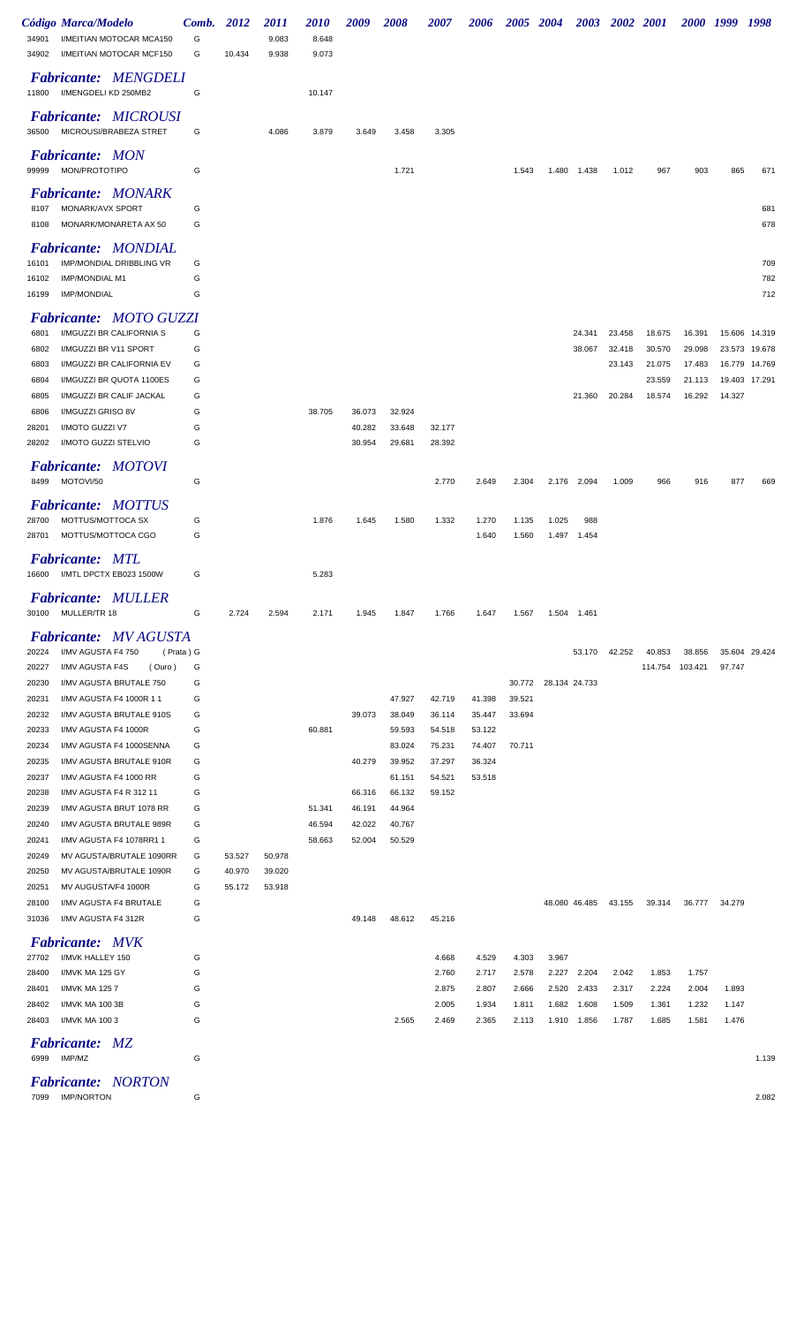|                | Código Marca/Modelo                                       | Comb.     | 2012   | <i>2011</i> | <i>2010</i> | 2009   | 2008             | <i><b>2007</b></i> | 2006             | <i><b>2005</b></i> | <b>2004</b>          | <b>2003</b>   | 2002 2001 |                 | <i>2000</i> | 1999   | 1998          |
|----------------|-----------------------------------------------------------|-----------|--------|-------------|-------------|--------|------------------|--------------------|------------------|--------------------|----------------------|---------------|-----------|-----------------|-------------|--------|---------------|
| 34901          | I/MEITIAN MOTOCAR MCA150                                  | G         |        | 9.083       | 8.648       |        |                  |                    |                  |                    |                      |               |           |                 |             |        |               |
| 34902          | I/MEITIAN MOTOCAR MCF150                                  | G         | 10.434 | 9.938       | 9.073       |        |                  |                    |                  |                    |                      |               |           |                 |             |        |               |
| 11800          | <b>Fabricante: MENGDELI</b><br>I/MENGDELI KD 250MB2       | G         |        |             | 10.147      |        |                  |                    |                  |                    |                      |               |           |                 |             |        |               |
|                | <b>Fabricante: MICROUSI</b>                               |           |        |             |             |        |                  |                    |                  |                    |                      |               |           |                 |             |        |               |
| 36500          | MICROUSI/BRABEZA STRET                                    | G         |        | 4.086       | 3.879       | 3.649  | 3.458            | 3.305              |                  |                    |                      |               |           |                 |             |        |               |
| 99999          | <b>Fabricante: MON</b><br>MON/PROTOTIPO                   | G         |        |             |             |        | 1.721            |                    |                  | 1.543              |                      | 1.480 1.438   | 1.012     | 967             | 903         | 865    | 671           |
|                | <b>Fabricante: MONARK</b>                                 |           |        |             |             |        |                  |                    |                  |                    |                      |               |           |                 |             |        |               |
| 8107           | MONARK/AVX SPORT                                          | G         |        |             |             |        |                  |                    |                  |                    |                      |               |           |                 |             |        | 681           |
| 8108           | MONARK/MONARETA AX 50                                     | G         |        |             |             |        |                  |                    |                  |                    |                      |               |           |                 |             |        | 678           |
| 16101          | <b>Fabricante: MONDIAL</b><br>IMP/MONDIAL DRIBBLING VR    | G         |        |             |             |        |                  |                    |                  |                    |                      |               |           |                 |             |        | 709           |
| 16102          | <b>IMP/MONDIAL M1</b>                                     | G         |        |             |             |        |                  |                    |                  |                    |                      |               |           |                 |             |        | 782           |
| 16199          | <b>IMP/MONDIAL</b>                                        | G         |        |             |             |        |                  |                    |                  |                    |                      |               |           |                 |             |        | 712           |
|                |                                                           |           |        |             |             |        |                  |                    |                  |                    |                      |               |           |                 |             |        |               |
| 6801           | <b>Fabricante: MOTO GUZZI</b><br>I/MGUZZI BR CALIFORNIA S | G         |        |             |             |        |                  |                    |                  |                    |                      | 24.341        | 23.458    | 18.675          | 16.391      |        | 15.606 14.319 |
| 6802           | I/MGUZZI BR V11 SPORT                                     | G         |        |             |             |        |                  |                    |                  |                    |                      | 38.067        | 32.418    | 30.570          | 29.098      |        | 23.573 19.678 |
| 6803           | I/MGUZZI BR CALIFORNIA EV                                 | G         |        |             |             |        |                  |                    |                  |                    |                      |               | 23.143    | 21.075          | 17.483      |        | 16.779 14.769 |
| 6804           | I/MGUZZI BR QUOTA 1100ES                                  | G         |        |             |             |        |                  |                    |                  |                    |                      |               |           | 23.559          | 21.113      |        | 19.403 17.291 |
| 6805           | I/MGUZZI BR CALIF JACKAL                                  | G         |        |             |             |        |                  |                    |                  |                    |                      | 21.360        | 20.284    | 18.574          | 16.292      | 14.327 |               |
| 6806           | I/MGUZZI GRISO 8V                                         | G         |        |             | 38.705      | 36.073 | 32.924           |                    |                  |                    |                      |               |           |                 |             |        |               |
| 28201          | I/MOTO GUZZI V7                                           | G         |        |             |             | 40.282 | 33.648           | 32.177             |                  |                    |                      |               |           |                 |             |        |               |
| 28202          | I/MOTO GUZZI STELVIO                                      | G         |        |             |             | 30.954 | 29.681           | 28.392             |                  |                    |                      |               |           |                 |             |        |               |
|                | <b>Fabricante: MOTOVI</b>                                 |           |        |             |             |        |                  |                    |                  |                    |                      |               |           |                 |             |        |               |
| 8499           | MOTOVI/50                                                 | G         |        |             |             |        |                  | 2.770              | 2.649            | 2.304              |                      | 2.176 2.094   | 1.009     | 966             | 916         | 877    | 669           |
|                |                                                           |           |        |             |             |        |                  |                    |                  |                    |                      |               |           |                 |             |        |               |
|                | <b>Fabricante: MOTTUS</b>                                 |           |        |             |             |        |                  |                    |                  |                    |                      |               |           |                 |             |        |               |
| 28700<br>28701 | MOTTUS/MOTTOCA SX<br>MOTTUS/MOTTOCA CGO                   | G<br>G    |        |             | 1.876       | 1.645  | 1.580            | 1.332              | 1.270<br>1.640   | 1.135<br>1.560     | 1.025<br>1.497       | 988<br>1.454  |           |                 |             |        |               |
|                |                                                           |           |        |             |             |        |                  |                    |                  |                    |                      |               |           |                 |             |        |               |
|                | <b>Fabricante: MTL</b>                                    |           |        |             |             |        |                  |                    |                  |                    |                      |               |           |                 |             |        |               |
| 16600          | I/MTL DPCTX EB023 1500W                                   | G         |        |             | 5.283       |        |                  |                    |                  |                    |                      |               |           |                 |             |        |               |
|                | <b>Fabricante: MULLER</b>                                 |           |        |             |             |        |                  |                    |                  |                    |                      |               |           |                 |             |        |               |
| 30100          | MULLER/TR 18                                              | G         | 2.724  | 2.594       | 2.171       | 1.945  | 1.847            | 1.766              | 1.647            | 1.567              |                      | 1.504 1.461   |           |                 |             |        |               |
|                | <b>Fabricante: MVAGUSTA</b>                               |           |        |             |             |        |                  |                    |                  |                    |                      |               |           |                 |             |        |               |
| 20224          | I/MV AGUSTA F4 750                                        | (Prata) G |        |             |             |        |                  |                    |                  |                    |                      | 53.170        | 42.252    | 40.853          | 38.856      |        | 35.604 29.424 |
| 20227          | I/MV AGUSTA F4S<br>(Ouro)                                 | G         |        |             |             |        |                  |                    |                  |                    |                      |               |           | 114.754 103.421 |             | 97.747 |               |
| 20230          | I/MV AGUSTA BRUTALE 750                                   | G         |        |             |             |        |                  |                    |                  |                    | 30.772 28.134 24.733 |               |           |                 |             |        |               |
| 20231          | I/MV AGUSTA F4 1000R 11                                   | G         |        |             |             |        | 47.927           | 42.719             | 41.398           | 39.521             |                      |               |           |                 |             |        |               |
| 20232          | I/MV AGUSTA BRUTALE 910S                                  | G         |        |             |             | 39.073 | 38.049           | 36.114             | 35.447           | 33.694             |                      |               |           |                 |             |        |               |
| 20233<br>20234 | I/MV AGUSTA F4 1000R<br>I/MV AGUSTA F4 1000SENNA          | G<br>G    |        |             | 60.881      |        | 59.593<br>83.024 | 54.518<br>75.231   | 53.122<br>74.407 | 70.711             |                      |               |           |                 |             |        |               |
| 20235          | I/MV AGUSTA BRUTALE 910R                                  | G         |        |             |             | 40.279 | 39.952           | 37.297             | 36.324           |                    |                      |               |           |                 |             |        |               |
| 20237          | I/MV AGUSTA F4 1000 RR                                    | G         |        |             |             |        | 61.151           | 54.521             | 53.518           |                    |                      |               |           |                 |             |        |               |
| 20238          | I/MV AGUSTA F4 R 312 11                                   | G         |        |             |             | 66.316 | 66.132           | 59.152             |                  |                    |                      |               |           |                 |             |        |               |
| 20239          | I/MV AGUSTA BRUT 1078 RR                                  | G         |        |             | 51.341      | 46.191 | 44.964           |                    |                  |                    |                      |               |           |                 |             |        |               |
| 20240          | I/MV AGUSTA BRUTALE 989R                                  | G         |        |             | 46.594      | 42.022 | 40.767           |                    |                  |                    |                      |               |           |                 |             |        |               |
| 20241          | I/MV AGUSTA F4 1078RR1 1                                  | G         |        |             | 58.663      | 52.004 | 50.529           |                    |                  |                    |                      |               |           |                 |             |        |               |
| 20249          | MV AGUSTA/BRUTALE 1090RR                                  | G         | 53.527 | 50.978      |             |        |                  |                    |                  |                    |                      |               |           |                 |             |        |               |
| 20250          | MV AGUSTA/BRUTALE 1090R                                   | G         | 40.970 | 39.020      |             |        |                  |                    |                  |                    |                      |               |           |                 |             |        |               |
| 20251          | MV AUGUSTA/F4 1000R                                       | G         | 55.172 | 53.918      |             |        |                  |                    |                  |                    |                      |               |           |                 |             |        |               |
| 28100          | I/MV AGUSTA F4 BRUTALE                                    | G         |        |             |             |        |                  |                    |                  |                    |                      | 48.080 46.485 | 43.155    | 39.314          | 36.777      | 34.279 |               |
| 31036          | I/MV AGUSTA F4 312R                                       | G         |        |             |             | 49.148 | 48.612           | 45.216             |                  |                    |                      |               |           |                 |             |        |               |
|                | <b>Fabricante: MVK</b>                                    |           |        |             |             |        |                  |                    |                  |                    |                      |               |           |                 |             |        |               |
| 27702          | I/MVK HALLEY 150                                          | G         |        |             |             |        |                  | 4.668              | 4.529            | 4.303              | 3.967                |               |           |                 |             |        |               |
| 28400          | I/MVK MA 125 GY                                           | G         |        |             |             |        |                  | 2.760              | 2.717            | 2.578              | 2.227                | 2.204         | 2.042     | 1.853           | 1.757       |        |               |
| 28401          | I/MVK MA 1257                                             | G         |        |             |             |        |                  | 2.875              | 2.807            | 2.666              | 2.520                | 2.433         | 2.317     | 2.224           | 2.004       | 1.893  |               |
| 28402          | I/MVK MA 100 3B                                           | G         |        |             |             |        |                  | 2.005              | 1.934            | 1.811              | 1.682                | 1.608         | 1.509     | 1.361           | 1.232       | 1.147  |               |
| 28403          | I/MVK MA 100 3                                            | G         |        |             |             |        | 2.565            | 2.469              | 2.365            | 2.113              | 1.910                | 1.856         | 1.787     | 1.685           | 1.581       | 1.476  |               |
| 6999           | <b>Fabricante: MZ</b><br>IMP/MZ                           | G         |        |             |             |        |                  |                    |                  |                    |                      |               |           |                 |             |        | 1.139         |
|                | <b>Fabricante: NORTON</b>                                 |           |        |             |             |        |                  |                    |                  |                    |                      |               |           |                 |             |        |               |
|                | 7099 IMP/NORTON                                           | G         |        |             |             |        |                  |                    |                  |                    |                      |               |           |                 |             |        | 2.082         |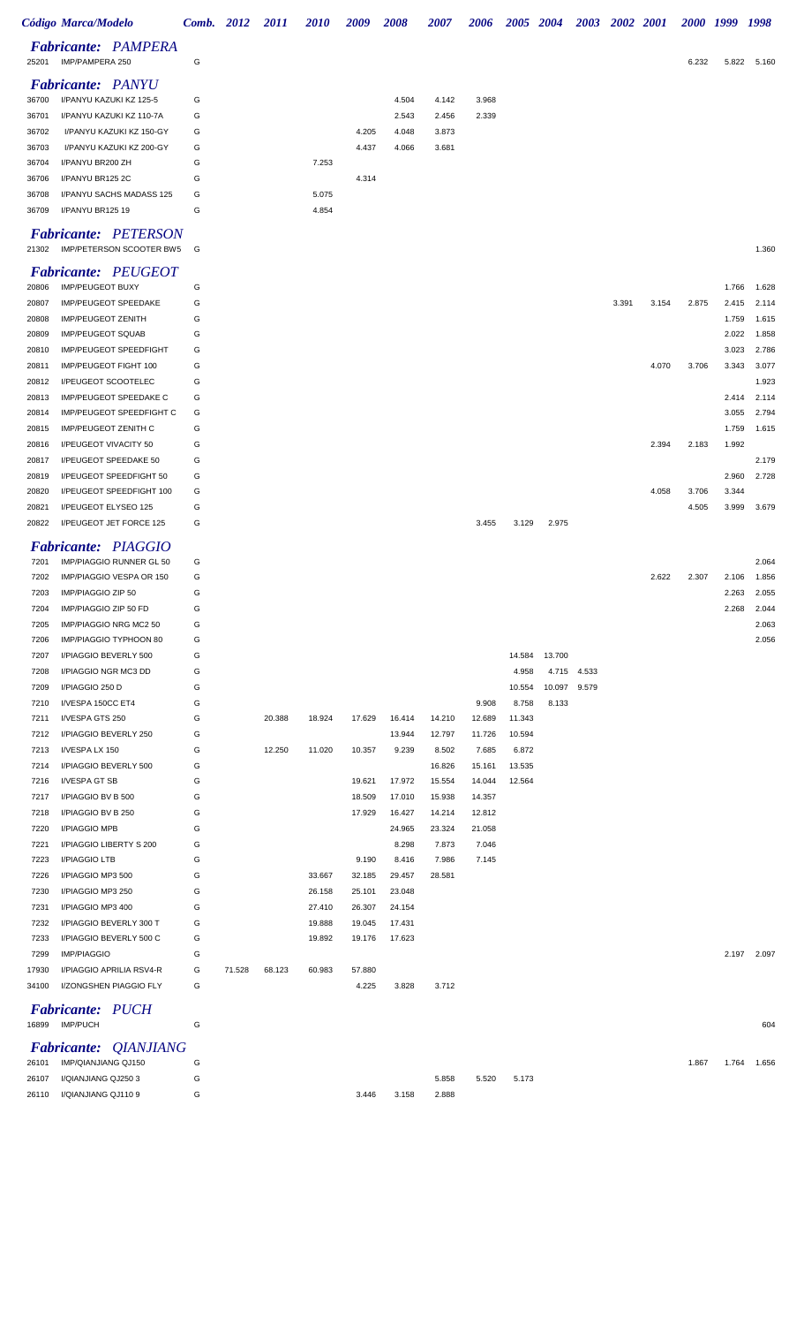|                | Código Marca/Modelo                                     |        | Comb. 2012 | <i>2011</i> | <i>2010</i> | 2009            | <i><b>2008</b></i> | <i><b>2007</b></i> | 2006   | <b>2005</b>     | <b>2004</b>  | <b>2003</b> |       | 2002 2001 | 2000 1999 |                | 1998           |
|----------------|---------------------------------------------------------|--------|------------|-------------|-------------|-----------------|--------------------|--------------------|--------|-----------------|--------------|-------------|-------|-----------|-----------|----------------|----------------|
| 25201          | <b>Fabricante: PAMPERA</b><br>IMP/PAMPERA 250           | G      |            |             |             |                 |                    |                    |        |                 |              |             |       |           | 6.232     | 5.822          | 5.160          |
|                | <b>Fabricante: PANYU</b>                                |        |            |             |             |                 |                    |                    |        |                 |              |             |       |           |           |                |                |
| 36700          | I/PANYU KAZUKI KZ 125-5                                 | G      |            |             |             |                 | 4.504              | 4.142              | 3.968  |                 |              |             |       |           |           |                |                |
| 36701          | I/PANYU KAZUKI KZ 110-7A                                | G      |            |             |             |                 | 2.543              | 2.456              | 2.339  |                 |              |             |       |           |           |                |                |
| 36702          | I/PANYU KAZUKI KZ 150-GY<br>I/PANYU KAZUKI KZ 200-GY    | G      |            |             |             | 4.205           | 4.048              | 3.873              |        |                 |              |             |       |           |           |                |                |
| 36703<br>36704 | I/PANYU BR200 ZH                                        | G<br>G |            |             | 7.253       | 4.437           | 4.066              | 3.681              |        |                 |              |             |       |           |           |                |                |
| 36706          | I/PANYU BR125 2C                                        | G      |            |             |             | 4.314           |                    |                    |        |                 |              |             |       |           |           |                |                |
| 36708          | I/PANYU SACHS MADASS 125                                | G      |            |             | 5.075       |                 |                    |                    |        |                 |              |             |       |           |           |                |                |
| 36709          | I/PANYU BR125 19                                        | G      |            |             | 4.854       |                 |                    |                    |        |                 |              |             |       |           |           |                |                |
| 21302          | <b>Fabricante: PETERSON</b><br>IMP/PETERSON SCOOTER BW5 | G      |            |             |             |                 |                    |                    |        |                 |              |             |       |           |           |                | 1.360          |
|                | <b>Fabricante: PEUGEOT</b>                              |        |            |             |             |                 |                    |                    |        |                 |              |             |       |           |           |                |                |
| 20806          | <b>IMP/PEUGEOT BUXY</b>                                 | G      |            |             |             |                 |                    |                    |        |                 |              |             |       |           |           | 1.766          | 1.628          |
| 20807          | IMP/PEUGEOT SPEEDAKE                                    | G      |            |             |             |                 |                    |                    |        |                 |              |             | 3.391 | 3.154     | 2.875     | 2.415          | 2.114          |
| 20808          | <b>IMP/PEUGEOT ZENITH</b>                               | G      |            |             |             |                 |                    |                    |        |                 |              |             |       |           |           | 1.759          | 1.615          |
| 20809          | <b>IMP/PEUGEOT SQUAB</b>                                | G      |            |             |             |                 |                    |                    |        |                 |              |             |       |           |           | 2.022          | 1.858          |
| 20810<br>20811 | IMP/PEUGEOT SPEEDFIGHT<br>IMP/PEUGEOT FIGHT 100         | G<br>G |            |             |             |                 |                    |                    |        |                 |              |             |       | 4.070     | 3.706     | 3.023<br>3.343 | 2.786<br>3.077 |
| 20812          | I/PEUGEOT SCOOTELEC                                     | G      |            |             |             |                 |                    |                    |        |                 |              |             |       |           |           |                | 1.923          |
| 20813          | IMP/PEUGEOT SPEEDAKE C                                  | G      |            |             |             |                 |                    |                    |        |                 |              |             |       |           |           | 2.414          | 2.114          |
| 20814          | IMP/PEUGEOT SPEEDFIGHT C                                | G      |            |             |             |                 |                    |                    |        |                 |              |             |       |           |           | 3.055          | 2.794          |
| 20815          | IMP/PEUGEOT ZENITH C                                    | G      |            |             |             |                 |                    |                    |        |                 |              |             |       |           |           | 1.759          | 1.615          |
| 20816          | I/PEUGEOT VIVACITY 50                                   | G      |            |             |             |                 |                    |                    |        |                 |              |             |       | 2.394     | 2.183     | 1.992          |                |
| 20817          | I/PEUGEOT SPEEDAKE 50                                   | G      |            |             |             |                 |                    |                    |        |                 |              |             |       |           |           |                | 2.179          |
| 20819          | I/PEUGEOT SPEEDFIGHT 50                                 | G      |            |             |             |                 |                    |                    |        |                 |              |             |       |           |           | 2.960          | 2.728          |
| 20820          | I/PEUGEOT SPEEDFIGHT 100                                | G      |            |             |             |                 |                    |                    |        |                 |              |             |       | 4.058     | 3.706     | 3.344          |                |
| 20821          | I/PEUGEOT ELYSEO 125                                    | G      |            |             |             |                 |                    |                    |        |                 |              |             |       |           | 4.505     | 3.999          | 3.679          |
| 20822          | I/PEUGEOT JET FORCE 125                                 | G      |            |             |             |                 |                    |                    | 3.455  | 3.129           | 2.975        |             |       |           |           |                |                |
|                | <b>Fabricante: PIAGGIO</b>                              |        |            |             |             |                 |                    |                    |        |                 |              |             |       |           |           |                |                |
| 7201           | IMP/PIAGGIO RUNNER GL 50                                | G      |            |             |             |                 |                    |                    |        |                 |              |             |       |           |           |                | 2.064          |
| 7202           | IMP/PIAGGIO VESPA OR 150                                | G      |            |             |             |                 |                    |                    |        |                 |              |             |       | 2.622     | 2.307     | 2.106          | 1.856          |
| 7203           | IMP/PIAGGIO ZIP 50                                      | G      |            |             |             |                 |                    |                    |        |                 |              |             |       |           |           | 2.263          | 2.055          |
| 7204           | IMP/PIAGGIO ZIP 50 FD                                   | G      |            |             |             |                 |                    |                    |        |                 |              |             |       |           |           | 2.268          | 2.044          |
| 7205           | IMP/PIAGGIO NRG MC2 50                                  | G      |            |             |             |                 |                    |                    |        |                 |              |             |       |           |           |                | 2.063          |
| 7206           | IMP/PIAGGIO TYPHOON 80                                  | G      |            |             |             |                 |                    |                    |        |                 |              |             |       |           |           |                | 2.056          |
| 7207<br>7208   | I/PIAGGIO BEVERLY 500<br>I/PIAGGIO NGR MC3 DD           | G<br>G |            |             |             |                 |                    |                    |        | 14.584<br>4.958 | 13.700       | 4.715 4.533 |       |           |           |                |                |
| 7209           | I/PIAGGIO 250 D                                         | G      |            |             |             |                 |                    |                    |        | 10.554          | 10.097 9.579 |             |       |           |           |                |                |
| 7210           | I/VESPA 150CC ET4                                       | G      |            |             |             |                 |                    |                    | 9.908  | 8.758           | 8.133        |             |       |           |           |                |                |
| 7211           | I/VESPA GTS 250                                         | G      |            | 20.388      | 18.924      | 17.629          | 16.414             | 14.210             | 12.689 | 11.343          |              |             |       |           |           |                |                |
| 7212           | I/PIAGGIO BEVERLY 250                                   | G      |            |             |             |                 | 13.944             | 12.797             | 11.726 | 10.594          |              |             |       |           |           |                |                |
| 7213           | I/VESPA LX 150                                          | G      |            | 12.250      | 11.020      | 10.357          | 9.239              | 8.502              | 7.685  | 6.872           |              |             |       |           |           |                |                |
| 7214           | I/PIAGGIO BEVERLY 500                                   | G      |            |             |             |                 |                    | 16.826             | 15.161 | 13.535          |              |             |       |           |           |                |                |
| 7216           | I/VESPA GT SB                                           | G      |            |             |             | 19.621          | 17.972             | 15.554             | 14.044 | 12.564          |              |             |       |           |           |                |                |
| 7217           | I/PIAGGIO BV B 500                                      | G      |            |             |             | 18.509          | 17.010             | 15.938             | 14.357 |                 |              |             |       |           |           |                |                |
| 7218           | I/PIAGGIO BV B 250                                      | G      |            |             |             | 17.929          | 16.427             | 14.214             | 12.812 |                 |              |             |       |           |           |                |                |
| 7220           | I/PIAGGIO MPB                                           | G      |            |             |             |                 | 24.965             | 23.324             | 21.058 |                 |              |             |       |           |           |                |                |
| 7221           | I/PIAGGIO LIBERTY S 200                                 | G      |            |             |             |                 | 8.298              | 7.873              | 7.046  |                 |              |             |       |           |           |                |                |
| 7223<br>7226   | I/PIAGGIO LTB<br>I/PIAGGIO MP3 500                      | G<br>G |            |             | 33.667      | 9.190<br>32.185 | 8.416<br>29.457    | 7.986<br>28.581    | 7.145  |                 |              |             |       |           |           |                |                |
| 7230           | I/PIAGGIO MP3 250                                       | G      |            |             | 26.158      | 25.101          | 23.048             |                    |        |                 |              |             |       |           |           |                |                |
| 7231           | I/PIAGGIO MP3 400                                       | G      |            |             | 27.410      | 26.307          | 24.154             |                    |        |                 |              |             |       |           |           |                |                |
| 7232           | I/PIAGGIO BEVERLY 300 T                                 | G      |            |             | 19.888      | 19.045          | 17.431             |                    |        |                 |              |             |       |           |           |                |                |
| 7233           | I/PIAGGIO BEVERLY 500 C                                 | G      |            |             | 19.892      | 19.176          | 17.623             |                    |        |                 |              |             |       |           |           |                |                |
| 7299           | <b>IMP/PIAGGIO</b>                                      | G      |            |             |             |                 |                    |                    |        |                 |              |             |       |           |           | 2.197          | 2.097          |
| 17930          | I/PIAGGIO APRILIA RSV4-R                                | G      | 71.528     | 68.123      | 60.983      | 57.880          |                    |                    |        |                 |              |             |       |           |           |                |                |
| 34100          | I/ZONGSHEN PIAGGIO FLY                                  | G      |            |             |             | 4.225           | 3.828              | 3.712              |        |                 |              |             |       |           |           |                |                |
|                | <b>Fabricante: PUCH</b><br>16899 IMP/PUCH               | G      |            |             |             |                 |                    |                    |        |                 |              |             |       |           |           |                | 604            |
|                | <b>Fabricante: QIANJIANG</b>                            |        |            |             |             |                 |                    |                    |        |                 |              |             |       |           |           |                |                |
| 26101          | IMP/QIANJIANG QJ150                                     | G      |            |             |             |                 |                    |                    |        |                 |              |             |       |           | 1.867     | 1.764          | 1.656          |
| 26107          | I/QIANJIANG QJ2503                                      | G      |            |             |             |                 |                    | 5.858              | 5.520  | 5.173           |              |             |       |           |           |                |                |
| 26110          | I/QIANJIANG QJ1109                                      | G      |            |             |             | 3.446           | 3.158              | 2.888              |        |                 |              |             |       |           |           |                |                |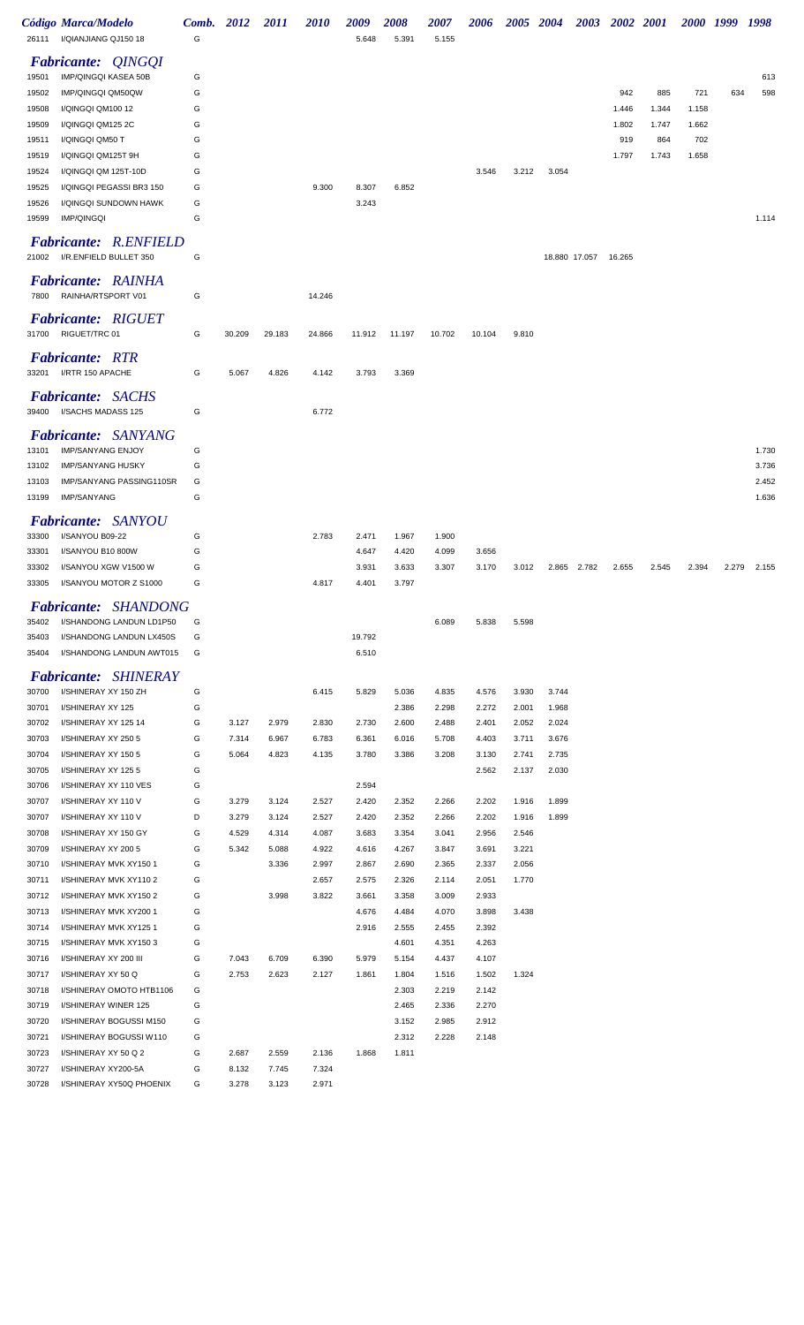|                | Código Marca/Modelo<br>26111 I/QIANJIANG QJ150 18      | Comb. 2012<br>G |                | <i>2011</i>    | <i>2010</i>    | 2009<br>5.648  | 2008<br>5.391  | <i><b>2007</b></i><br>5.155 | 2006           |                | 2005 2004 |                      | 2003 2002 2001 |       |       | 2000 1999 1998 |       |
|----------------|--------------------------------------------------------|-----------------|----------------|----------------|----------------|----------------|----------------|-----------------------------|----------------|----------------|-----------|----------------------|----------------|-------|-------|----------------|-------|
|                |                                                        |                 |                |                |                |                |                |                             |                |                |           |                      |                |       |       |                |       |
| 19501          | <b>Fabricante: QINGQI</b><br>IMP/QINGQI KASEA 50B      | G               |                |                |                |                |                |                             |                |                |           |                      |                |       |       |                | 613   |
| 19502          | IMP/QINGQI QM50QW                                      | G               |                |                |                |                |                |                             |                |                |           |                      | 942            | 885   | 721   | 634            | 598   |
| 19508          | I/QINGQI QM100 12                                      | G               |                |                |                |                |                |                             |                |                |           |                      | 1.446          | 1.344 | 1.158 |                |       |
| 19509          | I/QINGQI QM125 2C                                      | G               |                |                |                |                |                |                             |                |                |           |                      | 1.802          | 1.747 | 1.662 |                |       |
| 19511          | I/QINGQI QM50 T                                        | G               |                |                |                |                |                |                             |                |                |           |                      | 919            | 864   | 702   |                |       |
| 19519          | I/QINGQI QM125T 9H                                     | G               |                |                |                |                |                |                             |                |                |           |                      | 1.797          | 1.743 | 1.658 |                |       |
| 19524          | I/QINGQI QM 125T-10D                                   | G               |                |                |                |                |                |                             | 3.546          | 3.212          | 3.054     |                      |                |       |       |                |       |
| 19525          | I/QINGQI PEGASSI BR3 150                               | G               |                |                | 9.300          | 8.307          | 6.852          |                             |                |                |           |                      |                |       |       |                |       |
| 19526          | I/QINGQI SUNDOWN HAWK                                  | G               |                |                |                | 3.243          |                |                             |                |                |           |                      |                |       |       |                |       |
| 19599          | <b>IMP/QINGQI</b>                                      | G               |                |                |                |                |                |                             |                |                |           |                      |                |       |       |                | 1.114 |
| 21002          | <b>Fabricante: R.ENFIELD</b><br>I/R.ENFIELD BULLET 350 | G               |                |                |                |                |                |                             |                |                |           | 18.880 17.057 16.265 |                |       |       |                |       |
| 7800           | <b>Fabricante: RAINHA</b><br>RAINHA/RTSPORT V01        | G               |                |                | 14.246         |                |                |                             |                |                |           |                      |                |       |       |                |       |
|                |                                                        |                 |                |                |                |                |                |                             |                |                |           |                      |                |       |       |                |       |
| 31700          | <b>Fabricante: RIGUET</b><br>RIGUET/TRC 01             | G               | 30.209         | 29.183         | 24.866         | 11.912         | 11.197         | 10.702                      | 10.104         | 9.810          |           |                      |                |       |       |                |       |
|                | <b>Fabricante: RTR</b>                                 |                 |                |                |                |                |                |                             |                |                |           |                      |                |       |       |                |       |
|                | 33201 I/RTR 150 APACHE                                 | G               | 5.067          | 4.826          | 4.142          | 3.793          | 3.369          |                             |                |                |           |                      |                |       |       |                |       |
|                | <b>Fabricante: SACHS</b>                               |                 |                |                |                |                |                |                             |                |                |           |                      |                |       |       |                |       |
|                | 39400 I/SACHS MADASS 125                               | G               |                |                | 6.772          |                |                |                             |                |                |           |                      |                |       |       |                |       |
|                | <i>SANYANG</i><br><i>Fabricante:</i>                   |                 |                |                |                |                |                |                             |                |                |           |                      |                |       |       |                |       |
| 13101          | IMP/SANYANG ENJOY                                      | G               |                |                |                |                |                |                             |                |                |           |                      |                |       |       |                | 1.730 |
| 13102          | <b>IMP/SANYANG HUSKY</b>                               | G               |                |                |                |                |                |                             |                |                |           |                      |                |       |       |                | 3.736 |
| 13103          | IMP/SANYANG PASSING110SR                               | G               |                |                |                |                |                |                             |                |                |           |                      |                |       |       |                | 2.452 |
| 13199          | <b>IMP/SANYANG</b>                                     | G               |                |                |                |                |                |                             |                |                |           |                      |                |       |       |                | 1.636 |
|                | <b>Fabricante: SANYOU</b>                              |                 |                |                |                |                |                |                             |                |                |           |                      |                |       |       |                |       |
| 33300          | I/SANYOU B09-22                                        | G               |                |                | 2.783          | 2.471          | 1.967          | 1.900                       |                |                |           |                      |                |       |       |                |       |
| 33301          | I/SANYOU B10 800W                                      | G               |                |                |                | 4.647          | 4.420          | 4.099                       | 3.656          |                |           |                      |                |       |       |                |       |
| 33302          | I/SANYOU XGW V1500 W                                   | G               |                |                |                | 3.931          | 3.633          | 3.307                       | 3.170          | 3.012          |           | 2.865 2.782          | 2.655          | 2.545 | 2.394 | 2.279          | 2.155 |
| 33305          | I/SANYOU MOTOR Z S1000                                 | G               |                |                | 4.817          | 4.401          | 3.797          |                             |                |                |           |                      |                |       |       |                |       |
|                | Fabricante: SHANDONG                                   |                 |                |                |                |                |                |                             |                |                |           |                      |                |       |       |                |       |
| 35402          | I/SHANDONG LANDUN LD1P50                               | G               |                |                |                |                |                | 6.089                       | 5.838          | 5.598          |           |                      |                |       |       |                |       |
| 35403          | I/SHANDONG LANDUN LX450S                               | G               |                |                |                | 19.792         |                |                             |                |                |           |                      |                |       |       |                |       |
| 35404          | I/SHANDONG LANDUN AWT015                               | G               |                |                |                | 6.510          |                |                             |                |                |           |                      |                |       |       |                |       |
|                | <b>Fabricante: SHINERAY</b>                            |                 |                |                |                |                |                |                             |                |                |           |                      |                |       |       |                |       |
| 30700          | I/SHINERAY XY 150 ZH                                   | G               |                |                | 6.415          | 5.829          | 5.036          | 4.835                       | 4.576          | 3.930          | 3.744     |                      |                |       |       |                |       |
| 30701          | I/SHINERAY XY 125                                      | G               |                |                |                |                | 2.386          | 2.298                       | 2.272          | 2.001          | 1.968     |                      |                |       |       |                |       |
| 30702          | I/SHINERAY XY 125 14                                   | G               | 3.127          | 2.979          | 2.830          | 2.730          | 2.600          | 2.488                       | 2.401          | 2.052          | 2.024     |                      |                |       |       |                |       |
| 30703          | I/SHINERAY XY 250 5                                    | G               | 7.314          | 6.967          | 6.783          | 6.361          | 6.016          | 5.708                       | 4.403          | 3.711          | 3.676     |                      |                |       |       |                |       |
| 30704          | I/SHINERAY XY 150 5                                    | G               | 5.064          | 4.823          | 4.135          | 3.780          | 3.386          | 3.208                       | 3.130          | 2.741          | 2.735     |                      |                |       |       |                |       |
| 30705          | I/SHINERAY XY 125 5                                    | G               |                |                |                |                |                |                             | 2.562          | 2.137          | 2.030     |                      |                |       |       |                |       |
| 30706          | I/SHINERAY XY 110 VES                                  | G               |                |                |                | 2.594          |                |                             |                |                |           |                      |                |       |       |                |       |
| 30707          | I/SHINERAY XY 110 V                                    | G               | 3.279          | 3.124          | 2.527          | 2.420          | 2.352          | 2.266                       | 2.202          | 1.916          | 1.899     |                      |                |       |       |                |       |
| 30707<br>30708 | I/SHINERAY XY 110 V<br>I/SHINERAY XY 150 GY            | D<br>G          | 3.279<br>4.529 | 3.124<br>4.314 | 2.527<br>4.087 | 2.420<br>3.683 | 2.352<br>3.354 | 2.266<br>3.041              | 2.202<br>2.956 | 1.916<br>2.546 | 1.899     |                      |                |       |       |                |       |
| 30709          | I/SHINERAY XY 200 5                                    | G               | 5.342          | 5.088          | 4.922          | 4.616          | 4.267          | 3.847                       | 3.691          | 3.221          |           |                      |                |       |       |                |       |
| 30710          | I/SHINERAY MVK XY150 1                                 | G               |                | 3.336          | 2.997          | 2.867          | 2.690          | 2.365                       | 2.337          | 2.056          |           |                      |                |       |       |                |       |
| 30711          | I/SHINERAY MVK XY1102                                  | G               |                |                | 2.657          | 2.575          | 2.326          | 2.114                       | 2.051          | 1.770          |           |                      |                |       |       |                |       |
| 30712          | I/SHINERAY MVK XY150 2                                 | G               |                | 3.998          | 3.822          | 3.661          | 3.358          | 3.009                       | 2.933          |                |           |                      |                |       |       |                |       |
| 30713          | I/SHINERAY MVK XY200 1                                 | G               |                |                |                | 4.676          | 4.484          | 4.070                       | 3.898          | 3.438          |           |                      |                |       |       |                |       |
| 30714          | I/SHINERAY MVK XY1251                                  | G               |                |                |                | 2.916          | 2.555          | 2.455                       | 2.392          |                |           |                      |                |       |       |                |       |
| 30715          | I/SHINERAY MVK XY1503                                  | G               |                |                |                |                | 4.601          | 4.351                       | 4.263          |                |           |                      |                |       |       |                |       |
| 30716          | I/SHINERAY XY 200 III                                  | G               | 7.043          | 6.709          | 6.390          | 5.979          | 5.154          | 4.437                       | 4.107          |                |           |                      |                |       |       |                |       |
| 30717          | I/SHINERAY XY 50 Q                                     | G               | 2.753          | 2.623          | 2.127          | 1.861          | 1.804          | 1.516                       | 1.502          | 1.324          |           |                      |                |       |       |                |       |
| 30718          | I/SHINERAY OMOTO HTB1106                               | G               |                |                |                |                | 2.303          | 2.219                       | 2.142          |                |           |                      |                |       |       |                |       |
| 30719          | I/SHINERAY WINER 125                                   | G               |                |                |                |                | 2.465          | 2.336                       | 2.270          |                |           |                      |                |       |       |                |       |
| 30720          | I/SHINERAY BOGUSSI M150<br>I/SHINERAY BOGUSSI W110     | G<br>G          |                |                |                |                | 3.152<br>2.312 | 2.985<br>2.228              | 2.912<br>2.148 |                |           |                      |                |       |       |                |       |
| 30721<br>30723 | I/SHINERAY XY 50 Q 2                                   | G               | 2.687          | 2.559          | 2.136          | 1.868          | 1.811          |                             |                |                |           |                      |                |       |       |                |       |
| 30727          | I/SHINERAY XY200-5A                                    | G               | 8.132          | 7.745          | 7.324          |                |                |                             |                |                |           |                      |                |       |       |                |       |
| 30728          | I/SHINERAY XY50Q PHOENIX                               | G               | 3.278          | 3.123          | 2.971          |                |                |                             |                |                |           |                      |                |       |       |                |       |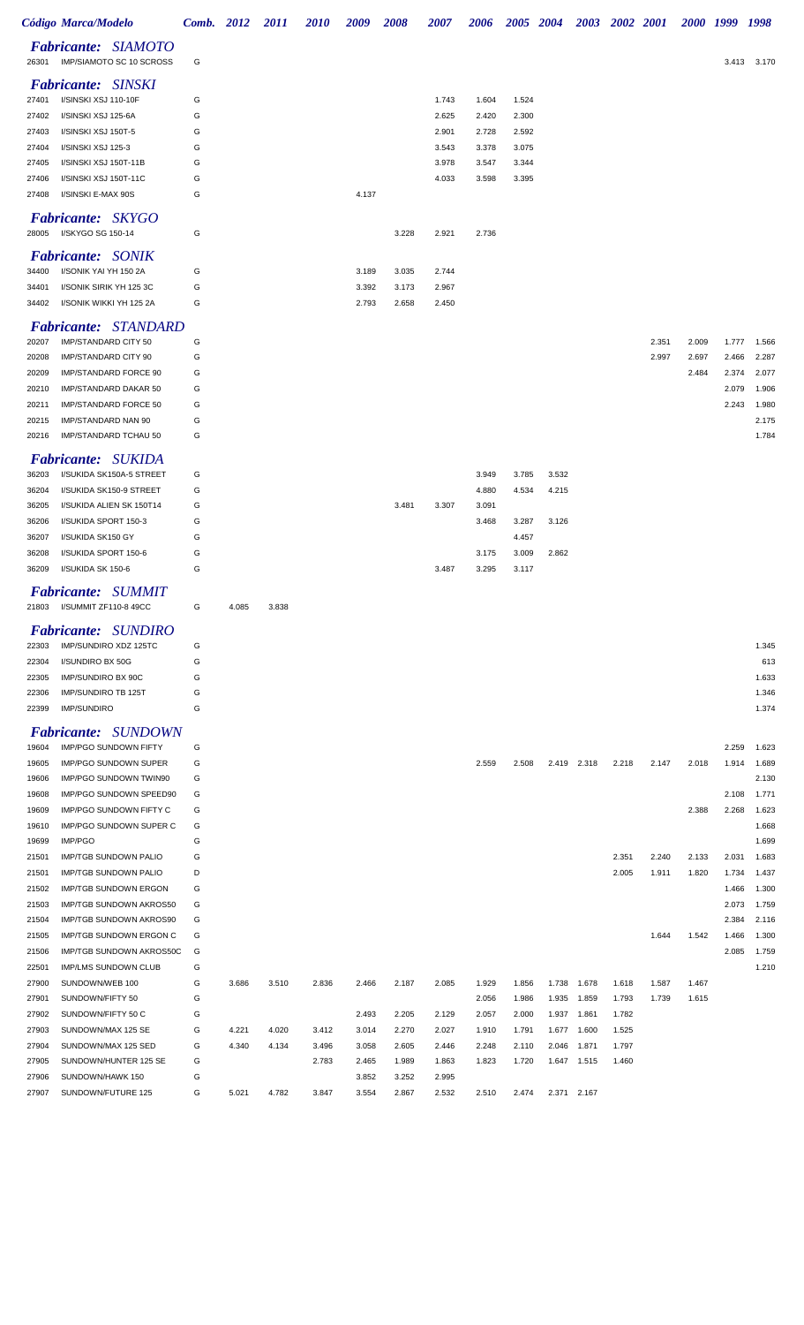|                | Código Marca/Modelo                                        | Comb. 2012 |       | <i>2011</i> | <i>2010</i>    | 2009           | 2008           | <i><b>2007</b></i> | 2006           | <b>2005</b>    | <b>2004</b> | <b>2003</b>          |                | <b>2002</b> 2001 | <i>2000</i> | 1999           | 1998           |
|----------------|------------------------------------------------------------|------------|-------|-------------|----------------|----------------|----------------|--------------------|----------------|----------------|-------------|----------------------|----------------|------------------|-------------|----------------|----------------|
| 26301          | <b>Fabricante: SIAMOTO</b><br>IMP/SIAMOTO SC 10 SCROSS     | G          |       |             |                |                |                |                    |                |                |             |                      |                |                  |             |                | 3.413 3.170    |
|                | <b>Fabricante: SINSKI</b>                                  |            |       |             |                |                |                |                    |                |                |             |                      |                |                  |             |                |                |
| 27401          | I/SINSKI XSJ 110-10F                                       | G          |       |             |                |                |                | 1.743              | 1.604          | 1.524          |             |                      |                |                  |             |                |                |
| 27402          | I/SINSKI XSJ 125-6A                                        | G          |       |             |                |                |                | 2.625              | 2.420          | 2.300          |             |                      |                |                  |             |                |                |
| 27403          | I/SINSKI XSJ 150T-5                                        | G          |       |             |                |                |                | 2.901              | 2.728          | 2.592          |             |                      |                |                  |             |                |                |
| 27404          | I/SINSKI XSJ 125-3                                         | G          |       |             |                |                |                | 3.543              | 3.378          | 3.075          |             |                      |                |                  |             |                |                |
| 27405          | I/SINSKI XSJ 150T-11B                                      | G          |       |             |                |                |                | 3.978              | 3.547          | 3.344          |             |                      |                |                  |             |                |                |
| 27406<br>27408 | I/SINSKI XSJ 150T-11C<br>I/SINSKI E-MAX 90S                | G<br>G     |       |             |                | 4.137          |                | 4.033              | 3.598          | 3.395          |             |                      |                |                  |             |                |                |
|                | <b>Fabricante: SKYGO</b>                                   |            |       |             |                |                |                |                    |                |                |             |                      |                |                  |             |                |                |
| 28005          | I/SKYGO SG 150-14                                          | G          |       |             |                |                | 3.228          | 2.921              | 2.736          |                |             |                      |                |                  |             |                |                |
|                | <b>Fabricante: SONIK</b>                                   |            |       |             |                |                |                |                    |                |                |             |                      |                |                  |             |                |                |
| 34400          | I/SONIK YAI YH 150 2A                                      | G          |       |             |                | 3.189          | 3.035          | 2.744              |                |                |             |                      |                |                  |             |                |                |
| 34401          | I/SONIK SIRIK YH 125 3C                                    | G          |       |             |                | 3.392          | 3.173          | 2.967              |                |                |             |                      |                |                  |             |                |                |
| 34402          | I/SONIK WIKKI YH 125 2A                                    | G          |       |             |                | 2.793          | 2.658          | 2.450              |                |                |             |                      |                |                  |             |                |                |
|                | <b>Fabricante: STANDARD</b>                                |            |       |             |                |                |                |                    |                |                |             |                      |                |                  |             |                |                |
| 20207          | IMP/STANDARD CITY 50                                       | G          |       |             |                |                |                |                    |                |                |             |                      |                | 2.351            | 2.009       | 1.777          | 1.566          |
| 20208          | IMP/STANDARD CITY 90                                       | G          |       |             |                |                |                |                    |                |                |             |                      |                | 2.997            | 2.697       | 2.466          | 2.287          |
| 20209<br>20210 | IMP/STANDARD FORCE 90<br>IMP/STANDARD DAKAR 50             | G<br>G     |       |             |                |                |                |                    |                |                |             |                      |                |                  | 2.484       | 2.374<br>2.079 | 2.077<br>1.906 |
| 20211          | IMP/STANDARD FORCE 50                                      | G          |       |             |                |                |                |                    |                |                |             |                      |                |                  |             | 2.243          | 1.980          |
| 20215          | IMP/STANDARD NAN 90                                        | G          |       |             |                |                |                |                    |                |                |             |                      |                |                  |             |                | 2.175          |
| 20216          | IMP/STANDARD TCHAU 50                                      | G          |       |             |                |                |                |                    |                |                |             |                      |                |                  |             |                | 1.784          |
|                | <b>Fabricante: SUKIDA</b>                                  |            |       |             |                |                |                |                    |                |                |             |                      |                |                  |             |                |                |
| 36203          | I/SUKIDA SK150A-5 STREET                                   | G          |       |             |                |                |                |                    | 3.949          | 3.785          | 3.532       |                      |                |                  |             |                |                |
| 36204          | I/SUKIDA SK150-9 STREET                                    | G          |       |             |                |                |                |                    | 4.880          | 4.534          | 4.215       |                      |                |                  |             |                |                |
| 36205          | I/SUKIDA ALIEN SK 150T14                                   | G          |       |             |                |                | 3.481          | 3.307              | 3.091          |                |             |                      |                |                  |             |                |                |
| 36206          | I/SUKIDA SPORT 150-3                                       | G          |       |             |                |                |                |                    | 3.468          | 3.287          | 3.126       |                      |                |                  |             |                |                |
| 36207          | I/SUKIDA SK150 GY                                          | G          |       |             |                |                |                |                    |                | 4.457          |             |                      |                |                  |             |                |                |
| 36208          | I/SUKIDA SPORT 150-6                                       | G          |       |             |                |                |                |                    | 3.175          | 3.009          | 2.862       |                      |                |                  |             |                |                |
| 36209          | I/SUKIDA SK 150-6                                          | G          |       |             |                |                |                | 3.487              | 3.295          | 3.117          |             |                      |                |                  |             |                |                |
|                | <b>Fabricante: SUMMIT</b>                                  |            |       |             |                |                |                |                    |                |                |             |                      |                |                  |             |                |                |
| 21803          | I/SUMMIT ZF110-8 49CC                                      | G          | 4.085 | 3.838       |                |                |                |                    |                |                |             |                      |                |                  |             |                |                |
|                | <b>Fabricante: SUNDIRO</b>                                 |            |       |             |                |                |                |                    |                |                |             |                      |                |                  |             |                |                |
| 22303          | IMP/SUNDIRO XDZ 125TC                                      | G          |       |             |                |                |                |                    |                |                |             |                      |                |                  |             |                | 1.345          |
| 22304          | I/SUNDIRO BX 50G                                           | G          |       |             |                |                |                |                    |                |                |             |                      |                |                  |             |                | 613            |
| 22305          | IMP/SUNDIRO BX 90C                                         | G          |       |             |                |                |                |                    |                |                |             |                      |                |                  |             |                | 1.633          |
| 22306<br>22399 | <b>IMP/SUNDIRO TB 125T</b><br><b>IMP/SUNDIRO</b>           | G<br>G     |       |             |                |                |                |                    |                |                |             |                      |                |                  |             |                | 1.346<br>1.374 |
|                |                                                            |            |       |             |                |                |                |                    |                |                |             |                      |                |                  |             |                |                |
| 19604          | <b>Fabricante: SUNDOWN</b><br><b>IMP/PGO SUNDOWN FIFTY</b> | G          |       |             |                |                |                |                    |                |                |             |                      |                |                  |             | 2.259          | 1.623          |
| 19605          | <b>IMP/PGO SUNDOWN SUPER</b>                               | G          |       |             |                |                |                |                    | 2.559          | 2.508          |             | 2.419 2.318          | 2.218          | 2.147            | 2.018       | 1.914          | 1.689          |
| 19606          | IMP/PGO SUNDOWN TWIN90                                     | G          |       |             |                |                |                |                    |                |                |             |                      |                |                  |             |                | 2.130          |
| 19608          | IMP/PGO SUNDOWN SPEED90                                    | G          |       |             |                |                |                |                    |                |                |             |                      |                |                  |             | 2.108          | 1.771          |
| 19609          | IMP/PGO SUNDOWN FIFTY C                                    | G          |       |             |                |                |                |                    |                |                |             |                      |                |                  | 2.388       | 2.268          | 1.623          |
| 19610          | IMP/PGO SUNDOWN SUPER C                                    | G          |       |             |                |                |                |                    |                |                |             |                      |                |                  |             |                | 1.668          |
| 19699          | <b>IMP/PGO</b>                                             | G          |       |             |                |                |                |                    |                |                |             |                      |                |                  |             |                | 1.699          |
| 21501          | <b>IMP/TGB SUNDOWN PALIO</b>                               | G          |       |             |                |                |                |                    |                |                |             |                      | 2.351          | 2.240            | 2.133       | 2.031          | 1.683          |
| 21501          | <b>IMP/TGB SUNDOWN PALIO</b>                               | D          |       |             |                |                |                |                    |                |                |             |                      | 2.005          | 1.911            | 1.820       | 1.734          | 1.437          |
| 21502          | <b>IMP/TGB SUNDOWN ERGON</b>                               | G          |       |             |                |                |                |                    |                |                |             |                      |                |                  |             | 1.466          | 1.300          |
| 21503          | <b>IMP/TGB SUNDOWN AKROS50</b>                             | G          |       |             |                |                |                |                    |                |                |             |                      |                |                  |             | 2.073          | 1.759          |
| 21504          | <b>IMP/TGB SUNDOWN AKROS90</b>                             | G          |       |             |                |                |                |                    |                |                |             |                      |                |                  |             | 2.384          | 2.116          |
| 21505          | IMP/TGB SUNDOWN ERGON C                                    | G          |       |             |                |                |                |                    |                |                |             |                      |                | 1.644            | 1.542       | 1.466          | 1.300          |
| 21506          | IMP/TGB SUNDOWN AKROS50C                                   | G          |       |             |                |                |                |                    |                |                |             |                      |                |                  |             | 2.085          | 1.759          |
| 22501          | <b>IMP/LMS SUNDOWN CLUB</b>                                | G          |       |             |                |                |                |                    |                |                |             |                      |                |                  |             |                | 1.210          |
| 27900          | SUNDOWN/WEB 100                                            | G          | 3.686 | 3.510       | 2.836          | 2.466          | 2.187          | 2.085              | 1.929          | 1.856          | 1.738       | 1.678                | 1.618          | 1.587            | 1.467       |                |                |
| 27901          | SUNDOWN/FIFTY 50                                           | G          |       |             |                |                |                |                    | 2.056          | 1.986          | 1.935       | 1.859                | 1.793          | 1.739            | 1.615       |                |                |
| 27902          | SUNDOWN/FIFTY 50 C                                         | G          |       |             |                | 2.493          | 2.205          | 2.129              | 2.057          | 2.000          | 1.937       | 1.861                | 1.782          |                  |             |                |                |
| 27903          | SUNDOWN/MAX 125 SE                                         | G          | 4.221 | 4.020       | 3.412          | 3.014          | 2.270          | 2.027              | 1.910          | 1.791          | 1.677       | 1.600                | 1.525          |                  |             |                |                |
| 27904<br>27905 | SUNDOWN/MAX 125 SED<br>SUNDOWN/HUNTER 125 SE               | G<br>G     | 4.340 | 4.134       | 3.496<br>2.783 | 3.058<br>2.465 | 2.605<br>1.989 | 2.446<br>1.863     | 2.248<br>1.823 | 2.110<br>1.720 | 2.046       | 1.871<br>1.647 1.515 | 1.797<br>1.460 |                  |             |                |                |
| 27906          | SUNDOWN/HAWK 150                                           | G          |       |             |                | 3.852          | 3.252          | 2.995              |                |                |             |                      |                |                  |             |                |                |
| 27907          | SUNDOWN/FUTURE 125                                         | G          | 5.021 | 4.782       | 3.847          | 3.554          | 2.867          | 2.532              | 2.510          | 2.474          |             | 2.371 2.167          |                |                  |             |                |                |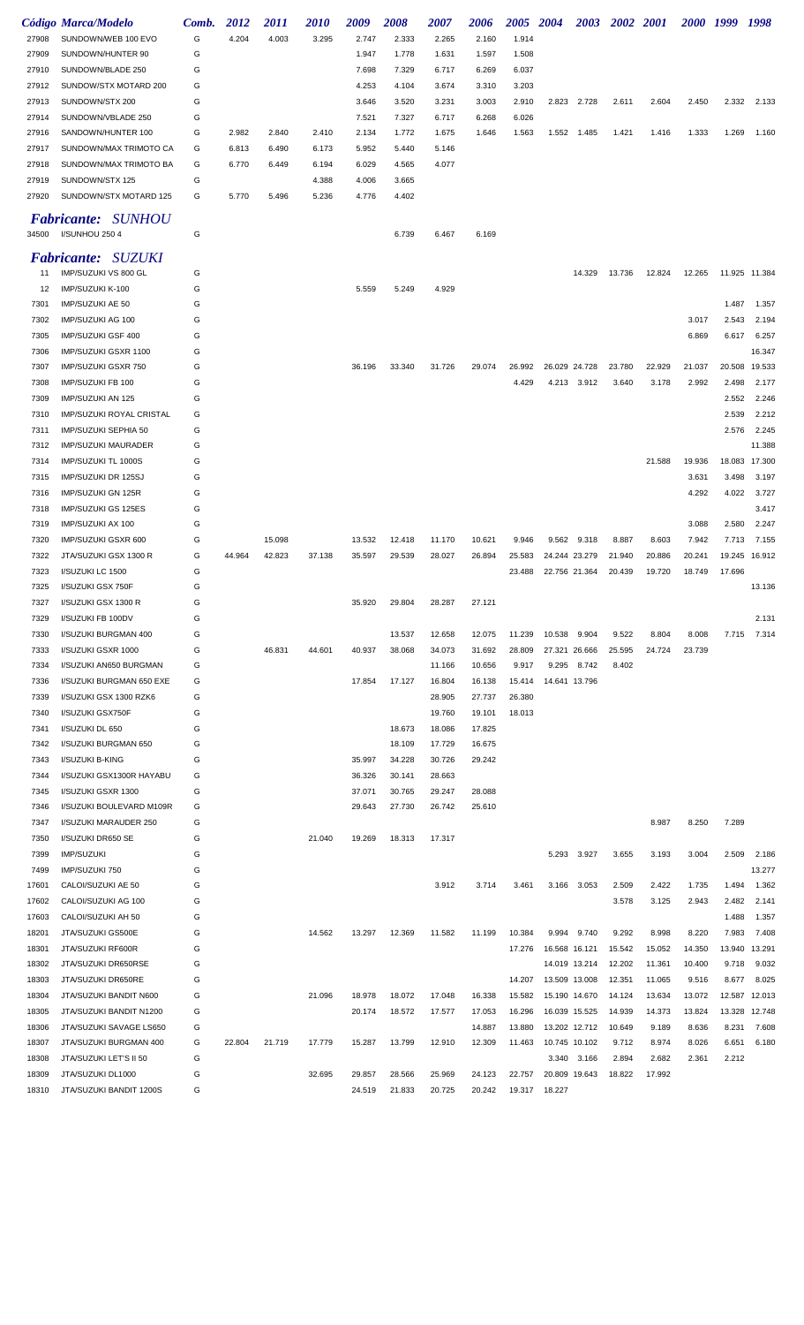|                | Código Marca/Modelo                         | Comb.  | 2012   | 2011   | <i>2010</i>    | 2009           | 2008             | 2007             | 2006             | 2005 2004        |                  | 2003            | 2002 2001       |        | 2000 1999 |        | 1998          |
|----------------|---------------------------------------------|--------|--------|--------|----------------|----------------|------------------|------------------|------------------|------------------|------------------|-----------------|-----------------|--------|-----------|--------|---------------|
| 27908          | SUNDOWN/WEB 100 EVO                         | G      | 4.204  | 4.003  | 3.295          | 2.747          | 2.333            | 2.265            | 2.160            | 1.914            |                  |                 |                 |        |           |        |               |
| 27909          | SUNDOWN/HUNTER 90                           | G      |        |        |                | 1.947          | 1.778            | 1.631            | 1.597            | 1.508            |                  |                 |                 |        |           |        |               |
| 27910          | SUNDOWN/BLADE 250                           | G      |        |        |                | 7.698          | 7.329            | 6.717            | 6.269            | 6.037            |                  |                 |                 |        |           |        |               |
| 27912          | SUNDOW/STX MOTARD 200                       | G      |        |        |                | 4.253          | 4.104            | 3.674            | 3.310            | 3.203            |                  |                 |                 |        |           |        |               |
| 27913          | SUNDOWN/STX 200                             | G      |        |        |                | 3.646          | 3.520            | 3.231            | 3.003            | 2.910            |                  | 2.823 2.728     | 2.611           | 2.604  | 2.450     | 2.332  | 2.133         |
| 27914          | SUNDOWN/VBLADE 250                          | G      |        |        |                | 7.521          | 7.327            | 6.717            | 6.268            | 6.026            |                  |                 |                 |        |           |        |               |
| 27916          | SANDOWN/HUNTER 100                          | G      | 2.982  | 2.840  | 2.410          | 2.134          | 1.772            | 1.675            | 1.646            | 1.563            |                  | 1.552 1.485     | 1.421           | 1.416  | 1.333     | 1.269  | 1.160         |
| 27917          | SUNDOWN/MAX TRIMOTO CA                      | G      | 6.813  | 6.490  | 6.173          | 5.952          | 5.440            | 5.146            |                  |                  |                  |                 |                 |        |           |        |               |
| 27918          | SUNDOWN/MAX TRIMOTO BA                      | G      | 6.770  | 6.449  | 6.194          | 6.029          | 4.565            | 4.077            |                  |                  |                  |                 |                 |        |           |        |               |
| 27919<br>27920 | SUNDOWN/STX 125<br>SUNDOWN/STX MOTARD 125   | G<br>G | 5.770  | 5.496  | 4.388<br>5.236 | 4.006<br>4.776 | 3.665<br>4.402   |                  |                  |                  |                  |                 |                 |        |           |        |               |
|                |                                             |        |        |        |                |                |                  |                  |                  |                  |                  |                 |                 |        |           |        |               |
| 34500          | <b>Fabricante: SUNHOU</b><br>I/SUNHOU 250 4 | G      |        |        |                |                | 6.739            | 6.467            | 6.169            |                  |                  |                 |                 |        |           |        |               |
|                | Fabricante: SUZUKI                          |        |        |        |                |                |                  |                  |                  |                  |                  |                 |                 |        |           |        |               |
| 11             | IMP/SUZUKI VS 800 GL                        | G      |        |        |                |                |                  |                  |                  |                  |                  | 14.329          | 13.736          | 12.824 | 12.265    |        | 11.925 11.384 |
| 12             | IMP/SUZUKI K-100                            | G      |        |        |                | 5.559          | 5.249            | 4.929            |                  |                  |                  |                 |                 |        |           |        |               |
| 7301           | IMP/SUZUKI AE 50                            | G      |        |        |                |                |                  |                  |                  |                  |                  |                 |                 |        |           | 1.487  | 1.357         |
| 7302           | IMP/SUZUKI AG 100                           | G      |        |        |                |                |                  |                  |                  |                  |                  |                 |                 |        | 3.017     | 2.543  | 2.194         |
| 7305           | IMP/SUZUKI GSF 400                          | G      |        |        |                |                |                  |                  |                  |                  |                  |                 |                 |        | 6.869     | 6.617  | 6.257         |
| 7306           | IMP/SUZUKI GSXR 1100                        | G      |        |        |                |                |                  |                  |                  |                  |                  |                 |                 |        |           |        | 16.347        |
| 7307           | IMP/SUZUKI GSXR 750                         | G      |        |        |                | 36.196         | 33.340           | 31.726           | 29.074           | 26.992           |                  | 26.029 24.728   | 23.780          | 22.929 | 21.037    | 20.508 | 19.533        |
| 7308           | IMP/SUZUKI FB 100                           | G      |        |        |                |                |                  |                  |                  | 4.429            |                  | 4.213 3.912     | 3.640           | 3.178  | 2.992     | 2.498  | 2.177         |
| 7309           | IMP/SUZUKI AN 125                           | G      |        |        |                |                |                  |                  |                  |                  |                  |                 |                 |        |           | 2.552  | 2.246         |
| 7310           | <b>IMP/SUZUKI ROYAL CRISTAL</b>             | G      |        |        |                |                |                  |                  |                  |                  |                  |                 |                 |        |           | 2.539  | 2.212         |
| 7311           | IMP/SUZUKI SEPHIA 50                        | G      |        |        |                |                |                  |                  |                  |                  |                  |                 |                 |        |           | 2.576  | 2.245         |
| 7312           | <b>IMP/SUZUKI MAURADER</b>                  | G      |        |        |                |                |                  |                  |                  |                  |                  |                 |                 |        |           |        | 11.388        |
| 7314           | IMP/SUZUKI TL 1000S                         | G      |        |        |                |                |                  |                  |                  |                  |                  |                 |                 | 21.588 | 19.936    | 18.083 | 17.300        |
| 7315           | IMP/SUZUKI DR 125SJ                         | G      |        |        |                |                |                  |                  |                  |                  |                  |                 |                 |        | 3.631     | 3.498  | 3.197         |
| 7316           | IMP/SUZUKI GN 125R                          | G      |        |        |                |                |                  |                  |                  |                  |                  |                 |                 |        | 4.292     | 4.022  | 3.727         |
| 7318           | IMP/SUZUKI GS 125ES                         | G      |        |        |                |                |                  |                  |                  |                  |                  |                 |                 |        |           |        | 3.417         |
| 7319           | IMP/SUZUKI AX 100                           | G      |        |        |                |                |                  |                  |                  |                  |                  |                 |                 |        | 3.088     | 2.580  | 2.247         |
| 7320           | IMP/SUZUKI GSXR 600                         | G      |        | 15.098 |                | 13.532         | 12.418           | 11.170           | 10.621           | 9.946            |                  | 9.562 9.318     | 8.887           | 8.603  | 7.942     | 7.713  | 7.155         |
| 7322           | JTA/SUZUKI GSX 1300 R                       | G      | 44.964 | 42.823 | 37.138         | 35.597         | 29.539           | 28.027           | 26.894           | 25.583           |                  | 24.244 23.279   | 21.940          | 20.886 | 20.241    | 19.245 | 16.912        |
| 7323           | I/SUZUKI LC 1500                            | G      |        |        |                |                |                  |                  |                  | 23.488           |                  | 22.756 21.364   | 20.439          | 19.720 | 18.749    | 17.696 |               |
| 7325           | I/SUZUKI GSX 750F                           | G      |        |        |                |                |                  |                  |                  |                  |                  |                 |                 |        |           |        | 13.136        |
| 7327           | I/SUZUKI GSX 1300 R                         | G      |        |        |                | 35.920         | 29.804           | 28.287           | 27.121           |                  |                  |                 |                 |        |           |        |               |
| 7329           | I/SUZUKI FB 100DV                           | G<br>G |        |        |                |                |                  |                  |                  |                  |                  |                 |                 | 8.804  | 8.008     |        | 2.131         |
| 7330<br>7333   | I/SUZUKI BURGMAN 400<br>I/SUZUKI GSXR 1000  | G      |        | 46.831 | 44.601         | 40.937         | 13.537<br>38.068 | 12.658<br>34.073 | 12.075<br>31.692 | 11.239<br>28.809 | 10.538<br>27.321 | 9.904<br>26.666 | 9.522<br>25.595 | 24.724 | 23.739    | 7.715  | 7.314         |
| 7334           | I/SUZUKI AN650 BURGMAN                      | G      |        |        |                |                |                  | 11.166           | 10.656           | 9.917            | 9.295            | 8.742           | 8.402           |        |           |        |               |
| 7336           | I/SUZUKI BURGMAN 650 EXE                    | G      |        |        |                | 17.854         | 17.127           | 16.804           | 16.138           | 15.414           |                  | 14.641 13.796   |                 |        |           |        |               |
| 7339           | I/SUZUKI GSX 1300 RZK6                      | G      |        |        |                |                |                  | 28.905           | 27.737           | 26.380           |                  |                 |                 |        |           |        |               |
| 7340           | I/SUZUKI GSX750F                            | G      |        |        |                |                |                  | 19.760           | 19.101           | 18.013           |                  |                 |                 |        |           |        |               |
| 7341           | I/SUZUKI DL 650                             | G      |        |        |                |                | 18.673           | 18.086           | 17.825           |                  |                  |                 |                 |        |           |        |               |
| 7342           | I/SUZUKI BURGMAN 650                        | G      |        |        |                |                | 18.109           | 17.729           | 16.675           |                  |                  |                 |                 |        |           |        |               |
| 7343           | I/SUZUKI B-KING                             | G      |        |        |                | 35.997         | 34.228           | 30.726           | 29.242           |                  |                  |                 |                 |        |           |        |               |
| 7344           | I/SUZUKI GSX1300R HAYABU                    | G      |        |        |                | 36.326         | 30.141           | 28.663           |                  |                  |                  |                 |                 |        |           |        |               |
| 7345           | I/SUZUKI GSXR 1300                          | G      |        |        |                | 37.071         | 30.765           | 29.247           | 28.088           |                  |                  |                 |                 |        |           |        |               |
| 7346           | I/SUZUKI BOULEVARD M109R                    | G      |        |        |                | 29.643         | 27.730           | 26.742           | 25.610           |                  |                  |                 |                 |        |           |        |               |
| 7347           | I/SUZUKI MARAUDER 250                       | G      |        |        |                |                |                  |                  |                  |                  |                  |                 |                 | 8.987  | 8.250     | 7.289  |               |
| 7350           | I/SUZUKI DR650 SE                           | G      |        |        | 21.040         | 19.269         | 18.313           | 17.317           |                  |                  |                  |                 |                 |        |           |        |               |
| 7399           | <b>IMP/SUZUKI</b>                           | G      |        |        |                |                |                  |                  |                  |                  | 5.293            | 3.927           | 3.655           | 3.193  | 3.004     | 2.509  | 2.186         |
| 7499           | IMP/SUZUKI 750                              | G      |        |        |                |                |                  |                  |                  |                  |                  |                 |                 |        |           |        | 13.277        |
| 17601          | CALOI/SUZUKI AE 50                          | G      |        |        |                |                |                  | 3.912            | 3.714            | 3.461            | 3.166            | 3.053           | 2.509           | 2.422  | 1.735     | 1.494  | 1.362         |
| 17602          | CALOI/SUZUKI AG 100                         | G      |        |        |                |                |                  |                  |                  |                  |                  |                 | 3.578           | 3.125  | 2.943     | 2.482  | 2.141         |
| 17603          | CALOI/SUZUKI AH 50                          | G      |        |        |                |                |                  |                  |                  |                  |                  |                 |                 |        |           | 1.488  | 1.357         |
| 18201          | JTA/SUZUKI GS500E                           | G      |        |        | 14.562         | 13.297         | 12.369           | 11.582           | 11.199           | 10.384           |                  | 9.994 9.740     | 9.292           | 8.998  | 8.220     | 7.983  | 7.408         |
| 18301          | JTA/SUZUKI RF600R                           | G      |        |        |                |                |                  |                  |                  | 17.276           | 16.568 16.121    |                 | 15.542          | 15.052 | 14.350    | 13.940 | 13.291        |
| 18302          | JTA/SUZUKI DR650RSE                         | G      |        |        |                |                |                  |                  |                  |                  |                  | 14.019 13.214   | 12.202          | 11.361 | 10.400    | 9.718  | 9.032         |
| 18303          | JTA/SUZUKI DR650RE                          | G      |        |        |                |                |                  |                  |                  | 14.207           |                  | 13.509 13.008   | 12.351          | 11.065 | 9.516     | 8.677  | 8.025         |
| 18304          | JTA/SUZUKI BANDIT N600                      | G      |        |        | 21.096         | 18.978         | 18.072           | 17.048           | 16.338           | 15.582           |                  | 15.190 14.670   | 14.124          | 13.634 | 13.072    | 12.587 | 12.013        |
| 18305          | JTA/SUZUKI BANDIT N1200                     | G      |        |        |                | 20.174         | 18.572           | 17.577           | 17.053           | 16.296           |                  | 16.039 15.525   | 14.939          | 14.373 | 13.824    | 13.328 | 12.748        |
| 18306          | JTA/SUZUKI SAVAGE LS650                     | G      |        |        |                |                |                  |                  | 14.887           | 13.880           |                  | 13.202 12.712   | 10.649          | 9.189  | 8.636     | 8.231  | 7.608         |
| 18307          | JTA/SUZUKI BURGMAN 400                      | G      | 22.804 | 21.719 | 17.779         | 15.287         | 13.799           | 12.910           | 12.309           | 11.463           |                  | 10.745 10.102   | 9.712           | 8.974  | 8.026     | 6.651  | 6.180         |
| 18308          | JTA/SUZUKI LET'S II 50                      | G      |        |        |                |                |                  |                  |                  |                  | 3.340            | 3.166           | 2.894           | 2.682  | 2.361     | 2.212  |               |
| 18309          | JTA/SUZUKI DL1000                           | G      |        |        | 32.695         | 29.857         | 28.566           | 25.969           | 24.123           | 22.757           |                  | 20.809 19.643   | 18.822          | 17.992 |           |        |               |
| 18310          | JTA/SUZUKI BANDIT 1200S                     | G      |        |        |                | 24.519         | 21.833           | 20.725           | 20.242           |                  | 19.317 18.227    |                 |                 |        |           |        |               |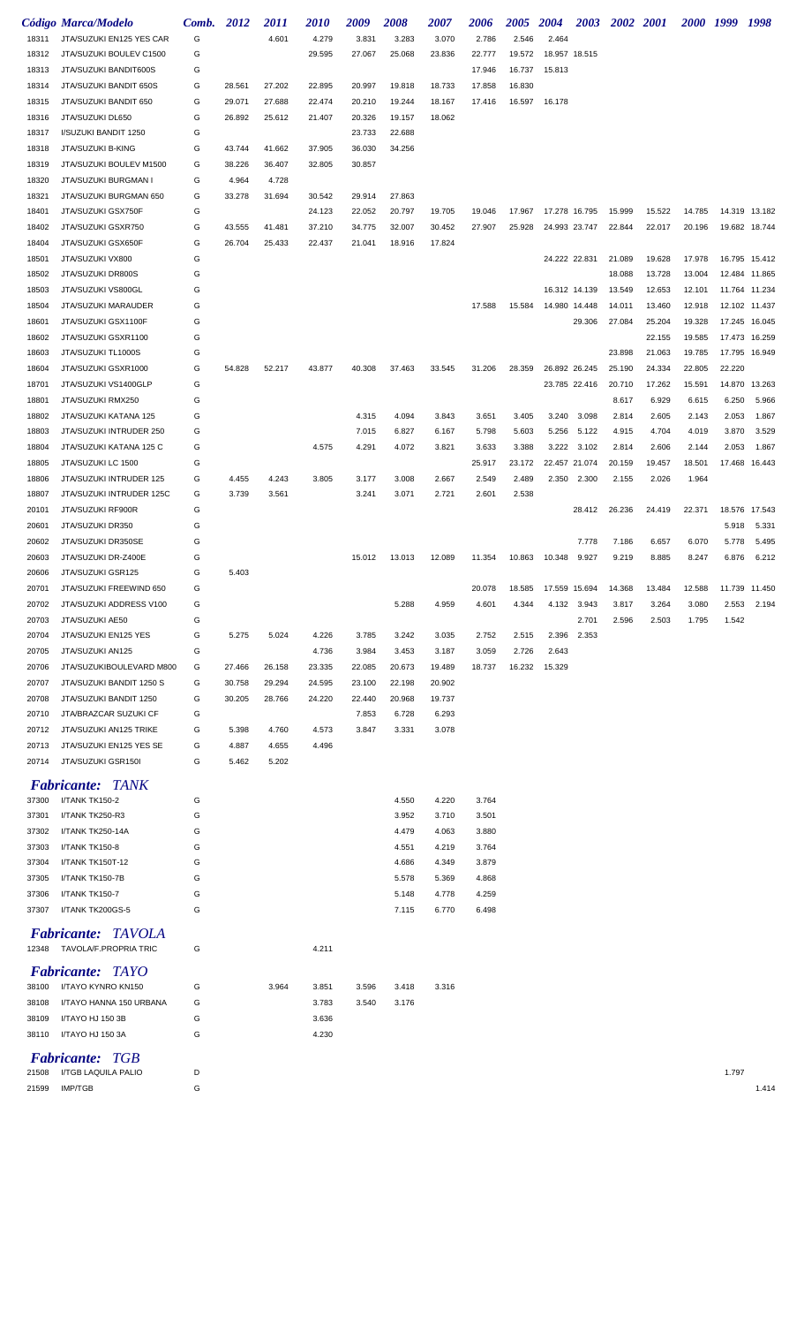|       | Código Marca/Modelo                                      | Comb. | 2012   | <i>2011</i> | <i>2010</i> | 2009   | 2008   | 2007   | 2006   | <i><b>2005</b></i> | <b>2004</b>   | 2003          | <b>2002</b> 2001 |        | 2000 1999 |        | 1998          |
|-------|----------------------------------------------------------|-------|--------|-------------|-------------|--------|--------|--------|--------|--------------------|---------------|---------------|------------------|--------|-----------|--------|---------------|
| 18311 | JTA/SUZUKI EN125 YES CAR                                 | G     |        | 4.601       | 4.279       | 3.831  | 3.283  | 3.070  | 2.786  | 2.546              | 2.464         |               |                  |        |           |        |               |
| 18312 | JTA/SUZUKI BOULEV C1500                                  | G     |        |             | 29.595      | 27.067 | 25.068 | 23.836 | 22.777 | 19.572             | 18.957 18.515 |               |                  |        |           |        |               |
| 18313 | JTA/SUZUKI BANDIT600S                                    | G     |        |             |             |        |        |        | 17.946 | 16.737             | 15.813        |               |                  |        |           |        |               |
| 18314 | JTA/SUZUKI BANDIT 650S                                   | G     | 28.561 | 27.202      | 22.895      | 20.997 | 19.818 | 18.733 | 17.858 | 16.830             |               |               |                  |        |           |        |               |
|       |                                                          | G     |        |             |             |        |        | 18.167 |        |                    |               |               |                  |        |           |        |               |
| 18315 | JTA/SUZUKI BANDIT 650                                    |       | 29.071 | 27.688      | 22.474      | 20.210 | 19.244 |        | 17.416 | 16.597             | 16.178        |               |                  |        |           |        |               |
| 18316 | JTA/SUZUKI DL650                                         | G     | 26.892 | 25.612      | 21.407      | 20.326 | 19.157 | 18.062 |        |                    |               |               |                  |        |           |        |               |
| 18317 | I/SUZUKI BANDIT 1250                                     | G     |        |             |             | 23.733 | 22.688 |        |        |                    |               |               |                  |        |           |        |               |
| 18318 | JTA/SUZUKI B-KING                                        | G     | 43.744 | 41.662      | 37.905      | 36.030 | 34.256 |        |        |                    |               |               |                  |        |           |        |               |
| 18319 | JTA/SUZUKI BOULEV M1500                                  | G     | 38.226 | 36.407      | 32.805      | 30.857 |        |        |        |                    |               |               |                  |        |           |        |               |
| 18320 | JTA/SUZUKI BURGMAN I                                     | G     | 4.964  | 4.728       |             |        |        |        |        |                    |               |               |                  |        |           |        |               |
| 18321 | JTA/SUZUKI BURGMAN 650                                   | G     | 33.278 | 31.694      | 30.542      | 29.914 | 27.863 |        |        |                    |               |               |                  |        |           |        |               |
| 18401 | JTA/SUZUKI GSX750F                                       | G     |        |             | 24.123      | 22.052 | 20.797 | 19.705 | 19.046 | 17.967             | 17.278 16.795 |               | 15.999           | 15.522 | 14.785    |        | 14.319 13.182 |
| 18402 | JTA/SUZUKI GSXR750                                       | G     | 43.555 | 41.481      | 37.210      | 34.775 | 32.007 | 30.452 | 27.907 | 25.928             | 24.993 23.747 |               | 22.844           | 22.017 | 20.196    |        | 19.682 18.744 |
| 18404 | JTA/SUZUKI GSX650F                                       | G     | 26.704 | 25.433      | 22.437      | 21.041 | 18.916 | 17.824 |        |                    |               |               |                  |        |           |        |               |
| 18501 | JTA/SUZUKI VX800                                         | G     |        |             |             |        |        |        |        |                    | 24.222 22.831 |               | 21.089           | 19.628 | 17.978    |        | 16.795 15.412 |
| 18502 | JTA/SUZUKI DR800S                                        | G     |        |             |             |        |        |        |        |                    |               |               | 18.088           | 13.728 | 13.004    |        | 12.484 11.865 |
| 18503 | JTA/SUZUKI VS800GL                                       | G     |        |             |             |        |        |        |        |                    | 16.312 14.139 |               | 13.549           | 12.653 | 12.101    |        | 11.764 11.234 |
| 18504 | JTA/SUZUKI MARAUDER                                      | G     |        |             |             |        |        |        | 17.588 | 15.584             | 14.980 14.448 |               | 14.011           | 13.460 | 12.918    |        | 12.102 11.437 |
| 18601 | JTA/SUZUKI GSX1100F                                      | G     |        |             |             |        |        |        |        |                    |               | 29.306        | 27.084           | 25.204 | 19.328    | 17.245 | 16.045        |
| 18602 | JTA/SUZUKI GSXR1100                                      | G     |        |             |             |        |        |        |        |                    |               |               |                  | 22.155 | 19.585    | 17.473 | 16.259        |
|       |                                                          |       |        |             |             |        |        |        |        |                    |               |               |                  |        |           |        |               |
| 18603 | JTA/SUZUKI TL1000S                                       | G     |        |             |             |        |        |        |        |                    |               |               | 23.898           | 21.063 | 19.785    | 17.795 | 16.949        |
| 18604 | JTA/SUZUKI GSXR1000                                      | G     | 54.828 | 52.217      | 43.877      | 40.308 | 37.463 | 33.545 | 31.206 | 28.359             | 26.892 26.245 |               | 25.190           | 24.334 | 22.805    | 22.220 |               |
| 18701 | JTA/SUZUKI VS1400GLP                                     | G     |        |             |             |        |        |        |        |                    |               | 23.785 22.416 | 20.710           | 17.262 | 15.591    | 14.870 | 13.263        |
| 18801 | JTA/SUZUKI RMX250                                        | G     |        |             |             |        |        |        |        |                    |               |               | 8.617            | 6.929  | 6.615     | 6.250  | 5.966         |
| 18802 | JTA/SUZUKI KATANA 125                                    | G     |        |             |             | 4.315  | 4.094  | 3.843  | 3.651  | 3.405              | 3.240         | 3.098         | 2.814            | 2.605  | 2.143     | 2.053  | 1.867         |
| 18803 | JTA/SUZUKI INTRUDER 250                                  | G     |        |             |             | 7.015  | 6.827  | 6.167  | 5.798  | 5.603              | 5.256         | 5.122         | 4.915            | 4.704  | 4.019     | 3.870  | 3.529         |
| 18804 | JTA/SUZUKI KATANA 125 C                                  | G     |        |             | 4.575       | 4.291  | 4.072  | 3.821  | 3.633  | 3.388              | 3.222         | 3.102         | 2.814            | 2.606  | 2.144     | 2.053  | 1.867         |
| 18805 | JTA/SUZUKI LC 1500                                       | G     |        |             |             |        |        |        | 25.917 | 23.172             | 22.457 21.074 |               | 20.159           | 19.457 | 18.501    | 17.468 | 16.443        |
| 18806 | JTA/SUZUKI INTRUDER 125                                  | G     | 4.455  | 4.243       | 3.805       | 3.177  | 3.008  | 2.667  | 2.549  | 2.489              | 2.350         | 2.300         | 2.155            | 2.026  | 1.964     |        |               |
| 18807 | JTA/SUZUKI INTRUDER 125C                                 | G     | 3.739  | 3.561       |             | 3.241  | 3.071  | 2.721  | 2.601  | 2.538              |               |               |                  |        |           |        |               |
| 20101 | JTA/SUZUKI RF900R                                        | G     |        |             |             |        |        |        |        |                    |               | 28.412        | 26.236           | 24.419 | 22.371    | 18.576 | 17.543        |
|       |                                                          |       |        |             |             |        |        |        |        |                    |               |               |                  |        |           |        |               |
| 20601 | JTA/SUZUKI DR350                                         | G     |        |             |             |        |        |        |        |                    |               |               |                  |        |           | 5.918  | 5.331         |
| 20602 | JTA/SUZUKI DR350SE                                       | G     |        |             |             |        |        |        |        |                    |               | 7.778         | 7.186            | 6.657  | 6.070     | 5.778  | 5.495         |
| 20603 | JTA/SUZUKI DR-Z400E                                      | G     |        |             |             | 15.012 | 13.013 | 12.089 | 11.354 | 10.863             | 10.348        | 9.927         | 9.219            | 8.885  | 8.247     | 6.876  | 6.212         |
| 20606 | JTA/SUZUKI GSR125                                        | G     | 5.403  |             |             |        |        |        |        |                    |               |               |                  |        |           |        |               |
| 20701 | JTA/SUZUKI FREEWIND 650                                  | G     |        |             |             |        |        |        | 20.078 | 18.585             | 17.559 15.694 |               | 14.368           | 13.484 | 12.588    |        | 11.739 11.450 |
| 20702 | JTA/SUZUKI ADDRESS V100                                  | G     |        |             |             |        | 5.288  | 4.959  | 4.601  | 4.344              | 4.132         | 3.943         | 3.817            | 3.264  | 3.080     | 2.553  | 2.194         |
| 20703 | JTA/SUZUKI AE50                                          | G     |        |             |             |        |        |        |        |                    |               | 2.701         | 2.596            | 2.503  | 1.795     | 1.542  |               |
| 20704 | JTA/SUZUKI EN125 YES                                     | G     | 5.275  | 5.024       | 4.226       | 3.785  | 3.242  | 3.035  | 2.752  | 2.515              | 2.396         | 2.353         |                  |        |           |        |               |
| 20705 | JTA/SUZUKI AN125                                         | G     |        |             | 4.736       | 3.984  | 3.453  | 3.187  | 3.059  | 2.726              | 2.643         |               |                  |        |           |        |               |
| 20706 | JTA/SUZUKIBOULEVARD M800                                 | G     | 27.466 | 26.158      | 23.335      | 22.085 | 20.673 | 19.489 | 18.737 | 16.232             | 15.329        |               |                  |        |           |        |               |
| 20707 | JTA/SUZUKI BANDIT 1250 S                                 | G     | 30.758 | 29.294      | 24.595      | 23.100 | 22.198 | 20.902 |        |                    |               |               |                  |        |           |        |               |
|       | JTA/SUZUKI BANDIT 1250                                   | G     | 30.205 | 28.766      |             |        | 20.968 |        |        |                    |               |               |                  |        |           |        |               |
| 20708 |                                                          |       |        |             | 24.220      | 22.440 |        | 19.737 |        |                    |               |               |                  |        |           |        |               |
| 20710 | JTA/BRAZCAR SUZUKI CF                                    | G     |        |             |             | 7.853  | 6.728  | 6.293  |        |                    |               |               |                  |        |           |        |               |
| 20712 | JTA/SUZUKI AN125 TRIKE                                   | G     | 5.398  | 4.760       | 4.573       | 3.847  | 3.331  | 3.078  |        |                    |               |               |                  |        |           |        |               |
| 20713 | JTA/SUZUKI EN125 YES SE                                  | G     | 4.887  | 4.655       | 4.496       |        |        |        |        |                    |               |               |                  |        |           |        |               |
| 20714 | JTA/SUZUKI GSR150I                                       | G     | 5.462  | 5.202       |             |        |        |        |        |                    |               |               |                  |        |           |        |               |
|       | <b>Fabricante: TANK</b>                                  |       |        |             |             |        |        |        |        |                    |               |               |                  |        |           |        |               |
| 37300 | I/TANK TK150-2                                           | G     |        |             |             |        | 4.550  | 4.220  | 3.764  |                    |               |               |                  |        |           |        |               |
| 37301 | I/TANK TK250-R3                                          | G     |        |             |             |        | 3.952  | 3.710  | 3.501  |                    |               |               |                  |        |           |        |               |
|       |                                                          |       |        |             |             |        |        |        |        |                    |               |               |                  |        |           |        |               |
| 37302 | I/TANK TK250-14A                                         | G     |        |             |             |        | 4.479  | 4.063  | 3.880  |                    |               |               |                  |        |           |        |               |
| 37303 | I/TANK TK150-8                                           | G     |        |             |             |        | 4.551  | 4.219  | 3.764  |                    |               |               |                  |        |           |        |               |
| 37304 | I/TANK TK150T-12                                         | G     |        |             |             |        | 4.686  | 4.349  | 3.879  |                    |               |               |                  |        |           |        |               |
| 37305 | I/TANK TK150-7B                                          | G     |        |             |             |        | 5.578  | 5.369  | 4.868  |                    |               |               |                  |        |           |        |               |
| 37306 | I/TANK TK150-7                                           | G     |        |             |             |        | 5.148  | 4.778  | 4.259  |                    |               |               |                  |        |           |        |               |
| 37307 | I/TANK TK200GS-5                                         | G     |        |             |             |        | 7.115  | 6.770  | 6.498  |                    |               |               |                  |        |           |        |               |
|       |                                                          |       |        |             |             |        |        |        |        |                    |               |               |                  |        |           |        |               |
|       | <b>Fabricante: TAVOLA</b><br>12348 TAVOLA/F.PROPRIA TRIC | G     |        |             | 4.211       |        |        |        |        |                    |               |               |                  |        |           |        |               |
|       | <b>Fabricante: TAYO</b>                                  |       |        |             |             |        |        |        |        |                    |               |               |                  |        |           |        |               |
| 38100 | I/TAYO KYNRO KN150                                       | G     |        | 3.964       | 3.851       | 3.596  | 3.418  | 3.316  |        |                    |               |               |                  |        |           |        |               |
| 38108 | I/TAYO HANNA 150 URBANA                                  | G     |        |             | 3.783       | 3.540  | 3.176  |        |        |                    |               |               |                  |        |           |        |               |
| 38109 | I/TAYO HJ 150 3B                                         | G     |        |             | 3.636       |        |        |        |        |                    |               |               |                  |        |           |        |               |
| 38110 | I/TAYO HJ 150 3A                                         | G     |        |             | 4.230       |        |        |        |        |                    |               |               |                  |        |           |        |               |
|       |                                                          |       |        |             |             |        |        |        |        |                    |               |               |                  |        |           |        |               |
|       | <b>Fabricante: TGB</b>                                   |       |        |             |             |        |        |        |        |                    |               |               |                  |        |           |        |               |
| 21508 | I/TGB LAQUILA PALIO                                      | D     |        |             |             |        |        |        |        |                    |               |               |                  |        |           | 1.797  |               |
| 21599 | <b>IMP/TGB</b>                                           | G     |        |             |             |        |        |        |        |                    |               |               |                  |        |           |        | 1.414         |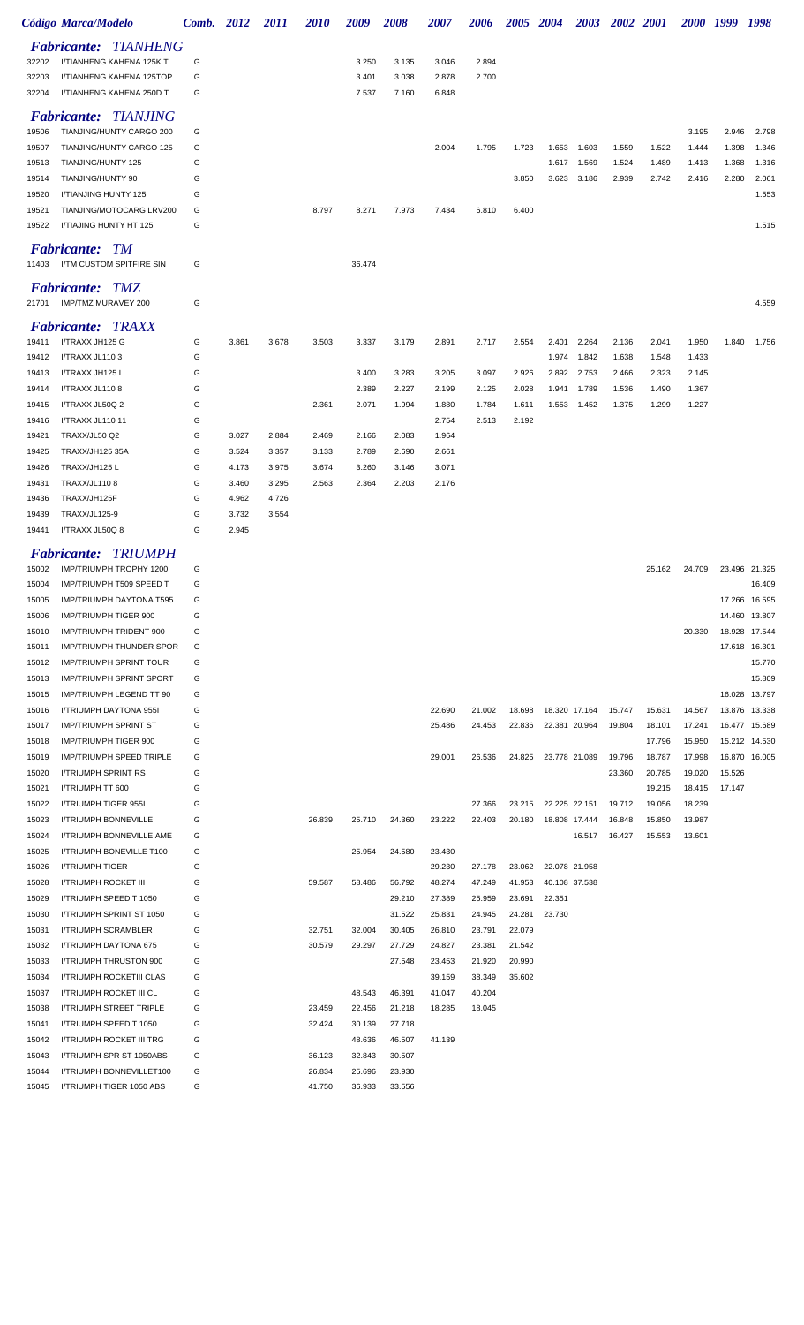|                | <b>Código Marca/Modelo</b>                          | Comb. 2012 |                | 2011           | <i>2010</i>    | 2009           | <i><b>2008</b></i> | <i><b>2007</b></i> | 2006             | 2005 2004        |                                | <b>2003</b> | 2002 2001 |        | 2000 1999 |        | 1998                    |
|----------------|-----------------------------------------------------|------------|----------------|----------------|----------------|----------------|--------------------|--------------------|------------------|------------------|--------------------------------|-------------|-----------|--------|-----------|--------|-------------------------|
|                | <b>Fabricante: TIANHENG</b>                         |            |                |                |                |                |                    |                    |                  |                  |                                |             |           |        |           |        |                         |
| 32202          | I/TIANHENG KAHENA 125K T                            | G          |                |                |                | 3.250          | 3.135              | 3.046              | 2.894            |                  |                                |             |           |        |           |        |                         |
| 32203          | I/TIANHENG KAHENA 125TOP                            | G          |                |                |                | 3.401          | 3.038              | 2.878              | 2.700            |                  |                                |             |           |        |           |        |                         |
| 32204          | I/TIANHENG KAHENA 250D T                            | G          |                |                |                | 7.537          | 7.160              | 6.848              |                  |                  |                                |             |           |        |           |        |                         |
|                | <b>Fabricante: TIANJING</b>                         |            |                |                |                |                |                    |                    |                  |                  |                                |             |           |        |           |        |                         |
| 19506          | TIANJING/HUNTY CARGO 200                            | G          |                |                |                |                |                    |                    |                  |                  |                                |             |           |        | 3.195     | 2.946  | 2.798                   |
| 19507          | TIANJING/HUNTY CARGO 125                            | G          |                |                |                |                |                    | 2.004              | 1.795            | 1.723            | 1.653                          | 1.603       | 1.559     | 1.522  | 1.444     | 1.398  | 1.346                   |
| 19513          | TIANJING/HUNTY 125                                  | G          |                |                |                |                |                    |                    |                  |                  | 1.617                          | 1.569       | 1.524     | 1.489  | 1.413     | 1.368  | 1.316                   |
| 19514          | TIANJING/HUNTY 90                                   | G          |                |                |                |                |                    |                    |                  | 3.850            | 3.623                          | 3.186       | 2.939     | 2.742  | 2.416     | 2.280  | 2.061                   |
| 19520          | I/TIANJING HUNTY 125                                | G          |                |                |                |                |                    |                    |                  |                  |                                |             |           |        |           |        | 1.553                   |
| 19521          | TIANJING/MOTOCARG LRV200<br>I/TIAJING HUNTY HT 125  | G<br>G     |                |                | 8.797          | 8.271          | 7.973              | 7.434              | 6.810            | 6.400            |                                |             |           |        |           |        | 1.515                   |
| 19522          |                                                     |            |                |                |                |                |                    |                    |                  |                  |                                |             |           |        |           |        |                         |
| 11403          | <b>Fabricante: TM</b><br>I/TM CUSTOM SPITFIRE SIN   | G          |                |                |                | 36.474         |                    |                    |                  |                  |                                |             |           |        |           |        |                         |
| 21701          | <b>Fabricante: TMZ</b><br>IMP/TMZ MURAVEY 200       | G          |                |                |                |                |                    |                    |                  |                  |                                |             |           |        |           |        | 4.559                   |
|                | <b>Fabricante: TRAXX</b>                            |            |                |                |                |                |                    |                    |                  |                  |                                |             |           |        |           |        |                         |
| 19411          | I/TRAXX JH125 G                                     | G          | 3.861          | 3.678          | 3.503          | 3.337          | 3.179              | 2.891              | 2.717            | 2.554            | 2.401                          | 2.264       | 2.136     | 2.041  | 1.950     | 1.840  | 1.756                   |
| 19412          | I/TRAXX JL1103                                      | G          |                |                |                |                |                    |                    |                  |                  | 1.974                          | 1.842       | 1.638     | 1.548  | 1.433     |        |                         |
| 19413          | I/TRAXX JH125 L                                     | G          |                |                |                | 3.400          | 3.283              | 3.205              | 3.097            | 2.926            | 2.892                          | 2.753       | 2.466     | 2.323  | 2.145     |        |                         |
| 19414          | I/TRAXX JL1108                                      | G          |                |                |                | 2.389          | 2.227              | 2.199              | 2.125            | 2.028            | 1.941                          | 1.789       | 1.536     | 1.490  | 1.367     |        |                         |
| 19415          | I/TRAXX JL50Q 2                                     | G          |                |                | 2.361          | 2.071          | 1.994              | 1.880              | 1.784            | 1.611            | 1.553                          | 1.452       | 1.375     | 1.299  | 1.227     |        |                         |
| 19416          | I/TRAXX JL110 11                                    | G          |                |                |                |                |                    | 2.754              | 2.513            | 2.192            |                                |             |           |        |           |        |                         |
| 19421<br>19425 | TRAXX/JL50 Q2<br><b>TRAXX/JH125 35A</b>             | G<br>G     | 3.027<br>3.524 | 2.884<br>3.357 | 2.469<br>3.133 | 2.166<br>2.789 | 2.083<br>2.690     | 1.964<br>2.661     |                  |                  |                                |             |           |        |           |        |                         |
| 19426          | TRAXX/JH125 L                                       | G          | 4.173          | 3.975          | 3.674          | 3.260          | 3.146              | 3.071              |                  |                  |                                |             |           |        |           |        |                         |
| 19431          | <b>TRAXX/JL1108</b>                                 | G          | 3.460          | 3.295          | 2.563          | 2.364          | 2.203              | 2.176              |                  |                  |                                |             |           |        |           |        |                         |
| 19436          | TRAXX/JH125F                                        | G          | 4.962          | 4.726          |                |                |                    |                    |                  |                  |                                |             |           |        |           |        |                         |
| 19439          | <b>TRAXX/JL125-9</b>                                | G          | 3.732          | 3.554          |                |                |                    |                    |                  |                  |                                |             |           |        |           |        |                         |
| 19441          | I/TRAXX JL50Q 8                                     | G          | 2.945          |                |                |                |                    |                    |                  |                  |                                |             |           |        |           |        |                         |
|                | <b>Fabricante: TRIUMPH</b>                          |            |                |                |                |                |                    |                    |                  |                  |                                |             |           |        |           |        |                         |
| 15002          | IMP/TRIUMPH TROPHY 1200                             | G          |                |                |                |                |                    |                    |                  |                  |                                |             |           | 25.162 | 24.709    |        | 23.496 21.325           |
| 15004          | IMP/TRIUMPH T509 SPEED T                            | G          |                |                |                |                |                    |                    |                  |                  |                                |             |           |        |           |        | 16.409                  |
| 15005          | IMP/TRIUMPH DAYTONA T595                            | G          |                |                |                |                |                    |                    |                  |                  |                                |             |           |        |           |        | 17.266 16.595           |
| 15006          | <b>IMP/TRIUMPH TIGER 900</b>                        | G          |                |                |                |                |                    |                    |                  |                  |                                |             |           |        |           |        | 14.460 13.807           |
| 15010          | IMP/TRIUMPH TRIDENT 900<br>IMP/TRIUMPH THUNDER SPOR | G<br>G     |                |                |                |                |                    |                    |                  |                  |                                |             |           |        | 20.330    |        | 18.928 17.544           |
| 15011<br>15012 | <b>IMP/TRIUMPH SPRINT TOUR</b>                      | G          |                |                |                |                |                    |                    |                  |                  |                                |             |           |        |           |        | 17.618 16.301<br>15.770 |
| 15013          | <b>IMP/TRIUMPH SPRINT SPORT</b>                     | G          |                |                |                |                |                    |                    |                  |                  |                                |             |           |        |           |        | 15.809                  |
| 15015          | IMP/TRIUMPH LEGEND TT 90                            | G          |                |                |                |                |                    |                    |                  |                  |                                |             |           |        |           |        | 16.028 13.797           |
| 15016          | I/TRIUMPH DAYTONA 955I                              | G          |                |                |                |                |                    | 22.690             | 21.002           | 18.698           | 18.320 17.164                  |             | 15.747    | 15.631 | 14.567    |        | 13.876 13.338           |
| 15017          | <b>IMP/TRIUMPH SPRINT ST</b>                        | G          |                |                |                |                |                    | 25.486             | 24.453           | 22.836           | 22.381 20.964                  |             | 19.804    | 18.101 | 17.241    |        | 16.477 15.689           |
| 15018          | IMP/TRIUMPH TIGER 900                               | G          |                |                |                |                |                    |                    |                  |                  |                                |             |           | 17.796 | 15.950    |        | 15.212 14.530           |
| 15019          | IMP/TRIUMPH SPEED TRIPLE                            | G          |                |                |                |                |                    | 29.001             | 26.536           |                  | 24.825 23.778 21.089           |             | 19.796    | 18.787 | 17.998    |        | 16.870 16.005           |
| 15020          | I/TRIUMPH SPRINT RS                                 | G          |                |                |                |                |                    |                    |                  |                  |                                |             | 23.360    | 20.785 | 19.020    | 15.526 |                         |
| 15021          | I/TRIUMPH TT 600                                    | G          |                |                |                |                |                    |                    |                  |                  |                                |             |           | 19.215 | 18.415    | 17.147 |                         |
| 15022          | I/TRIUMPH TIGER 955I                                | G          |                |                |                |                |                    |                    | 27.366           | 23.215           | 22.225 22.151                  |             | 19.712    | 19.056 | 18.239    |        |                         |
| 15023          | I/TRIUMPH BONNEVILLE                                | G          |                |                | 26.839         | 25.710         | 24.360             | 23.222             | 22.403           | 20.180           | 18.808 17.444                  |             | 16.848    | 15.850 | 13.987    |        |                         |
| 15024          | I/TRIUMPH BONNEVILLE AME                            | G          |                |                |                |                |                    |                    |                  |                  |                                | 16.517      | 16.427    | 15.553 | 13.601    |        |                         |
| 15025          | I/TRIUMPH BONEVILLE T100                            | G          |                |                |                | 25.954         | 24.580             | 23.430             |                  |                  |                                |             |           |        |           |        |                         |
| 15026<br>15028 | <b>I/TRIUMPH TIGER</b><br>I/TRIUMPH ROCKET III      | G<br>G     |                |                | 59.587         | 58.486         | 56.792             | 29.230<br>48.274   | 27.178<br>47.249 | 23.062<br>41.953 | 22.078 21.958<br>40.108 37.538 |             |           |        |           |        |                         |
| 15029          | I/TRIUMPH SPEED T 1050                              | G          |                |                |                |                | 29.210             | 27.389             | 25.959           | 23.691           | 22.351                         |             |           |        |           |        |                         |
| 15030          | I/TRIUMPH SPRINT ST 1050                            | G          |                |                |                |                | 31.522             | 25.831             | 24.945           | 24.281           | 23.730                         |             |           |        |           |        |                         |
| 15031          | I/TRIUMPH SCRAMBLER                                 | G          |                |                | 32.751         | 32.004         | 30.405             | 26.810             | 23.791           | 22.079           |                                |             |           |        |           |        |                         |
| 15032          | I/TRIUMPH DAYTONA 675                               | G          |                |                | 30.579         | 29.297         | 27.729             | 24.827             | 23.381           | 21.542           |                                |             |           |        |           |        |                         |
| 15033          | I/TRIUMPH THRUSTON 900                              | G          |                |                |                |                | 27.548             | 23.453             | 21.920           | 20.990           |                                |             |           |        |           |        |                         |
| 15034          | I/TRIUMPH ROCKETIII CLAS                            | G          |                |                |                |                |                    | 39.159             | 38.349           | 35.602           |                                |             |           |        |           |        |                         |
| 15037          | I/TRIUMPH ROCKET III CL                             | G          |                |                |                | 48.543         | 46.391             | 41.047             | 40.204           |                  |                                |             |           |        |           |        |                         |
| 15038          | I/TRIUMPH STREET TRIPLE                             | G          |                |                | 23.459         | 22.456         | 21.218             | 18.285             | 18.045           |                  |                                |             |           |        |           |        |                         |
| 15041          | I/TRIUMPH SPEED T 1050                              | G          |                |                | 32.424         | 30.139         | 27.718             |                    |                  |                  |                                |             |           |        |           |        |                         |
| 15042          | I/TRIUMPH ROCKET III TRG                            | G          |                |                |                | 48.636         | 46.507             | 41.139             |                  |                  |                                |             |           |        |           |        |                         |
| 15043          | I/TRIUMPH SPR ST 1050ABS                            | G          |                |                | 36.123         | 32.843         | 30.507             |                    |                  |                  |                                |             |           |        |           |        |                         |
| 15044          | I/TRIUMPH BONNEVILLET100                            | G          |                |                | 26.834         | 25.696         | 23.930             |                    |                  |                  |                                |             |           |        |           |        |                         |
| 15045          | I/TRIUMPH TIGER 1050 ABS                            | G          |                |                | 41.750         | 36.933         | 33.556             |                    |                  |                  |                                |             |           |        |           |        |                         |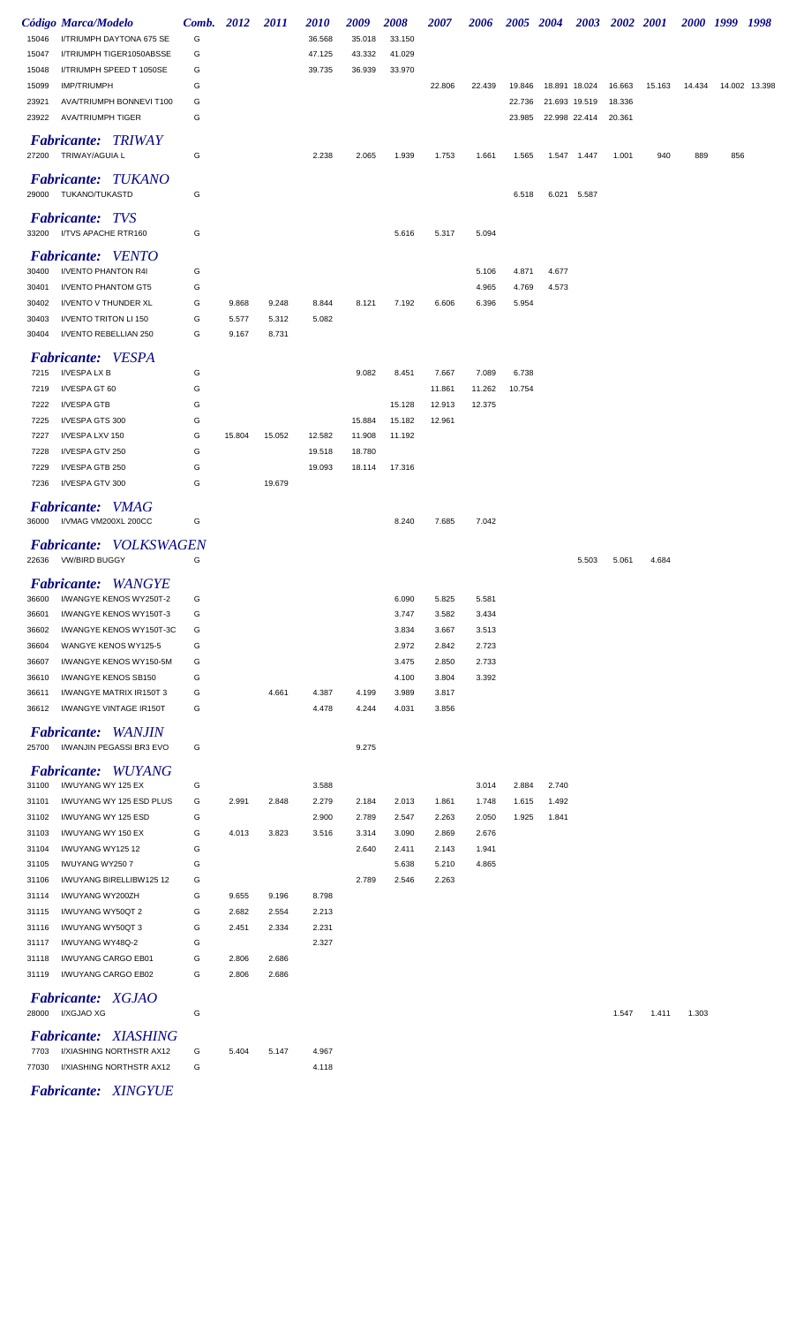|                | Código Marca/Modelo                                   | Comb.  | 2012           | 2011           | <i>2010</i>    | 2009   | 2008   | 2007            | 2006            | 2005 2004       |       | 2003          | 2002 2001 |        |        | 2000 1999 1998 |               |
|----------------|-------------------------------------------------------|--------|----------------|----------------|----------------|--------|--------|-----------------|-----------------|-----------------|-------|---------------|-----------|--------|--------|----------------|---------------|
| 15046          | I/TRIUMPH DAYTONA 675 SE                              | G      |                |                | 36.568         | 35.018 | 33.150 |                 |                 |                 |       |               |           |        |        |                |               |
| 15047          | I/TRIUMPH TIGER1050ABSSE                              | G      |                |                | 47.125         | 43.332 | 41.029 |                 |                 |                 |       |               |           |        |        |                |               |
| 15048          | I/TRIUMPH SPEED T 1050SE                              | G      |                |                | 39.735         | 36.939 | 33.970 |                 |                 |                 |       |               |           |        |        |                |               |
| 15099          | <b>IMP/TRIUMPH</b>                                    | G      |                |                |                |        |        | 22.806          | 22.439          | 19.846          |       | 18.891 18.024 | 16.663    | 15.163 | 14.434 |                | 14.002 13.398 |
| 23921          | AVA/TRIUMPH BONNEVI T100                              | G      |                |                |                |        |        |                 |                 | 22.736          |       | 21.693 19.519 | 18.336    |        |        |                |               |
| 23922          | <b>AVA/TRIUMPH TIGER</b>                              | G      |                |                |                |        |        |                 |                 | 23.985          |       | 22.998 22.414 | 20.361    |        |        |                |               |
|                | <b>Fabricante: TRIWAY</b><br>27200 TRIWAY/AGUIA L     | G      |                |                | 2.238          | 2.065  | 1.939  | 1.753           | 1.661           | 1.565           |       | 1.547 1.447   | 1.001     | 940    | 889    | 856            |               |
|                | <b>Fabricante: TUKANO</b><br>29000 TUKANO/TUKASTD     | G      |                |                |                |        |        |                 |                 | 6.518           |       | 6.021 5.587   |           |        |        |                |               |
|                | <b>Fabricante: TVS</b><br>33200 I/TVS APACHE RTR160   |        |                |                |                |        |        |                 |                 |                 |       |               |           |        |        |                |               |
|                |                                                       | G      |                |                |                |        | 5.616  | 5.317           | 5.094           |                 |       |               |           |        |        |                |               |
|                | <b>Fabricante:</b> VENTO                              |        |                |                |                |        |        |                 |                 |                 |       |               |           |        |        |                |               |
| 30400          | I/VENTO PHANTON R4I                                   | G      |                |                |                |        |        |                 | 5.106           | 4.871           | 4.677 |               |           |        |        |                |               |
| 30401          | <b>I/VENTO PHANTOM GT5</b>                            | G      |                |                |                |        |        |                 | 4.965           | 4.769           | 4.573 |               |           |        |        |                |               |
| 30402<br>30403 | I/VENTO V THUNDER XL<br>I/VENTO TRITON LI 150         | G<br>G | 9.868<br>5.577 | 9.248<br>5.312 | 8.844<br>5.082 | 8.121  | 7.192  | 6.606           | 6.396           | 5.954           |       |               |           |        |        |                |               |
| 30404          | I/VENTO REBELLIAN 250                                 | G      | 9.167          | 8.731          |                |        |        |                 |                 |                 |       |               |           |        |        |                |               |
|                |                                                       |        |                |                |                |        |        |                 |                 |                 |       |               |           |        |        |                |               |
|                | <b>Fabricante:</b> VESPA                              |        |                |                |                |        |        |                 |                 |                 |       |               |           |        |        |                |               |
| 7215<br>7219   | I/VESPA LX B<br>I/VESPA GT 60                         | G<br>G |                |                |                | 9.082  | 8.451  | 7.667<br>11.861 | 7.089<br>11.262 | 6.738<br>10.754 |       |               |           |        |        |                |               |
| 7222           | I/VESPA GTB                                           | G      |                |                |                |        | 15.128 | 12.913          | 12.375          |                 |       |               |           |        |        |                |               |
| 7225           | I/VESPA GTS 300                                       | G      |                |                |                | 15.884 | 15.182 | 12.961          |                 |                 |       |               |           |        |        |                |               |
| 7227           | I/VESPA LXV 150                                       | G      | 15.804         | 15.052         | 12.582         | 11.908 | 11.192 |                 |                 |                 |       |               |           |        |        |                |               |
| 7228           | I/VESPA GTV 250                                       | G      |                |                | 19.518         | 18.780 |        |                 |                 |                 |       |               |           |        |        |                |               |
| 7229           | I/VESPA GTB 250                                       | G      |                |                | 19.093         | 18.114 | 17.316 |                 |                 |                 |       |               |           |        |        |                |               |
| 7236           | I/VESPA GTV 300                                       | G      |                | 19.679         |                |        |        |                 |                 |                 |       |               |           |        |        |                |               |
|                | <b>Fabricante:</b> VMAG                               |        |                |                |                |        |        |                 |                 |                 |       |               |           |        |        |                |               |
|                | 36000 I/VMAG VM200XL 200CC                            | G      |                |                |                |        | 8.240  | 7.685           | 7.042           |                 |       |               |           |        |        |                |               |
|                |                                                       |        |                |                |                |        |        |                 |                 |                 |       |               |           |        |        |                |               |
| 22636          | <b>Fabricante:</b> VOLKSWAGEN<br><b>VW/BIRD BUGGY</b> | G      |                |                |                |        |        |                 |                 |                 |       | 5.503         | 5.061     | 4.684  |        |                |               |
|                | <b>Fabricante:</b> WANGYE                             |        |                |                |                |        |        |                 |                 |                 |       |               |           |        |        |                |               |
| 36600          | I/WANGYE KENOS WY250T-2                               | G      |                |                |                |        | 6.090  | 5.825           | 5.581           |                 |       |               |           |        |        |                |               |
| 36601          | I/WANGYE KENOS WY150T-3                               | G      |                |                |                |        | 3.747  | 3.582           | 3.434           |                 |       |               |           |        |        |                |               |
| 36602          | I/WANGYE KENOS WY150T-3C                              | G      |                |                |                |        | 3.834  | 3.667           | 3.513           |                 |       |               |           |        |        |                |               |
| 36604          | WANGYE KENOS WY125-5                                  | G      |                |                |                |        | 2.972  | 2.842           | 2.723           |                 |       |               |           |        |        |                |               |
| 36607          | I/WANGYE KENOS WY150-5M                               | G      |                |                |                |        | 3.475  | 2.850           | 2.733           |                 |       |               |           |        |        |                |               |
| 36610          | I/WANGYE KENOS SB150                                  | G      |                |                |                |        | 4.100  | 3.804           | 3.392           |                 |       |               |           |        |        |                |               |
| 36611          | I/WANGYE MATRIX IR150T 3                              | G<br>G |                | 4.661          | 4.387          | 4.199  | 3.989  | 3.817           |                 |                 |       |               |           |        |        |                |               |
| 36612          | I/WANGYE VINTAGE IR150T                               |        |                |                | 4.478          | 4.244  | 4.031  | 3.856           |                 |                 |       |               |           |        |        |                |               |
| 25700          | <b>Fabricante:</b> WANJIN<br>I/WANJIN PEGASSI BR3 EVO | G      |                |                |                | 9.275  |        |                 |                 |                 |       |               |           |        |        |                |               |
|                |                                                       |        |                |                |                |        |        |                 |                 |                 |       |               |           |        |        |                |               |
| 31100          | <b>Fabricante:</b> WUYANG<br>I/WUYANG WY 125 EX       | G      |                |                | 3.588          |        |        |                 | 3.014           | 2.884           | 2.740 |               |           |        |        |                |               |
| 31101          | I/WUYANG WY 125 ESD PLUS                              | G      | 2.991          | 2.848          | 2.279          | 2.184  | 2.013  | 1.861           | 1.748           | 1.615           | 1.492 |               |           |        |        |                |               |
| 31102          | I/WUYANG WY 125 ESD                                   | G      |                |                | 2.900          | 2.789  | 2.547  | 2.263           | 2.050           | 1.925           | 1.841 |               |           |        |        |                |               |
| 31103          | I/WUYANG WY 150 EX                                    | G      | 4.013          | 3.823          | 3.516          | 3.314  | 3.090  | 2.869           | 2.676           |                 |       |               |           |        |        |                |               |
| 31104          | I/WUYANG WY12512                                      | G      |                |                |                | 2.640  | 2.411  | 2.143           | 1.941           |                 |       |               |           |        |        |                |               |
| 31105          | <b>IWUYANG WY2507</b>                                 | G      |                |                |                |        | 5.638  | 5.210           | 4.865           |                 |       |               |           |        |        |                |               |
| 31106          | I/WUYANG BIRELLIBW125 12                              | G      |                |                |                | 2.789  | 2.546  | 2.263           |                 |                 |       |               |           |        |        |                |               |
| 31114          | I/WUYANG WY200ZH                                      | G      | 9.655          | 9.196          | 8.798          |        |        |                 |                 |                 |       |               |           |        |        |                |               |
| 31115          | I/WUYANG WY50QT 2                                     | G      | 2.682          | 2.554          | 2.213          |        |        |                 |                 |                 |       |               |           |        |        |                |               |
| 31116          | I/WUYANG WY50QT 3                                     | G      | 2.451          | 2.334          | 2.231          |        |        |                 |                 |                 |       |               |           |        |        |                |               |
| 31117          | I/WUYANG WY48Q-2                                      | G      |                |                | 2.327          |        |        |                 |                 |                 |       |               |           |        |        |                |               |
| 31118          | I/WUYANG CARGO EB01                                   | G      | 2.806          | 2.686          |                |        |        |                 |                 |                 |       |               |           |        |        |                |               |
| 31119          | I/WUYANG CARGO EB02                                   | G      | 2.806          | 2.686          |                |        |        |                 |                 |                 |       |               |           |        |        |                |               |
| 28000          | <b>Fabricante: XGJAO</b><br>I/XGJAO XG                | G      |                |                |                |        |        |                 |                 |                 |       |               | 1.547     | 1.411  | 1.303  |                |               |
|                | <b>Fabricante: XIASHING</b>                           |        |                |                |                |        |        |                 |                 |                 |       |               |           |        |        |                |               |
| 7703           | I/XIASHING NORTHSTR AX12                              | G      | 5.404          | 5.147          | 4.967          |        |        |                 |                 |                 |       |               |           |        |        |                |               |
| 77030          | I/XIASHING NORTHSTR AX12                              | G      |                |                | 4.118          |        |        |                 |                 |                 |       |               |           |        |        |                |               |
|                | <b>Fabricante: XINGYUE</b>                            |        |                |                |                |        |        |                 |                 |                 |       |               |           |        |        |                |               |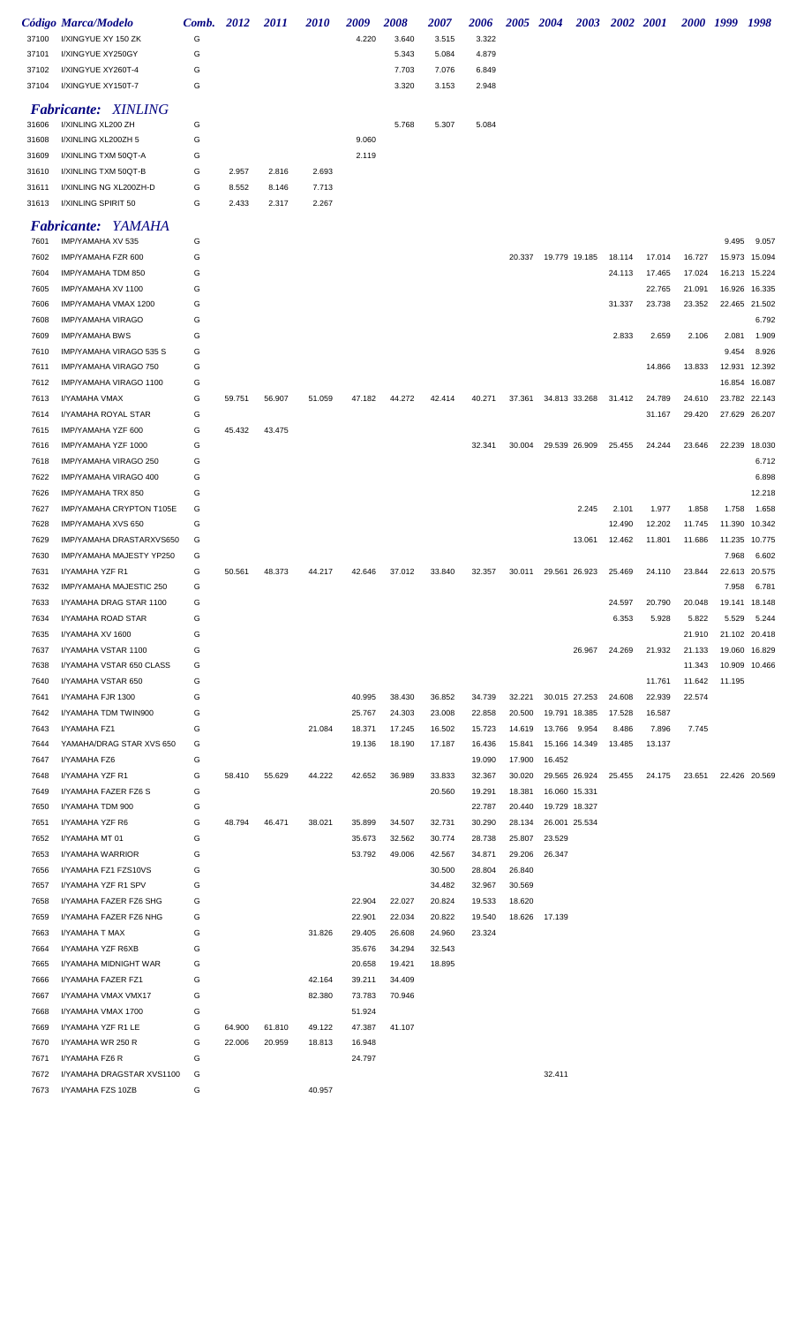|       | Código Marca/Modelo        | Comb. | 2012  | <i>2011</i> | <i>2010</i> | 2009  | 2008  | 2007  | 2006  | <i><b>2005</b></i> | 2004 | 2003 | <b>2002</b> | <i>2001</i> | <i><b>2000</b></i> | 1999  | 1998  |
|-------|----------------------------|-------|-------|-------------|-------------|-------|-------|-------|-------|--------------------|------|------|-------------|-------------|--------------------|-------|-------|
| 37100 | I/XINGYUE XY 150 ZK        | G     |       |             |             | 4.220 | 3.640 | 3.515 | 3.322 |                    |      |      |             |             |                    |       |       |
| 37101 | I/XINGYUE XY250GY          | G     |       |             |             |       | 5.343 | 5.084 | 4.879 |                    |      |      |             |             |                    |       |       |
| 37102 | I/XINGYUE XY260T-4         | G     |       |             |             |       | 7.703 | 7.076 | 6.849 |                    |      |      |             |             |                    |       |       |
| 37104 | I/XINGYUE XY150T-7         | G     |       |             |             |       | 3.320 | 3.153 | 2.948 |                    |      |      |             |             |                    |       |       |
|       | <b>Fabricante: XINLING</b> |       |       |             |             |       |       |       |       |                    |      |      |             |             |                    |       |       |
| 31606 | I/XINLING XL200 ZH         | G     |       |             |             |       | 5.768 | 5.307 | 5.084 |                    |      |      |             |             |                    |       |       |
| 31608 | I/XINLING XL200ZH 5        | G     |       |             |             | 9.060 |       |       |       |                    |      |      |             |             |                    |       |       |
| 31609 | I/XINLING TXM 50QT-A       | G     |       |             |             | 2.119 |       |       |       |                    |      |      |             |             |                    |       |       |
| 31610 | I/XINLING TXM 50QT-B       | G     | 2.957 | 2.816       | 2.693       |       |       |       |       |                    |      |      |             |             |                    |       |       |
| 31611 | I/XINLING NG XL200ZH-D     | G     | 8.552 | 8.146       | 7.713       |       |       |       |       |                    |      |      |             |             |                    |       |       |
| 31613 | I/XINLING SPIRIT 50        | G     | 2.433 | 2.317       | 2.267       |       |       |       |       |                    |      |      |             |             |                    |       |       |
|       | <b>Fabricante: YAMAHA</b>  |       |       |             |             |       |       |       |       |                    |      |      |             |             |                    |       |       |
| 7601  | IMP/YAMAHA XV 535          | G     |       |             |             |       |       |       |       |                    |      |      |             |             |                    | 9.495 | 9.057 |

| 1001 | <b>IIVIF/ I AIVIANA AV UJU</b>           | ◡ |        |        |        |        |        |        |        |        |                      |        |        |        | ນ.4ນບ  | 9.UJ          |
|------|------------------------------------------|---|--------|--------|--------|--------|--------|--------|--------|--------|----------------------|--------|--------|--------|--------|---------------|
| 7602 | IMP/YAMAHA FZR 600                       | G |        |        |        |        |        |        |        |        | 20.337 19.779 19.185 | 18.114 | 17.014 | 16.727 |        | 15.973 15.094 |
| 7604 | IMP/YAMAHA TDM 850                       | G |        |        |        |        |        |        |        |        |                      | 24.113 | 17.465 | 17.024 |        | 16.213 15.224 |
| 7605 | IMP/YAMAHA XV 1100                       | G |        |        |        |        |        |        |        |        |                      |        | 22.765 | 21.091 |        | 16.926 16.335 |
| 7606 | IMP/YAMAHA VMAX 1200                     | G |        |        |        |        |        |        |        |        |                      | 31.337 | 23.738 | 23.352 |        | 22.465 21.502 |
| 7608 | <b>IMP/YAMAHA VIRAGO</b>                 | G |        |        |        |        |        |        |        |        |                      |        |        |        |        | 6.792         |
| 7609 | <b>IMP/YAMAHA BWS</b>                    | G |        |        |        |        |        |        |        |        |                      | 2.833  | 2.659  | 2.106  | 2.081  | 1.909         |
| 7610 | IMP/YAMAHA VIRAGO 535 S                  | G |        |        |        |        |        |        |        |        |                      |        |        |        | 9.454  | 8.926         |
| 7611 | IMP/YAMAHA VIRAGO 750                    | G |        |        |        |        |        |        |        |        |                      |        | 14.866 | 13.833 | 12.931 | 12.392        |
| 7612 | IMP/YAMAHA VIRAGO 1100                   | G |        |        |        |        |        |        |        |        |                      |        |        |        | 16.854 | 16.087        |
| 7613 | I/YAMAHA VMAX                            | G | 59.751 | 56.907 | 51.059 | 47.182 | 44.272 | 42.414 | 40.271 | 37.361 | 34.813 33.268        | 31.412 | 24.789 | 24.610 | 23.782 | 22.143        |
| 7614 | I/YAMAHA ROYAL STAR                      | G |        |        |        |        |        |        |        |        |                      |        | 31.167 | 29.420 | 27.629 | 26.207        |
| 7615 | IMP/YAMAHA YZF 600                       | G | 45.432 | 43.475 |        |        |        |        |        |        |                      |        |        |        |        |               |
| 7616 | IMP/YAMAHA YZF 1000                      | G |        |        |        |        |        |        | 32.341 | 30.004 | 29.539 26.909        | 25.455 | 24.244 | 23.646 | 22.239 | 18.030        |
| 7618 | IMP/YAMAHA VIRAGO 250                    | G |        |        |        |        |        |        |        |        |                      |        |        |        |        | 6.712         |
| 7622 | IMP/YAMAHA VIRAGO 400                    | G |        |        |        |        |        |        |        |        |                      |        |        |        |        | 6.898         |
| 7626 | IMP/YAMAHA TRX 850                       | G |        |        |        |        |        |        |        |        |                      |        |        |        |        | 12.218        |
| 7627 | IMP/YAMAHA CRYPTON T105E                 | G |        |        |        |        |        |        |        |        | 2.245                | 2.101  | 1.977  | 1.858  | 1.758  | 1.658         |
| 7628 | IMP/YAMAHA XVS 650                       | G |        |        |        |        |        |        |        |        |                      | 12.490 | 12.202 | 11.745 | 11.390 | 10.342        |
| 7629 | IMP/YAMAHA DRASTARXVS650                 | G |        |        |        |        |        |        |        |        | 13.061               | 12.462 | 11.801 | 11.686 | 11.235 | 10.775        |
| 7630 | IMP/YAMAHA MAJESTY YP250                 | G |        |        |        |        |        |        |        |        |                      |        |        |        | 7.968  | 6.602         |
| 7631 | I/YAMAHA YZF R1                          | G | 50.561 | 48.373 | 44.217 | 42.646 | 37.012 | 33.840 | 32.357 | 30.011 | 29.561 26.923        | 25.469 | 24.110 | 23.844 | 22.613 | 20.575        |
| 7632 | IMP/YAMAHA MAJESTIC 250                  | G |        |        |        |        |        |        |        |        |                      |        |        |        | 7.958  | 6.781         |
| 7633 | I/YAMAHA DRAG STAR 1100                  | G |        |        |        |        |        |        |        |        |                      | 24.597 | 20.790 | 20.048 | 19.141 | 18.148        |
| 7634 | I/YAMAHA ROAD STAR                       | G |        |        |        |        |        |        |        |        |                      | 6.353  | 5.928  | 5.822  | 5.529  | 5.244         |
| 7635 | I/YAMAHA XV 1600                         | G |        |        |        |        |        |        |        |        |                      |        |        | 21.910 | 21.102 | 20.418        |
| 7637 | I/YAMAHA VSTAR 1100                      | G |        |        |        |        |        |        |        |        | 26.967               | 24.269 | 21.932 | 21.133 | 19.060 | 16.829        |
| 7638 | I/YAMAHA VSTAR 650 CLASS                 | G |        |        |        |        |        |        |        |        |                      |        |        | 11.343 |        | 10.909 10.466 |
| 7640 | I/YAMAHA VSTAR 650                       | G |        |        |        |        |        |        |        |        |                      |        | 11.761 | 11.642 | 11.195 |               |
| 7641 | I/YAMAHA FJR 1300                        | G |        |        |        | 40.995 | 38.430 | 36.852 | 34.739 | 32.221 | 30.015 27.253        | 24.608 | 22.939 | 22.574 |        |               |
| 7642 | I/YAMAHA TDM TWIN900                     | G |        |        |        | 25.767 | 24.303 | 23.008 | 22.858 | 20.500 | 19.791 18.385        | 17.528 | 16.587 |        |        |               |
| 7643 | I/YAMAHA FZ1                             | G |        |        | 21.084 | 18.371 | 17.245 | 16.502 | 15.723 | 14.619 | 9.954<br>13.766      | 8.486  | 7.896  | 7.745  |        |               |
| 7644 | YAMAHA/DRAG STAR XVS 650                 | G |        |        |        | 19.136 | 18.190 | 17.187 | 16.436 | 15.841 | 15.166 14.349        | 13.485 | 13.137 |        |        |               |
| 7647 | I/YAMAHA FZ6                             | G |        |        |        |        |        |        | 19.090 | 17.900 | 16.452               |        |        |        |        |               |
| 7648 | I/YAMAHA YZF R1                          | G | 58.410 | 55.629 | 44.222 | 42.652 | 36.989 | 33.833 | 32.367 | 30.020 | 29.565 26.924        | 25.455 | 24.175 | 23.651 |        | 22.426 20.569 |
| 7649 |                                          | G |        |        |        |        |        | 20.560 | 19.291 | 18.381 | 16.060 15.331        |        |        |        |        |               |
|      | I/YAMAHA FAZER FZ6 S<br>I/YAMAHA TDM 900 | G |        |        |        |        |        |        |        |        |                      |        |        |        |        |               |
| 7650 |                                          |   |        |        |        |        |        |        | 22.787 | 20.440 | 19.729 18.327        |        |        |        |        |               |
| 7651 | I/YAMAHA YZF R6                          | G | 48.794 | 46.471 | 38.021 | 35.899 | 34.507 | 32.731 | 30.290 | 28.134 | 26.001 25.534        |        |        |        |        |               |
| 7652 | I/YAMAHA MT 01                           | G |        |        |        | 35.673 | 32.562 | 30.774 | 28.738 | 25.807 | 23.529               |        |        |        |        |               |
| 7653 | I/YAMAHA WARRIOR                         | G |        |        |        | 53.792 | 49.006 | 42.567 | 34.871 | 29.206 | 26.347               |        |        |        |        |               |
| 7656 | I/YAMAHA FZ1 FZS10VS                     | G |        |        |        |        |        | 30.500 | 28.804 | 26.840 |                      |        |        |        |        |               |
| 7657 | I/YAMAHA YZF R1 SPV                      | G |        |        |        |        |        | 34.482 | 32.967 | 30.569 |                      |        |        |        |        |               |
| 7658 | I/YAMAHA FAZER FZ6 SHG                   | G |        |        |        | 22.904 | 22.027 | 20.824 | 19.533 | 18.620 |                      |        |        |        |        |               |
| 7659 | I/YAMAHA FAZER FZ6 NHG                   | G |        |        |        | 22.901 | 22.034 | 20.822 | 19.540 |        | 18.626 17.139        |        |        |        |        |               |
| 7663 | I/YAMAHA T MAX                           | G |        |        | 31.826 | 29.405 | 26.608 | 24.960 | 23.324 |        |                      |        |        |        |        |               |
| 7664 | I/YAMAHA YZF R6XB                        | G |        |        |        | 35.676 | 34.294 | 32.543 |        |        |                      |        |        |        |        |               |
| 7665 | I/YAMAHA MIDNIGHT WAR                    | G |        |        |        | 20.658 | 19.421 | 18.895 |        |        |                      |        |        |        |        |               |
| 7666 | I/YAMAHA FAZER FZ1                       | G |        |        | 42.164 | 39.211 | 34.409 |        |        |        |                      |        |        |        |        |               |
| 7667 | I/YAMAHA VMAX VMX17                      | G |        |        | 82.380 | 73.783 | 70.946 |        |        |        |                      |        |        |        |        |               |
| 7668 | I/YAMAHA VMAX 1700                       | G |        |        |        | 51.924 |        |        |        |        |                      |        |        |        |        |               |
| 7669 | I/YAMAHA YZF R1 LE                       | G | 64.900 | 61.810 | 49.122 | 47.387 | 41.107 |        |        |        |                      |        |        |        |        |               |
| 7670 | I/YAMAHA WR 250 R                        | G | 22.006 | 20.959 | 18.813 | 16.948 |        |        |        |        |                      |        |        |        |        |               |
| 7671 | I/YAMAHA FZ6 R                           | G |        |        |        | 24.797 |        |        |        |        |                      |        |        |        |        |               |
| 7672 | I/YAMAHA DRAGSTAR XVS1100                | G |        |        |        |        |        |        |        |        | 32.411               |        |        |        |        |               |
| 7673 | I/YAMAHA FZS 10ZB                        | G |        |        | 40.957 |        |        |        |        |        |                      |        |        |        |        |               |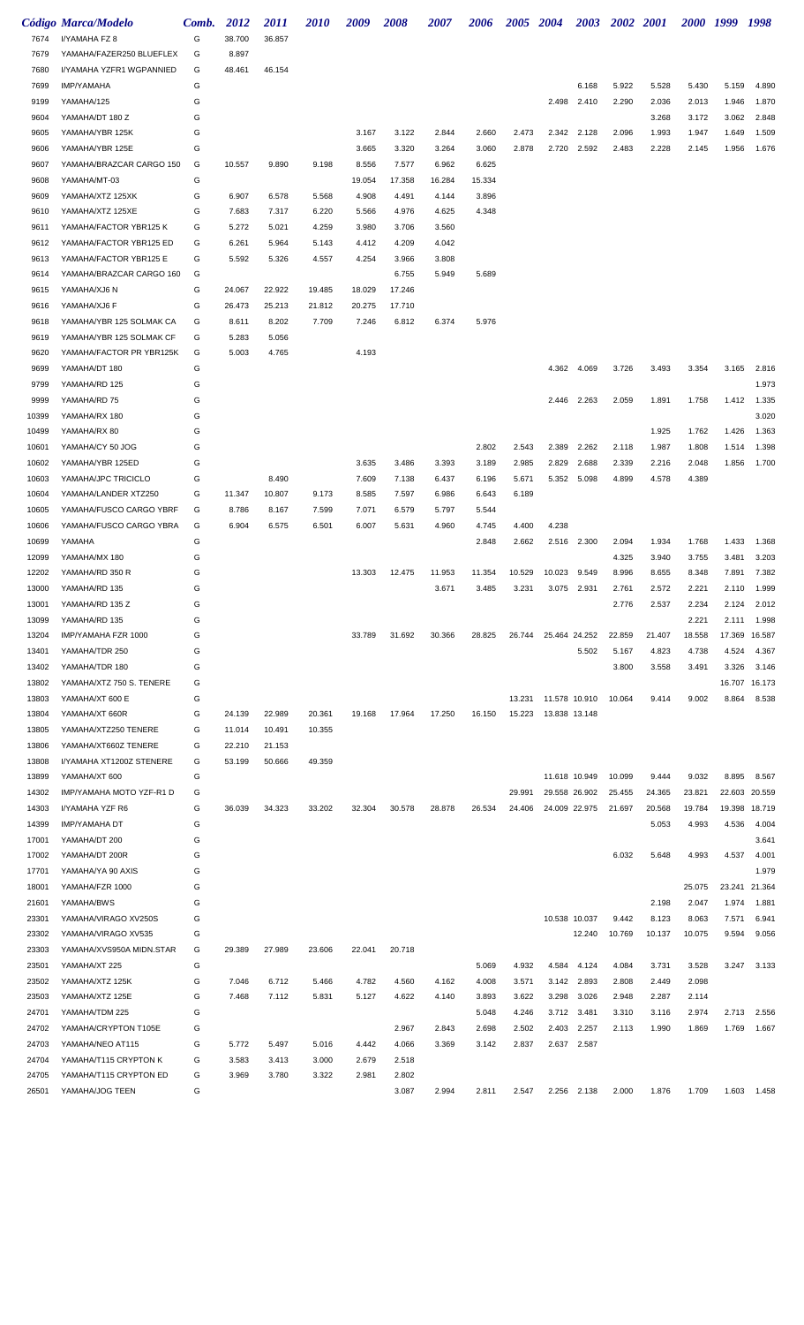|       | Código Marca/Modelo                                  | Comb. | 2012   | <i>2011</i> | <i>2010</i> | 2009   | 2008   | <i><b>2007</b></i> | 2006   | 2005   | 2004          | <b>2003</b>   | 2002 2001 |        | <i>2000</i> | 1999   | 1998   |
|-------|------------------------------------------------------|-------|--------|-------------|-------------|--------|--------|--------------------|--------|--------|---------------|---------------|-----------|--------|-------------|--------|--------|
| 7674  | I/YAMAHA FZ 8                                        | G     | 38.700 | 36.857      |             |        |        |                    |        |        |               |               |           |        |             |        |        |
| 7679  | YAMAHA/FAZER250 BLUEFLEX                             | G     | 8.897  |             |             |        |        |                    |        |        |               |               |           |        |             |        |        |
| 7680  | I/YAMAHA YZFR1 WGPANNIED                             | G     | 48.461 | 46.154      |             |        |        |                    |        |        |               |               |           |        |             |        |        |
| 7699  | <b>IMP/YAMAHA</b>                                    | G     |        |             |             |        |        |                    |        |        |               | 6.168         | 5.922     | 5.528  | 5.430       | 5.159  | 4.890  |
| 9199  | YAMAHA/125                                           | G     |        |             |             |        |        |                    |        |        | 2.498         | 2.410         | 2.290     | 2.036  | 2.013       | 1.946  | 1.870  |
| 9604  | YAMAHA/DT 180 Z                                      | G     |        |             |             |        |        |                    |        |        |               |               |           | 3.268  | 3.172       | 3.062  | 2.848  |
| 9605  | YAMAHA/YBR 125K                                      | G     |        |             |             | 3.167  | 3.122  | 2.844              | 2.660  | 2.473  | 2.342         | 2.128         | 2.096     | 1.993  | 1.947       | 1.649  | 1.509  |
| 9606  | YAMAHA/YBR 125E                                      | G     |        |             |             | 3.665  | 3.320  | 3.264              | 3.060  | 2.878  |               | 2.720 2.592   | 2.483     | 2.228  | 2.145       | 1.956  | 1.676  |
| 9607  | YAMAHA/BRAZCAR CARGO 150                             | G     | 10.557 | 9.890       | 9.198       | 8.556  | 7.577  | 6.962              | 6.625  |        |               |               |           |        |             |        |        |
| 9608  | YAMAHA/MT-03                                         | G     |        |             |             | 19.054 | 17.358 | 16.284             | 15.334 |        |               |               |           |        |             |        |        |
| 9609  | YAMAHA/XTZ 125XK                                     | G     | 6.907  | 6.578       | 5.568       | 4.908  | 4.491  | 4.144              | 3.896  |        |               |               |           |        |             |        |        |
| 9610  | YAMAHA/XTZ 125XE                                     | G     | 7.683  | 7.317       | 6.220       | 5.566  | 4.976  | 4.625              | 4.348  |        |               |               |           |        |             |        |        |
| 9611  | YAMAHA/FACTOR YBR125 K                               | G     | 5.272  | 5.021       | 4.259       | 3.980  | 3.706  | 3.560              |        |        |               |               |           |        |             |        |        |
| 9612  | YAMAHA/FACTOR YBR125 ED                              | G     | 6.261  | 5.964       | 5.143       | 4.412  | 4.209  | 4.042              |        |        |               |               |           |        |             |        |        |
| 9613  | YAMAHA/FACTOR YBR125 E                               | G     | 5.592  | 5.326       | 4.557       | 4.254  | 3.966  | 3.808              |        |        |               |               |           |        |             |        |        |
| 9614  | YAMAHA/BRAZCAR CARGO 160                             | G     |        |             |             |        | 6.755  | 5.949              | 5.689  |        |               |               |           |        |             |        |        |
| 9615  | YAMAHA/XJ6 N                                         | G     | 24.067 | 22.922      | 19.485      | 18.029 | 17.246 |                    |        |        |               |               |           |        |             |        |        |
| 9616  | YAMAHA/XJ6 F                                         | G     | 26.473 | 25.213      | 21.812      | 20.275 | 17.710 |                    |        |        |               |               |           |        |             |        |        |
|       |                                                      | G     |        |             | 7.709       | 7.246  | 6.812  |                    | 5.976  |        |               |               |           |        |             |        |        |
| 9618  | YAMAHA/YBR 125 SOLMAK CA<br>YAMAHA/YBR 125 SOLMAK CF |       | 8.611  | 8.202       |             |        |        | 6.374              |        |        |               |               |           |        |             |        |        |
| 9619  |                                                      | G     | 5.283  | 5.056       |             |        |        |                    |        |        |               |               |           |        |             |        |        |
| 9620  | YAMAHA/FACTOR PR YBR125K                             | G     | 5.003  | 4.765       |             | 4.193  |        |                    |        |        |               |               |           |        |             |        |        |
| 9699  | YAMAHA/DT 180                                        | G     |        |             |             |        |        |                    |        |        | 4.362         | 4.069         | 3.726     | 3.493  | 3.354       | 3.165  | 2.816  |
| 9799  | YAMAHA/RD 125                                        | G     |        |             |             |        |        |                    |        |        |               |               |           |        |             |        | 1.973  |
| 9999  | YAMAHA/RD 75                                         | G     |        |             |             |        |        |                    |        |        | 2.446         | 2.263         | 2.059     | 1.891  | 1.758       | 1.412  | 1.335  |
| 10399 | YAMAHA/RX 180                                        | G     |        |             |             |        |        |                    |        |        |               |               |           |        |             |        | 3.020  |
| 10499 | YAMAHA/RX 80                                         | G     |        |             |             |        |        |                    |        |        |               |               |           | 1.925  | 1.762       | 1.426  | 1.363  |
| 10601 | YAMAHA/CY 50 JOG                                     | G     |        |             |             |        |        |                    | 2.802  | 2.543  | 2.389         | 2.262         | 2.118     | 1.987  | 1.808       | 1.514  | 1.398  |
| 10602 | YAMAHA/YBR 125ED                                     | G     |        |             |             | 3.635  | 3.486  | 3.393              | 3.189  | 2.985  | 2.829         | 2.688         | 2.339     | 2.216  | 2.048       | 1.856  | 1.700  |
| 10603 | YAMAHA/JPC TRICICLO                                  | G     |        | 8.490       |             | 7.609  | 7.138  | 6.437              | 6.196  | 5.671  |               | 5.352 5.098   | 4.899     | 4.578  | 4.389       |        |        |
| 10604 | YAMAHA/LANDER XTZ250                                 | G     | 11.347 | 10.807      | 9.173       | 8.585  | 7.597  | 6.986              | 6.643  | 6.189  |               |               |           |        |             |        |        |
| 10605 | YAMAHA/FUSCO CARGO YBRF                              | G     | 8.786  | 8.167       | 7.599       | 7.071  | 6.579  | 5.797              | 5.544  |        |               |               |           |        |             |        |        |
| 10606 | YAMAHA/FUSCO CARGO YBRA                              | G     | 6.904  | 6.575       | 6.501       | 6.007  | 5.631  | 4.960              | 4.745  | 4.400  | 4.238         |               |           |        |             |        |        |
| 10699 | YAMAHA                                               | G     |        |             |             |        |        |                    | 2.848  | 2.662  |               | 2.516 2.300   | 2.094     | 1.934  | 1.768       | 1.433  | 1.368  |
| 12099 | YAMAHA/MX 180                                        | G     |        |             |             |        |        |                    |        |        |               |               | 4.325     | 3.940  | 3.755       | 3.481  | 3.203  |
| 12202 | YAMAHA/RD 350 R                                      | G     |        |             |             | 13.303 | 12.475 | 11.953             | 11.354 | 10.529 | 10.023        | 9.549         | 8.996     | 8.655  | 8.348       | 7.891  | 7.382  |
| 13000 | YAMAHA/RD 135                                        | G     |        |             |             |        |        | 3.671              | 3.485  | 3.231  | 3.075         | 2.931         | 2.761     | 2.572  | 2.221       | 2.110  | 1.999  |
| 13001 | YAMAHA/RD 135 Z                                      | G     |        |             |             |        |        |                    |        |        |               |               | 2.776     | 2.537  | 2.234       | 2.124  | 2.012  |
| 13099 | YAMAHA/RD 135                                        | G     |        |             |             |        |        |                    |        |        |               |               |           |        | 2.221       | 2.111  | 1.998  |
| 13204 | IMP/YAMAHA FZR 1000                                  | G     |        |             |             | 33.789 | 31.692 | 30.366             | 28.825 | 26.744 |               | 25.464 24.252 | 22.859    | 21.407 | 18.558      | 17.369 | 16.587 |
| 13401 | YAMAHA/TDR 250                                       | G     |        |             |             |        |        |                    |        |        |               | 5.502         | 5.167     | 4.823  | 4.738       | 4.524  | 4.367  |
| 13402 | YAMAHA/TDR 180                                       | G     |        |             |             |        |        |                    |        |        |               |               | 3.800     | 3.558  | 3.491       | 3.326  | 3.146  |
| 13802 | YAMAHA/XTZ 750 S. TENERE                             | G     |        |             |             |        |        |                    |        |        |               |               |           |        |             | 16.707 | 16.173 |
| 13803 | YAMAHA/XT 600 E                                      | G     |        |             |             |        |        |                    |        | 13.231 | 11.578 10.910 |               | 10.064    | 9.414  | 9.002       | 8.864  | 8.538  |
| 13804 | YAMAHA/XT 660R                                       | G     | 24.139 | 22.989      | 20.361      | 19.168 | 17.964 | 17.250             | 16.150 | 15.223 |               | 13.838 13.148 |           |        |             |        |        |
| 13805 | YAMAHA/XTZ250 TENERE                                 | G     | 11.014 | 10.491      | 10.355      |        |        |                    |        |        |               |               |           |        |             |        |        |
| 13806 | YAMAHA/XT660Z TENERE                                 | G     | 22.210 | 21.153      |             |        |        |                    |        |        |               |               |           |        |             |        |        |
| 13808 | I/YAMAHA XT1200Z STENERE                             | G     | 53.199 | 50.666      | 49.359      |        |        |                    |        |        |               |               |           |        |             |        |        |
| 13899 | YAMAHA/XT 600                                        | G     |        |             |             |        |        |                    |        |        |               | 11.618 10.949 | 10.099    | 9.444  | 9.032       | 8.895  | 8.567  |
| 14302 | IMP/YAMAHA MOTO YZF-R1 D                             | G     |        |             |             |        |        |                    |        | 29.991 |               | 29.558 26.902 | 25.455    | 24.365 | 23.821      | 22.603 | 20.559 |
| 14303 | I/YAMAHA YZF R6                                      | G     | 36.039 | 34.323      | 33.202      | 32.304 | 30.578 | 28.878             | 26.534 | 24.406 |               | 24.009 22.975 | 21.697    | 20.568 | 19.784      | 19.398 | 18.719 |
| 14399 | <b>IMP/YAMAHA DT</b>                                 | G     |        |             |             |        |        |                    |        |        |               |               |           | 5.053  | 4.993       | 4.536  | 4.004  |
| 17001 | YAMAHA/DT 200                                        | G     |        |             |             |        |        |                    |        |        |               |               |           |        |             |        | 3.641  |
| 17002 | YAMAHA/DT 200R                                       | G     |        |             |             |        |        |                    |        |        |               |               | 6.032     | 5.648  | 4.993       | 4.537  | 4.001  |
| 17701 | YAMAHA/YA 90 AXIS                                    | G     |        |             |             |        |        |                    |        |        |               |               |           |        |             |        | 1.979  |
| 18001 | YAMAHA/FZR 1000                                      | G     |        |             |             |        |        |                    |        |        |               |               |           |        | 25.075      | 23.241 | 21.364 |
| 21601 | YAMAHA/BWS                                           | G     |        |             |             |        |        |                    |        |        |               |               |           | 2.198  | 2.047       | 1.974  | 1.881  |
| 23301 | YAMAHA/VIRAGO XV250S                                 | G     |        |             |             |        |        |                    |        |        | 10.538 10.037 |               | 9.442     | 8.123  | 8.063       | 7.571  | 6.941  |
| 23302 | YAMAHA/VIRAGO XV535                                  | G     |        |             |             |        |        |                    |        |        |               | 12.240        | 10.769    | 10.137 | 10.075      | 9.594  | 9.056  |
| 23303 | YAMAHA/XVS950A MIDN.STAR                             | G     | 29.389 | 27.989      | 23.606      | 22.041 | 20.718 |                    |        |        |               |               |           |        |             |        |        |
| 23501 | YAMAHA/XT 225                                        | G     |        |             |             |        |        |                    | 5.069  | 4.932  | 4.584         | 4.124         | 4.084     | 3.731  | 3.528       | 3.247  | 3.133  |
| 23502 | YAMAHA/XTZ 125K                                      | G     | 7.046  | 6.712       | 5.466       | 4.782  | 4.560  | 4.162              | 4.008  | 3.571  | 3.142         | 2.893         | 2.808     | 2.449  | 2.098       |        |        |
| 23503 | YAMAHA/XTZ 125E                                      | G     | 7.468  | 7.112       | 5.831       | 5.127  | 4.622  | 4.140              | 3.893  | 3.622  | 3.298         | 3.026         | 2.948     | 2.287  | 2.114       |        |        |
| 24701 | YAMAHA/TDM 225                                       | G     |        |             |             |        |        |                    | 5.048  | 4.246  | 3.712         | 3.481         | 3.310     | 3.116  | 2.974       | 2.713  | 2.556  |
|       | YAMAHA/CRYPTON T105E                                 | G     |        |             |             |        | 2.967  | 2.843              | 2.698  | 2.502  | 2.403         |               | 2.113     | 1.990  | 1.869       | 1.769  | 1.667  |
| 24702 |                                                      |       |        |             |             |        |        |                    |        |        |               | 2.257         |           |        |             |        |        |
| 24703 | YAMAHA/NEO AT115                                     | G     | 5.772  | 5.497       | 5.016       | 4.442  | 4.066  | 3.369              | 3.142  | 2.837  | 2.637         | 2.587         |           |        |             |        |        |
| 24704 | YAMAHA/T115 CRYPTON K                                | G     | 3.583  | 3.413       | 3.000       | 2.679  | 2.518  |                    |        |        |               |               |           |        |             |        |        |
| 24705 | YAMAHA/T115 CRYPTON ED                               | G     | 3.969  | 3.780       | 3.322       | 2.981  | 2.802  |                    |        |        |               |               |           |        |             |        |        |
| 26501 | YAMAHA/JOG TEEN                                      | G     |        |             |             |        | 3.087  | 2.994              | 2.811  | 2.547  |               | 2.256 2.138   | 2.000     | 1.876  | 1.709       | 1.603  | 1.458  |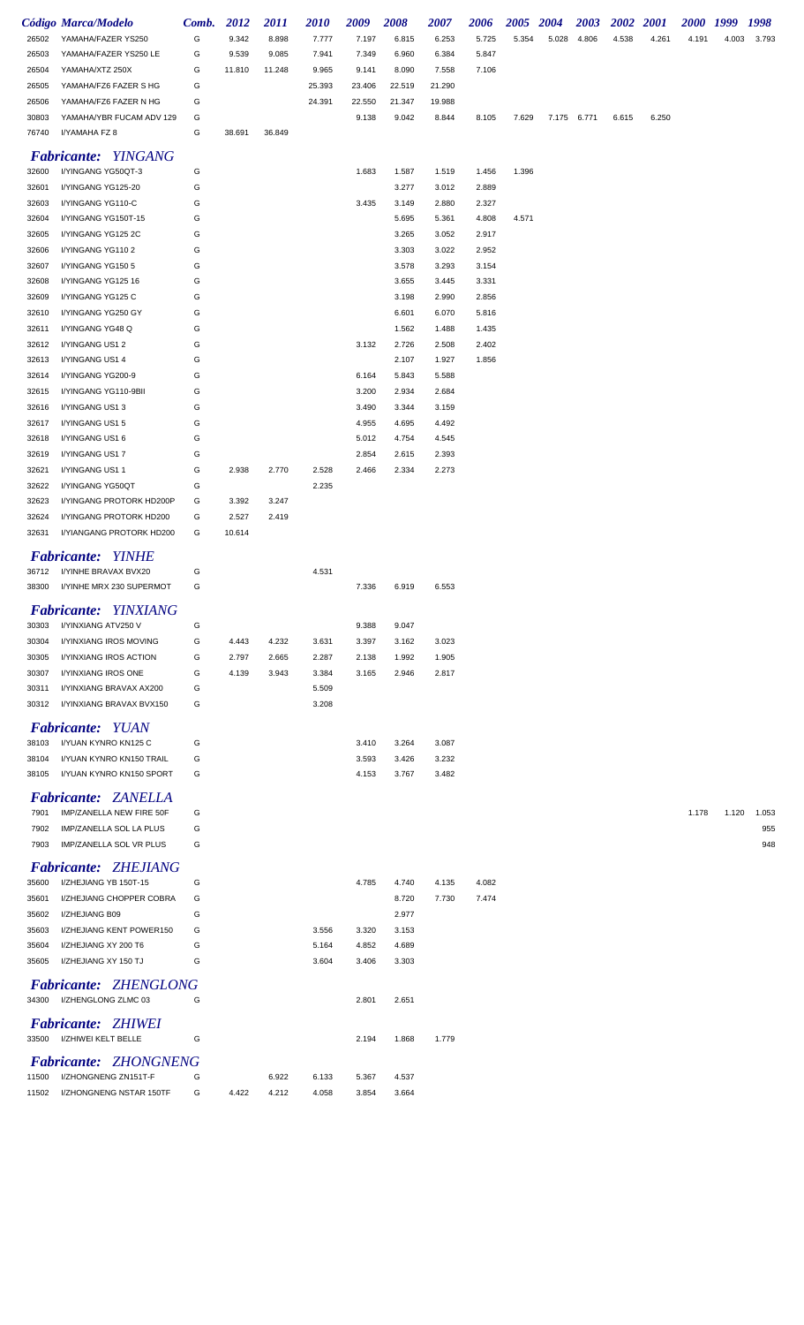|                | Código Marca/Modelo                                | Comb.  | 2012   | 2011   | <b>2010</b> | 2009           | 2008           | 2007           | 2006           | 2005  | 2004  | 2003  | 2002  | 2001  | <i>2000</i> | 1999  | 1998  |
|----------------|----------------------------------------------------|--------|--------|--------|-------------|----------------|----------------|----------------|----------------|-------|-------|-------|-------|-------|-------------|-------|-------|
| 26502          | YAMAHA/FAZER YS250                                 | G      | 9.342  | 8.898  | 7.777       | 7.197          | 6.815          | 6.253          | 5.725          | 5.354 | 5.028 | 4.806 | 4.538 | 4.261 | 4.191       | 4.003 | 3.793 |
| 26503          | YAMAHA/FAZER YS250 LE                              | G      | 9.539  | 9.085  | 7.941       | 7.349          | 6.960          | 6.384          | 5.847          |       |       |       |       |       |             |       |       |
| 26504          | YAMAHA/XTZ 250X                                    | G      | 11.810 | 11.248 | 9.965       | 9.141          | 8.090          | 7.558          | 7.106          |       |       |       |       |       |             |       |       |
| 26505          | YAMAHA/FZ6 FAZER S HG                              | G      |        |        | 25.393      | 23.406         | 22.519         | 21.290         |                |       |       |       |       |       |             |       |       |
| 26506          | YAMAHA/FZ6 FAZER N HG                              | G      |        |        | 24.391      | 22.550         | 21.347         | 19.988         |                |       |       |       |       |       |             |       |       |
| 30803          | YAMAHA/YBR FUCAM ADV 129                           | G      |        |        |             | 9.138          | 9.042          | 8.844          | 8.105          | 7.629 | 7.175 | 6.771 | 6.615 | 6.250 |             |       |       |
| 76740          | I/YAMAHA FZ 8                                      | G      | 38.691 | 36.849 |             |                |                |                |                |       |       |       |       |       |             |       |       |
|                | <b>Fabricante: YINGANG</b>                         |        |        |        |             |                |                |                |                |       |       |       |       |       |             |       |       |
| 32600          | I/YINGANG YG50QT-3                                 | G      |        |        |             | 1.683          | 1.587          | 1.519          | 1.456          | 1.396 |       |       |       |       |             |       |       |
| 32601          | I/YINGANG YG125-20                                 | G      |        |        |             |                | 3.277          | 3.012          | 2.889          |       |       |       |       |       |             |       |       |
| 32603          | I/YINGANG YG110-C                                  | G      |        |        |             | 3.435          | 3.149          | 2.880          | 2.327          |       |       |       |       |       |             |       |       |
| 32604          | I/YINGANG YG150T-15                                | G      |        |        |             |                | 5.695          | 5.361          | 4.808          | 4.571 |       |       |       |       |             |       |       |
| 32605          | I/YINGANG YG125 2C                                 | G      |        |        |             |                | 3.265          | 3.052          | 2.917          |       |       |       |       |       |             |       |       |
| 32606          | I/YINGANG YG1102                                   | G      |        |        |             |                | 3.303          | 3.022          | 2.952          |       |       |       |       |       |             |       |       |
| 32607          | I/YINGANG YG150 5                                  | G      |        |        |             |                | 3.578          | 3.293          | 3.154          |       |       |       |       |       |             |       |       |
| 32608          | I/YINGANG YG125 16                                 | G      |        |        |             |                | 3.655          | 3.445          | 3.331          |       |       |       |       |       |             |       |       |
| 32609          | I/YINGANG YG125 C                                  | G      |        |        |             |                | 3.198          | 2.990          | 2.856          |       |       |       |       |       |             |       |       |
| 32610          | I/YINGANG YG250 GY<br>I/YINGANG YG48 Q             | G<br>G |        |        |             |                | 6.601          | 6.070          | 5.816          |       |       |       |       |       |             |       |       |
| 32611<br>32612 | I/YINGANG US12                                     | G      |        |        |             | 3.132          | 1.562<br>2.726 | 1.488<br>2.508 | 1.435<br>2.402 |       |       |       |       |       |             |       |       |
| 32613          | I/YINGANG US1 4                                    | G      |        |        |             |                | 2.107          | 1.927          | 1.856          |       |       |       |       |       |             |       |       |
| 32614          | I/YINGANG YG200-9                                  | G      |        |        |             | 6.164          | 5.843          | 5.588          |                |       |       |       |       |       |             |       |       |
| 32615          | I/YINGANG YG110-9BII                               | G      |        |        |             | 3.200          | 2.934          | 2.684          |                |       |       |       |       |       |             |       |       |
| 32616          | I/YINGANG US13                                     | G      |        |        |             | 3.490          | 3.344          | 3.159          |                |       |       |       |       |       |             |       |       |
| 32617          | I/YINGANG US1 5                                    | G      |        |        |             | 4.955          | 4.695          | 4.492          |                |       |       |       |       |       |             |       |       |
| 32618          | I/YINGANG US1 6                                    | G      |        |        |             | 5.012          | 4.754          | 4.545          |                |       |       |       |       |       |             |       |       |
| 32619          | I/YINGANG US17                                     | G      |        |        |             | 2.854          | 2.615          | 2.393          |                |       |       |       |       |       |             |       |       |
| 32621          | I/YINGANG US11                                     | G      | 2.938  | 2.770  | 2.528       | 2.466          | 2.334          | 2.273          |                |       |       |       |       |       |             |       |       |
| 32622          | I/YINGANG YG50QT                                   | G      |        |        | 2.235       |                |                |                |                |       |       |       |       |       |             |       |       |
| 32623          | I/YINGANG PROTORK HD200P                           | G      | 3.392  | 3.247  |             |                |                |                |                |       |       |       |       |       |             |       |       |
| 32624          | I/YINGANG PROTORK HD200                            | G      | 2.527  | 2.419  |             |                |                |                |                |       |       |       |       |       |             |       |       |
| 32631          | I/YIANGANG PROTORK HD200                           | G      | 10.614 |        |             |                |                |                |                |       |       |       |       |       |             |       |       |
|                | <b>Fabricante: YINHE</b>                           |        |        |        |             |                |                |                |                |       |       |       |       |       |             |       |       |
| 36712          | I/YINHE BRAVAX BVX20                               | G      |        |        | 4.531       |                |                |                |                |       |       |       |       |       |             |       |       |
| 38300          | I/YINHE MRX 230 SUPERMOT                           | G      |        |        |             | 7.336          | 6.919          | 6.553          |                |       |       |       |       |       |             |       |       |
|                |                                                    |        |        |        |             |                |                |                |                |       |       |       |       |       |             |       |       |
| 30303          | <b>Fabricante: YINXIANG</b><br>I/YINXIANG ATV250 V | G      |        |        |             | 9.388          | 9.047          |                |                |       |       |       |       |       |             |       |       |
| 30304          | I/YINXIANG IROS MOVING                             | G      | 4.443  | 4.232  | 3.631       | 3.397          | 3.162          | 3.023          |                |       |       |       |       |       |             |       |       |
| 30305          | I/YINXIANG IROS ACTION                             | G      | 2.797  | 2.665  | 2.287       | 2.138          | 1.992          | 1.905          |                |       |       |       |       |       |             |       |       |
| 30307          | I/YINXIANG IROS ONE                                | G      | 4.139  | 3.943  | 3.384       | 3.165          | 2.946          | 2.817          |                |       |       |       |       |       |             |       |       |
| 30311          | I/YINXIANG BRAVAX AX200                            | G      |        |        | 5.509       |                |                |                |                |       |       |       |       |       |             |       |       |
| 30312          | I/YINXIANG BRAVAX BVX150                           | G      |        |        | 3.208       |                |                |                |                |       |       |       |       |       |             |       |       |
|                |                                                    |        |        |        |             |                |                |                |                |       |       |       |       |       |             |       |       |
| 38103          | <b>Fabricante: YUAN</b><br>I/YUAN KYNRO KN125 C    |        |        |        |             |                |                |                |                |       |       |       |       |       |             |       |       |
| 38104          | I/YUAN KYNRO KN150 TRAIL                           | G<br>G |        |        |             | 3.410<br>3.593 | 3.264<br>3.426 | 3.087<br>3.232 |                |       |       |       |       |       |             |       |       |
| 38105          | I/YUAN KYNRO KN150 SPORT                           | G      |        |        |             | 4.153          | 3.767          | 3.482          |                |       |       |       |       |       |             |       |       |
|                |                                                    |        |        |        |             |                |                |                |                |       |       |       |       |       |             |       |       |
|                | <b>Fabricante: ZANELLA</b>                         |        |        |        |             |                |                |                |                |       |       |       |       |       |             |       |       |
| 7901           | IMP/ZANELLA NEW FIRE 50F                           | G      |        |        |             |                |                |                |                |       |       |       |       |       | 1.178       | 1.120 | 1.053 |
| 7902           | IMP/ZANELLA SOL LA PLUS                            | G      |        |        |             |                |                |                |                |       |       |       |       |       |             |       | 955   |
| 7903           | IMP/ZANELLA SOL VR PLUS                            | G      |        |        |             |                |                |                |                |       |       |       |       |       |             |       | 948   |
|                | <b>Fabricante: ZHEJIANG</b>                        |        |        |        |             |                |                |                |                |       |       |       |       |       |             |       |       |
| 35600          | I/ZHEJIANG YB 150T-15                              | G      |        |        |             | 4.785          | 4.740          | 4.135          | 4.082          |       |       |       |       |       |             |       |       |
| 35601          | I/ZHEJIANG CHOPPER COBRA                           | G      |        |        |             |                | 8.720          | 7.730          | 7.474          |       |       |       |       |       |             |       |       |
| 35602          | I/ZHEJIANG B09                                     | G      |        |        |             |                | 2.977          |                |                |       |       |       |       |       |             |       |       |
| 35603          | I/ZHEJIANG KENT POWER150                           | G      |        |        | 3.556       | 3.320          | 3.153          |                |                |       |       |       |       |       |             |       |       |
| 35604          | I/ZHEJIANG XY 200 T6                               | G      |        |        | 5.164       | 4.852          | 4.689          |                |                |       |       |       |       |       |             |       |       |
| 35605          | I/ZHEJIANG XY 150 TJ                               | G      |        |        | 3.604       | 3.406          | 3.303          |                |                |       |       |       |       |       |             |       |       |
|                | <b>Fabricante: ZHENGLONG</b>                       |        |        |        |             |                |                |                |                |       |       |       |       |       |             |       |       |
| 34300          | I/ZHENGLONG ZLMC 03                                | G      |        |        |             | 2.801          | 2.651          |                |                |       |       |       |       |       |             |       |       |
|                | <b>Fabricante: ZHIWEI</b>                          |        |        |        |             |                |                |                |                |       |       |       |       |       |             |       |       |
| 33500          | I/ZHIWEI KELT BELLE                                | G      |        |        |             | 2.194          | 1.868          | 1.779          |                |       |       |       |       |       |             |       |       |
|                | Fabricante: ZHONGNENG                              |        |        |        |             |                |                |                |                |       |       |       |       |       |             |       |       |
| 11500          | I/ZHONGNENG ZN151T-F                               | G      |        | 6.922  | 6.133       | 5.367          | 4.537          |                |                |       |       |       |       |       |             |       |       |
| 11502          | I/ZHONGNENG NSTAR 150TF                            | G      | 4.422  | 4.212  | 4.058       | 3.854          | 3.664          |                |                |       |       |       |       |       |             |       |       |